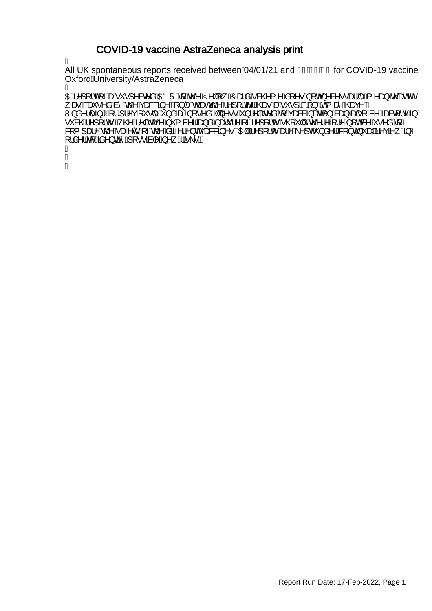### COVID-19 vaccine AstraZeneca analysis print

Á

All UK spontaneous reports received between $\hat{A}/01/21$  and  $F\hat{I}$  ECEDG for COVID-19 vaccine OxfordAUniversity/AstraZeneca À

OEÁ^][¦oÁ<sub>T</sub>ÁseÁv`•]^&c^åÁOEÖÜÁ{ÁQQ^ÁY^||[¸ÁÔæåÁ&QQ{^Á\$[^•Á[oÁ^&^••ælãj^Á{^æ}ÁQead%en/ , æR&eš•^å,And^,AnzOAçæ&&3,^EA\}|^An CheaeNgOA^][,Ic^|ACae+AaeA\`;•]&Ba{}AanA{ æ ACaeç^E W}å^}|^ã\*A{{A}^çã\*•|^A}åãet}[•^åA��]}^••A}}!^|æe^åAq{Açæ&&ã}æaã{}A&aa}Aaф•[Aà^Aæ&q{!•A§/ •`&@A^][¦oEV@A^|æã{^A`{à^¦A<del>Q}</del>åAæč¦^A^}[¦oA@`|åA@}'^{¦^A[o&^A^•^åA{*|* &[{]æ!^^,An@^Aæ;^C^A\~An@^,Asã~^;|^}cA<sub>\$</sub>;æ&&@}^•EAQE||A^][¦or Aæ}^A^]cA`}å^¦/&{}c@}~æ|A^ça^<sub>s</sub>^@}/  $L^2$ à^  $A$ [ Án An Các Á [ •• an  $A$  An  $A$  Áa  $\cdot$ •  $A$ A ł ł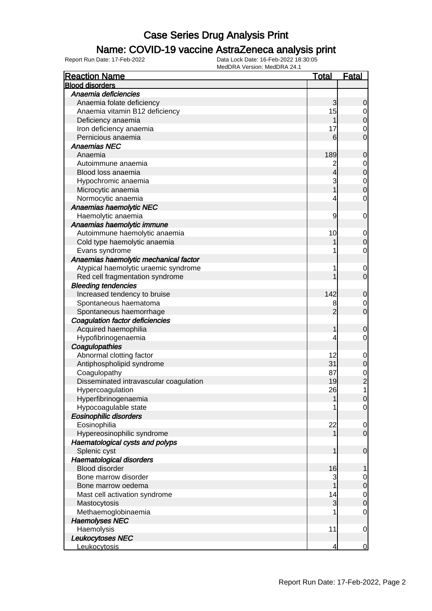### Name: COVID-19 vaccine AstraZeneca analysis print

| <b>Reaction Name</b>                   | <u>Total</u>   | <b>Fatal</b>   |
|----------------------------------------|----------------|----------------|
| <b>Blood disorders</b>                 |                |                |
| Anaemia deficiencies                   |                |                |
| Anaemia folate deficiency              | 3              | 0              |
| Anaemia vitamin B12 deficiency         | 15             | $\mathbf 0$    |
| Deficiency anaemia                     |                | 0              |
| Iron deficiency anaemia                | 17             | 0              |
| Pernicious anaemia                     | 6              | 0              |
| <b>Anaemias NEC</b>                    |                |                |
| Anaemia                                | 189            | 0              |
| Autoimmune anaemia                     | $\overline{c}$ | $\mathbf 0$    |
| Blood loss anaemia                     | 4              | $\mathbf 0$    |
| Hypochromic anaemia                    | 3              | $\mathbf 0$    |
| Microcytic anaemia                     |                | 0              |
| Normocytic anaemia                     | 4              | 0              |
| Anaemias haemolytic NEC                |                |                |
| Haemolytic anaemia                     | 9              | 0              |
| Anaemias haemolytic immune             |                |                |
| Autoimmune haemolytic anaemia          | 10             | $\mathbf 0$    |
| Cold type haemolytic anaemia           |                | 0              |
| Evans syndrome                         | 1              | 0              |
| Anaemias haemolytic mechanical factor  |                |                |
| Atypical haemolytic uraemic syndrome   | 1              | $\mathbf 0$    |
| Red cell fragmentation syndrome        |                | $\mathbf 0$    |
| <b>Bleeding tendencies</b>             |                |                |
| Increased tendency to bruise           | 142            | 0              |
| Spontaneous haematoma                  | 8              | $\mathbf 0$    |
| Spontaneous haemorrhage                | $\overline{2}$ | $\mathbf 0$    |
| <b>Coagulation factor deficiencies</b> |                |                |
| Acquired haemophilia                   | 1              | 0              |
| Hypofibrinogenaemia                    | 4              | 0              |
| Coagulopathies                         |                |                |
| Abnormal clotting factor               | 12             | $\mathbf 0$    |
| Antiphospholipid syndrome              | 31             | $\mathbf 0$    |
| Coagulopathy                           | 87             | $\mathbf 0$    |
| Disseminated intravascular coagulation | 19             | $\overline{c}$ |
| Hypercoagulation                       | 26             | 1              |
| Hyperfibrinogenaemia                   | 1              | $\overline{0}$ |
| Hypocoagulable state                   | 1              | $\overline{0}$ |
| <b>Eosinophilic disorders</b>          |                |                |
| Eosinophilia                           | 22             | 0              |
| Hypereosinophilic syndrome             |                | $\mathbf 0$    |
| Haematological cysts and polyps        |                |                |
| Splenic cyst                           | 1              | $\mathbf 0$    |
| Haematological disorders               |                |                |
| <b>Blood disorder</b>                  | 16             |                |
| Bone marrow disorder                   | 3              | $\mathbf 0$    |
| Bone marrow oedema                     |                | 0              |
| Mast cell activation syndrome          | 14             | $\mathbf 0$    |
| Mastocytosis                           | 3              | 0              |
| Methaemoglobinaemia                    |                | 0              |
| <b>Haemolyses NEC</b>                  |                |                |
| Haemolysis                             | 11             | $\mathbf 0$    |
| Leukocytoses NEC                       |                |                |
| Leukocytosis                           | 4              | 0              |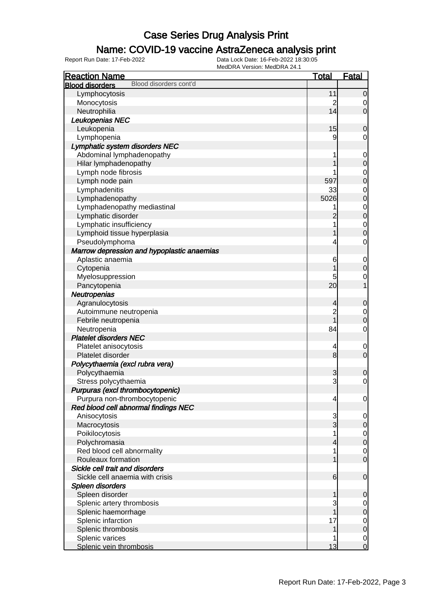### Name: COVID-19 vaccine AstraZeneca analysis print

| <b>Reaction Name</b>                             | <b>Total</b>   | <b>Fatal</b>     |
|--------------------------------------------------|----------------|------------------|
| Blood disorders cont'd<br><b>Blood disorders</b> |                |                  |
| Lymphocytosis                                    | 11             | $\mathbf 0$      |
| Monocytosis                                      | $\overline{c}$ | 0                |
| Neutrophilia                                     | 14             | $\overline{0}$   |
| Leukopenias NEC                                  |                |                  |
| Leukopenia                                       | 15             | $\mathbf 0$      |
| Lymphopenia                                      | 9              | 0                |
| Lymphatic system disorders NEC                   |                |                  |
| Abdominal lymphadenopathy                        |                | $\mathbf 0$      |
| Hilar lymphadenopathy                            |                | $\boldsymbol{0}$ |
| Lymph node fibrosis                              |                | $\mathbf 0$      |
| Lymph node pain                                  | 597            | $\mathbf 0$      |
| Lymphadenitis                                    | 33             | $\mathbf 0$      |
| Lymphadenopathy                                  | 5026           | $\mathbf 0$      |
| Lymphadenopathy mediastinal                      |                | $\mathbf 0$      |
| Lymphatic disorder                               | 2              | $\mathbf 0$      |
| Lymphatic insufficiency                          |                | $\mathbf 0$      |
| Lymphoid tissue hyperplasia                      |                | $\overline{0}$   |
| Pseudolymphoma                                   | 4              | $\mathbf 0$      |
| Marrow depression and hypoplastic anaemias       |                |                  |
| Aplastic anaemia                                 | 6              | $\mathbf 0$      |
| Cytopenia                                        |                | $\boldsymbol{0}$ |
| Myelosuppression                                 | 5              | $\mathbf 0$      |
| Pancytopenia                                     | 20             | 1                |
| Neutropenias                                     |                |                  |
| Agranulocytosis                                  | 4              | $\mathbf 0$      |
| Autoimmune neutropenia                           | $\overline{c}$ | $\mathbf 0$      |
| Febrile neutropenia                              |                | $\mathbf 0$      |
| Neutropenia                                      | 84             | $\mathbf 0$      |
| <b>Platelet disorders NEC</b>                    |                |                  |
| Platelet anisocytosis                            | 4              | $\mathbf 0$      |
| Platelet disorder                                | 8              | $\mathbf 0$      |
| Polycythaemia (excl rubra vera)                  |                |                  |
| Polycythaemia                                    | 3              | $\mathbf 0$      |
| Stress polycythaemia                             | 3              | $\mathbf 0$      |
| Purpuras (excl thrombocytopenic)                 |                |                  |
| Purpura non-thrombocytopenic                     | 4              | $\overline{0}$   |
| Red blood cell abnormal findings NEC             |                |                  |
| Anisocytosis                                     | 3              | 0                |
| Macrocytosis                                     | 3              | $\mathbf 0$      |
| Poikilocytosis                                   |                | $\overline{0}$   |
| Polychromasia                                    | 4              | $\mathbf 0$      |
| Red blood cell abnormality                       |                | $\mathbf 0$      |
| Rouleaux formation                               |                | $\mathbf 0$      |
| Sickle cell trait and disorders                  |                |                  |
| Sickle cell anaemia with crisis                  | 6              | $\mathbf 0$      |
| Spleen disorders                                 |                |                  |
| Spleen disorder                                  | 1              | 0                |
| Splenic artery thrombosis                        | 3              | $\overline{0}$   |
| Splenic haemorrhage                              |                | $\mathbf 0$      |
| Splenic infarction                               | 17             | 0                |
| Splenic thrombosis                               | 1              | $\mathbf 0$      |
| Splenic varices                                  |                | $\mathbf 0$      |
| Splenic vein thrombosis                          | 13             | $\overline{0}$   |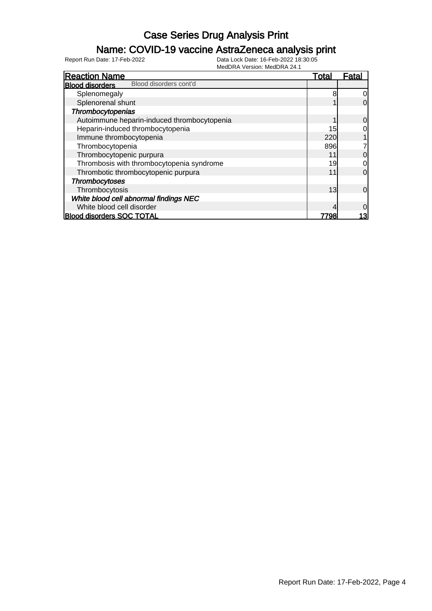### Name: COVID-19 vaccine AstraZeneca analysis print

| <b>Reaction Name</b>                             | Total | Fatal    |
|--------------------------------------------------|-------|----------|
| Blood disorders cont'd<br><b>Blood disorders</b> |       |          |
| Splenomegaly                                     | 8     | 0        |
| Splenorenal shunt                                |       | 0        |
| Thrombocytopenias                                |       |          |
| Autoimmune heparin-induced thrombocytopenia      |       | 0        |
| Heparin-induced thrombocytopenia                 | 15    | 0        |
| Immune thrombocytopenia                          | 220   |          |
| Thrombocytopenia                                 | 896   |          |
| Thrombocytopenic purpura                         | 11    | 0        |
| Thrombosis with thrombocytopenia syndrome        | 19    | 0        |
| Thrombotic thrombocytopenic purpura              | 11    | 0        |
| <b>Thrombocytoses</b>                            |       |          |
| Thrombocytosis                                   | 13    | $\Omega$ |
| White blood cell abnormal findings NEC           |       |          |
| White blood cell disorder                        |       | 0        |
| <b>Blood disorders SOC TOTAL</b>                 | 7798  | 13       |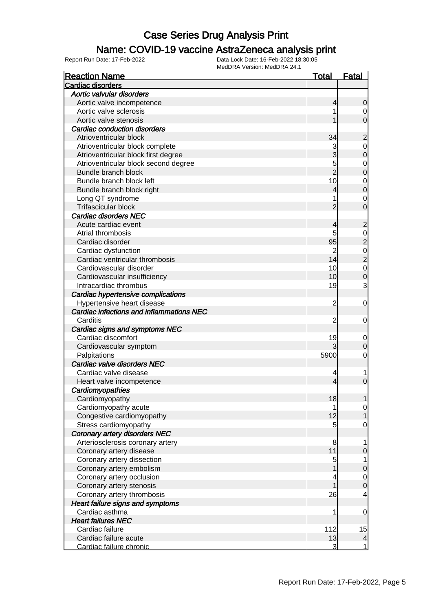### Name: COVID-19 vaccine AstraZeneca analysis print

| <b>Reaction Name</b>                     |                | <u>Fatal</u>                         |
|------------------------------------------|----------------|--------------------------------------|
| <b>Cardiac disorders</b>                 |                |                                      |
| Aortic valvular disorders                |                |                                      |
| Aortic valve incompetence                | 4              | 0                                    |
| Aortic valve sclerosis                   |                | $\mathbf 0$                          |
| Aortic valve stenosis                    |                | 0                                    |
| <b>Cardiac conduction disorders</b>      |                |                                      |
| Atrioventricular block                   | 34             | $\overline{c}$                       |
| Atrioventricular block complete          | 3              | $\mathbf 0$                          |
| Atrioventricular block first degree      | 3              | $\overline{0}$                       |
| Atrioventricular block second degree     | 5              |                                      |
| Bundle branch block                      | $\overline{2}$ | $\begin{matrix} 0 \\ 0 \end{matrix}$ |
| Bundle branch block left                 | 10             |                                      |
| Bundle branch block right                | 4              | $\begin{matrix}0\\0\end{matrix}$     |
| Long QT syndrome                         |                | $\mathbf 0$                          |
| Trifascicular block                      | 2              | $\overline{0}$                       |
| <b>Cardiac disorders NEC</b>             |                |                                      |
| Acute cardiac event                      | 4              | $\overline{c}$                       |
| Atrial thrombosis                        | 5              |                                      |
| Cardiac disorder                         | 95             |                                      |
| Cardiac dysfunction                      | $\overline{c}$ |                                      |
| Cardiac ventricular thrombosis           | 14             | 0<br>2 0<br>2 0<br>0                 |
| Cardiovascular disorder                  | 10             |                                      |
| Cardiovascular insufficiency             | 10             |                                      |
| Intracardiac thrombus                    | 19             | 3                                    |
| Cardiac hypertensive complications       |                |                                      |
| Hypertensive heart disease               | $\overline{c}$ | 0                                    |
| Cardiac infections and inflammations NEC |                |                                      |
| Carditis                                 | 2              | 0                                    |
| Cardiac signs and symptoms NEC           |                |                                      |
| Cardiac discomfort                       | 19             | $\boldsymbol{0}$                     |
| Cardiovascular symptom                   |                | 0                                    |
| Palpitations                             | 5900           | 0                                    |
| Cardiac valve disorders NEC              |                |                                      |
| Cardiac valve disease                    | 4              | 1                                    |
| Heart valve incompetence                 | 4              | 0                                    |
| Cardiomyopathies                         |                |                                      |
| Cardiomyopathy                           | 18             |                                      |
| Cardiomyopathy acute                     | 1              | 0                                    |
| Congestive cardiomyopathy                | 12             |                                      |
| Stress cardiomyopathy                    | 5 <sup>1</sup> | 0                                    |
| <b>Coronary artery disorders NEC</b>     |                |                                      |
| Arteriosclerosis coronary artery         | 8              |                                      |
| Coronary artery disease                  | 11             | 0                                    |
| Coronary artery dissection               | 5              | 1                                    |
| Coronary artery embolism                 |                | $\mathbf 0$                          |
| Coronary artery occlusion                | 4              | $\mathbf 0$                          |
| Coronary artery stenosis                 |                | $\overline{0}$                       |
| Coronary artery thrombosis               | 26             | 4                                    |
| Heart failure signs and symptoms         |                |                                      |
| Cardiac asthma                           | 1              | 0                                    |
| <b>Heart failures NEC</b>                |                |                                      |
| Cardiac failure                          | 112            | 15                                   |
| Cardiac failure acute                    | 13             | $\frac{4}{ }$                        |
| Cardiac failure chronic                  | 3              | $\mathbf{1}$                         |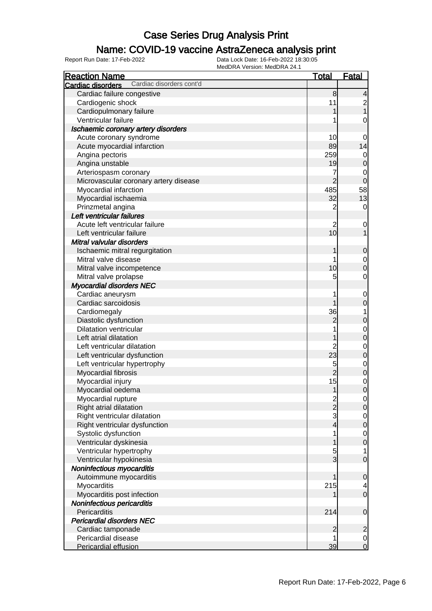#### Name: COVID-19 vaccine AstraZeneca analysis print

| <b>Reaction Name</b>                          | <u>Total</u>    | <b>Fatal</b>                          |
|-----------------------------------------------|-----------------|---------------------------------------|
| Cardiac disorders cont'd<br>Cardiac disorders |                 |                                       |
| Cardiac failure congestive                    | 8               | 4                                     |
| Cardiogenic shock                             | 11              |                                       |
| Cardiopulmonary failure                       | 1               | $\begin{array}{c} 2 \\ 1 \end{array}$ |
| Ventricular failure                           |                 | 0                                     |
| Ischaemic coronary artery disorders           |                 |                                       |
| Acute coronary syndrome                       | 10              | 0                                     |
| Acute myocardial infarction                   | 89              | 14                                    |
| Angina pectoris                               | 259             | $\overline{0}$                        |
| Angina unstable                               | 19              | $\mathbf 0$                           |
| Arteriospasm coronary                         | 7               | $\mathbf 0$                           |
| Microvascular coronary artery disease         | $\overline{2}$  | $\mathbf 0$                           |
| Myocardial infarction                         | 485             | 58                                    |
| Myocardial ischaemia                          | 32              | 13                                    |
| Prinzmetal angina                             | $\overline{c}$  | $\overline{0}$                        |
| Left ventricular failures                     |                 |                                       |
| Acute left ventricular failure                | $\overline{c}$  | $\mathbf 0$                           |
| Left ventricular failure                      | 10 <sub>l</sub> | 1                                     |
| Mitral valvular disorders                     |                 |                                       |
| Ischaemic mitral regurgitation                | 1               | $\boldsymbol{0}$                      |
| Mitral valve disease                          |                 |                                       |
| Mitral valve incompetence                     | 10              | $\overline{0}$<br>$\overline{0}$      |
|                                               | 5               | $\mathbf 0$                           |
| Mitral valve prolapse                         |                 |                                       |
| <b>Myocardial disorders NEC</b>               |                 |                                       |
| Cardiac aneurysm                              | 1<br>1          | $\mathbf 0$                           |
| Cardiac sarcoidosis                           |                 | $\mathbf 0$                           |
| Cardiomegaly                                  | 36              | 1                                     |
| Diastolic dysfunction                         | $\overline{c}$  | $\mathbf 0$                           |
| <b>Dilatation ventricular</b>                 |                 | $\begin{matrix} 0 \\ 0 \end{matrix}$  |
| Left atrial dilatation                        | 1               |                                       |
| Left ventricular dilatation                   | $\overline{2}$  | $\begin{matrix}0\\0\end{matrix}$      |
| Left ventricular dysfunction                  | 23              |                                       |
| Left ventricular hypertrophy                  | 5               | $\begin{matrix}0\\0\end{matrix}$      |
| Myocardial fibrosis                           | $\overline{2}$  |                                       |
| Myocardial injury                             | 15              | $\begin{matrix}0\\0\end{matrix}$      |
| Myocardial oedema                             | 1               |                                       |
| Myocardial rupture                            | $\frac{2}{2}$   | $\overline{0}$                        |
| Right atrial dilatation                       |                 | $\mathbf 0$                           |
| Right ventricular dilatation                  | $\mathbf{3}$    | $\overline{0}$                        |
| Right ventricular dysfunction                 | $\overline{4}$  | $\overline{0}$                        |
| Systolic dysfunction                          | 1               | $\overline{0}$                        |
| Ventricular dyskinesia                        | 1               | $\overline{0}$                        |
| Ventricular hypertrophy                       | 5               | $\mathbf{1}$                          |
| Ventricular hypokinesia                       | $\overline{3}$  | $\overline{0}$                        |
| Noninfectious myocarditis                     |                 |                                       |
| Autoimmune myocarditis                        | 1               | $\mathbf 0$                           |
| Myocarditis                                   | 215             | $\overline{a}$                        |
| Myocarditis post infection                    |                 | $\overline{0}$                        |
| Noninfectious pericarditis                    |                 |                                       |
| Pericarditis                                  | 214             | $\mathbf 0$                           |
| <b>Pericardial disorders NEC</b>              |                 |                                       |
| Cardiac tamponade                             | $\overline{2}$  | $\overline{c}$                        |
| Pericardial disease                           |                 | $\overline{0}$                        |
| Pericardial effusion                          | 39              | $\overline{0}$                        |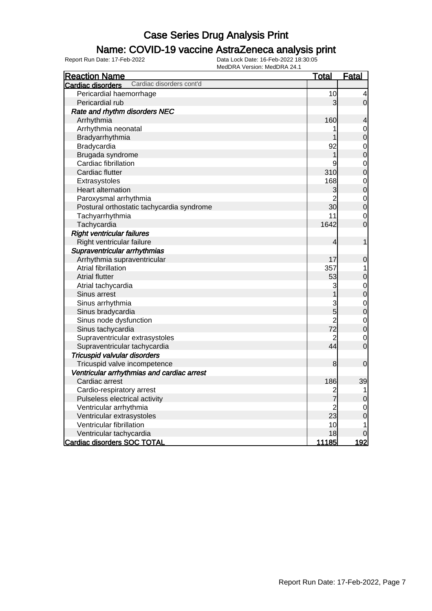### Name: COVID-19 vaccine AstraZeneca analysis print

| <b>Reaction Name</b>                          | <u>Total</u>   | <b>Fatal</b>             |
|-----------------------------------------------|----------------|--------------------------|
| Cardiac disorders cont'd<br>Cardiac disorders |                |                          |
| Pericardial haemorrhage                       | 10             | 4                        |
| Pericardial rub                               | 3              | $\overline{0}$           |
| Rate and rhythm disorders NEC                 |                |                          |
| Arrhythmia                                    | 160            | $\overline{\mathcal{L}}$ |
| Arrhythmia neonatal                           |                | $\mathbf 0$              |
| Bradyarrhythmia                               |                | $\mathbf 0$              |
| Bradycardia                                   | 92             | $\mathbf 0$              |
| Brugada syndrome                              | 1              | $\overline{0}$           |
| Cardiac fibrillation                          | 9              | $\mathbf{0}$             |
| Cardiac flutter                               | 310            | $\overline{0}$           |
| Extrasystoles                                 | 168            | $\overline{0}$           |
| <b>Heart alternation</b>                      | 3              | $\overline{0}$           |
| Paroxysmal arrhythmia                         | $\overline{c}$ | $\mathbf{0}$             |
| Postural orthostatic tachycardia syndrome     | 30             | $\overline{0}$           |
| Tachyarrhythmia                               | 11             | $\mathbf 0$              |
| Tachycardia                                   | 1642           | $\overline{0}$           |
| <b>Right ventricular failures</b>             |                |                          |
| Right ventricular failure                     | 4              | 1                        |
| Supraventricular arrhythmias                  |                |                          |
| Arrhythmia supraventricular                   | 17             | $\mathbf 0$              |
| Atrial fibrillation                           | 357            | 1                        |
| <b>Atrial flutter</b>                         | 53             | $\mathbf 0$              |
| Atrial tachycardia                            | 3              | $\mathbf 0$              |
| Sinus arrest                                  |                | $\overline{0}$           |
| Sinus arrhythmia                              | $\frac{3}{5}$  | $\overline{0}$           |
| Sinus bradycardia                             |                | $\overline{0}$           |
| Sinus node dysfunction                        | $\overline{c}$ | $\overline{0}$           |
| Sinus tachycardia                             | 72             | $\overline{0}$           |
| Supraventricular extrasystoles                | 2              | $\overline{0}$           |
| Supraventricular tachycardia                  | 44             | $\overline{0}$           |
| Tricuspid valvular disorders                  |                |                          |
| Tricuspid valve incompetence                  | 8              | $\mathbf 0$              |
| Ventricular arrhythmias and cardiac arrest    |                |                          |
| Cardiac arrest                                | 186            | 39                       |
| Cardio-respiratory arrest                     | $\overline{c}$ | 1                        |
| Pulseless electrical activity                 | 7              | $\mathbf 0$              |
| Ventricular arrhythmia                        | $\overline{c}$ | $\mathbf 0$              |
| Ventricular extrasystoles                     | 23             | $\overline{0}$           |
| Ventricular fibrillation                      | 10             | 1                        |
| Ventricular tachycardia                       | 18             | 0                        |
| <b>Cardiac disorders SOC TOTAL</b>            | <u> 11185</u>  | 192                      |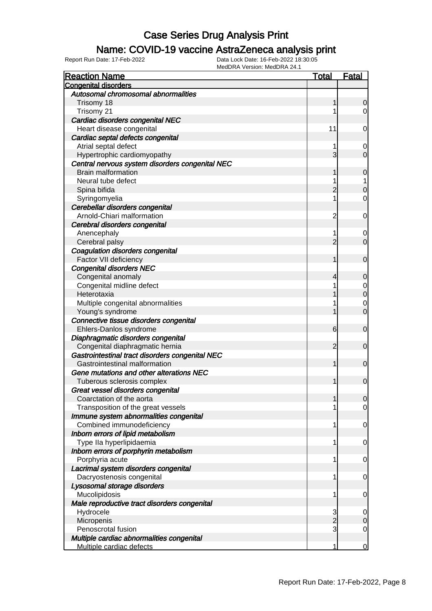#### Name: COVID-19 vaccine AstraZeneca analysis print

| <b>Reaction Name</b>                            | <b>Total</b>   | <b>Fatal</b>   |
|-------------------------------------------------|----------------|----------------|
| <b>Congenital disorders</b>                     |                |                |
| Autosomal chromosomal abnormalities             |                |                |
| Trisomy 18                                      | 1              | 0              |
| Trisomy 21                                      |                | $\overline{0}$ |
| Cardiac disorders congenital NEC                |                |                |
| Heart disease congenital                        | 11             | 0              |
| Cardiac septal defects congenital               |                |                |
| Atrial septal defect                            |                | 0              |
| Hypertrophic cardiomyopathy                     | 3              | $\mathbf 0$    |
| Central nervous system disorders congenital NEC |                |                |
| <b>Brain malformation</b>                       | 1              | $\mathbf 0$    |
| Neural tube defect                              |                | 1              |
| Spina bifida                                    | 2              | $\mathbf 0$    |
| Syringomyelia                                   |                | $\mathbf 0$    |
| Cerebellar disorders congenital                 |                |                |
| Arnold-Chiari malformation                      | $\overline{c}$ | $\mathbf 0$    |
| Cerebral disorders congenital                   |                |                |
| Anencephaly                                     |                | 0              |
| Cerebral palsy                                  | $\overline{2}$ | $\overline{0}$ |
| <b>Coagulation disorders congenital</b>         |                |                |
| Factor VII deficiency                           | 1              | $\mathbf 0$    |
| <b>Congenital disorders NEC</b>                 |                |                |
|                                                 |                |                |
| Congenital anomaly                              | 4              | 0              |
| Congenital midline defect                       |                | 0              |
| Heterotaxia                                     |                | $\mathbf 0$    |
| Multiple congenital abnormalities               |                | 0              |
| Young's syndrome                                |                | $\mathbf 0$    |
| Connective tissue disorders congenital          |                |                |
| Ehlers-Danlos syndrome                          | 6              | $\mathbf 0$    |
| Diaphragmatic disorders congenital              |                |                |
| Congenital diaphragmatic hernia                 | $\overline{2}$ | $\mathbf 0$    |
| Gastrointestinal tract disorders congenital NEC |                |                |
| Gastrointestinal malformation                   | 1              | $\mathbf 0$    |
| Gene mutations and other alterations NEC        |                |                |
| Tuberous sclerosis complex                      | 1              | $\mathbf 0$    |
| Great vessel disorders congenital               |                |                |
| Coarctation of the aorta                        |                | $\overline{0}$ |
| Transposition of the great vessels              |                | $\overline{0}$ |
| Immune system abnormalities congenital          |                |                |
| Combined immunodeficiency                       | 1              | $\mathbf 0$    |
| Inborn errors of lipid metabolism               |                |                |
| Type IIa hyperlipidaemia                        | 1              | 0              |
| Inborn errors of porphyrin metabolism           |                |                |
| Porphyria acute                                 | 1              | 0              |
| Lacrimal system disorders congenital            |                |                |
| Dacryostenosis congenital                       | 1              | 0              |
| Lysosomal storage disorders                     |                |                |
| Mucolipidosis                                   | 1              | 0              |
| Male reproductive tract disorders congenital    |                |                |
| Hydrocele                                       | 3              | 0              |
| Micropenis                                      | $\overline{c}$ | 0              |
| Penoscrotal fusion                              | 3              | $\mathbf 0$    |
| Multiple cardiac abnormalities congenital       |                |                |
| Multiple cardiac defects                        | 1              | $\overline{0}$ |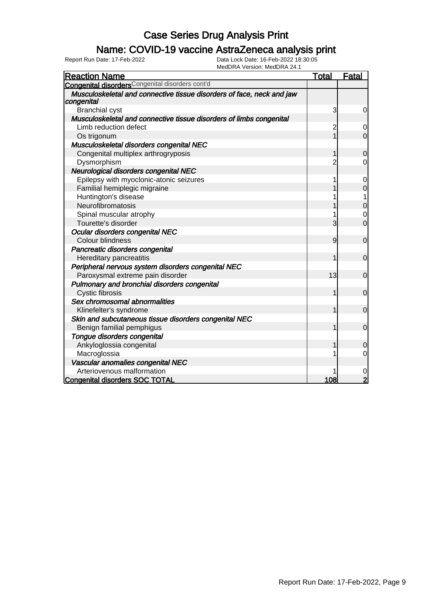### Name: COVID-19 vaccine AstraZeneca analysis print

| <b>Reaction Name</b>                                                                | Total          | <b>Fatal</b>   |
|-------------------------------------------------------------------------------------|----------------|----------------|
| <b>Congenital disorders</b> Congenital disorders cont'd                             |                |                |
| Musculoskeletal and connective tissue disorders of face, neck and jaw<br>congenital |                |                |
| <b>Branchial cyst</b>                                                               | 3              | 0              |
| Musculoskeletal and connective tissue disorders of limbs congenital                 |                |                |
| Limb reduction defect                                                               | 2              | 0              |
| Os trigonum                                                                         |                | $\overline{0}$ |
| Musculoskeletal disorders congenital NEC                                            |                |                |
| Congenital multiplex arthrogryposis                                                 |                | $\Omega$       |
| Dysmorphism                                                                         | 2              | 0              |
| Neurological disorders congenital NEC                                               |                |                |
| Epilepsy with myoclonic-atonic seizures                                             | 1              | 0              |
| Familial hemiplegic migraine                                                        |                | 0              |
| Huntington's disease                                                                |                | 1              |
| Neurofibromatosis                                                                   |                | 0              |
| Spinal muscular atrophy                                                             |                | 0              |
| Tourette's disorder                                                                 | 3              | $\overline{0}$ |
| Ocular disorders congenital NEC                                                     |                |                |
| <b>Colour blindness</b>                                                             | $\overline{9}$ | $\overline{0}$ |
| Pancreatic disorders congenital                                                     |                |                |
| Hereditary pancreatitis                                                             | 1              | $\mathbf 0$    |
| Peripheral nervous system disorders congenital NEC                                  |                |                |
| Paroxysmal extreme pain disorder                                                    | 13             | $\mathbf 0$    |
| Pulmonary and bronchial disorders congenital                                        |                |                |
| <b>Cystic fibrosis</b>                                                              | 1              | $\mathbf 0$    |
| Sex chromosomal abnormalities                                                       |                |                |
| Klinefelter's syndrome                                                              |                | $\mathbf 0$    |
| Skin and subcutaneous tissue disorders congenital NEC                               |                |                |
| Benign familial pemphigus                                                           |                | $\mathbf 0$    |
| Tongue disorders congenital                                                         |                |                |
| Ankyloglossia congenital                                                            |                | 0              |
| Macroglossia                                                                        | 1              | 0              |
| Vascular anomalies congenital NEC                                                   |                |                |
| Arteriovenous malformation                                                          |                | 0              |
| <b>Congenital disorders SOC TOTAL</b>                                               | 108            | $\overline{2}$ |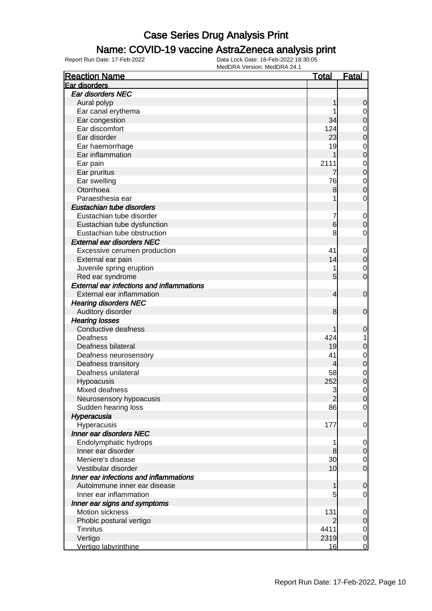### Name: COVID-19 vaccine AstraZeneca analysis print

| <b>Reaction Name</b>                             | <u>Total</u>   | <b>Fatal</b>                     |
|--------------------------------------------------|----------------|----------------------------------|
| Ear disorders                                    |                |                                  |
| Ear disorders NEC                                |                |                                  |
| Aural polyp                                      |                | $\mathbf 0$                      |
| Ear canal erythema                               |                | $\overline{0}$                   |
| Ear congestion                                   | 34             | $\mathbf 0$                      |
| Ear discomfort                                   | 124            | $\mathbf 0$                      |
| Ear disorder                                     | 23             | $\overline{0}$                   |
| Ear haemorrhage                                  | 19             | $\mathbf{0}$                     |
| Ear inflammation                                 |                | $\overline{0}$                   |
| Ear pain                                         | 2111           |                                  |
| Ear pruritus                                     | 7              | $\begin{matrix}0\\0\end{matrix}$ |
| Ear swelling                                     | 76             |                                  |
| Otorrhoea                                        | 8              | $\begin{matrix}0\\0\end{matrix}$ |
| Paraesthesia ear                                 | 1              | $\mathbf 0$                      |
| Eustachian tube disorders                        |                |                                  |
| Eustachian tube disorder                         | 7              | $\mathbf 0$                      |
| Eustachian tube dysfunction                      | 6              | $\boldsymbol{0}$                 |
| Eustachian tube obstruction                      | 8              | 0                                |
| <b>External ear disorders NEC</b>                |                |                                  |
| Excessive cerumen production                     | 41             |                                  |
| External ear pain                                | 14             | $\mathbf 0$<br>$\mathbf 0$       |
|                                                  | 1              |                                  |
| Juvenile spring eruption                         | 5              | $\mathbf 0$<br>$\overline{0}$    |
| Red ear syndrome                                 |                |                                  |
| <b>External ear infections and inflammations</b> |                |                                  |
| External ear inflammation                        | 4              | $\mathbf 0$                      |
| <b>Hearing disorders NEC</b>                     |                |                                  |
| Auditory disorder                                | 8              | $\mathbf 0$                      |
| <b>Hearing losses</b>                            |                |                                  |
| Conductive deafness                              |                | 0                                |
| Deafness                                         | 424            | 1                                |
| Deafness bilateral                               | 19             | 0                                |
| Deafness neurosensory                            | 41             | $\mathbf 0$                      |
| Deafness transitory                              | 4              | $\overline{0}$                   |
| Deafness unilateral                              | 58             | $\mathbf 0$                      |
| Hypoacusis                                       | 252            | $\overline{0}$                   |
| Mixed deafness                                   | 3              | $\mathbf{0}$                     |
| Neurosensory hypoacusis                          | $\overline{2}$ | 0                                |
| Sudden hearing loss                              | 86             | $\overline{0}$                   |
| Hyperacusia                                      |                |                                  |
| Hyperacusis                                      | 177            | $\mathbf 0$                      |
| Inner ear disorders NEC                          |                |                                  |
| Endolymphatic hydrops                            | 1              | $\mathbf 0$                      |
| Inner ear disorder                               | 8              | $\mathsf{O}\xspace$              |
| Meniere's disease                                | 30             | $\overline{0}$                   |
| Vestibular disorder                              | 10             | $\overline{0}$                   |
| Inner ear infections and inflammations           |                |                                  |
| Autoimmune inner ear disease                     | 1              | $\mathbf 0$                      |
| Inner ear inflammation                           | 5              | $\overline{0}$                   |
| Inner ear signs and symptoms                     |                |                                  |
| Motion sickness                                  | 131            | $\mathbf 0$                      |
| Phobic postural vertigo                          |                | $\mathsf{O}\xspace$              |
| <b>Tinnitus</b>                                  | 4411           | $\overline{0}$                   |
| Vertigo                                          | 2319           | $\mathbf 0$                      |
| Vertigo labyrinthine                             | 16             | $\overline{0}$                   |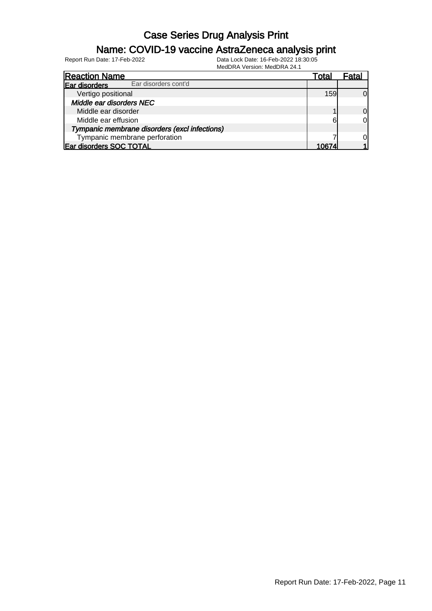### Name: COVID-19 vaccine AstraZeneca analysis print

| <b>Reaction Name</b>                          | Total | Fata |
|-----------------------------------------------|-------|------|
| Ear disorders cont'd<br>Ear disorders         |       |      |
| Vertigo positional                            | 159   |      |
| Middle ear disorders NEC                      |       |      |
| Middle ear disorder                           |       | 0l   |
| Middle ear effusion                           | 6     | 0l   |
| Tympanic membrane disorders (excl infections) |       |      |
| Tympanic membrane perforation                 |       |      |
| Ear disorders SOC TOTAL                       | 0674  |      |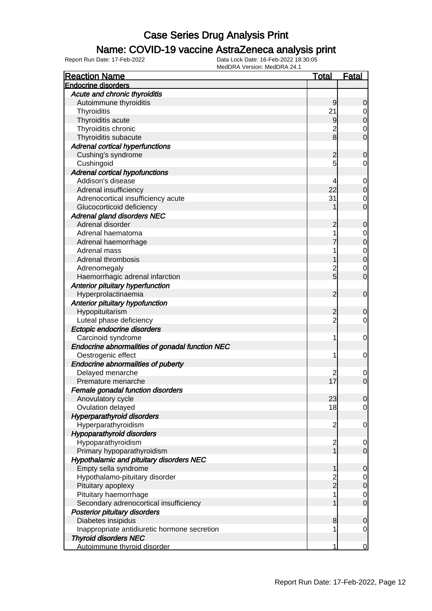### Name: COVID-19 vaccine AstraZeneca analysis print

| <b>Reaction Name</b>                            |                         | <u>Fatal</u> |
|-------------------------------------------------|-------------------------|--------------|
| <b>Endocrine disorders</b>                      |                         |              |
| Acute and chronic thyroiditis                   |                         |              |
| Autoimmune thyroiditis                          | 9                       | 0            |
| Thyroiditis                                     | 21                      | 0            |
| Thyroiditis acute                               | 9                       | 0            |
| Thyroiditis chronic                             | $\overline{c}$          | 0            |
| Thyroiditis subacute                            | 8                       | 0            |
| <b>Adrenal cortical hyperfunctions</b>          |                         |              |
| Cushing's syndrome                              | 2                       | 0            |
| Cushingoid                                      | 5                       | 0            |
| <b>Adrenal cortical hypofunctions</b>           |                         |              |
| Addison's disease                               | 4                       | 0            |
| Adrenal insufficiency                           | 22                      | 0            |
| Adrenocortical insufficiency acute              | 31                      | 0            |
| Glucocorticoid deficiency                       |                         | 0            |
| Adrenal gland disorders NEC                     |                         |              |
| Adrenal disorder                                | 2                       | 0            |
| Adrenal haematoma                               | 1                       | 0            |
| Adrenal haemorrhage                             |                         | 0            |
| Adrenal mass                                    |                         |              |
| Adrenal thrombosis                              |                         | 0<br>0       |
|                                                 |                         |              |
| Adrenomegaly                                    | 2<br>5                  | 0            |
| Haemorrhagic adrenal infarction                 |                         | 0            |
| Anterior pituitary hyperfunction                |                         |              |
| Hyperprolactinaemia                             | 2                       | $\mathbf 0$  |
| Anterior pituitary hypofunction                 |                         |              |
| Hypopituitarism                                 | 2                       | 0            |
| Luteal phase deficiency                         | $\overline{c}$          | 0            |
| Ectopic endocrine disorders                     |                         |              |
| Carcinoid syndrome                              | 1                       | 0            |
| Endocrine abnormalities of gonadal function NEC |                         |              |
| Oestrogenic effect                              | 1                       | 0            |
| Endocrine abnormalities of puberty              |                         |              |
| Delayed menarche                                | $\overline{c}$          | 0            |
| Premature menarche                              | 17                      | 0            |
| Female gonadal function disorders               |                         |              |
| Anovulatory cycle                               | 23                      | U            |
| Ovulation delayed                               | 18                      | 0            |
| <b>Hyperparathyroid disorders</b>               |                         |              |
| Hyperparathyroidism                             | $\overline{c}$          | 0            |
| <b>Hypoparathyroid disorders</b>                |                         |              |
| Hypoparathyroidism                              | $\overline{\mathbf{c}}$ | 0            |
| Primary hypoparathyroidism                      |                         | 0            |
| Hypothalamic and pituitary disorders NEC        |                         |              |
| Empty sella syndrome                            |                         | 0            |
| Hypothalamo-pituitary disorder                  | 2<br>2                  | 0            |
| Pituitary apoplexy                              |                         | 0            |
| Pituitary haemorrhage                           | 1                       | 0            |
| Secondary adrenocortical insufficiency          |                         | 0            |
| <b>Posterior pituitary disorders</b>            |                         |              |
| Diabetes insipidus                              | 8                       | 0            |
| Inappropriate antidiuretic hormone secretion    | 1                       | 0            |
| <b>Thyroid disorders NEC</b>                    |                         |              |
| Autoimmune thyroid disorder                     | 1                       | 0            |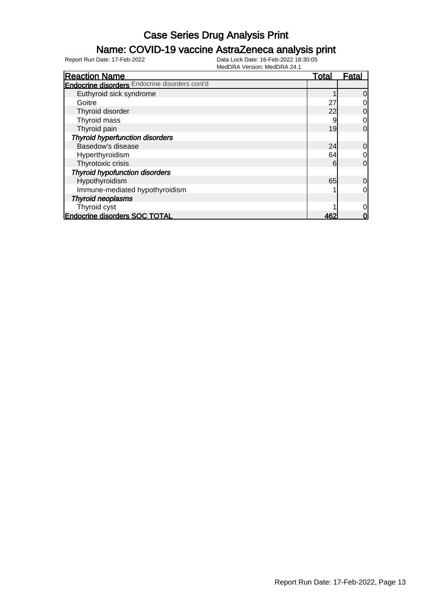### Name: COVID-19 vaccine AstraZeneca analysis print

| <b>Reaction Name</b>                                  | Total | Fatal          |
|-------------------------------------------------------|-------|----------------|
| <b>Endocrine disorders</b> Endocrine disorders cont'd |       |                |
| Euthyroid sick syndrome                               |       | $\overline{0}$ |
| Goitre                                                | 27    | 0              |
| Thyroid disorder                                      | 22    | 0              |
| Thyroid mass                                          | 9     | $\overline{0}$ |
| Thyroid pain                                          | 19    | $\overline{0}$ |
| <b>Thyroid hyperfunction disorders</b>                |       |                |
| Basedow's disease                                     | 24    | $\overline{0}$ |
| Hyperthyroidism                                       | 64    | $\overline{0}$ |
| Thyrotoxic crisis                                     | 6     | $\overline{0}$ |
| <b>Thyroid hypofunction disorders</b>                 |       |                |
| Hypothyroidism                                        | 65    | $\overline{0}$ |
| Immune-mediated hypothyroidism                        |       | 0l             |
| <b>Thyroid neoplasms</b>                              |       |                |
| Thyroid cyst                                          |       | 0              |
| Endocrine disorders SOC TOTAL                         | 462   | 0              |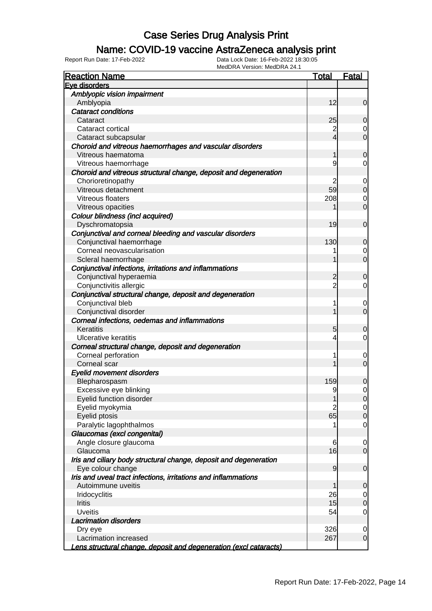### Name: COVID-19 vaccine AstraZeneca analysis print

| Eve disorders<br>Amblyopic vision impairment<br>Amblyopia<br>12<br><b>Cataract conditions</b><br>25<br>Cataract<br>$\overline{\mathbf{c}}$<br>Cataract cortical<br>$\overline{4}$<br>Cataract subcapsular<br>Choroid and vitreous haemorrhages and vascular disorders<br>Vitreous haematoma<br>1<br>9<br>Vitreous haemorrhage |
|-------------------------------------------------------------------------------------------------------------------------------------------------------------------------------------------------------------------------------------------------------------------------------------------------------------------------------|
|                                                                                                                                                                                                                                                                                                                               |
|                                                                                                                                                                                                                                                                                                                               |
|                                                                                                                                                                                                                                                                                                                               |
|                                                                                                                                                                                                                                                                                                                               |
|                                                                                                                                                                                                                                                                                                                               |
|                                                                                                                                                                                                                                                                                                                               |
|                                                                                                                                                                                                                                                                                                                               |
|                                                                                                                                                                                                                                                                                                                               |
|                                                                                                                                                                                                                                                                                                                               |
|                                                                                                                                                                                                                                                                                                                               |
| Choroid and vitreous structural change, deposit and degeneration                                                                                                                                                                                                                                                              |
| Chorioretinopathy<br>2                                                                                                                                                                                                                                                                                                        |
| 59<br>Vitreous detachment                                                                                                                                                                                                                                                                                                     |
| Vitreous floaters<br>208                                                                                                                                                                                                                                                                                                      |
| Vitreous opacities                                                                                                                                                                                                                                                                                                            |
| Colour blindness (incl acquired)                                                                                                                                                                                                                                                                                              |
| Dyschromatopsia<br>19                                                                                                                                                                                                                                                                                                         |
| Conjunctival and corneal bleeding and vascular disorders                                                                                                                                                                                                                                                                      |
| Conjunctival haemorrhage<br>130                                                                                                                                                                                                                                                                                               |
| Corneal neovascularisation                                                                                                                                                                                                                                                                                                    |
|                                                                                                                                                                                                                                                                                                                               |
| Scleral haemorrhage                                                                                                                                                                                                                                                                                                           |
| Conjunctival infections, irritations and inflammations                                                                                                                                                                                                                                                                        |
| Conjunctival hyperaemia<br>$\overline{c}$                                                                                                                                                                                                                                                                                     |
| $\overline{2}$<br>Conjunctivitis allergic                                                                                                                                                                                                                                                                                     |
| Conjunctival structural change, deposit and degeneration                                                                                                                                                                                                                                                                      |
| Conjunctival bleb<br>1                                                                                                                                                                                                                                                                                                        |
| Conjunctival disorder                                                                                                                                                                                                                                                                                                         |
| Corneal infections, oedemas and inflammations                                                                                                                                                                                                                                                                                 |
| Keratitis<br>5                                                                                                                                                                                                                                                                                                                |
| <b>Ulcerative keratitis</b><br>4                                                                                                                                                                                                                                                                                              |
| Corneal structural change, deposit and degeneration                                                                                                                                                                                                                                                                           |
| Corneal perforation                                                                                                                                                                                                                                                                                                           |
| Corneal scar                                                                                                                                                                                                                                                                                                                  |
| <b>Eyelid movement disorders</b>                                                                                                                                                                                                                                                                                              |
| 159<br>Blepharospasm                                                                                                                                                                                                                                                                                                          |
| Excessive eye blinking<br>9                                                                                                                                                                                                                                                                                                   |
| Eyelid function disorder<br>1                                                                                                                                                                                                                                                                                                 |
| Eyelid myokymia<br>2                                                                                                                                                                                                                                                                                                          |
| Eyelid ptosis<br>65                                                                                                                                                                                                                                                                                                           |
| Paralytic lagophthalmos                                                                                                                                                                                                                                                                                                       |
| Glaucomas (excl congenital)                                                                                                                                                                                                                                                                                                   |
| Angle closure glaucoma<br>6                                                                                                                                                                                                                                                                                                   |
| Glaucoma<br>16                                                                                                                                                                                                                                                                                                                |
| Iris and ciliary body structural change, deposit and degeneration                                                                                                                                                                                                                                                             |
| Eye colour change<br>$\overline{9}$                                                                                                                                                                                                                                                                                           |
| Iris and uveal tract infections, irritations and inflammations                                                                                                                                                                                                                                                                |
| Autoimmune uveitis<br>1                                                                                                                                                                                                                                                                                                       |
| 26<br>Iridocyclitis                                                                                                                                                                                                                                                                                                           |
| 15<br><b>Iritis</b>                                                                                                                                                                                                                                                                                                           |
| <b>Uveitis</b><br>54                                                                                                                                                                                                                                                                                                          |
| <b>Lacrimation disorders</b>                                                                                                                                                                                                                                                                                                  |
| 326<br>Dry eye                                                                                                                                                                                                                                                                                                                |
| 267<br>Lacrimation increased                                                                                                                                                                                                                                                                                                  |
| Lens structural change, deposit and degeneration (excl cataracts)                                                                                                                                                                                                                                                             |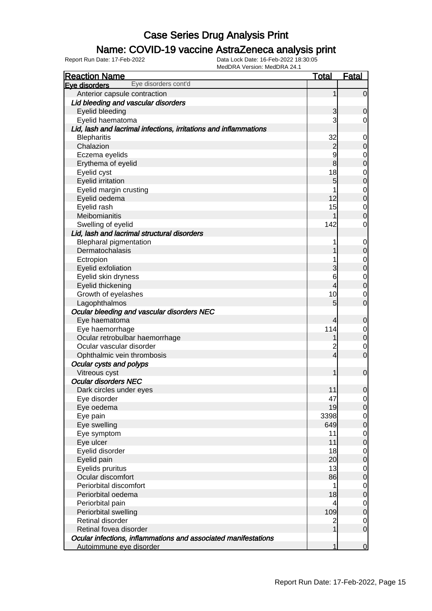### Name: COVID-19 vaccine AstraZeneca analysis print

| <b>Reaction Name</b>                                             | <b>Total</b>            | <u>Fatal</u>                         |
|------------------------------------------------------------------|-------------------------|--------------------------------------|
| Eye disorders cont'd<br>Eye disorders                            |                         |                                      |
| Anterior capsule contraction                                     | 1                       | $\overline{0}$                       |
| Lid bleeding and vascular disorders                              |                         |                                      |
| Eyelid bleeding                                                  | 3                       | $\mathbf 0$                          |
| Eyelid haematoma                                                 | 3                       | $\overline{0}$                       |
| Lid, lash and lacrimal infections, irritations and inflammations |                         |                                      |
| <b>Blepharitis</b>                                               | 32                      | $\overline{0}$                       |
| Chalazion                                                        | $\overline{c}$          | $\overline{0}$                       |
| Eczema eyelids                                                   | 9                       | $\overline{0}$                       |
| Erythema of eyelid                                               | 8                       | $\overline{0}$                       |
| Eyelid cyst                                                      | 18                      | $\mathbf 0$                          |
| <b>Eyelid irritation</b>                                         | 5                       | $\overline{0}$                       |
| Eyelid margin crusting                                           |                         | $\mathbf 0$                          |
| Eyelid oedema                                                    | 12                      | $\overline{0}$                       |
| Eyelid rash                                                      | 15                      | $\mathbf 0$                          |
| Meibomianitis                                                    |                         | $\mathbf 0$                          |
| Swelling of eyelid                                               | 142                     | $\mathbf 0$                          |
| Lid, lash and lacrimal structural disorders                      |                         |                                      |
| <b>Blepharal pigmentation</b>                                    |                         | $\mathbf 0$                          |
| Dermatochalasis                                                  |                         | $\mathbf 0$                          |
| Ectropion                                                        |                         | $\mathbf 0$                          |
| Eyelid exfoliation                                               | 3                       | $\overline{0}$                       |
| Eyelid skin dryness                                              | 6                       | $\overline{0}$                       |
| Eyelid thickening                                                | 4                       | $\overline{0}$                       |
| Growth of eyelashes                                              | 10                      | $\mathbf 0$                          |
| Lagophthalmos                                                    | 5                       | $\overline{O}$                       |
| Ocular bleeding and vascular disorders NEC                       |                         |                                      |
| Eye haematoma                                                    | 4                       | $\mathbf 0$                          |
| Eye haemorrhage                                                  | 114                     | $\mathbf 0$                          |
| Ocular retrobulbar haemorrhage                                   |                         | $\overline{0}$                       |
| Ocular vascular disorder                                         | $\overline{c}$          | $\mathbf 0$                          |
| Ophthalmic vein thrombosis                                       | $\overline{\mathbf{4}}$ | $\overline{0}$                       |
| Ocular cysts and polyps                                          |                         |                                      |
| Vitreous cyst                                                    | 1                       | $\mathbf 0$                          |
| <b>Ocular disorders NEC</b>                                      |                         |                                      |
| Dark circles under eyes                                          | 11                      | $\overline{0}$                       |
| Eye disorder                                                     | 47                      | $\overline{0}$                       |
| Eye oedema                                                       | 19                      | $\overline{0}$                       |
| Eye pain                                                         | 3398                    | $\begin{matrix} 0 \\ 0 \end{matrix}$ |
| Eye swelling                                                     | 649                     |                                      |
| Eye symptom                                                      | 11                      | $\begin{matrix} 0 \\ 0 \end{matrix}$ |
| Eye ulcer                                                        | 11                      |                                      |
| Eyelid disorder                                                  | 18                      | $\overline{0}$                       |
| Eyelid pain                                                      | 20                      | $\overline{0}$                       |
| Eyelids pruritus                                                 | 13                      | $\overline{0}$                       |
| Ocular discomfort                                                | 86                      | $\overline{0}$                       |
| Periorbital discomfort                                           | 1                       | $\overline{0}$                       |
| Periorbital oedema                                               | 18                      | $\overline{0}$                       |
| Periorbital pain                                                 | 4                       | $\overline{0}$                       |
| Periorbital swelling                                             | 109                     | $\overline{0}$                       |
| Retinal disorder                                                 | 2                       | $\overline{0}$                       |
| Retinal fovea disorder                                           | 1                       | $\overline{O}$                       |
| Ocular infections, inflammations and associated manifestations   |                         |                                      |
| Autoimmune eye disorder                                          | 1                       | $\overline{0}$                       |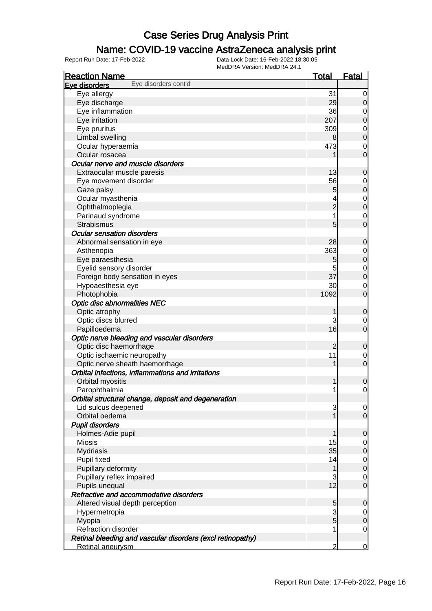#### Name: COVID-19 vaccine AstraZeneca analysis print

| <b>Reaction Name</b>                                       | <u>Total</u>   | <b>Fatal</b>     |
|------------------------------------------------------------|----------------|------------------|
| Eye disorders cont'd<br>Eve disorders                      |                |                  |
| Eye allergy                                                | 31             | 0                |
| Eye discharge                                              | 29             | $\mathbf 0$      |
| Eye inflammation                                           | 36             | 0                |
| Eye irritation                                             | 207            | $\mathbf 0$      |
| Eye pruritus                                               | 309            | $\mathbf 0$      |
| Limbal swelling                                            | 8              | $\mathbf 0$      |
| Ocular hyperaemia                                          | 473            | 0                |
| Ocular rosacea                                             |                | $\overline{0}$   |
| Ocular nerve and muscle disorders                          |                |                  |
| Extraocular muscle paresis                                 | 13             | $\mathbf 0$      |
| Eye movement disorder                                      | 56             | 0                |
| Gaze palsy                                                 | 5              | $\mathbf 0$      |
| Ocular myasthenia                                          |                | $\mathbf 0$      |
| Ophthalmoplegia                                            | $\overline{2}$ | $\mathbf 0$      |
| Parinaud syndrome                                          |                | 0                |
| Strabismus                                                 | 5              | $\overline{0}$   |
| <b>Ocular sensation disorders</b>                          |                |                  |
|                                                            | 28             | $\mathbf 0$      |
| Abnormal sensation in eye                                  | 363            |                  |
| Asthenopia<br>Eye paraesthesia                             |                | 0<br>$\mathbf 0$ |
|                                                            | 5              |                  |
| Eyelid sensory disorder                                    | 5<br>37        | 0<br>$\mathbf 0$ |
| Foreign body sensation in eyes                             |                |                  |
| Hypoaesthesia eye                                          | 30             | 0                |
| Photophobia                                                | 1092           | $\overline{0}$   |
| <b>Optic disc abnormalities NEC</b>                        |                |                  |
| Optic atrophy                                              | 1              | $\mathbf 0$      |
| Optic discs blurred                                        | 3              | 0                |
| Papilloedema                                               | 16             | $\overline{0}$   |
| Optic nerve bleeding and vascular disorders                |                |                  |
| Optic disc haemorrhage                                     | 2              | $\mathbf 0$      |
| Optic ischaemic neuropathy                                 | 11             | $\mathbf 0$      |
| Optic nerve sheath haemorrhage                             |                | $\mathbf 0$      |
| Orbital infections, inflammations and irritations          |                |                  |
| Orbital myositis                                           | 1              | $\mathbf 0$      |
| Parophthalmia                                              | 1              | 0                |
| Orbital structural change, deposit and degeneration        |                |                  |
| Lid sulcus deepened                                        | 3              | $\overline{0}$   |
| Orbital oedema                                             |                | $\overline{0}$   |
| <b>Pupil disorders</b>                                     |                |                  |
| Holmes-Adie pupil                                          | 1              | $\mathbf 0$      |
| <b>Miosis</b>                                              | 15             | $\overline{0}$   |
| <b>Mydriasis</b>                                           | 35             | $\mathbf 0$      |
| Pupil fixed                                                | 14             | $\overline{0}$   |
| Pupillary deformity                                        | 1              | $\mathbf 0$      |
| Pupillary reflex impaired                                  | 3              | $\overline{0}$   |
| Pupils unequal                                             | 12             | $\overline{0}$   |
| Refractive and accommodative disorders                     |                |                  |
| Altered visual depth perception                            | 5              | $\mathbf 0$      |
| Hypermetropia                                              | 3              | $\overline{0}$   |
| Myopia                                                     | 5              | $\mathbf 0$      |
| Refraction disorder                                        |                | $\overline{0}$   |
| Retinal bleeding and vascular disorders (excl retinopathy) |                |                  |
| Retinal aneurysm                                           | $\overline{2}$ | 0                |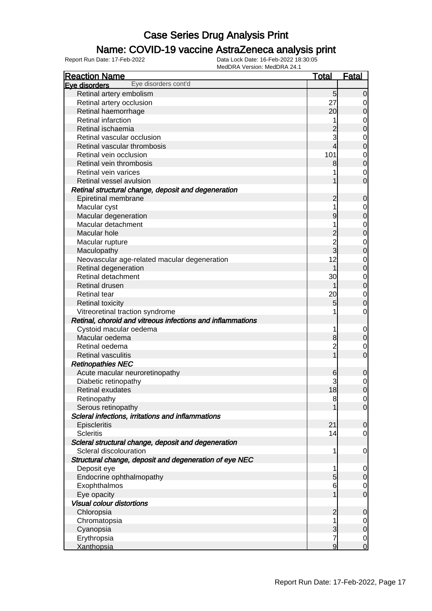### Name: COVID-19 vaccine AstraZeneca analysis print

| <b>Reaction Name</b>                                                          | <u>Total</u>   | <b>Fatal</b>                     |
|-------------------------------------------------------------------------------|----------------|----------------------------------|
| Eye disorders cont'd<br>Eye disorders                                         |                |                                  |
| Retinal artery embolism                                                       | 5              | $\Omega$                         |
| Retinal artery occlusion                                                      | 27             | 0                                |
| Retinal haemorrhage                                                           | 20             | 0                                |
| Retinal infarction                                                            |                | 0                                |
| Retinal ischaemia                                                             |                | 0                                |
| Retinal vascular occlusion                                                    | 3              | 0                                |
| Retinal vascular thrombosis                                                   | 4              | 0                                |
| Retinal vein occlusion                                                        | 101            | 0                                |
| Retinal vein thrombosis                                                       | 8              | $\mathbf 0$                      |
| Retinal vein varices                                                          |                | 0                                |
| Retinal vessel avulsion                                                       |                | $\Omega$                         |
| Retinal structural change, deposit and degeneration                           |                |                                  |
| Epiretinal membrane                                                           | 2              | 0                                |
| Macular cyst                                                                  |                | 0                                |
| Macular degeneration                                                          | 9              | 0                                |
| Macular detachment                                                            |                |                                  |
| Macular hole                                                                  |                | 0<br>0                           |
|                                                                               |                |                                  |
| Macular rupture                                                               | $\frac{2}{3}$  | 0<br>0                           |
| Maculopathy                                                                   | 12             |                                  |
| Neovascular age-related macular degeneration                                  |                | 0                                |
| Retinal degeneration<br>Retinal detachment                                    |                | 0                                |
|                                                                               | 30             | 0                                |
| Retinal drusen                                                                |                | $\mathbf 0$                      |
| <b>Retinal tear</b>                                                           | 20             | 0                                |
| <b>Retinal toxicity</b>                                                       | 5              | 0                                |
| Vitreoretinal traction syndrome                                               |                | 0                                |
| Retinal, choroid and vitreous infections and inflammations                    |                |                                  |
| Cystoid macular oedema                                                        |                | 0                                |
| Macular oedema                                                                | 8              | 0                                |
| Retinal oedema                                                                | $\overline{c}$ | 0                                |
| <b>Retinal vasculitis</b>                                                     |                | $\Omega$                         |
| <b>Retinopathies NEC</b>                                                      |                |                                  |
| Acute macular neuroretinopathy                                                | 6              | 0                                |
| Diabetic retinopathy                                                          |                | 0                                |
| Retinal exudates                                                              | 18             | $\mathbf 0$                      |
| Retinopathy                                                                   | 8              | $\overline{0}$<br>$\overline{0}$ |
| Serous retinopathy                                                            |                |                                  |
| Scleral infections, irritations and inflammations                             | 21             |                                  |
| Episcleritis<br><b>Scleritis</b>                                              | 14             | $\overline{0}$                   |
|                                                                               |                | 0                                |
| Scleral structural change, deposit and degeneration<br>Scleral discolouration |                |                                  |
|                                                                               | 1              | $\mathbf 0$                      |
| Structural change, deposit and degeneration of eye NEC                        |                |                                  |
| Deposit eye                                                                   | 1<br>5         | $\overline{0}$                   |
| Endocrine ophthalmopathy<br>Exophthalmos                                      |                | $\mathbf 0$                      |
|                                                                               | 6              | $\mathbf 0$<br>$\overline{0}$    |
| Eye opacity                                                                   |                |                                  |
| <b>Visual colour distortions</b>                                              |                |                                  |
| Chloropsia                                                                    | 2              | 0                                |
| Chromatopsia                                                                  | 1<br>3         | 0<br>$\mathbf 0$                 |
| Cyanopsia                                                                     | 7              |                                  |
| Erythropsia                                                                   | 9              | $\mathbf 0$                      |
| <b>Xanthopsia</b>                                                             |                | 0                                |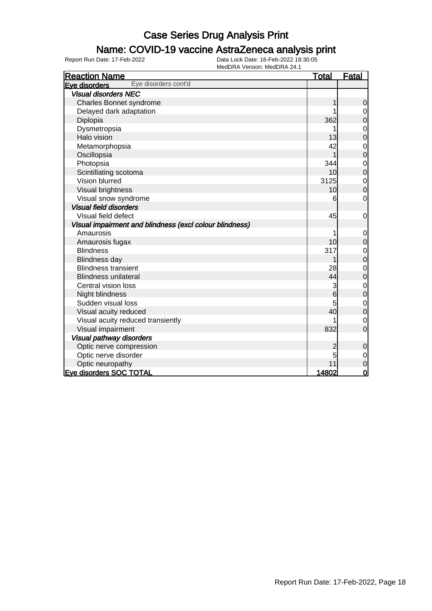### Name: COVID-19 vaccine AstraZeneca analysis print

| <b>Reaction Name</b>                                    | <u>Total</u> | <b>Fatal</b>     |
|---------------------------------------------------------|--------------|------------------|
| Eye disorders cont'd<br>Eye disorders                   |              |                  |
| <b>Visual disorders NEC</b>                             |              |                  |
| Charles Bonnet syndrome                                 |              | $\mathbf 0$      |
| Delayed dark adaptation                                 |              | 0                |
| Diplopia                                                | 362          | $\mathbf 0$      |
| Dysmetropsia                                            |              | $\mathbf 0$      |
| Halo vision                                             | 13           | $\overline{0}$   |
| Metamorphopsia                                          | 42           | $\mathbf{0}$     |
| Oscillopsia                                             |              | $\mathbf 0$      |
| Photopsia                                               | 344          | $\mathbf 0$      |
| Scintillating scotoma                                   | 10           | $\overline{0}$   |
| Vision blurred                                          | 3125         | $\mathbf{0}$     |
| Visual brightness                                       | 10           | $\overline{0}$   |
| Visual snow syndrome                                    | 6            | $\mathbf 0$      |
| <b>Visual field disorders</b>                           |              |                  |
| Visual field defect                                     | 45           | 0                |
| Visual impairment and blindness (excl colour blindness) |              |                  |
| Amaurosis                                               |              | $\mathbf 0$      |
| Amaurosis fugax                                         | 10           | $\boldsymbol{0}$ |
| <b>Blindness</b>                                        | 317          | $\mathbf 0$      |
| <b>Blindness day</b>                                    |              | $\overline{0}$   |
| <b>Blindness transient</b>                              | 28           | $\mathbf 0$      |
| <b>Blindness unilateral</b>                             | 44           | 0                |
| Central vision loss                                     | 3            | $\mathbf 0$      |
| Night blindness                                         | 6            | $\mathbf 0$      |
| Sudden visual loss                                      | 5            | $\mathbf{0}$     |
| Visual acuity reduced                                   | 40           | $\mathbf 0$      |
| Visual acuity reduced transiently                       |              | $\mathbf 0$      |
| Visual impairment                                       | 832          | $\overline{0}$   |
| <b>Visual pathway disorders</b>                         |              |                  |
| Optic nerve compression                                 | 2            | $\mathbf 0$      |
| Optic nerve disorder                                    | 5            | $\mathbf 0$      |
| Optic neuropathy                                        | 11           | $\overline{0}$   |
| <b>Eve disorders SOC TOTAL</b>                          | 14802        | $\mathbf 0$      |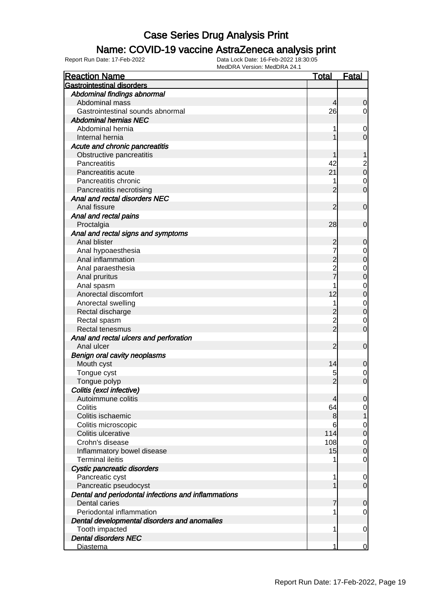#### Name: COVID-19 vaccine AstraZeneca analysis print

| <b>Reaction Name</b>                                                 | <u>Total</u>   | <b>Fatal</b>                         |
|----------------------------------------------------------------------|----------------|--------------------------------------|
| <b>Gastrointestinal disorders</b>                                    |                |                                      |
| Abdominal findings abnormal                                          |                |                                      |
| Abdominal mass                                                       | 4              | 0                                    |
| Gastrointestinal sounds abnormal                                     | 26             | 0                                    |
| <b>Abdominal hernias NEC</b>                                         |                |                                      |
| Abdominal hernia                                                     | 1              | $\mathbf 0$                          |
| Internal hernia                                                      |                | 0                                    |
| Acute and chronic pancreatitis                                       |                |                                      |
| Obstructive pancreatitis                                             |                |                                      |
| Pancreatitis                                                         | 42             |                                      |
| Pancreatitis acute                                                   | 21             | $\begin{matrix} 2 \\ 0 \end{matrix}$ |
| Pancreatitis chronic                                                 | 1              | $\mathbf 0$                          |
| Pancreatitis necrotising                                             | 2              | $\mathbf 0$                          |
| Anal and rectal disorders NEC                                        |                |                                      |
| Anal fissure                                                         | 2              | $\mathbf 0$                          |
| Anal and rectal pains                                                |                |                                      |
| Proctalgia                                                           | 28             | 0                                    |
| Anal and rectal signs and symptoms                                   |                |                                      |
| Anal blister                                                         | 2              | 0                                    |
| Anal hypoaesthesia                                                   | 7              | 0                                    |
| Anal inflammation                                                    | $\overline{c}$ | 0                                    |
| Anal paraesthesia                                                    |                | $\mathbf 0$                          |
| Anal pruritus                                                        | 2<br>7         | 0                                    |
| Anal spasm                                                           | 1              | 0                                    |
| Anorectal discomfort                                                 | 12             | 0                                    |
| Anorectal swelling                                                   | 1              | $\mathbf 0$                          |
| Rectal discharge                                                     |                | $\mathbf 0$                          |
| Rectal spasm                                                         |                | 0                                    |
| Rectal tenesmus                                                      | 2<br>2         | $\mathbf 0$                          |
| Anal and rectal ulcers and perforation                               |                |                                      |
| Anal ulcer                                                           | 2              | $\mathbf 0$                          |
| <b>Benign oral cavity neoplasms</b>                                  |                |                                      |
| Mouth cyst                                                           | 14             | 0                                    |
| Tongue cyst                                                          | 5              | 0                                    |
| Tongue polyp                                                         | $\overline{2}$ | $\mathbf 0$                          |
| Colitis (excl infective)                                             |                |                                      |
| Autoimmune colitis                                                   | 4              |                                      |
| Colitis                                                              | 64             | $\Omega$<br>$\overline{0}$           |
| Colitis ischaemic                                                    | 8              | 1                                    |
|                                                                      | 6              |                                      |
| Colitis microscopic<br>Colitis ulcerative                            | 114            | 0<br>$\boldsymbol{0}$                |
| Crohn's disease                                                      | 108            |                                      |
|                                                                      | 15             | $\mathbf 0$                          |
| Inflammatory bowel disease<br><b>Terminal ileitis</b>                |                | $\mathbf 0$                          |
|                                                                      |                | 0                                    |
| Cystic pancreatic disorders                                          |                |                                      |
| Pancreatic cyst                                                      | 1              | 0                                    |
| Pancreatic pseudocyst                                                |                | $\mathbf 0$                          |
| Dental and periodontal infections and inflammations<br>Dental caries |                |                                      |
| Periodontal inflammation                                             | 7              | 0                                    |
|                                                                      | 1              | 0                                    |
| Dental developmental disorders and anomalies                         |                |                                      |
| Tooth impacted                                                       | 1              | $\mathbf 0$                          |
| <b>Dental disorders NEC</b>                                          |                |                                      |
| Diastema                                                             | 1              | 0                                    |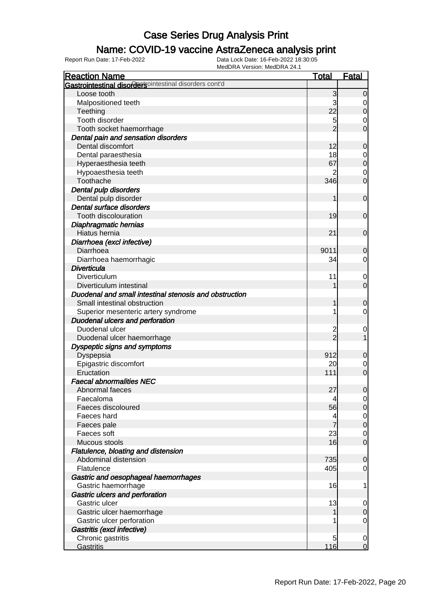### Name: COVID-19 vaccine AstraZeneca analysis print

| <b>Reaction Name</b>                                   | <b>Total</b>   | <b>Fatal</b>     |
|--------------------------------------------------------|----------------|------------------|
| Gastrointestinal disordersointestinal disorders cont'd |                |                  |
| Loose tooth                                            | 3              | $\Omega$         |
| Malpositioned teeth                                    | 3              | 0                |
| Teething                                               | 22             | 0                |
| Tooth disorder                                         | 5              | 0                |
| Tooth socket haemorrhage                               | $\overline{2}$ | 0                |
| Dental pain and sensation disorders                    |                |                  |
| Dental discomfort                                      | 12             | 0                |
| Dental paraesthesia                                    | 18             | $\mathbf 0$      |
| Hyperaesthesia teeth                                   | 67             | $\mathbf 0$      |
| Hypoaesthesia teeth                                    |                | $\mathbf 0$      |
| Toothache                                              | 346            | $\mathbf 0$      |
| Dental pulp disorders                                  |                |                  |
| Dental pulp disorder                                   | 1              | $\mathbf 0$      |
| Dental surface disorders                               |                |                  |
| Tooth discolouration                                   | 19             | $\mathbf 0$      |
| Diaphragmatic hernias                                  |                |                  |
| Hiatus hernia                                          | 21             | $\mathbf 0$      |
| Diarrhoea (excl infective)                             |                |                  |
| Diarrhoea                                              | 9011           | 0                |
| Diarrhoea haemorrhagic                                 | 34             | 0                |
| <b>Diverticula</b>                                     |                |                  |
| Diverticulum                                           | 11             | $\mathbf 0$      |
| Diverticulum intestinal                                |                | $\mathbf 0$      |
| Duodenal and small intestinal stenosis and obstruction |                |                  |
| Small intestinal obstruction                           |                | 0                |
| Superior mesenteric artery syndrome                    | 1              | 0                |
| <b>Duodenal ulcers and perforation</b>                 |                |                  |
| Duodenal ulcer                                         | 2              | $\mathbf 0$      |
| Duodenal ulcer haemorrhage                             | $\overline{2}$ | 1                |
| Dyspeptic signs and symptoms                           |                |                  |
| Dyspepsia                                              | 912            | 0                |
| Epigastric discomfort                                  | 20             | $\mathbf 0$      |
| Eructation                                             | 111            | $\mathbf 0$      |
| <b>Faecal abnormalities NEC</b>                        |                |                  |
| Abnormal faeces                                        | 27             | $\mathbf 0$      |
| Faecaloma                                              | 4              | $\overline{0}$   |
| Faeces discoloured                                     | 56             | $\mathbf 0$      |
| Faeces hard                                            | 4              | $\overline{0}$   |
| Faeces pale                                            |                | $\boldsymbol{0}$ |
| Faeces soft                                            | 23             | $\mathbf 0$      |
| Mucous stools                                          | 16             | $\mathbf 0$      |
| Flatulence, bloating and distension                    |                |                  |
| Abdominal distension                                   | 735            | 0                |
| Flatulence                                             | 405            | 0                |
| Gastric and oesophageal haemorrhages                   |                |                  |
| Gastric haemorrhage                                    | 16             | 1                |
| <b>Gastric ulcers and perforation</b>                  |                |                  |
| Gastric ulcer                                          | 13             | 0                |
| Gastric ulcer haemorrhage                              |                | 0                |
| Gastric ulcer perforation                              | 1              | 0                |
| Gastritis (excl infective)                             |                |                  |
| Chronic gastritis                                      | 5              | $\mathbf 0$      |
| Gastritis                                              | 116            | $\mathbf 0$      |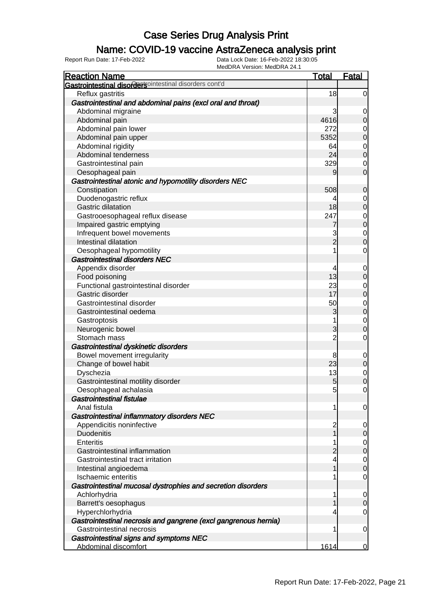### Name: COVID-19 vaccine AstraZeneca analysis print

| <b>Reaction Name</b>                                            | <b>Total</b>        | <b>Fatal</b>                     |
|-----------------------------------------------------------------|---------------------|----------------------------------|
| Gastrointestinal disordersointestinal disorders cont'd          |                     |                                  |
| Reflux gastritis                                                | 18                  | $\mathbf 0$                      |
| Gastrointestinal and abdominal pains (excl oral and throat)     |                     |                                  |
| Abdominal migraine                                              | 3                   | 0                                |
| Abdominal pain                                                  | 4616                | $\mathbf 0$                      |
| Abdominal pain lower                                            | 272                 | $\mathbf 0$                      |
| Abdominal pain upper                                            | 5352                | $\overline{0}$                   |
| Abdominal rigidity                                              | 64                  |                                  |
| Abdominal tenderness                                            | 24                  | $\begin{matrix}0\\0\end{matrix}$ |
| Gastrointestinal pain                                           | 329                 | $\mathbf 0$                      |
| Oesophageal pain                                                | 9                   | $\overline{0}$                   |
| Gastrointestinal atonic and hypomotility disorders NEC          |                     |                                  |
| Constipation                                                    | 508                 | $\mathbf 0$                      |
| Duodenogastric reflux                                           | 4                   | $\mathbf 0$                      |
| <b>Gastric dilatation</b>                                       | 18                  | $\overline{0}$                   |
| Gastrooesophageal reflux disease                                | 247                 |                                  |
| Impaired gastric emptying                                       | 7                   | $\begin{matrix}0\\0\end{matrix}$ |
| Infrequent bowel movements                                      | 3                   |                                  |
| Intestinal dilatation                                           | $\overline{2}$      | $\begin{matrix}0\\0\end{matrix}$ |
| Oesophageal hypomotility                                        | 1                   | $\mathbf 0$                      |
| <b>Gastrointestinal disorders NEC</b>                           |                     |                                  |
| Appendix disorder                                               | 4                   | $\mathbf 0$                      |
| Food poisoning                                                  | 13                  | $\overline{0}$                   |
| Functional gastrointestinal disorder                            | 23                  |                                  |
| Gastric disorder                                                | 17                  | $\begin{matrix}0\\0\end{matrix}$ |
| Gastrointestinal disorder                                       | 50                  |                                  |
| Gastrointestinal oedema                                         | 3                   | $\begin{matrix}0\\0\end{matrix}$ |
| Gastroptosis                                                    | 1                   |                                  |
| Neurogenic bowel                                                | 3                   | $\begin{matrix}0\\0\end{matrix}$ |
| Stomach mass                                                    | $\overline{2}$      | $\mathbf 0$                      |
| Gastrointestinal dyskinetic disorders                           |                     |                                  |
| Bowel movement irregularity                                     | 8                   | $\mathbf 0$                      |
| Change of bowel habit                                           | 23                  | $\overline{0}$                   |
| Dyschezia                                                       | 13                  |                                  |
| Gastrointestinal motility disorder                              | 5                   | $0\atop 0$                       |
| Oesophageal achalasia                                           | 5 <sup>1</sup>      | $\mathbf 0$                      |
| <b>Gastrointestinal fistulae</b>                                |                     |                                  |
| Anal fistula                                                    | 1                   |                                  |
| Gastrointestinal inflammatory disorders NEC                     |                     | 0                                |
| Appendicitis noninfective                                       |                     |                                  |
| <b>Duodenitis</b>                                               | $\overline{c}$<br>1 | 0<br>$\overline{0}$              |
| <b>Enteritis</b>                                                | 1                   |                                  |
| Gastrointestinal inflammation                                   | $\overline{2}$      | $\overline{0}$<br>$\overline{0}$ |
| Gastrointestinal tract irritation                               |                     |                                  |
|                                                                 | 4<br>1              | $\mathbf 0$<br>$\overline{0}$    |
| Intestinal angioedema<br>Ischaemic enteritis                    | 1                   |                                  |
|                                                                 |                     | $\mathbf 0$                      |
| Gastrointestinal mucosal dystrophies and secretion disorders    |                     |                                  |
| Achlorhydria                                                    | 1                   | $\mathbf 0$                      |
| Barrett's oesophagus                                            |                     | $\mathbf 0$                      |
| Hyperchlorhydria                                                | 4                   | $\mathbf 0$                      |
| Gastrointestinal necrosis and gangrene (excl gangrenous hernia) |                     |                                  |
| <b>Gastrointestinal necrosis</b>                                | 1                   | $\mathbf 0$                      |
| Gastrointestinal signs and symptoms NEC                         |                     |                                  |
| Abdominal discomfort                                            | 1614                | $\overline{0}$                   |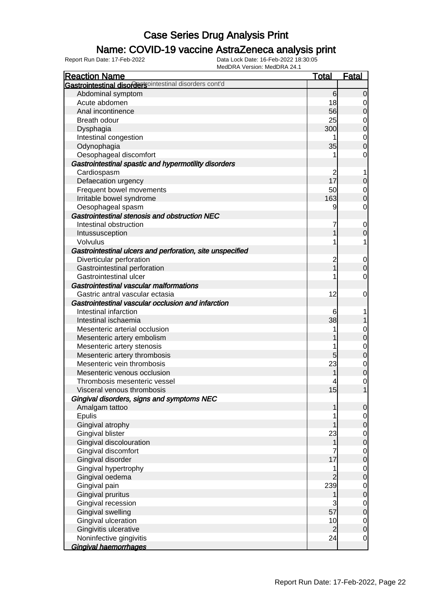### Name: COVID-19 vaccine AstraZeneca analysis print

| <b>Reaction Name</b>                                      | <u>Total</u>   | <b>Fatal</b>   |
|-----------------------------------------------------------|----------------|----------------|
| Gastrointestinal disordersointestinal disorders cont'd    |                |                |
| Abdominal symptom                                         | 6              | $\Omega$       |
| Acute abdomen                                             | 18             | 0              |
| Anal incontinence                                         | 56             | 0              |
| Breath odour                                              | 25             | 0              |
| Dysphagia                                                 | 300            | $\mathbf 0$    |
| Intestinal congestion                                     |                | $\mathbf 0$    |
| Odynophagia                                               | 35             | $\overline{0}$ |
| Oesophageal discomfort                                    |                | 0              |
| Gastrointestinal spastic and hypermotility disorders      |                |                |
| Cardiospasm                                               | 2              | 1              |
| Defaecation urgency                                       | 17             | 0              |
| Frequent bowel movements                                  | 50             | 0              |
| Irritable bowel syndrome                                  | 163            | 0              |
| Oesophageal spasm                                         | 9              | 0              |
| Gastrointestinal stenosis and obstruction NEC             |                |                |
| Intestinal obstruction                                    | 7              | 0              |
| Intussusception                                           |                | $\Omega$       |
| Volvulus                                                  |                | 1              |
| Gastrointestinal ulcers and perforation, site unspecified |                |                |
| Diverticular perforation                                  |                | 0              |
| Gastrointestinal perforation                              | 2<br>1         | $\Omega$       |
| Gastrointestinal ulcer                                    |                | 0              |
| <b>Gastrointestinal vascular malformations</b>            |                |                |
| Gastric antral vascular ectasia                           | 12             | 0              |
| Gastrointestinal vascular occlusion and infarction        |                |                |
| Intestinal infarction                                     | 6              |                |
| Intestinal ischaemia                                      | 38             |                |
| Mesenteric arterial occlusion                             |                | 0              |
| Mesenteric artery embolism                                |                | 0              |
| Mesenteric artery stenosis                                |                | 0              |
| Mesenteric artery thrombosis                              | 5              | 0              |
| Mesenteric vein thrombosis                                | 23             | 0              |
| Mesenteric venous occlusion                               |                | $\mathbf 0$    |
| Thrombosis mesenteric vessel                              |                | 0              |
| Visceral venous thrombosis                                | 15             | $\overline{1}$ |
| Gingival disorders, signs and symptoms NEC                |                |                |
| Amalgam tattoo                                            |                | $\overline{0}$ |
| Epulis                                                    |                | $\overline{0}$ |
| Gingival atrophy                                          |                | $\overline{0}$ |
| Gingival blister                                          | 23             | $\mathbf 0$    |
| Gingival discolouration                                   |                | $\mathbf 0$    |
| Gingival discomfort                                       |                | $\mathbf 0$    |
| Gingival disorder                                         | 17             | $\mathbf 0$    |
| Gingival hypertrophy                                      |                | $\mathbf 0$    |
| Gingival oedema                                           |                | $\mathbf 0$    |
| Gingival pain                                             | 239            | $\mathbf 0$    |
| Gingival pruritus                                         |                | $\mathbf 0$    |
| Gingival recession                                        | 3              | $\mathbf 0$    |
| Gingival swelling                                         | 57             | $\mathbf 0$    |
| Gingival ulceration                                       | 10             | $\mathbf 0$    |
| Gingivitis ulcerative                                     | $\overline{2}$ | $\mathbf 0$    |
| Noninfective gingivitis                                   | 24             | 0              |
| Gingival haemorrhages                                     |                |                |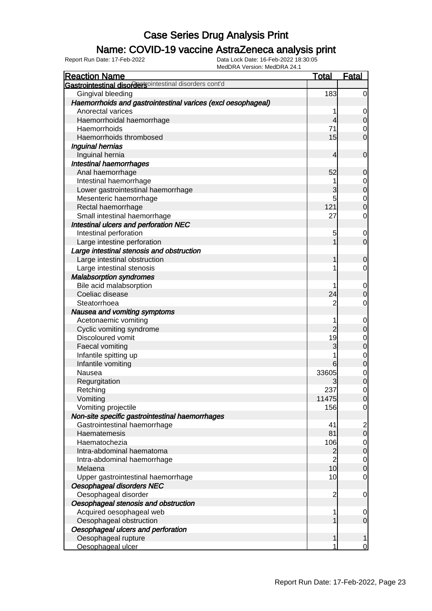### Name: COVID-19 vaccine AstraZeneca analysis print

| <b>Reaction Name</b>                                         | <b>Total</b>                     | <b>Fatal</b>                         |
|--------------------------------------------------------------|----------------------------------|--------------------------------------|
| Gastrointestinal disordersointestinal disorders cont'd       |                                  |                                      |
| Gingival bleeding                                            | 183                              | $\overline{0}$                       |
| Haemorrhoids and gastrointestinal varices (excl oesophageal) |                                  |                                      |
| Anorectal varices                                            | 1                                | $\overline{0}$                       |
| Haemorrhoidal haemorrhage                                    | $\overline{4}$                   | $\overline{0}$                       |
| Haemorrhoids                                                 | 71                               | $\overline{0}$                       |
| Haemorrhoids thrombosed                                      | 15                               | $\overline{0}$                       |
| Inguinal hernias                                             |                                  |                                      |
| Inguinal hernia                                              | $\overline{4}$                   | $\boldsymbol{0}$                     |
| <b>Intestinal haemorrhages</b>                               |                                  |                                      |
| Anal haemorrhage                                             | 52                               | $\mathbf 0$                          |
| Intestinal haemorrhage                                       | 1                                |                                      |
| Lower gastrointestinal haemorrhage                           | 3                                | $0\atop 0$                           |
| Mesenteric haemorrhage                                       | 5                                |                                      |
| Rectal haemorrhage                                           | 121                              | $\begin{matrix} 0 \\ 0 \end{matrix}$ |
| Small intestinal haemorrhage                                 | 27                               | $\mathbf 0$                          |
| Intestinal ulcers and perforation NEC                        |                                  |                                      |
| Intestinal perforation                                       | 5                                | $\mathbf 0$                          |
| Large intestine perforation                                  | $\mathbf{1}$                     | $\overline{O}$                       |
| Large intestinal stenosis and obstruction                    |                                  |                                      |
| Large intestinal obstruction                                 | 1                                | $\mathbf 0$                          |
| Large intestinal stenosis                                    | 1                                | $\mathbf 0$                          |
| <b>Malabsorption syndromes</b>                               |                                  |                                      |
| Bile acid malabsorption                                      | 1                                | $\boldsymbol{0}$                     |
| Coeliac disease                                              | 24                               | $\mathbf 0$                          |
| Steatorrhoea                                                 | $\overline{c}$                   | $\mathbf 0$                          |
| Nausea and vomiting symptoms                                 |                                  |                                      |
| Acetonaemic vomiting                                         | 1                                | $\boldsymbol{0}$                     |
| Cyclic vomiting syndrome                                     | $\overline{2}$                   | $\mathbf 0$                          |
| Discoloured vomit                                            | 19                               |                                      |
| Faecal vomiting                                              | 3                                | $0$ 0                                |
| Infantile spitting up                                        | 1                                |                                      |
| Infantile vomiting                                           | 6                                | $\begin{matrix}0\\0\end{matrix}$     |
| Nausea                                                       | 33605                            |                                      |
| Regurgitation                                                |                                  | $\begin{matrix}0\\0\end{matrix}$     |
| Retching                                                     | 237                              | $\mathbf 0$                          |
| Vomiting                                                     | 11475                            | $\overline{0}$                       |
| Vomiting projectile                                          | 156                              | $\overline{0}$                       |
| Non-site specific gastrointestinal haemorrhages              |                                  |                                      |
| Gastrointestinal haemorrhage                                 | 41                               |                                      |
| Haematemesis                                                 | 81                               | $\begin{matrix} 2 \\ 0 \end{matrix}$ |
| Haematochezia                                                | 106                              |                                      |
| Intra-abdominal haematoma                                    |                                  | $\overline{0}$<br>$\mathbf 0$        |
|                                                              | $\overline{c}$<br>$\overline{2}$ |                                      |
| Intra-abdominal haemorrhage<br>Melaena                       | 10                               | $\overline{0}$<br>$\pmb{0}$          |
|                                                              | 10                               | $\mathbf 0$                          |
| Upper gastrointestinal haemorrhage                           |                                  |                                      |
| Oesophageal disorders NEC                                    |                                  |                                      |
| Oesophageal disorder                                         | $\overline{c}$                   | $\overline{0}$                       |
| Oesophageal stenosis and obstruction                         |                                  |                                      |
| Acquired oesophageal web                                     | 1                                | $\mathbf 0$                          |
| Oesophageal obstruction                                      | 1                                | $\mathbf 0$                          |
| Oesophageal ulcers and perforation                           |                                  |                                      |
| Oesophageal rupture                                          | 1                                | 1                                    |
| Oesophageal ulcer                                            | 1                                | $\overline{0}$                       |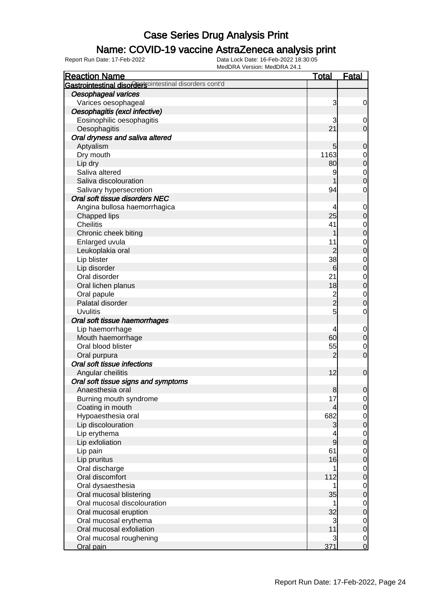### Name: COVID-19 vaccine AstraZeneca analysis print

| <b>Reaction Name</b>                                   | <b>Total</b>   | <b>Fatal</b>     |
|--------------------------------------------------------|----------------|------------------|
| Gastrointestinal disordersointestinal disorders cont'd |                |                  |
| Oesophageal varices                                    |                |                  |
| Varices oesophageal                                    | 3              | $\mathbf 0$      |
| Oesophagitis (excl infective)                          |                |                  |
| Eosinophilic oesophagitis                              | 3              | $\overline{0}$   |
| Oesophagitis                                           | 21             | $\overline{0}$   |
| Oral dryness and saliva altered                        |                |                  |
| Aptyalism                                              | 5              | $\mathbf 0$      |
| Dry mouth                                              | 1163           | $\mathbf 0$      |
| Lip dry                                                | 80             | $\mathbf 0$      |
| Saliva altered                                         | 9              | $\mathbf 0$      |
| Saliva discolouration                                  |                | $\mathbf 0$      |
| Salivary hypersecretion                                | 94             | 0                |
| Oral soft tissue disorders NEC                         |                |                  |
| Angina bullosa haemorrhagica                           |                | $\mathbf 0$      |
| Chapped lips                                           | 25             | $\mathbf 0$      |
| <b>Cheilitis</b>                                       | 41             | 0                |
| Chronic cheek biting                                   |                | $\mathbf 0$      |
| Enlarged uvula                                         | 11             | 0                |
| Leukoplakia oral                                       | $\overline{c}$ | $\mathbf 0$      |
| Lip blister                                            | 38             | 0                |
| Lip disorder                                           | 6              | $\mathbf 0$      |
| Oral disorder                                          | 21             | 0                |
| Oral lichen planus                                     | 18             | $\mathbf 0$      |
| Oral papule                                            |                | $\mathbf 0$      |
| Palatal disorder                                       | 2<br>2         | $\mathbf 0$      |
| <b>Uvulitis</b>                                        | 5              | $\mathbf 0$      |
| Oral soft tissue haemorrhages                          |                |                  |
| Lip haemorrhage                                        | 4              | $\mathbf 0$      |
| Mouth haemorrhage                                      | 60             | $\mathbf 0$      |
| Oral blood blister                                     | 55             | $\mathbf 0$      |
| Oral purpura                                           | $\overline{2}$ | $\overline{0}$   |
| Oral soft tissue infections                            |                |                  |
| Angular cheilitis                                      | 12             | $\mathbf 0$      |
| Oral soft tissue signs and symptoms                    |                |                  |
| Anaesthesia oral                                       | 8              | $\overline{0}$   |
| Burning mouth syndrome                                 | 17             | $\overline{0}$   |
| Coating in mouth                                       | 4              | $\mathbf 0$      |
| Hypoaesthesia oral                                     | 682            | $\overline{0}$   |
| Lip discolouration                                     | 3              | $\mathbf 0$      |
| Lip erythema                                           |                | $\overline{0}$   |
| Lip exfoliation                                        | 9              | $\mathbf 0$      |
| Lip pain                                               | 61             | $\mathbf 0$      |
| Lip pruritus                                           | 16             | $\boldsymbol{0}$ |
| Oral discharge                                         |                | $\mathbf 0$      |
| Oral discomfort                                        | 112            | $\mathbf 0$      |
| Oral dysaesthesia                                      |                | $\mathbf 0$      |
| Oral mucosal blistering                                | 35             | $\mathbf 0$      |
| Oral mucosal discolouration                            | 1              | $\mathbf 0$      |
| Oral mucosal eruption                                  | 32             | $\mathbf 0$      |
| Oral mucosal erythema                                  | 3              | $\mathbf 0$      |
| Oral mucosal exfoliation                               | 11             | $\mathbf 0$      |
| Oral mucosal roughening                                | 3              | $\mathbf 0$      |
| Oral pain                                              | 371            | $\overline{0}$   |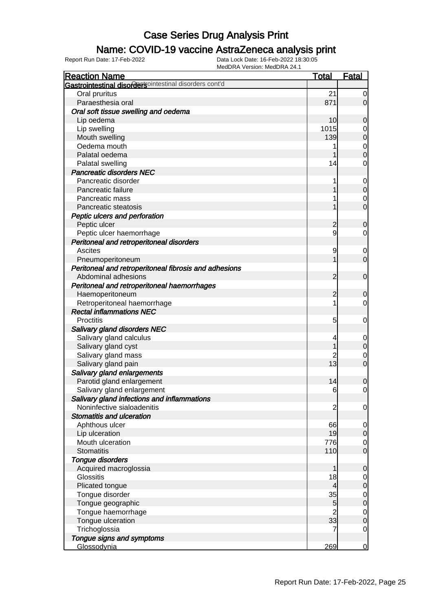### Name: COVID-19 vaccine AstraZeneca analysis print

| <b>Reaction Name</b>                                    | <b>Total</b>   | <b>Fatal</b>     |
|---------------------------------------------------------|----------------|------------------|
| Gastrointestinal disordertsointestinal disorders cont'd |                |                  |
| Oral pruritus                                           | 21             | 0                |
| Paraesthesia oral                                       | 871            | $\overline{0}$   |
| Oral soft tissue swelling and oedema                    |                |                  |
| Lip oedema                                              | 10             | $\mathbf 0$      |
| Lip swelling                                            | 1015           | $\mathbf 0$      |
| Mouth swelling                                          | 139            | $\mathbf 0$      |
| Oedema mouth                                            |                | $\mathbf 0$      |
| Palatal oedema                                          |                | $\overline{0}$   |
| Palatal swelling                                        | 14             | 0                |
| <b>Pancreatic disorders NEC</b>                         |                |                  |
| Pancreatic disorder                                     |                | $\mathbf 0$      |
| Pancreatic failure                                      |                | $\mathbf 0$      |
| Pancreatic mass                                         |                | $\mathbf 0$      |
| Pancreatic steatosis                                    |                | $\mathbf 0$      |
| Peptic ulcers and perforation                           |                |                  |
| Peptic ulcer                                            | $\overline{c}$ | $\boldsymbol{0}$ |
| Peptic ulcer haemorrhage                                | 9              | 0                |
| Peritoneal and retroperitoneal disorders                |                |                  |
| <b>Ascites</b>                                          | 9              | $\mathbf 0$      |
| Pneumoperitoneum                                        |                | $\overline{0}$   |
| Peritoneal and retroperitoneal fibrosis and adhesions   |                |                  |
| Abdominal adhesions                                     | $\overline{2}$ | $\mathbf 0$      |
| Peritoneal and retroperitoneal haemorrhages             |                |                  |
| Haemoperitoneum                                         | $\overline{c}$ | $\mathbf 0$      |
| Retroperitoneal haemorrhage                             |                | 0                |
| <b>Rectal inflammations NEC</b>                         |                |                  |
| Proctitis                                               | 5              | $\mathbf 0$      |
| <b>Salivary gland disorders NEC</b>                     |                |                  |
| Salivary gland calculus                                 | 4              | $\mathbf 0$      |
| Salivary gland cyst                                     |                | $\mathbf 0$      |
| Salivary gland mass                                     |                | $\mathbf 0$      |
| Salivary gland pain                                     | 13             | $\mathbf 0$      |
| Salivary gland enlargements                             |                |                  |
| Parotid gland enlargement                               | 14             | $\boldsymbol{0}$ |
| Salivary gland enlargement                              | 6              | $\overline{0}$   |
| Salivary gland infections and inflammations             |                |                  |
| Noninfective sialoadenitis                              | $\overline{c}$ | $\mathbf 0$      |
| <b>Stomatitis and ulceration</b>                        |                |                  |
| Aphthous ulcer                                          | 66             | $\overline{0}$   |
| Lip ulceration                                          | 19             | $\overline{O}$   |
| Mouth ulceration                                        | 776            | $\overline{0}$   |
| <b>Stomatitis</b>                                       | 110            | $\overline{0}$   |
| Tongue disorders                                        |                |                  |
| Acquired macroglossia                                   |                | $\boldsymbol{0}$ |
| <b>Glossitis</b>                                        | 18             | $\overline{0}$   |
| Plicated tongue                                         | 4              | $\mathbf 0$      |
| Tongue disorder                                         | 35             | $\overline{0}$   |
| Tongue geographic                                       | 5              | $\mathbf 0$      |
| Tongue haemorrhage                                      | $\overline{c}$ | $\mathbf 0$      |
| Tongue ulceration                                       | 33             | $\mathbf 0$      |
| Trichoglossia                                           | 7              | 0                |
| Tongue signs and symptoms                               |                |                  |
| Glossodynia                                             | 269            | $\overline{0}$   |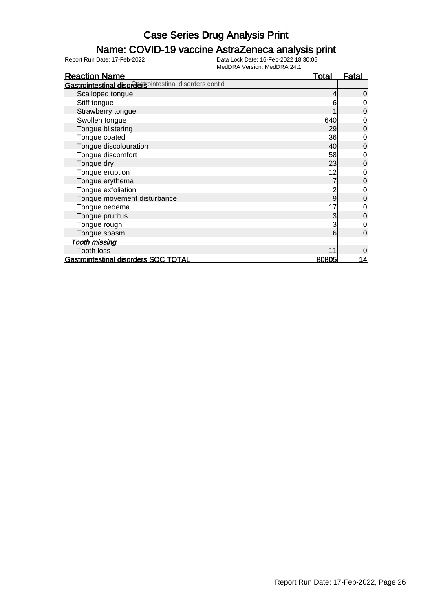### Name: COVID-19 vaccine AstraZeneca analysis print

| <b>Reaction Name</b>                                   | <u>Total</u> | <b>Fatal</b> |
|--------------------------------------------------------|--------------|--------------|
| Gastrointestinal disordersointestinal disorders cont'd |              |              |
| Scalloped tongue                                       |              | $\Omega$     |
| Stiff tongue                                           | 6            |              |
| Strawberry tongue                                      |              | 0            |
| Swollen tongue                                         | 640          | 0            |
| Tongue blistering                                      | 29           | $\mathbf 0$  |
| Tongue coated                                          | 36           | 0            |
| Tongue discolouration                                  | 40           | 0            |
| Tongue discomfort                                      | 58           | 0            |
| Tongue dry                                             | 23           | 0            |
| Tongue eruption                                        | 12           | 0            |
| Tongue erythema                                        |              | $\mathbf 0$  |
| Tongue exfoliation                                     | 2            | 0            |
| Tongue movement disturbance                            | 9            | 0            |
| Tongue oedema                                          | 17           | 0            |
| Tongue pruritus                                        | 3            | $\mathbf 0$  |
| Tongue rough                                           | 3            | $\mathbf 0$  |
| Tongue spasm                                           | 6            | 0            |
| <b>Tooth missing</b>                                   |              |              |
| <b>Tooth loss</b>                                      |              | 0            |
| Gastrointestinal disorders SOC TOTAL                   | 80805        | <u> 14</u>   |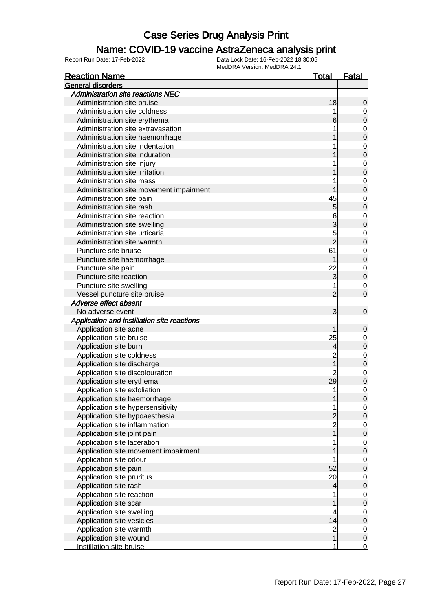#### Name: COVID-19 vaccine AstraZeneca analysis print

| <b>Reaction Name</b>                        | <u>Total</u>   | <u>Fatal</u>   |
|---------------------------------------------|----------------|----------------|
| General disorders                           |                |                |
| <b>Administration site reactions NEC</b>    |                |                |
| Administration site bruise                  | 18             | 0              |
| Administration site coldness                |                | 0              |
| Administration site erythema                |                | 0              |
| Administration site extravasation           |                | $\mathbf 0$    |
| Administration site haemorrhage             |                | 0              |
| Administration site indentation             |                | $\mathbf 0$    |
| Administration site induration              |                | 0              |
| Administration site injury                  |                | $\mathbf 0$    |
| Administration site irritation              |                | 0              |
| Administration site mass                    |                | $\mathbf 0$    |
| Administration site movement impairment     |                | 0              |
| Administration site pain                    | 45             | $\mathbf 0$    |
| Administration site rash                    | 5              | 0              |
| Administration site reaction                | 6              | $\mathbf 0$    |
| Administration site swelling                |                | 0              |
| Administration site urticaria               | 5              | $\mathbf 0$    |
| Administration site warmth                  | $\overline{2}$ | 0              |
| Puncture site bruise                        | 61             | $\mathbf 0$    |
| Puncture site haemorrhage                   |                | 0              |
| Puncture site pain                          | 22             | $\mathbf 0$    |
| Puncture site reaction                      | 3              | $\overline{0}$ |
| Puncture site swelling                      |                | $\mathbf 0$    |
| Vessel puncture site bruise                 | 2              | 0              |
| Adverse effect absent                       |                |                |
| No adverse event                            | 3              | $\overline{0}$ |
| Application and instillation site reactions |                |                |
| Application site acne                       |                | 0              |
| Application site bruise                     | 25             | $\mathbf 0$    |
| Application site burn                       | 4              | 0              |
| Application site coldness                   | $\overline{c}$ | $\mathbf 0$    |
| Application site discharge                  |                | 0              |
| Application site discolouration             |                | $\mathbf 0$    |
| Application site erythema                   | 29             | 0              |
| Application site exfoliation                | 1              | 0              |
| Application site haemorrhage                |                | U              |
| Application site hypersensitivity           |                | $\overline{0}$ |
| Application site hypoaesthesia              |                | 0              |
| Application site inflammation               | $\overline{c}$ | $\mathbf 0$    |
| Application site joint pain                 |                | $\mathbf 0$    |
| Application site laceration                 |                | $\mathbf 0$    |
| Application site movement impairment        |                | $\mathbf 0$    |
| Application site odour                      |                | $\mathbf 0$    |
| Application site pain                       | 52             | $\mathbf 0$    |
| Application site pruritus                   | 20             |                |
|                                             |                | $\mathbf 0$    |
| Application site rash                       | 4              | $\mathbf 0$    |
| Application site reaction                   |                | $\mathbf 0$    |
| Application site scar                       |                | $\mathbf 0$    |
| Application site swelling                   | 4              | $\mathbf 0$    |
| Application site vesicles                   | 14             | $\mathbf 0$    |
| Application site warmth                     | $\overline{c}$ | $\mathbf 0$    |
| Application site wound                      |                | $\mathbf 0$    |
| Instillation site bruise                    |                | $\mathbf 0$    |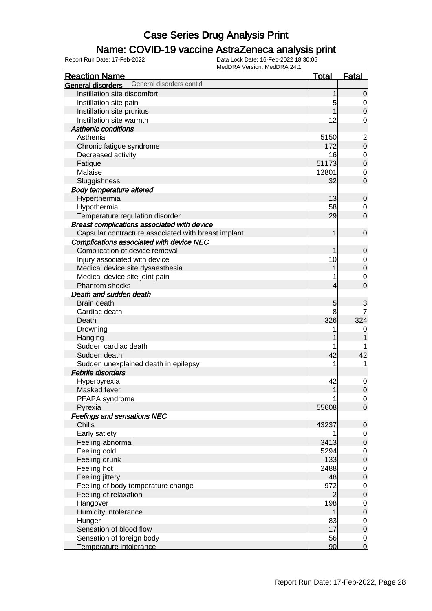### Name: COVID-19 vaccine AstraZeneca analysis print

| <b>Reaction Name</b>                                 | <b>Total</b>   | <b>Fatal</b>            |
|------------------------------------------------------|----------------|-------------------------|
| General disorders cont'd<br><b>General disorders</b> |                |                         |
| Instillation site discomfort                         | 1              | $\overline{0}$          |
| Instillation site pain                               | 5              | $\overline{0}$          |
| Instillation site pruritus                           |                | $\overline{0}$          |
| Instillation site warmth                             | 12             | 0                       |
| <b>Asthenic conditions</b>                           |                |                         |
| Asthenia                                             | 5150           | $\overline{\mathbf{c}}$ |
| Chronic fatigue syndrome                             | 172            | $\mathbf 0$             |
| Decreased activity                                   | 16             | $\mathbf 0$             |
| Fatigue                                              | 51173          | $\mathbf 0$             |
| Malaise                                              | 12801          | 0                       |
| Sluggishness                                         | 32             | $\overline{0}$          |
| <b>Body temperature altered</b>                      |                |                         |
| Hyperthermia                                         | 13             | $\mathbf 0$             |
| Hypothermia                                          | 58             | 0                       |
| Temperature regulation disorder                      | 29             | $\overline{0}$          |
| Breast complications associated with device          |                |                         |
| Capsular contracture associated with breast implant  | 1              | $\mathbf 0$             |
| Complications associated with device NEC             |                |                         |
| Complication of device removal                       |                | 0                       |
| Injury associated with device                        | 10             | $\mathbf 0$             |
| Medical device site dysaesthesia                     |                | $\mathbf 0$             |
| Medical device site joint pain                       |                | $\mathbf 0$             |
| Phantom shocks                                       | 4              | $\overline{0}$          |
| Death and sudden death                               |                |                         |
| Brain death                                          |                |                         |
| Cardiac death                                        | 5<br>8         | 3                       |
|                                                      | 326            | 324                     |
| Death                                                |                |                         |
| Drowning                                             |                | 0                       |
| Hanging<br>Sudden cardiac death                      |                |                         |
|                                                      | 42             |                         |
| Sudden death                                         |                | 42                      |
| Sudden unexplained death in epilepsy                 |                | 1                       |
| <b>Febrile disorders</b>                             |                |                         |
| Hyperpyrexia                                         | 42             | $\mathbf 0$             |
| Masked fever                                         | 1              | $\mathbf 0$             |
| PFAPA syndrome                                       |                | $\overline{0}$          |
| Pyrexia                                              | 55608          | $\overline{0}$          |
| <b>Feelings and sensations NEC</b>                   |                |                         |
| Chills                                               | 43237          | $\mathbf 0$             |
| Early satiety                                        |                | $\overline{0}$          |
| Feeling abnormal                                     | 3413           | $\mathbf 0$             |
| Feeling cold                                         | 5294           | $\overline{0}$          |
| Feeling drunk                                        | 133            | $\mathbf 0$             |
| Feeling hot                                          | 2488           | $\overline{0}$          |
| Feeling jittery                                      | 48             | $\boldsymbol{0}$        |
| Feeling of body temperature change                   | 972            | $\overline{0}$          |
| Feeling of relaxation                                | $\overline{2}$ | $\boldsymbol{0}$        |
| Hangover                                             | 198            | $\overline{0}$          |
| Humidity intolerance                                 |                | $\boldsymbol{0}$        |
| Hunger                                               | 83             | $\overline{0}$          |
| Sensation of blood flow                              | 17             | $\mathbf 0$             |
| Sensation of foreign body                            | 56             | $\overline{0}$          |
| Temperature intolerance                              | 90             | $\overline{0}$          |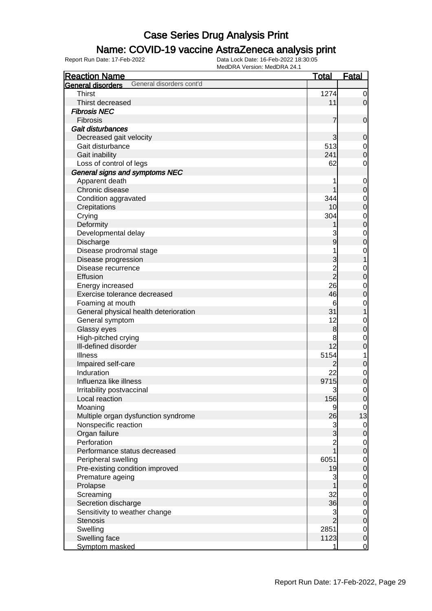### Name: COVID-19 vaccine AstraZeneca analysis print

| <b>Reaction Name</b>                          | <b>Total</b>   | <b>Fatal</b>   |
|-----------------------------------------------|----------------|----------------|
| General disorders cont'd<br>General disorders |                |                |
| <b>Thirst</b>                                 | 1274           | $\overline{0}$ |
| Thirst decreased                              | 11             | $\overline{0}$ |
| <b>Fibrosis NEC</b>                           |                |                |
| Fibrosis                                      | 7              | $\mathbf 0$    |
| Gait disturbances                             |                |                |
| Decreased gait velocity                       | 3              | $\mathbf 0$    |
| Gait disturbance                              | 513            | $\mathbf 0$    |
| Gait inability                                | 241            | $\mathbf 0$    |
| Loss of control of legs                       | 62             | $\mathbf 0$    |
| General signs and symptoms NEC                |                |                |
| Apparent death                                |                | $\mathbf 0$    |
| Chronic disease                               |                | $\pmb{0}$      |
| Condition aggravated                          | 344            | $\mathbf 0$    |
| Crepitations                                  | 10             | $\mathbf 0$    |
| Crying                                        | 304            | $\mathbf 0$    |
| Deformity                                     |                | $\mathbf 0$    |
| Developmental delay                           | 3              | $\mathbf 0$    |
| Discharge                                     | 9              | $\mathbf 0$    |
| Disease prodromal stage                       |                | $\mathbf 0$    |
| Disease progression                           | 3              | 1              |
| Disease recurrence                            |                | $\mathbf 0$    |
| Effusion                                      | $\frac{2}{2}$  | $\mathbf 0$    |
| Energy increased                              | 26             | $\mathbf 0$    |
| Exercise tolerance decreased                  | 46             | $\mathbf 0$    |
| Foaming at mouth                              | 6              | $\mathbf 0$    |
| General physical health deterioration         | 31             | 1              |
| General symptom                               | 12             | $\mathbf 0$    |
| Glassy eyes                                   | $\bf{8}$       | $\mathbf 0$    |
| High-pitched crying                           | 8              | $\mathbf 0$    |
| III-defined disorder                          | 12             | $\mathbf 0$    |
| <b>Illness</b>                                | 5154           | 1              |
| Impaired self-care                            | 2              | $\mathbf 0$    |
| Induration                                    | 22             | $\mathbf 0$    |
| Influenza like illness                        | 9715           | $\mathbf 0$    |
| Irritability postvaccinal                     | 3              | 0              |
| Local reaction                                | 156            | $\overline{0}$ |
| Moaning                                       | 9              | $\overline{0}$ |
| Multiple organ dysfunction syndrome           | 26             | 13             |
| Nonspecific reaction                          | $\mathbf{3}$   | 0              |
| Organ failure                                 | 3              | $\pmb{0}$      |
| Perforation                                   | $\overline{c}$ | $\mathbf 0$    |
| Performance status decreased                  | 1              | $\mathbf 0$    |
| Peripheral swelling                           | 6051           | $\mathbf 0$    |
| Pre-existing condition improved               | 19             | $\pmb{0}$      |
| Premature ageing                              | 3              | $\mathbf 0$    |
| Prolapse                                      |                | $\pmb{0}$      |
| Screaming                                     | 32             | $\mathbf 0$    |
| Secretion discharge                           | 36             | $\pmb{0}$      |
| Sensitivity to weather change                 | 3              | $\mathbf 0$    |
| <b>Stenosis</b>                               | $\overline{2}$ | $\pmb{0}$      |
| Swelling                                      | 2851           | $\mathbf 0$    |
| Swelling face                                 | 1123           | $\mathbf 0$    |
| Symptom masked                                | 1              | $\overline{0}$ |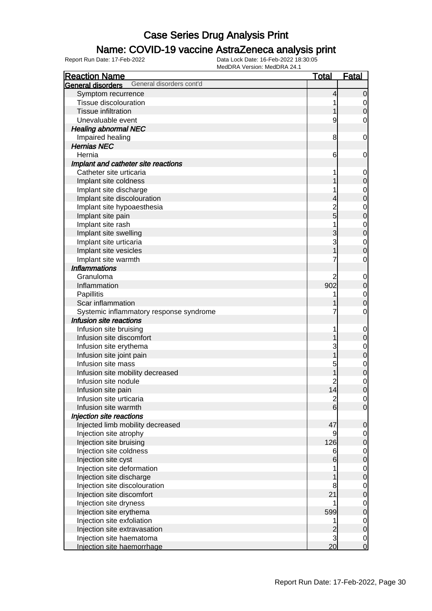### Name: COVID-19 vaccine AstraZeneca analysis print

| <b>Reaction Name</b>                          | <b>Total</b>                     | <b>Fatal</b>                  |
|-----------------------------------------------|----------------------------------|-------------------------------|
| General disorders cont'd<br>General disorders |                                  |                               |
| Symptom recurrence                            | 4                                | $\mathbf 0$                   |
| Tissue discolouration                         |                                  | 0                             |
| <b>Tissue infiltration</b>                    |                                  | $\boldsymbol{0}$              |
| Unevaluable event                             | 9                                | 0                             |
| <b>Healing abnormal NEC</b>                   |                                  |                               |
| Impaired healing                              | 8                                | $\mathbf 0$                   |
| <b>Hernias NEC</b>                            |                                  |                               |
| Hernia                                        | 6                                | 0                             |
| Implant and catheter site reactions           |                                  |                               |
| Catheter site urticaria                       |                                  | $\mathbf 0$                   |
| Implant site coldness                         |                                  | $\mathbf 0$                   |
| Implant site discharge                        |                                  | $\mathbf 0$                   |
| Implant site discolouration                   | 4                                | $\mathbf 0$                   |
| Implant site hypoaesthesia                    | $\overline{c}$                   | $\mathbf 0$                   |
| Implant site pain                             | 5                                | $\mathbf 0$                   |
| Implant site rash                             |                                  | $\mathbf 0$                   |
| Implant site swelling                         | 3                                | $\mathbf 0$                   |
| Implant site urticaria                        | 3                                | $\mathbf 0$                   |
| Implant site vesicles                         |                                  | $\mathbf 0$                   |
| Implant site warmth                           |                                  | $\mathbf 0$                   |
| <b>Inflammations</b>                          |                                  |                               |
| Granuloma                                     | 2                                | $\mathbf 0$                   |
| Inflammation                                  | 902                              | $\mathbf 0$                   |
| Papillitis                                    |                                  | $\mathbf 0$                   |
| Scar inflammation                             |                                  | $\mathbf 0$                   |
| Systemic inflammatory response syndrome       |                                  | $\mathbf 0$                   |
| Infusion site reactions                       |                                  |                               |
| Infusion site bruising                        |                                  | $\mathbf 0$                   |
| Infusion site discomfort                      |                                  | $\mathbf 0$                   |
| Infusion site erythema                        | 3                                | $\mathbf 0$                   |
| Infusion site joint pain                      |                                  | $\mathbf 0$                   |
| Infusion site mass                            | 5                                | $\mathbf 0$                   |
| Infusion site mobility decreased              |                                  | $\mathbf 0$                   |
| Infusion site nodule                          | 2                                | $\mathbf 0$                   |
| Infusion site pain                            | 14                               | $\overline{0}$                |
| Infusion site urticaria                       |                                  | $\overline{0}$                |
| Infusion site warmth                          | $\frac{2}{6}$                    | $\overline{0}$                |
| Injection site reactions                      |                                  |                               |
| Injected limb mobility decreased              | 47                               | $\mathbf 0$                   |
| Injection site atrophy                        | 9                                | 0                             |
| Injection site bruising                       | 126                              | $\mathbf 0$                   |
| Injection site coldness                       | 6                                | $\mathbf 0$                   |
| Injection site cyst                           | 6                                | $\pmb{0}$                     |
| Injection site deformation                    |                                  |                               |
| Injection site discharge                      |                                  | $\mathbf 0$<br>$\mathbf 0$    |
| Injection site discolouration                 | 8                                | $\mathbf 0$                   |
|                                               | 21                               |                               |
| Injection site discomfort                     |                                  | $\mathbf 0$                   |
| Injection site dryness                        | 599                              | $\mathbf 0$                   |
| Injection site erythema                       |                                  | $\pmb{0}$                     |
| Injection site exfoliation                    |                                  | $\mathbf 0$                   |
| Injection site extravasation                  | $\overline{c}$<br>$\overline{3}$ | $\mathbf 0$                   |
| Injection site haematoma                      | 20                               | $\overline{0}$<br>$\mathbf 0$ |
| Injection site haemorrhage                    |                                  |                               |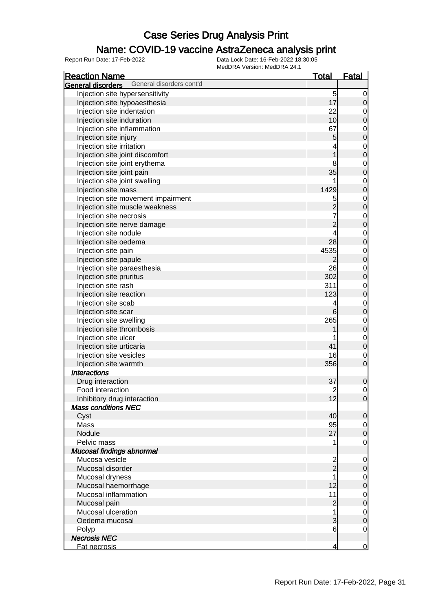#### Name: COVID-19 vaccine AstraZeneca analysis print

| <b>Reaction Name</b>                                 | <u>Total</u>    | <b>Fatal</b>                |
|------------------------------------------------------|-----------------|-----------------------------|
| General disorders cont'd<br>General disorders        |                 |                             |
| Injection site hypersensitivity                      | 5               | 0                           |
| Injection site hypoaesthesia                         | 17              | 0                           |
| Injection site indentation                           | 22              | $\mathbf 0$                 |
| Injection site induration                            | 10 <sub>l</sub> | $\mathbf 0$                 |
| Injection site inflammation                          | 67              | $\mathbf{0}$                |
| Injection site injury                                | $\overline{5}$  | $\mathbf 0$                 |
| Injection site irritation                            |                 | $\mathbf{0}$                |
| Injection site joint discomfort                      |                 | $\mathbf 0$                 |
| Injection site joint erythema                        | 8               | $\mathbf 0$                 |
| Injection site joint pain                            | 35              | $\mathbf 0$                 |
| Injection site joint swelling                        |                 | $\mathbf 0$                 |
| Injection site mass                                  | 1429            | $\mathbf 0$                 |
| Injection site movement impairment                   | 5               |                             |
| Injection site muscle weakness                       |                 | $\mathbf{0}$<br>$\mathbf 0$ |
| Injection site necrosis                              |                 |                             |
|                                                      | $\overline{2}$  | $\mathbf{0}$<br>$\mathbf 0$ |
| Injection site nerve damage<br>Injection site nodule |                 |                             |
|                                                      | 28              | $\mathbf 0$                 |
| Injection site oedema                                |                 | $\mathbf 0$                 |
| Injection site pain                                  | 4535            | $\mathbf 0$                 |
| Injection site papule                                | 2               | $\boldsymbol{0}$            |
| Injection site paraesthesia                          | 26              | $\mathbf 0$                 |
| Injection site pruritus                              | 302             | $\mathbf 0$                 |
| Injection site rash                                  | 311             | $\mathbf 0$                 |
| Injection site reaction                              | 123             | $\mathbf 0$                 |
| Injection site scab                                  | 4               | $\mathbf 0$                 |
| Injection site scar                                  | 6               | $\boldsymbol{0}$            |
| Injection site swelling                              | 265             | $\mathbf{0}$                |
| Injection site thrombosis                            |                 | $\mathbf 0$                 |
| Injection site ulcer                                 |                 | $\mathbf 0$                 |
| Injection site urticaria                             | 41              | $\mathbf 0$                 |
| Injection site vesicles                              | 16              | $\mathbf 0$                 |
| Injection site warmth                                | 356             | $\mathbf 0$                 |
| <b>Interactions</b>                                  |                 |                             |
| Drug interaction                                     | 37              | 0                           |
| Food interaction                                     | $\overline{c}$  | 0                           |
| Inhibitory drug interaction                          | 12              | $\overline{0}$              |
| <b>Mass conditions NEC</b>                           |                 |                             |
| Cyst                                                 | 40              | $\mathbf 0$                 |
| Mass                                                 | 95              | $\overline{0}$              |
| Nodule                                               | 27              | $\mathbf 0$                 |
| Pelvic mass                                          | 1               | $\overline{0}$              |
| Mucosal findings abnormal                            |                 |                             |
| Mucosa vesicle                                       | 2               | 0                           |
| Mucosal disorder                                     | $_{2}^{-}$      | 0                           |
| Mucosal dryness                                      | 1               | 0                           |
| Mucosal haemorrhage                                  | 12              | $\mathbf 0$                 |
| Mucosal inflammation                                 | 11              | $\mathbf 0$                 |
| Mucosal pain                                         | $\overline{c}$  | $\boldsymbol{0}$            |
| Mucosal ulceration                                   | 1               | $\mathbf 0$                 |
| Oedema mucosal                                       | 3               | $\mathbf 0$                 |
| Polyp                                                | 6               | $\overline{0}$              |
| <b>Necrosis NEC</b>                                  |                 |                             |
| Fat necrosis                                         | 4               | $\mathbf 0$                 |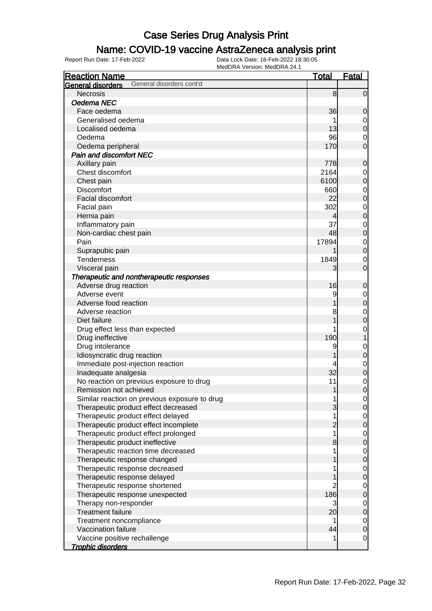### Name: COVID-19 vaccine AstraZeneca analysis print

| <b>Reaction Name</b>                          | <b>Total</b>   | <b>Fatal</b>        |
|-----------------------------------------------|----------------|---------------------|
| General disorders cont'd<br>General disorders |                |                     |
| <b>Necrosis</b>                               | 8              | $\overline{0}$      |
| Oedema NEC                                    |                |                     |
| Face oedema                                   | 36             | 0                   |
| Generalised oedema                            |                | $\mathbf 0$         |
| Localised oedema                              | 13             | $\boldsymbol{0}$    |
| Oedema                                        | 96             | 0                   |
| Oedema peripheral                             | 170            | $\overline{0}$      |
| <b>Pain and discomfort NEC</b>                |                |                     |
| Axillary pain                                 | 778            | $\mathbf 0$         |
| Chest discomfort                              | 2164           | 0                   |
| Chest pain                                    | 6100           | $\mathbf 0$         |
| <b>Discomfort</b>                             | 660            | $\mathbf 0$         |
| Facial discomfort                             | 22             | $\mathbf 0$         |
| Facial pain                                   | 302            | $\mathbf 0$         |
| Hernia pain                                   | 4              | $\mathbf 0$         |
| Inflammatory pain                             | 37             | $\mathbf 0$         |
| Non-cardiac chest pain                        | 48             | $\mathbf 0$         |
| Pain                                          | 17894          | $\mathbf 0$         |
| Suprapubic pain                               |                | $\mathbf 0$         |
| <b>Tenderness</b>                             | 1849           |                     |
| Visceral pain                                 | 3              | 0<br>$\overline{0}$ |
| Therapeutic and nontherapeutic responses      |                |                     |
|                                               | 16             |                     |
| Adverse drug reaction<br>Adverse event        |                | $\mathbf 0$         |
|                                               | 9              | $\mathbf 0$         |
| Adverse food reaction                         |                | $\pmb{0}$           |
| Adverse reaction                              | 8              | $\mathbf 0$         |
| Diet failure                                  |                | $\mathbf 0$         |
| Drug effect less than expected                |                | $\mathbf 0$         |
| Drug ineffective                              | 190            | 1                   |
| Drug intolerance                              | 9              | $\mathbf 0$         |
| Idiosyncratic drug reaction                   |                | $\mathbf 0$         |
| Immediate post-injection reaction             |                | $\mathbf 0$         |
| Inadequate analgesia                          | 32             | $\pmb{0}$           |
| No reaction on previous exposure to drug      | 11             | $\mathbf 0$         |
| Remission not achieved                        | 1              | $\overline{0}$      |
| Similar reaction on previous exposure to drug | 1              | $\overline{0}$      |
| Therapeutic product effect decreased          | 3              | $\mathbf 0$         |
| Therapeutic product effect delayed            | 1              | $\overline{0}$      |
| Therapeutic product effect incomplete         | $\overline{c}$ | $\boldsymbol{0}$    |
| Therapeutic product effect prolonged          | 1              | $\overline{0}$      |
| Therapeutic product ineffective               | 8              | $\boldsymbol{0}$    |
| Therapeutic reaction time decreased           |                | $\mathbf 0$         |
| Therapeutic response changed                  |                | $\boldsymbol{0}$    |
| Therapeutic response decreased                |                | $\mathbf 0$         |
| Therapeutic response delayed                  |                | $\boldsymbol{0}$    |
| Therapeutic response shortened                | $\overline{2}$ | $\mathbf 0$         |
| Therapeutic response unexpected               | 186            | $\boldsymbol{0}$    |
| Therapy non-responder                         | 3              | $\mathbf 0$         |
| <b>Treatment failure</b>                      | 20             | $\boldsymbol{0}$    |
| Treatment noncompliance                       |                | $\overline{0}$      |
| Vaccination failure                           | 44             | $\boldsymbol{0}$    |
| Vaccine positive rechallenge                  |                | $\mathbf 0$         |
| <b>Trophic disorders</b>                      |                |                     |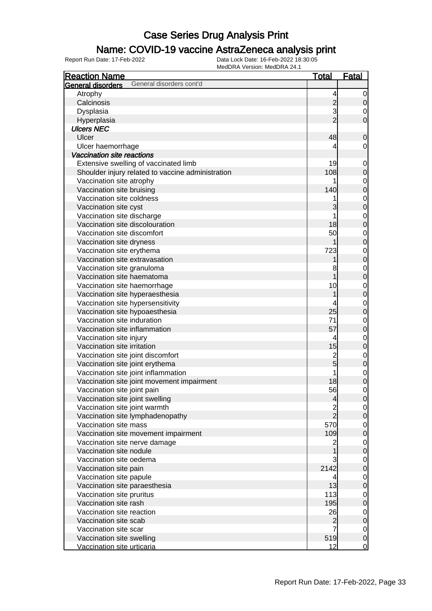### Name: COVID-19 vaccine AstraZeneca analysis print

| <b>Reaction Name</b>                              |                          | <b>Total</b>   | <b>Fatal</b>     |
|---------------------------------------------------|--------------------------|----------------|------------------|
| <b>General disorders</b>                          | General disorders cont'd |                |                  |
| Atrophy                                           |                          | 4              | $\overline{0}$   |
| Calcinosis                                        |                          | $\mathbf{2}$   | $\mathbf 0$      |
| Dysplasia                                         |                          | 3              | 0                |
| Hyperplasia                                       |                          | $\overline{2}$ | $\mathbf 0$      |
| <b>Ulcers NEC</b>                                 |                          |                |                  |
| Ulcer                                             |                          | 48             | $\mathbf 0$      |
| Ulcer haemorrhage                                 |                          | 4              | $\mathbf 0$      |
| Vaccination site reactions                        |                          |                |                  |
| Extensive swelling of vaccinated limb             |                          | 19             | $\mathbf 0$      |
| Shoulder injury related to vaccine administration |                          | 108            | $\pmb{0}$        |
| Vaccination site atrophy                          |                          |                | $\mathbf 0$      |
| Vaccination site bruising                         |                          | 140            | $\mathbf 0$      |
| Vaccination site coldness                         |                          |                | $\mathbf 0$      |
| Vaccination site cyst                             |                          | 3              | $\mathbf 0$      |
| Vaccination site discharge                        |                          |                |                  |
| Vaccination site discolouration                   |                          | 18             | $\mathbf 0$      |
| Vaccination site discomfort                       |                          |                | $\boldsymbol{0}$ |
|                                                   |                          | 50             | $\mathbf 0$      |
| Vaccination site dryness                          |                          |                | $\boldsymbol{0}$ |
| Vaccination site erythema                         |                          | 723            | $\mathbf 0$      |
| Vaccination site extravasation                    |                          |                | $\mathbf 0$      |
| Vaccination site granuloma                        |                          | 8              | $\mathbf 0$      |
| Vaccination site haematoma                        |                          |                | $\boldsymbol{0}$ |
| Vaccination site haemorrhage                      |                          | 10             | $\mathbf 0$      |
| Vaccination site hyperaesthesia                   |                          |                | $\mathbf 0$      |
| Vaccination site hypersensitivity                 |                          |                | $\mathbf 0$      |
| Vaccination site hypoaesthesia                    |                          | 25             | $\boldsymbol{0}$ |
| Vaccination site induration                       |                          | 71             | $\mathbf 0$      |
| Vaccination site inflammation                     |                          | 57             | $\boldsymbol{0}$ |
| Vaccination site injury                           |                          | 4              | $\mathbf 0$      |
| Vaccination site irritation                       |                          | 15             | $\boldsymbol{0}$ |
| Vaccination site joint discomfort                 |                          | $\frac{2}{5}$  | $\mathbf 0$      |
| Vaccination site joint erythema                   |                          |                | $\mathbf 0$      |
| Vaccination site joint inflammation               |                          |                | $\mathbf 0$      |
| Vaccination site joint movement impairment        |                          | 18             | $\mathbf 0$      |
| Vaccination site joint pain                       |                          | 56             | 0                |
| Vaccination site joint swelling                   |                          | $\overline{a}$ | $\overline{0}$   |
| Vaccination site joint warmth                     |                          | $\frac{2}{2}$  | $\overline{0}$   |
| Vaccination site lymphadenopathy                  |                          |                | $\mathbf 0$      |
| Vaccination site mass                             |                          | 570            | $\overline{0}$   |
| Vaccination site movement impairment              |                          | 109            | $\pmb{0}$        |
| Vaccination site nerve damage                     |                          | 2              | $\overline{0}$   |
| Vaccination site nodule                           |                          |                | $\pmb{0}$        |
| Vaccination site oedema                           |                          | 3              | $\mathbf 0$      |
| Vaccination site pain                             |                          | 2142           | $\mathbf 0$      |
| Vaccination site papule                           |                          | 4              | $\mathbf 0$      |
| Vaccination site paraesthesia                     |                          | 13             | $\pmb{0}$        |
| Vaccination site pruritus                         |                          | 113            | $\overline{0}$   |
| Vaccination site rash                             |                          | 195            | $\mathbf 0$      |
| Vaccination site reaction                         |                          | 26             | $\overline{0}$   |
| Vaccination site scab                             |                          | $\overline{c}$ | $\pmb{0}$        |
| Vaccination site scar                             |                          | 7              | $\overline{0}$   |
| Vaccination site swelling                         |                          | 519            | $\mathbf 0$      |
| Vaccination site urticaria                        |                          | 12             | $\overline{0}$   |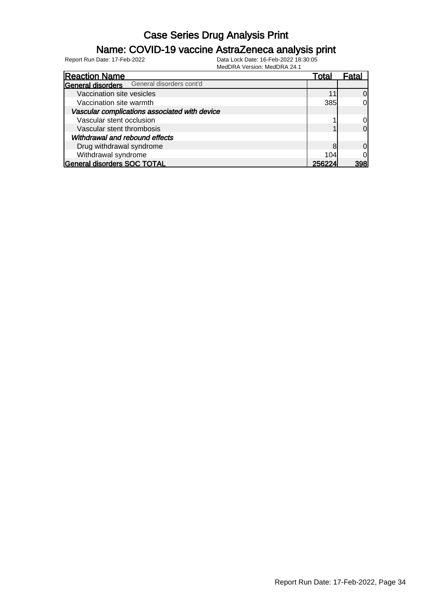### Name: COVID-19 vaccine AstraZeneca analysis print

| <b>Reaction Name</b>                          | Total  | Fatal        |
|-----------------------------------------------|--------|--------------|
| General disorders cont'd<br>General disorders |        |              |
| Vaccination site vesicles                     |        | <sup>O</sup> |
| Vaccination site warmth                       | 385    | 0l           |
| Vascular complications associated with device |        |              |
| Vascular stent occlusion                      |        | 0            |
| Vascular stent thrombosis                     |        | $\Omega$     |
| Withdrawal and rebound effects                |        |              |
| Drug withdrawal syndrome                      | 8      | $\Omega$     |
| Withdrawal syndrome                           | 104    | <sub>0</sub> |
| <b>General disorders SOC TOTAL</b>            | 256224 | 398          |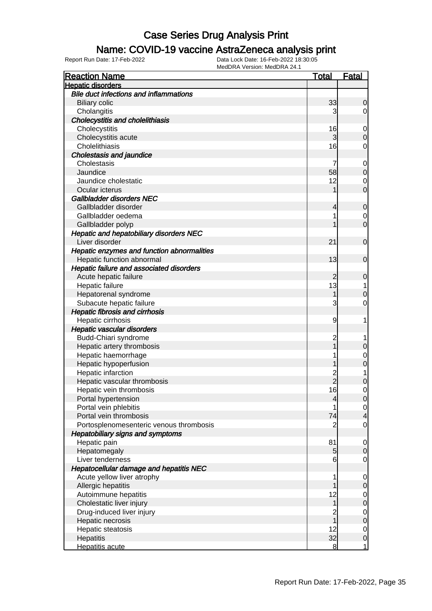### Name: COVID-19 vaccine AstraZeneca analysis print

| <b>Reaction Name</b>                           | <u>Total</u>   | <u>Fatal</u>   |
|------------------------------------------------|----------------|----------------|
| <b>Hepatic disorders</b>                       |                |                |
| <b>Bile duct infections and inflammations</b>  |                |                |
| <b>Biliary colic</b>                           | 33             | $\overline{0}$ |
| Cholangitis                                    | 3              | 0              |
| <b>Cholecystitis and cholelithiasis</b>        |                |                |
| Cholecystitis                                  | 16             | $\mathbf 0$    |
| Cholecystitis acute                            | 3              | $\overline{0}$ |
| Cholelithiasis                                 | 16             | 0              |
| <b>Cholestasis and jaundice</b>                |                |                |
| Cholestasis                                    | 7              | $\mathbf 0$    |
| Jaundice                                       | 58             | $\mathbf 0$    |
| Jaundice cholestatic                           | 12             | $\mathbf 0$    |
| Ocular icterus                                 |                | $\overline{0}$ |
| Gallbladder disorders NEC                      |                |                |
| Gallbladder disorder                           | 4              | $\mathbf 0$    |
| Gallbladder oedema                             |                | $\mathbf 0$    |
| Gallbladder polyp                              |                | $\overline{0}$ |
| <b>Hepatic and hepatobiliary disorders NEC</b> |                |                |
| Liver disorder                                 | 21             | $\mathbf 0$    |
| Hepatic enzymes and function abnormalities     |                |                |
| Hepatic function abnormal                      | 13             | $\mathbf 0$    |
| Hepatic failure and associated disorders       |                |                |
| Acute hepatic failure                          | 2              | 0              |
| Hepatic failure                                | 13             | 1              |
| Hepatorenal syndrome                           |                | 0              |
| Subacute hepatic failure                       | 3              | 0              |
| <b>Hepatic fibrosis and cirrhosis</b>          |                |                |
| Hepatic cirrhosis                              | 9              | 1              |
| Hepatic vascular disorders                     |                |                |
| Budd-Chiari syndrome                           | $\overline{c}$ |                |
| Hepatic artery thrombosis                      |                | 0              |
| Hepatic haemorrhage                            |                | $\mathbf 0$    |
| Hepatic hypoperfusion                          |                | 0              |
| Hepatic infarction                             |                | 1              |
| Hepatic vascular thrombosis                    | 2<br>2         | 0              |
| Hepatic vein thrombosis                        | 16             | 0              |
| Portal hypertension                            | 4              | $\overline{0}$ |
| Portal vein phlebitis                          | 1              | $\overline{0}$ |
| Portal vein thrombosis                         | 74             | $\overline{4}$ |
| Portosplenomesenteric venous thrombosis        | $\overline{2}$ | 0              |
| <b>Hepatobiliary signs and symptoms</b>        |                |                |
| Hepatic pain                                   | 81             | 0              |
| Hepatomegaly                                   | 5              | $\Omega$       |
| Liver tenderness                               | 6              | 0              |
| <b>Hepatocellular damage and hepatitis NEC</b> |                |                |
| Acute yellow liver atrophy                     | 1              | 0              |
| Allergic hepatitis                             |                | 0              |
| Autoimmune hepatitis                           | 12             | $\mathbf 0$    |
| Cholestatic liver injury                       | 1              | $\mathbf 0$    |
| Drug-induced liver injury                      | 2              | $\mathbf 0$    |
| Hepatic necrosis                               |                | $\mathbf 0$    |
| Hepatic steatosis                              | 12             | $\mathbf 0$    |
| Hepatitis                                      | 32             | $\mathbf 0$    |
| Hepatitis acute                                | 8              | $\mathbf{1}$   |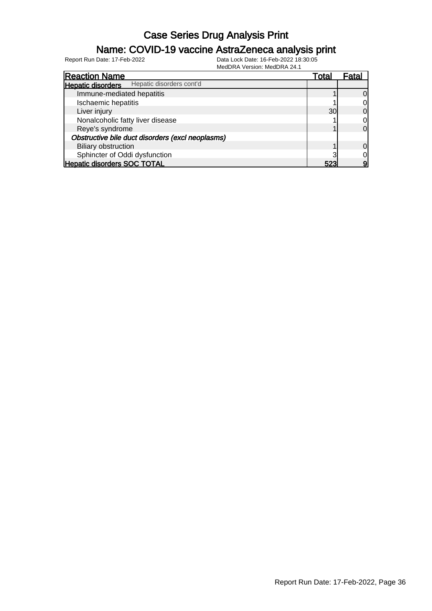### Name: COVID-19 vaccine AstraZeneca analysis print

| 1                                                    |       |                |
|------------------------------------------------------|-------|----------------|
| <b>Reaction Name</b>                                 | Total | Fatal          |
| Hepatic disorders cont'd<br><b>Hepatic disorders</b> |       |                |
| Immune-mediated hepatitis                            |       | <sup>O</sup>   |
| Ischaemic hepatitis                                  |       | $\overline{0}$ |
| Liver injury                                         | 30    | $\overline{0}$ |
| Nonalcoholic fatty liver disease                     |       | $\overline{0}$ |
| Reye's syndrome                                      |       | $\overline{0}$ |
| Obstructive bile duct disorders (excl neoplasms)     |       |                |
| <b>Biliary obstruction</b>                           |       | $\overline{0}$ |
| Sphincter of Oddi dysfunction                        |       | 0              |
| <b>Hepatic disorders SOC TOTAL</b>                   | 523   | 9              |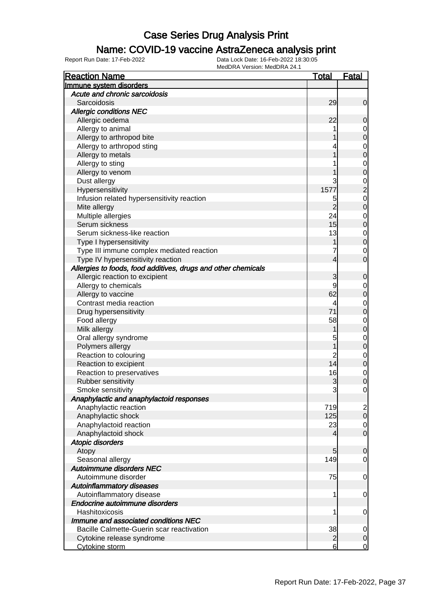#### Name: COVID-19 vaccine AstraZeneca analysis print

| <b>Reaction Name</b>                                          | <b>Total</b>    | <b>Fatal</b>   |
|---------------------------------------------------------------|-----------------|----------------|
| Immune system disorders                                       |                 |                |
| Acute and chronic sarcoidosis                                 |                 |                |
| Sarcoidosis                                                   | 29              | 0              |
| <b>Allergic conditions NEC</b>                                |                 |                |
| Allergic oedema                                               | 22              | 0              |
| Allergy to animal                                             |                 | 0              |
| Allergy to arthropod bite                                     |                 | 0              |
| Allergy to arthropod sting                                    |                 | 0              |
| Allergy to metals                                             |                 | 0              |
| Allergy to sting                                              |                 | 0              |
| Allergy to venom                                              |                 | 0              |
| Dust allergy                                                  | 3               | 0              |
| Hypersensitivity                                              | 1577            | $\overline{2}$ |
| Infusion related hypersensitivity reaction                    | 5               | $\mathbf 0$    |
| Mite allergy                                                  | 2               | 0              |
| Multiple allergies                                            | 24              | 0              |
| Serum sickness                                                | 15              | 0              |
| Serum sickness-like reaction                                  | 13              | $\mathbf 0$    |
| Type I hypersensitivity                                       |                 | 0              |
| Type III immune complex mediated reaction                     |                 | 0              |
| Type IV hypersensitivity reaction                             | 4               | 0              |
| Allergies to foods, food additives, drugs and other chemicals |                 |                |
| Allergic reaction to excipient                                | 3               | 0              |
| Allergy to chemicals                                          | 9               | 0              |
| Allergy to vaccine                                            | 62              | 0              |
| Contrast media reaction                                       | 4               | 0              |
| Drug hypersensitivity                                         | 71              | 0              |
| Food allergy                                                  | 58              | 0              |
| Milk allergy                                                  |                 | 0              |
| Oral allergy syndrome                                         | 5               | 0              |
| Polymers allergy                                              |                 | 0              |
| Reaction to colouring                                         | 2               | 0              |
| Reaction to excipient                                         | 14              | 0              |
| Reaction to preservatives                                     | 16              | $\mathbf 0$    |
| Rubber sensitivity                                            | 3               | 0              |
| Smoke sensitivity                                             | 3               | 0              |
| Anaphylactic and anaphylactoid responses                      |                 |                |
| Anaphylactic reaction                                         | 719             | $\mathbf{2}$   |
| Anaphylactic shock                                            | 125             | $\mathbf 0$    |
| Anaphylactoid reaction                                        | 23              | $\overline{0}$ |
| Anaphylactoid shock                                           | 4               | $\mathbf 0$    |
| <b>Atopic disorders</b>                                       |                 |                |
| Atopy                                                         | 5               | $\overline{0}$ |
| Seasonal allergy                                              | 149             | 0              |
| Autoimmune disorders NEC                                      |                 |                |
| Autoimmune disorder                                           | 75              | $\mathbf 0$    |
| <b>Autoinflammatory diseases</b>                              |                 |                |
| Autoinflammatory disease                                      | 1               | $\mathbf 0$    |
| Endocrine autoimmune disorders                                |                 |                |
| Hashitoxicosis                                                | 1               | $\mathbf 0$    |
| Immune and associated conditions NEC                          |                 |                |
| Bacille Calmette-Guerin scar reactivation                     | 38              | $\mathbf 0$    |
| Cytokine release syndrome                                     | $\overline{a}$  | $\mathbf 0$    |
| Cytokine storm                                                | $6 \overline{}$ | $\mathbf 0$    |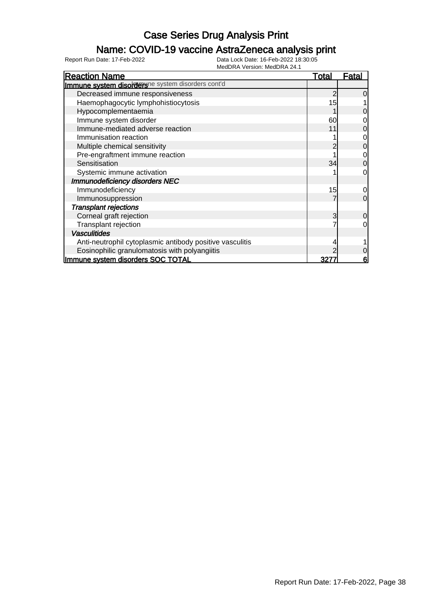### Name: COVID-19 vaccine AstraZeneca analysis print

| <b>Reaction Name</b>                                     | Total | Fatal          |
|----------------------------------------------------------|-------|----------------|
| Immune system disorderune system disorders cont'd        |       |                |
| Decreased immune responsiveness                          |       | $\overline{0}$ |
| Haemophagocytic lymphohistiocytosis                      | 15    |                |
| Hypocomplementaemia                                      |       | 0              |
| Immune system disorder                                   | 60    | 0              |
| Immune-mediated adverse reaction                         | 11    | 0              |
| Immunisation reaction                                    |       | 0              |
| Multiple chemical sensitivity                            |       | $\mathbf 0$    |
| Pre-engraftment immune reaction                          |       | 0              |
| Sensitisation                                            | 34    | $\overline{0}$ |
| Systemic immune activation                               |       | 0              |
| Immunodeficiency disorders NEC                           |       |                |
| Immunodeficiency                                         | 15    | 0              |
| Immunosuppression                                        |       | $\Omega$       |
| <b>Transplant rejections</b>                             |       |                |
| Corneal graft rejection                                  | 3     | $\overline{0}$ |
| Transplant rejection                                     |       | 0              |
| <b>Vasculitides</b>                                      |       |                |
| Anti-neutrophil cytoplasmic antibody positive vasculitis |       |                |
| Eosinophilic granulomatosis with polyangiitis            |       | 0              |
| Immune system disorders SOC TOTAL                        |       | 6              |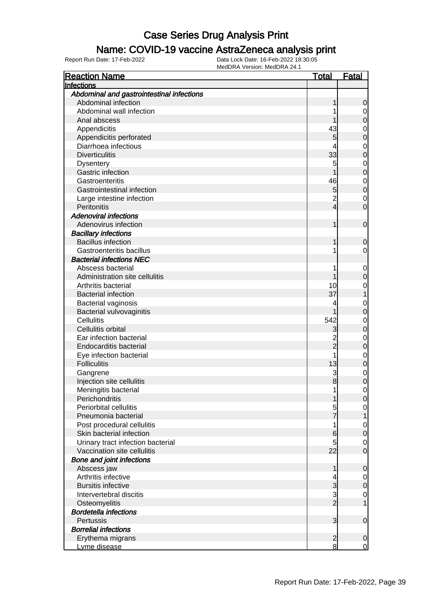#### Name: COVID-19 vaccine AstraZeneca analysis print

| <b>Reaction Name</b>                      | <u>Total</u>            | <u>Fatal</u>   |
|-------------------------------------------|-------------------------|----------------|
| Infections                                |                         |                |
| Abdominal and gastrointestinal infections |                         |                |
| Abdominal infection                       |                         | 0              |
| Abdominal wall infection                  |                         | $\mathbf 0$    |
| Anal abscess                              |                         | $\mathbf 0$    |
| Appendicitis                              | 43                      | $\mathbf 0$    |
| Appendicitis perforated                   | 5                       | 0              |
| Diarrhoea infectious                      | 4                       | $\mathbf 0$    |
| <b>Diverticulitis</b>                     | 33                      | 0              |
| <b>Dysentery</b>                          | 5                       | $\mathbf 0$    |
| Gastric infection                         |                         | $\overline{0}$ |
| Gastroenteritis                           | 46                      | $\mathbf 0$    |
| Gastrointestinal infection                | 5                       | $\overline{0}$ |
| Large intestine infection                 | $\overline{c}$          | $\mathbf 0$    |
| Peritonitis                               | 4                       | 0              |
| <b>Adenoviral infections</b>              |                         |                |
| Adenovirus infection                      |                         | $\mathbf 0$    |
| <b>Bacillary infections</b>               |                         |                |
| <b>Bacillus infection</b>                 |                         | $\mathbf 0$    |
| Gastroenteritis bacillus                  |                         | 0              |
| <b>Bacterial infections NEC</b>           |                         |                |
| Abscess bacterial                         |                         | $\mathbf 0$    |
| Administration site cellulitis            |                         | $\overline{0}$ |
| Arthritis bacterial                       | 10                      | 0              |
| <b>Bacterial infection</b>                | 37                      | 1              |
| Bacterial vaginosis                       | 4                       | $\mathbf 0$    |
| Bacterial vulvovaginitis                  |                         | $\overline{0}$ |
| <b>Cellulitis</b>                         | 542                     | $\mathbf 0$    |
| Cellulitis orbital                        | 3                       | 0              |
| Ear infection bacterial                   | $\overline{\mathbf{c}}$ | 0              |
| <b>Endocarditis bacterial</b>             | $\overline{2}$          | 0              |
| Eye infection bacterial                   | 1                       | $\mathbf 0$    |
| <b>Folliculitis</b>                       | 13                      | $\overline{0}$ |
| Gangrene                                  | 3                       | $\mathbf 0$    |
| Injection site cellulitis                 | 8                       | 0              |
| Meningitis bacterial                      | 1                       | 0              |
| Perichondritis                            |                         | 0              |
| Periorbital cellulitis                    | 5                       | $\mathbf 0$    |
| Pneumonia bacterial                       |                         |                |
| Post procedural cellulitis                | 1                       | $\mathbf 0$    |
| Skin bacterial infection                  | 6                       | $\overline{0}$ |
| Urinary tract infection bacterial         | 5                       | 0              |
| Vaccination site cellulitis               | 22                      | $\overline{0}$ |
| <b>Bone and joint infections</b>          |                         |                |
| Abscess jaw                               |                         | 0              |
| Arthritis infective                       | 4                       | $\mathbf 0$    |
| <b>Bursitis infective</b>                 | 3                       | $\mathbf 0$    |
| Intervertebral discitis                   | 3                       | $\mathbf 0$    |
| Osteomyelitis                             | $\overline{2}$          |                |
| <b>Bordetella infections</b>              |                         |                |
| Pertussis                                 | 3                       | $\mathbf 0$    |
| <b>Borrelial infections</b>               |                         |                |
| Erythema migrans                          | $\overline{c}$          | $\mathbf 0$    |
| Lyme disease                              | 8                       | $\overline{0}$ |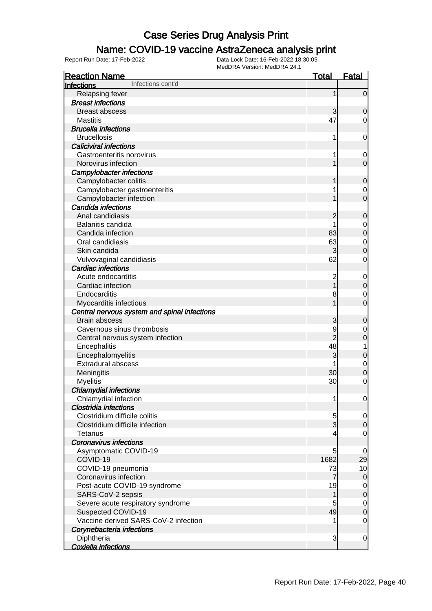### Name: COVID-19 vaccine AstraZeneca analysis print

| <b>Reaction Name</b>                         | <b>Total</b>   | <b>Fatal</b>   |
|----------------------------------------------|----------------|----------------|
| Infections cont'd<br><b>Infections</b>       |                |                |
| Relapsing fever                              | 1              | $\overline{0}$ |
| <b>Breast infections</b>                     |                |                |
| <b>Breast abscess</b>                        | 3              | 0              |
| <b>Mastitis</b>                              | 47             | 0              |
| <b>Brucella infections</b>                   |                |                |
| <b>Brucellosis</b>                           | 1              | 0              |
| <b>Caliciviral infections</b>                |                |                |
| Gastroenteritis norovirus                    | 1              | 0              |
| Norovirus infection                          |                | $\overline{0}$ |
| Campylobacter infections                     |                |                |
| Campylobacter colitis                        |                | 0              |
| Campylobacter gastroenteritis                |                | 0              |
| Campylobacter infection                      |                | $\overline{0}$ |
| Candida infections                           |                |                |
| Anal candidiasis                             | 2              | 0              |
| Balanitis candida                            |                | 0              |
| Candida infection                            | 83             | $\mathbf 0$    |
| Oral candidiasis                             | 63             | $\mathbf 0$    |
| Skin candida                                 | 3              | 0              |
| Vulvovaginal candidiasis                     | 62             | 0              |
| <b>Cardiac infections</b>                    |                |                |
| Acute endocarditis                           | 2              | $\mathbf 0$    |
| Cardiac infection                            |                | $\mathbf 0$    |
| Endocarditis                                 |                |                |
|                                              | 8              | 0<br>0         |
| Myocarditis infectious                       |                |                |
| Central nervous system and spinal infections |                |                |
| <b>Brain abscess</b>                         | 3              | $\mathbf 0$    |
| Cavernous sinus thrombosis                   | 9              | 0              |
| Central nervous system infection             | $\overline{2}$ | 0              |
| Encephalitis                                 | 48             | 1              |
| Encephalomyelitis                            | 3              | $\mathbf 0$    |
| <b>Extradural abscess</b>                    |                | $\mathbf 0$    |
| Meningitis                                   | 30             | 0              |
| <b>Myelitis</b>                              | 30             | 0              |
| <b>Chlamydial infections</b>                 |                |                |
| Chlamydial infection                         | 1              | $\overline{0}$ |
| <b>Clostridia infections</b>                 |                |                |
| Clostridium difficile colitis                | 5              | 0              |
| Clostridium difficile infection              | 3              | $\mathbf 0$    |
| Tetanus                                      |                | $\overline{0}$ |
| <b>Coronavirus infections</b>                |                |                |
| Asymptomatic COVID-19                        | 5              | 0              |
| COVID-19                                     | 1682           | 29             |
| COVID-19 pneumonia                           | 73             | 10             |
| Coronavirus infection                        | 7              | $\overline{0}$ |
| Post-acute COVID-19 syndrome                 | 19             | $\overline{0}$ |
| SARS-CoV-2 sepsis                            | 1              | $\mathbf 0$    |
| Severe acute respiratory syndrome            | 5              | $\mathbf 0$    |
| Suspected COVID-19                           | 49             | $\mathbf 0$    |
| Vaccine derived SARS-CoV-2 infection         |                | $\overline{0}$ |
| Corynebacteria infections                    |                |                |
| Diphtheria                                   | 3              | $\mathbf 0$    |
| Coxiella infections                          |                |                |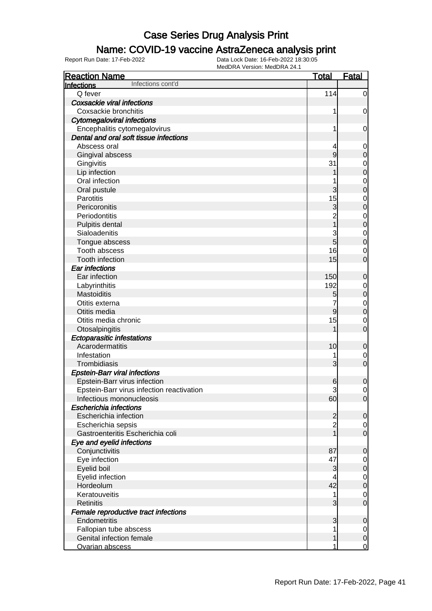#### Name: COVID-19 vaccine AstraZeneca analysis print

| <b>Reaction Name</b>                      | <b>Total</b>   | <b>Fatal</b>     |
|-------------------------------------------|----------------|------------------|
| Infections cont'd<br>Infections           |                |                  |
| Q fever                                   | 114            | $\overline{0}$   |
| <b>Coxsackie viral infections</b>         |                |                  |
| Coxsackie bronchitis                      | 1              | $\mathbf 0$      |
| <b>Cytomegaloviral infections</b>         |                |                  |
| Encephalitis cytomegalovirus              | 1              | $\mathbf 0$      |
| Dental and oral soft tissue infections    |                |                  |
| Abscess oral                              | 4              | $\mathbf 0$      |
| Gingival abscess                          | 9              | 0                |
| Gingivitis                                | 31             | $\mathbf 0$      |
| Lip infection                             |                | $\mathbf 0$      |
| Oral infection                            |                | $\mathbf 0$      |
| Oral pustule                              | 3              | $\overline{0}$   |
| Parotitis                                 | 15             | $\mathbf 0$      |
| Pericoronitis                             | 3              | $\overline{0}$   |
| Periodontitis                             | $\overline{2}$ | $\mathbf{0}$     |
| Pulpitis dental                           | $\overline{1}$ | $\mathbf 0$      |
| Sialoadenitis                             | 3              | $\mathbf{0}$     |
| Tongue abscess                            | 5              | $\overline{0}$   |
| Tooth abscess                             | 16             | $\mathbf 0$      |
| Tooth infection                           | 15             | $\overline{0}$   |
| <b>Ear infections</b>                     |                |                  |
| Ear infection                             | 150            | $\mathbf 0$      |
| Labyrinthitis                             | 192            | $\mathbf 0$      |
| Mastoiditis                               | 5              | $\mathbf 0$      |
| Otitis externa                            |                | $\mathbf{0}$     |
| Otitis media                              | $\overline{9}$ | $\mathbf 0$      |
| Otitis media chronic                      | 15             | $\mathbf 0$      |
| Otosalpingitis                            |                | $\overline{0}$   |
| <b>Ectoparasitic infestations</b>         |                |                  |
| Acarodermatitis                           | 10             | 0                |
| Infestation                               | 1              | $\mathbf 0$      |
| Trombidiasis                              | 3              | $\overline{0}$   |
| <b>Epstein-Barr viral infections</b>      |                |                  |
| Epstein-Barr virus infection              | 6              | $\mathbf 0$      |
| Epstein-Barr virus infection reactivation | 3              | $\mathbf 0$      |
| Infectious mononucleosis                  | 60             | $\overline{0}$   |
| <b>Escherichia infections</b>             |                |                  |
| Escherichia infection                     | $\overline{c}$ | $\mathbf 0$      |
| Escherichia sepsis                        | $\overline{2}$ | $\overline{0}$   |
| Gastroenteritis Escherichia coli          | $\overline{1}$ | $\mathbf 0$      |
| Eye and eyelid infections                 |                |                  |
| Conjunctivitis                            | 87             | $\mathbf 0$      |
| Eye infection                             | 47             | 0                |
| Eyelid boil                               | 3              | 0                |
| Eyelid infection                          | 4              | $\mathbf 0$      |
| Hordeolum                                 | 42             | $\boldsymbol{0}$ |
| Keratouveitis                             | 1              | 0                |
| <b>Retinitis</b>                          | 3              | $\mathbf 0$      |
| Female reproductive tract infections      |                |                  |
| Endometritis                              | 3              | $\mathbf 0$      |
| Fallopian tube abscess                    |                | 0                |
| Genital infection female                  | 1              | $\mathbf 0$      |
| Ovarian abscess                           | 1              | $\overline{0}$   |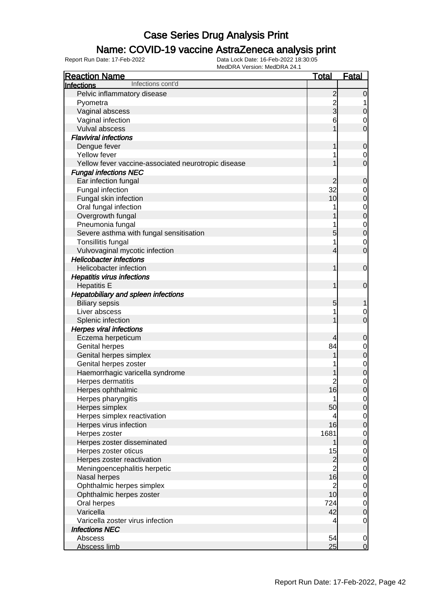#### Name: COVID-19 vaccine AstraZeneca analysis print

| <b>Reaction Name</b><br><b>Total</b><br>Infections cont'd<br><b>Infections</b> |                                  |                                    |
|--------------------------------------------------------------------------------|----------------------------------|------------------------------------|
|                                                                                |                                  |                                    |
| Pelvic inflammatory disease                                                    | $\overline{c}$                   | $\mathbf 0$                        |
| Pyometra                                                                       | $\overline{c}$                   |                                    |
| Vaginal abscess                                                                | $\overline{3}$                   | $\mathbf 0$                        |
| Vaginal infection                                                              | 6                                | 0                                  |
| Vulval abscess                                                                 |                                  | $\mathbf 0$                        |
| <b>Flaviviral infections</b>                                                   |                                  |                                    |
| Dengue fever                                                                   | 1                                | $\mathbf 0$                        |
| Yellow fever                                                                   |                                  | 0                                  |
| Yellow fever vaccine-associated neurotropic disease                            |                                  | $\mathbf 0$                        |
| <b>Fungal infections NEC</b>                                                   |                                  |                                    |
| Ear infection fungal                                                           | $\overline{c}$                   | $\mathbf 0$                        |
| Fungal infection                                                               | 32                               | 0                                  |
| Fungal skin infection                                                          | 10                               | $\pmb{0}$                          |
| Oral fungal infection                                                          |                                  | $\mathbf 0$                        |
| Overgrowth fungal                                                              |                                  | $\mathbf 0$                        |
| Pneumonia fungal                                                               |                                  | $\mathbf 0$                        |
| Severe asthma with fungal sensitisation                                        | 5                                | $\mathbf 0$                        |
| Tonsillitis fungal                                                             | 1                                | $\mathbf 0$                        |
| Vulvovaginal mycotic infection                                                 | 4                                | $\mathbf 0$                        |
| <b>Helicobacter infections</b>                                                 |                                  |                                    |
| Helicobacter infection                                                         | 1                                | $\mathbf 0$                        |
| <b>Hepatitis virus infections</b>                                              |                                  |                                    |
| <b>Hepatitis E</b>                                                             | 1                                | $\mathbf 0$                        |
| Hepatobiliary and spleen infections                                            |                                  |                                    |
| <b>Biliary sepsis</b>                                                          | 5                                |                                    |
| Liver abscess                                                                  |                                  | 0                                  |
| Splenic infection                                                              |                                  | $\mathbf 0$                        |
| <b>Herpes viral infections</b>                                                 |                                  |                                    |
| Eczema herpeticum                                                              | 4                                | $\mathbf 0$                        |
| <b>Genital herpes</b>                                                          | 84                               | 0                                  |
| Genital herpes simplex                                                         |                                  | $\pmb{0}$                          |
| Genital herpes zoster                                                          |                                  | $\mathbf 0$                        |
| Haemorrhagic varicella syndrome                                                |                                  | $\mathbf 0$                        |
| Herpes dermatitis                                                              | $\overline{c}$                   | $\mathbf 0$                        |
| Herpes ophthalmic                                                              | 16                               | $\overline{0}$                     |
| Herpes pharyngitis                                                             | 1                                | $\overline{0}$                     |
| Herpes simplex                                                                 | 50                               | $\mathbf 0$                        |
| Herpes simplex reactivation                                                    | 4                                | $\overline{0}$                     |
| Herpes virus infection                                                         | 16                               | $\pmb{0}$                          |
| Herpes zoster<br>1681                                                          |                                  | $\overline{0}$                     |
| Herpes zoster disseminated                                                     |                                  | $\mathbf 0$                        |
| Herpes zoster oticus                                                           | 15                               | $\overline{0}$                     |
| Herpes zoster reactivation                                                     | $\overline{c}$<br>$\overline{2}$ | $\mathbf 0$                        |
| Meningoencephalitis herpetic<br>Nasal herpes                                   | 16                               | $\overline{0}$                     |
| Ophthalmic herpes simplex                                                      | $\overline{2}$                   | $\mathbf 0$                        |
| Ophthalmic herpes zoster                                                       | 10                               | $\overline{0}$<br>$\boldsymbol{0}$ |
| Oral herpes                                                                    | 724                              | $\overline{0}$                     |
| Varicella                                                                      | 42                               | $\pmb{0}$                          |
| Varicella zoster virus infection                                               | 4                                | $\mathbf 0$                        |
| <b>Infections NEC</b>                                                          |                                  |                                    |
| Abscess                                                                        | 54                               | $\overline{0}$                     |
| Abscess limb                                                                   | 25                               | $\overline{0}$                     |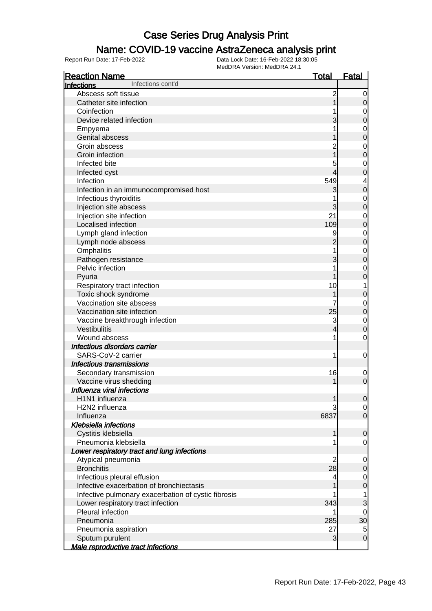#### Name: COVID-19 vaccine AstraZeneca analysis print

| <b>Reaction Name</b>                                | <b>Total</b>   | <b>Fatal</b>   |
|-----------------------------------------------------|----------------|----------------|
| Infections cont'd<br>Infections                     |                |                |
| Abscess soft tissue                                 | $\overline{c}$ | 0              |
| Catheter site infection                             |                | 0              |
| Coinfection                                         |                | 0              |
| Device related infection                            |                | 0              |
| Empyema                                             |                | 0              |
| Genital abscess                                     |                | 0              |
| Groin abscess                                       |                | $\mathbf 0$    |
| Groin infection                                     |                | 0              |
| Infected bite                                       | 5              | $\mathbf 0$    |
| Infected cyst                                       |                | 0              |
| Infection                                           | 549            | 4              |
| Infection in an immunocompromised host              | 3              | 0              |
| Infectious thyroiditis                              |                | $\mathbf 0$    |
| Injection site abscess                              | 3              | 0              |
| Injection site infection                            | 21             | $\mathbf 0$    |
| Localised infection                                 | 109            | 0              |
| Lymph gland infection                               | 9              | $\mathbf 0$    |
| Lymph node abscess                                  |                | 0              |
| Omphalitis                                          |                | $\mathbf 0$    |
| Pathogen resistance                                 | 3              | 0              |
| Pelvic infection                                    |                | 0              |
| Pyuria                                              |                | 0              |
| Respiratory tract infection                         | 10             | 1              |
| Toxic shock syndrome                                |                | 0              |
| Vaccination site abscess                            |                | $\mathbf 0$    |
| Vaccination site infection                          | 25             | $\mathbf 0$    |
| Vaccine breakthrough infection                      | 3              | $\mathbf 0$    |
| Vestibulitis                                        | 4              | 0              |
| Wound abscess                                       | 1              | 0              |
| Infectious disorders carrier                        |                |                |
| SARS-CoV-2 carrier                                  | 1              | 0              |
| <b>Infectious transmissions</b>                     |                |                |
| Secondary transmission                              | 16             | $\mathbf 0$    |
| Vaccine virus shedding                              |                | $\mathbf 0$    |
| Influenza viral infections                          |                |                |
| H1N1 influenza                                      |                | $\overline{0}$ |
| H <sub>2</sub> N <sub>2</sub> influenza             |                | $\overline{0}$ |
| Influenza                                           | 6837           | $\mathbf 0$    |
| <b>Klebsiella infections</b>                        |                |                |
| Cystitis klebsiella                                 |                | $\overline{0}$ |
| Pneumonia klebsiella                                |                | 0              |
| Lower respiratory tract and lung infections         |                |                |
| Atypical pneumonia                                  | 2              | 0              |
| <b>Bronchitis</b>                                   | 28             | 0              |
| Infectious pleural effusion                         | 4              | 0              |
| Infective exacerbation of bronchiectasis            |                | 0              |
| Infective pulmonary exacerbation of cystic fibrosis |                | 1              |
| Lower respiratory tract infection                   | 343            | 3              |
| Pleural infection                                   |                | 0              |
| Pneumonia                                           | 285            | 30             |
| Pneumonia aspiration                                | 27             | 5              |
| Sputum purulent                                     | 3              | $\mathbf 0$    |
| Male reproductive tract infections                  |                |                |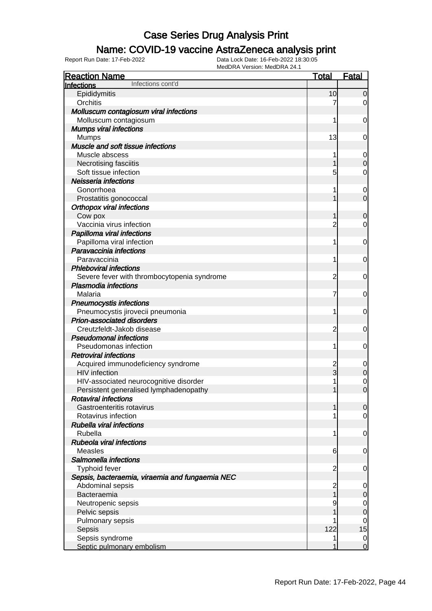### Name: COVID-19 vaccine AstraZeneca analysis print

| <b>Reaction Name</b>                                                  | <u>Total</u>            | <b>Fatal</b>        |
|-----------------------------------------------------------------------|-------------------------|---------------------|
| Infections cont'd<br>Infections                                       |                         |                     |
| Epididymitis                                                          | 10                      | $\Omega$            |
| Orchitis                                                              |                         | 0                   |
| Molluscum contagiosum viral infections                                |                         |                     |
| Molluscum contagiosum                                                 |                         | 0                   |
| <b>Mumps viral infections</b>                                         |                         |                     |
| <b>Mumps</b>                                                          | 13                      | 0                   |
| Muscle and soft tissue infections                                     |                         |                     |
| Muscle abscess                                                        |                         | 0                   |
| Necrotising fasciitis                                                 |                         | $\Omega$            |
| Soft tissue infection                                                 | 5                       | 0                   |
| Neisseria infections                                                  |                         |                     |
| Gonorrhoea                                                            |                         | 0                   |
| Prostatitis gonococcal                                                |                         | $\overline{0}$      |
| <b>Orthopox viral infections</b>                                      |                         |                     |
| Cow pox                                                               |                         | 0                   |
| Vaccinia virus infection                                              |                         | 0                   |
| Papilloma viral infections                                            |                         |                     |
| Papilloma viral infection                                             | 1                       | 0                   |
| Paravaccinia infections                                               |                         |                     |
| Paravaccinia                                                          |                         | 0                   |
| <b>Phleboviral infections</b>                                         |                         |                     |
| Severe fever with thrombocytopenia syndrome                           | 2                       | 0                   |
| <b>Plasmodia infections</b>                                           |                         |                     |
| Malaria                                                               | 7                       | 0                   |
| <b>Pneumocystis infections</b>                                        |                         |                     |
| Pneumocystis jirovecii pneumonia                                      | 1                       | 0                   |
| <b>Prion-associated disorders</b>                                     |                         |                     |
| Creutzfeldt-Jakob disease                                             | $\overline{c}$          | 0                   |
| <b>Pseudomonal infections</b>                                         |                         |                     |
| Pseudomonas infection                                                 | 1                       | 0                   |
| <b>Retroviral infections</b>                                          |                         |                     |
| Acquired immunodeficiency syndrome                                    | 2<br>3                  | 0                   |
| <b>HIV</b> infection                                                  |                         | $\mathbf 0$         |
| HIV-associated neurocognitive disorder                                | 1                       | 0<br>$\overline{0}$ |
| Persistent generalised lymphadenopathy<br><b>Rotaviral infections</b> |                         |                     |
| Gastroenteritis rotavirus                                             | 1                       | $\overline{0}$      |
| Rotavirus infection                                                   |                         | $\overline{0}$      |
| <b>Rubella viral infections</b>                                       |                         |                     |
| Rubella                                                               | 1                       | $\mathbf 0$         |
| Rubeola viral infections                                              |                         |                     |
| <b>Measles</b>                                                        | 6                       | $\overline{0}$      |
| Salmonella infections                                                 |                         |                     |
| <b>Typhoid fever</b>                                                  | 2                       | 0                   |
| Sepsis, bacteraemia, viraemia and fungaemia NEC                       |                         |                     |
| Abdominal sepsis                                                      | $\overline{\mathbf{c}}$ | 0                   |
| Bacteraemia                                                           |                         | $\mathbf 0$         |
| Neutropenic sepsis                                                    |                         | 0                   |
| Pelvic sepsis                                                         |                         | $\mathbf 0$         |
| Pulmonary sepsis                                                      |                         | 0                   |
| Sepsis                                                                | 122                     | 15                  |
| Sepsis syndrome                                                       |                         | 0                   |
| Septic pulmonary embolism                                             |                         | 0                   |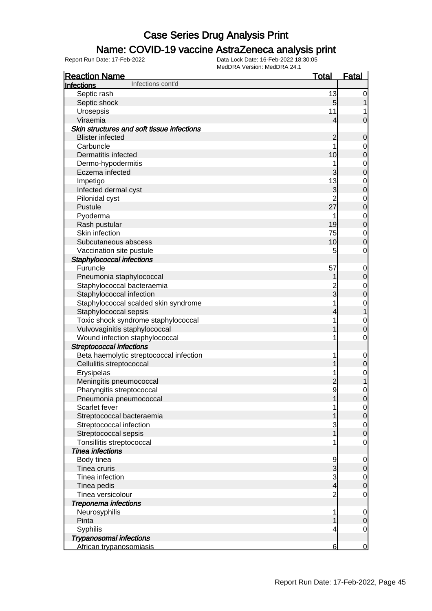### Name: COVID-19 vaccine AstraZeneca analysis print

| <b>Reaction Name</b>                       | <b>Total</b>    | Fatal            |
|--------------------------------------------|-----------------|------------------|
| Infections cont'd<br><b>Infections</b>     |                 |                  |
| Septic rash                                | 13              | $\mathbf 0$      |
| Septic shock                               | 5               |                  |
| Urosepsis                                  | 11              |                  |
| Viraemia                                   | $\overline{4}$  | $\mathbf 0$      |
| Skin structures and soft tissue infections |                 |                  |
| <b>Blister infected</b>                    | $\overline{c}$  | $\mathbf 0$      |
| Carbuncle                                  |                 | 0                |
| Dermatitis infected                        | 10              | $\mathbf 0$      |
| Dermo-hypodermitis                         |                 | $\mathbf 0$      |
| Eczema infected                            | 3               | $\mathbf 0$      |
| Impetigo                                   | 13              | $\mathbf 0$      |
| Infected dermal cyst                       | 3               | $\mathbf 0$      |
| Pilonidal cyst                             | $\overline{2}$  | $\mathbf 0$      |
| Pustule                                    | 27              | $\mathbf 0$      |
| Pyoderma                                   | 1               | $\mathbf 0$      |
| Rash pustular                              | 19              | $\mathbf 0$      |
| Skin infection                             | 75              | $\mathbf 0$      |
| Subcutaneous abscess                       | 10              | $\boldsymbol{0}$ |
| Vaccination site pustule                   | 5               | $\mathbf 0$      |
| Staphylococcal infections                  |                 |                  |
| Furuncle                                   | 57              | $\mathbf 0$      |
| Pneumonia staphylococcal                   |                 | $\boldsymbol{0}$ |
| Staphylococcal bacteraemia                 | $\overline{c}$  | $\mathbf 0$      |
| Staphylococcal infection                   | $\overline{3}$  | $\mathbf 0$      |
| Staphylococcal scalded skin syndrome       | 1               | $\mathbf 0$      |
| Staphylococcal sepsis                      | 4               | 1                |
| Toxic shock syndrome staphylococcal        |                 | $\mathbf 0$      |
| Vulvovaginitis staphylococcal              |                 | $\mathbf 0$      |
| Wound infection staphylococcal             |                 | $\mathbf 0$      |
| <b>Streptococcal infections</b>            |                 |                  |
| Beta haemolytic streptococcal infection    | 1               | $\mathbf 0$      |
| Cellulitis streptococcal                   |                 | $\mathbf 0$      |
| Erysipelas                                 |                 | $\mathbf 0$      |
| Meningitis pneumococcal                    | $\overline{c}$  | 1                |
| Pharyngitis streptococcal                  | 9               | $\mathbf 0$      |
| Pneumonia pneumococcal                     |                 | $\mathbf 0$      |
| Scarlet fever                              |                 | $\overline{0}$   |
| Streptococcal bacteraemia                  |                 | $\mathbf 0$      |
| Streptococcal infection                    | 3               | $\overline{0}$   |
| Streptococcal sepsis                       |                 | $\boldsymbol{0}$ |
| Tonsillitis streptococcal                  |                 | $\mathbf 0$      |
| Tinea infections                           |                 |                  |
| Body tinea                                 | 9               | 0                |
| Tinea cruris                               | 3               | $\mathbf 0$      |
| Tinea infection                            | 3               | $\overline{0}$   |
| Tinea pedis                                | $\overline{4}$  | $\boldsymbol{0}$ |
| Tinea versicolour                          | $\overline{c}$  | $\mathbf 0$      |
| <b>Treponema infections</b>                |                 |                  |
| Neurosyphilis                              | 1               | $\mathbf 0$      |
| Pinta                                      |                 | $\mathbf 0$      |
| Syphilis                                   | 4               | $\mathbf 0$      |
| <b>Trypanosomal infections</b>             |                 |                  |
| African trypanosomiasis                    | $6 \overline{}$ | $\mathbf 0$      |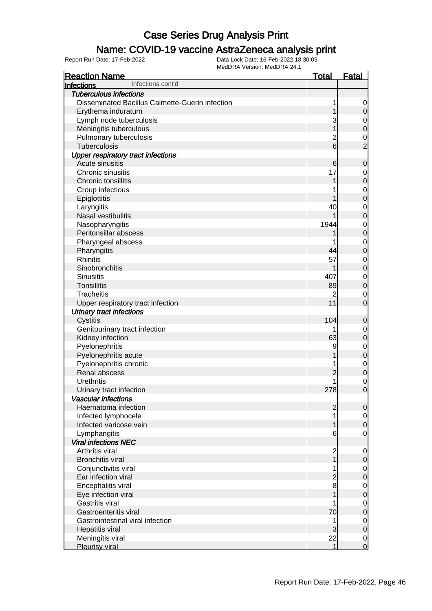### Name: COVID-19 vaccine AstraZeneca analysis print

| <b>Reaction Name</b>                            | <b>Total</b>    | Fatal            |
|-------------------------------------------------|-----------------|------------------|
| Infections cont'd<br><b>Infections</b>          |                 |                  |
| <b>Tuberculous infections</b>                   |                 |                  |
| Disseminated Bacillus Calmette-Guerin infection |                 | 0                |
| Erythema induratum                              |                 | $\mathbf 0$      |
| Lymph node tuberculosis                         | 3               | $\mathbf 0$      |
| Meningitis tuberculous                          |                 | $\mathbf 0$      |
| Pulmonary tuberculosis                          | $\overline{c}$  | $\mathbf 0$      |
| Tuberculosis                                    | $6\overline{6}$ | $\overline{2}$   |
| <b>Upper respiratory tract infections</b>       |                 |                  |
| Acute sinusitis                                 | 6               | $\mathbf 0$      |
| Chronic sinusitis                               | 17              | 0                |
| Chronic tonsillitis                             |                 | $\boldsymbol{0}$ |
| Croup infectious                                |                 | $\mathbf 0$      |
| Epiglottitis                                    |                 | $\mathbf 0$      |
| Laryngitis                                      | 40              | $\mathbf 0$      |
| Nasal vestibulitis                              |                 | $\mathbf 0$      |
| Nasopharyngitis                                 | 1944            | $\mathbf 0$      |
| Peritonsillar abscess                           |                 | $\mathbf 0$      |
| Pharyngeal abscess                              |                 | $\mathbf 0$      |
| Pharyngitis                                     | 44              | $\mathbf 0$      |
| <b>Rhinitis</b>                                 | 57              | $\mathbf 0$      |
| Sinobronchitis                                  |                 | $\mathbf 0$      |
| <b>Sinusitis</b>                                | 407             | $\mathbf 0$      |
| <b>Tonsillitis</b>                              | 89              | $\mathbf 0$      |
| <b>Tracheitis</b>                               | 2               | $\mathbf 0$      |
| Upper respiratory tract infection               | 11              | $\mathbf 0$      |
| <b>Urinary tract infections</b>                 |                 |                  |
| Cystitis                                        | 104             | $\mathbf 0$      |
| Genitourinary tract infection                   |                 | 0                |
| Kidney infection                                | 63              | $\boldsymbol{0}$ |
| Pyelonephritis                                  | 9               | $\mathbf 0$      |
| Pyelonephritis acute                            |                 | $\mathbf 0$      |
| Pyelonephritis chronic                          |                 | $\mathbf 0$      |
| Renal abscess                                   | 2               | $\boldsymbol{0}$ |
| <b>Urethritis</b>                               |                 | $\mathbf 0$      |
| Urinary tract infection                         | 278             | $\mathbf{0}$     |
| <b>Vascular infections</b>                      |                 |                  |
| Haematoma infection                             | $\overline{c}$  | $\mathbf 0$      |
| Infected lymphocele                             |                 | 0                |
| Infected varicose vein                          |                 | $\boldsymbol{0}$ |
| Lymphangitis                                    | 6               | $\mathbf 0$      |
| <b>Viral infections NEC</b>                     |                 |                  |
| Arthritis viral                                 | $\overline{c}$  | $\mathbf 0$      |
| <b>Bronchitis viral</b>                         | 1               | $\mathbf 0$      |
| Conjunctivitis viral                            |                 | $\mathbf 0$      |
| Ear infection viral                             | $\overline{c}$  | $\boldsymbol{0}$ |
| Encephalitis viral                              | 8               | $\mathbf 0$      |
| Eye infection viral                             |                 | $\mathbf 0$      |
| Gastritis viral                                 |                 | $\mathbf 0$      |
| Gastroenteritis viral                           | 70              | $\boldsymbol{0}$ |
| Gastrointestinal viral infection                |                 | $\mathbf 0$      |
| Hepatitis viral                                 | 3               | $\boldsymbol{0}$ |
| Meningitis viral                                | 22              | $\overline{0}$   |
| <b>Pleurisy viral</b>                           | 1               | $\mathbf 0$      |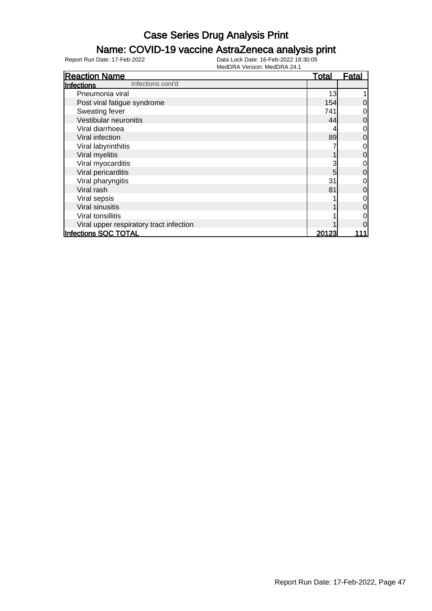#### Name: COVID-19 vaccine AstraZeneca analysis print

| <b>Reaction Name</b>                    | <u>Total</u> | <b>Fatal</b>   |
|-----------------------------------------|--------------|----------------|
| Infections cont'd<br>Infections         |              |                |
| Pneumonia viral                         | 13           |                |
| Post viral fatigue syndrome             | 154          | 0              |
| Sweating fever                          | 741          | 0              |
| Vestibular neuronitis                   | 44           | $\overline{0}$ |
| Viral diarrhoea                         |              | 0              |
| Viral infection                         | 89           | $\overline{0}$ |
| Viral labyrinthitis                     |              | $\overline{O}$ |
| Viral myelitis                          |              | $\overline{0}$ |
| Viral myocarditis                       |              | $\overline{0}$ |
| Viral pericarditis                      | 5            | $\overline{0}$ |
| Viral pharyngitis                       | 31           | $\overline{0}$ |
| Viral rash                              | 81           | $\overline{0}$ |
| Viral sepsis                            |              | $\overline{0}$ |
| Viral sinusitis                         |              | $\overline{0}$ |
| Viral tonsillitis                       |              | 0              |
| Viral upper respiratory tract infection |              | $\overline{0}$ |
| Infections SOC TOTAL                    | 20123        |                |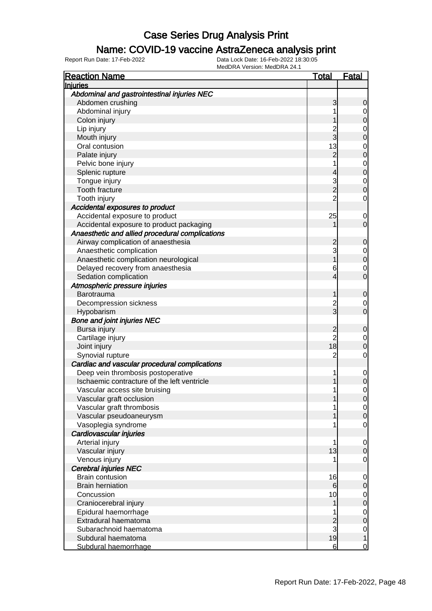#### Name: COVID-19 vaccine AstraZeneca analysis print

| <b>Reaction Name</b>                            | <u> Total</u>   | <u>Fatal</u>                         |
|-------------------------------------------------|-----------------|--------------------------------------|
| Injuries                                        |                 |                                      |
| Abdominal and gastrointestinal injuries NEC     |                 |                                      |
| Abdomen crushing                                | 3               | 0                                    |
| Abdominal injury                                |                 | 0                                    |
| Colon injury                                    |                 | 0                                    |
| Lip injury                                      |                 |                                      |
| Mouth injury                                    | 2<br>3          | $\begin{matrix}0\\0\end{matrix}$     |
| Oral contusion                                  | 13              |                                      |
| Palate injury                                   | $\overline{2}$  | $\begin{matrix}0\\0\end{matrix}$     |
| Pelvic bone injury                              |                 |                                      |
| Splenic rupture                                 | 4               | $\begin{matrix}0\\0\end{matrix}$     |
| Tongue injury                                   |                 |                                      |
| <b>Tooth fracture</b>                           | 3<br>2          | $\begin{matrix}0\\0\end{matrix}$     |
| Tooth injury                                    | $\overline{2}$  | $\mathbf 0$                          |
| Accidental exposures to product                 |                 |                                      |
| Accidental exposure to product                  | 25              | $\mathbf 0$                          |
| Accidental exposure to product packaging        |                 | 0                                    |
| Anaesthetic and allied procedural complications |                 |                                      |
|                                                 |                 | $\mathbf 0$                          |
| Airway complication of anaesthesia              | 2<br>3          |                                      |
| Anaesthetic complication                        |                 | $\begin{matrix} 0 \\ 0 \end{matrix}$ |
| Anaesthetic complication neurological           |                 |                                      |
| Delayed recovery from anaesthesia               | 6               | $\mathbf 0$                          |
| Sedation complication                           | 4               | $\overline{0}$                       |
| Atmospheric pressure injuries                   |                 |                                      |
| Barotrauma                                      |                 | $\mathbf 0$                          |
| Decompression sickness                          | $\overline{c}$  | $\mathbf 0$                          |
| Hypobarism                                      | 3               | $\overline{0}$                       |
| <b>Bone and joint injuries NEC</b>              |                 |                                      |
| Bursa injury                                    | $\overline{c}$  | $\mathbf 0$                          |
| Cartilage injury                                | $\overline{c}$  | $\mathbf 0$                          |
| Joint injury                                    | 18              | 0                                    |
| Synovial rupture                                | $\overline{2}$  | $\mathbf 0$                          |
| Cardiac and vascular procedural complications   |                 |                                      |
| Deep vein thrombosis postoperative              | 1               | $\mathbf 0$                          |
| Ischaemic contracture of the left ventricle     |                 | 0                                    |
| Vascular access site bruising                   |                 | 0                                    |
| Vascular graft occlusion                        |                 | $\overline{0}$                       |
| Vascular graft thrombosis                       |                 | $\overline{0}$                       |
| Vascular pseudoaneurysm                         |                 | $\overline{0}$                       |
| Vasoplegia syndrome                             |                 | 0                                    |
| Cardiovascular injuries                         |                 |                                      |
| Arterial injury                                 | 1               | 0                                    |
| Vascular injury                                 | 13              | $\Omega$                             |
| Venous injury                                   |                 | 0                                    |
| <b>Cerebral injuries NEC</b>                    |                 |                                      |
| <b>Brain contusion</b>                          | 16              | 0                                    |
| <b>Brain herniation</b>                         | 6               | 0                                    |
| Concussion                                      | 10              | $\mathbf 0$                          |
| Craniocerebral injury                           |                 | $\mathbf 0$                          |
| Epidural haemorrhage                            |                 | $\mathbf 0$                          |
| Extradural haematoma                            | $\overline{c}$  | $\mathbf 0$                          |
| Subarachnoid haematoma                          | 3               | $\mathbf 0$                          |
| Subdural haematoma                              | 19              | 1                                    |
| Subdural haemorrhage                            | $6 \overline{}$ | $\overline{0}$                       |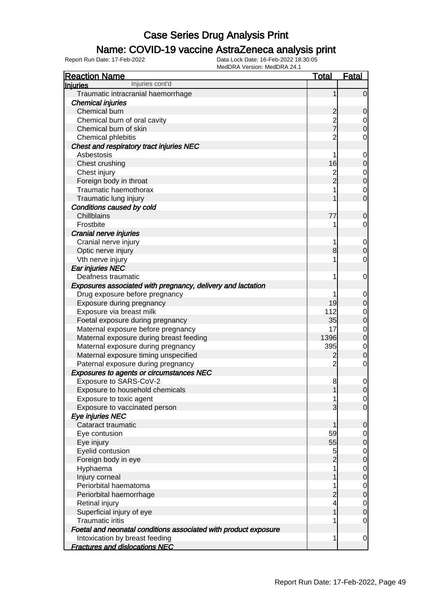### Name: COVID-19 vaccine AstraZeneca analysis print

| <b>Reaction Name</b>                                            | <u>Total</u>   | <b>Fatal</b>     |
|-----------------------------------------------------------------|----------------|------------------|
| Injuries cont'd<br><b>Injuries</b>                              |                |                  |
| Traumatic intracranial haemorrhage                              | 1              | $\overline{0}$   |
| <b>Chemical injuries</b>                                        |                |                  |
| Chemical burn                                                   | $\overline{c}$ | 0                |
| Chemical burn of oral cavity                                    | 2<br>7         | 0                |
| Chemical burn of skin                                           |                | 0                |
| Chemical phlebitis                                              | $\overline{2}$ | 0                |
| Chest and respiratory tract injuries NEC                        |                |                  |
| Asbestosis                                                      | 1              | $\mathbf 0$      |
| Chest crushing                                                  | 16             | $\mathbf 0$      |
| Chest injury                                                    | $\overline{c}$ | $\mathbf 0$      |
| Foreign body in throat                                          | $\overline{2}$ | $\mathbf 0$      |
| Traumatic haemothorax                                           |                | 0                |
| Traumatic lung injury                                           |                | $\overline{0}$   |
| Conditions caused by cold                                       |                |                  |
| <b>Chillblains</b>                                              | 77             | 0                |
| Frostbite                                                       | 1              | 0                |
| Cranial nerve injuries                                          |                |                  |
| Cranial nerve injury                                            | 1              | $\mathbf 0$      |
| Optic nerve injury                                              | 8              | $\mathbf 0$      |
| Vth nerve injury                                                |                | $\mathbf 0$      |
| Ear injuries NEC                                                |                |                  |
| Deafness traumatic                                              | 1              | 0                |
| Exposures associated with pregnancy, delivery and lactation     |                |                  |
| Drug exposure before pregnancy                                  |                | 0                |
| Exposure during pregnancy                                       | 19             | $\mathbf 0$      |
| Exposure via breast milk                                        | 112            | $\mathbf 0$      |
| Foetal exposure during pregnancy                                | 35             | $\boldsymbol{0}$ |
| Maternal exposure before pregnancy                              | 17             | $\mathbf 0$      |
| Maternal exposure during breast feeding                         | 1396           | $\mathbf 0$      |
| Maternal exposure during pregnancy                              | 395            | $\mathbf 0$      |
| Maternal exposure timing unspecified                            | 2              | $\mathbf 0$      |
| Paternal exposure during pregnancy                              | $\overline{2}$ | $\mathbf 0$      |
| <b>Exposures to agents or circumstances NEC</b>                 |                |                  |
| Exposure to SARS-CoV-2                                          | 8              | $\mathbf 0$      |
| Exposure to household chemicals                                 | 1              | $\boldsymbol{0}$ |
| Exposure to toxic agent                                         | 1              | $\overline{0}$   |
| Exposure to vaccinated person                                   | 3              | $\overline{0}$   |
| Eye injuries NEC                                                |                |                  |
| Cataract traumatic                                              | 1              | 0                |
| Eye contusion                                                   | 59             | $\overline{0}$   |
| Eye injury<br>Eyelid contusion                                  | 55<br>5        | 0                |
|                                                                 | $\overline{2}$ | 0                |
| Foreign body in eye<br>Hyphaema                                 | 1              | 0                |
| Injury corneal                                                  |                | 0<br>0           |
| Periorbital haematoma                                           | 1              |                  |
| Periorbital haemorrhage                                         | 2              | 0<br>$\mathbf 0$ |
| Retinal injury                                                  | 4              | $\overline{0}$   |
| Superficial injury of eye                                       |                | $\mathbf 0$      |
| <b>Traumatic iritis</b>                                         |                | $\overline{0}$   |
| Foetal and neonatal conditions associated with product exposure |                |                  |
| Intoxication by breast feeding                                  | 1              | $\mathbf 0$      |
| <b>Fractures and dislocations NEC</b>                           |                |                  |
|                                                                 |                |                  |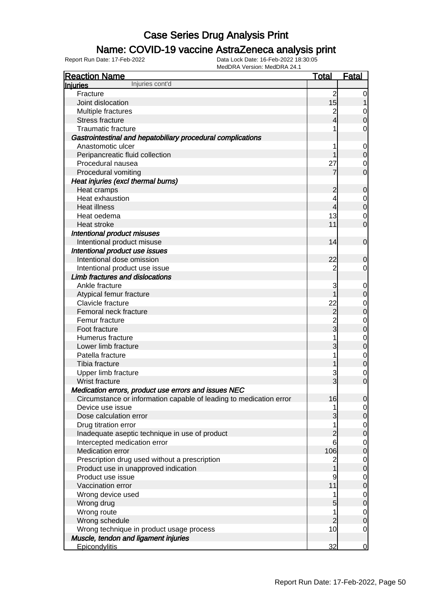#### Name: COVID-19 vaccine AstraZeneca analysis print

| <b>Reaction Name</b>                                               | <b>Total</b>                     | <b>Fatal</b>     |
|--------------------------------------------------------------------|----------------------------------|------------------|
| Injuries cont'd<br><b>Injuries</b>                                 |                                  |                  |
| Fracture                                                           | $\overline{2}$                   | 0                |
| Joint dislocation                                                  | 15                               |                  |
| Multiple fractures                                                 | $\overline{c}$                   | 0                |
| <b>Stress fracture</b>                                             | 4                                | $\mathbf 0$      |
| <b>Traumatic fracture</b>                                          |                                  | 0                |
| Gastrointestinal and hepatobiliary procedural complications        |                                  |                  |
| Anastomotic ulcer                                                  |                                  | $\mathbf 0$      |
| Peripancreatic fluid collection                                    |                                  | $\mathbf 0$      |
| Procedural nausea                                                  | 27                               | 0                |
| Procedural vomiting                                                |                                  | $\mathbf 0$      |
| Heat injuries (excl thermal burns)                                 |                                  |                  |
| Heat cramps                                                        | $\overline{c}$                   | $\mathbf 0$      |
| Heat exhaustion                                                    |                                  | 0                |
| <b>Heat illness</b>                                                | 4                                | $\pmb{0}$        |
| Heat oedema                                                        | 13                               | 0                |
| Heat stroke                                                        | 11                               | $\mathbf 0$      |
| <b>Intentional product misuses</b>                                 |                                  |                  |
| Intentional product misuse                                         | 14                               | $\mathbf 0$      |
| Intentional product use issues                                     |                                  |                  |
| Intentional dose omission                                          | 22                               | 0                |
| Intentional product use issue                                      | 2                                | 0                |
| Limb fractures and dislocations                                    |                                  |                  |
| Ankle fracture                                                     | 3                                |                  |
| Atypical femur fracture                                            |                                  | $\mathbf 0$      |
| Clavicle fracture                                                  | 22                               | $\mathbf 0$      |
| Femoral neck fracture                                              |                                  | $\mathbf 0$      |
|                                                                    | $\overline{c}$<br>$\overline{2}$ | $\pmb{0}$        |
| Femur fracture                                                     | 3                                | $\mathbf 0$      |
| Foot fracture                                                      |                                  | $\mathbf 0$      |
| Humerus fracture                                                   |                                  | $\mathbf 0$      |
| Lower limb fracture                                                | 3                                | $\mathbf 0$      |
| Patella fracture                                                   |                                  | $\mathbf 0$      |
| Tibia fracture                                                     |                                  | $\boldsymbol{0}$ |
| Upper limb fracture                                                | 3                                | $\mathbf 0$      |
| Wrist fracture                                                     | 3                                | $\overline{0}$   |
| Medication errors, product use errors and issues NEC               |                                  |                  |
| Circumstance or information capable of leading to medication error | 16                               | $\overline{0}$   |
| Device use issue                                                   | 1                                | $\overline{0}$   |
| Dose calculation error                                             | 3                                | $\mathbf 0$      |
| Drug titration error                                               | 1                                | $\overline{0}$   |
| Inadequate aseptic technique in use of product                     | $\overline{c}$                   | $\mathbf 0$      |
| Intercepted medication error                                       | 6                                | $\overline{0}$   |
| Medication error                                                   | 106                              | $\mathbf 0$      |
| Prescription drug used without a prescription                      | $\overline{c}$                   | $\overline{0}$   |
| Product use in unapproved indication                               | 1                                | $\mathbf 0$      |
| Product use issue                                                  | 9                                | $\overline{0}$   |
| Vaccination error                                                  | 11                               | $\mathbf 0$      |
| Wrong device used                                                  | 1                                | $\overline{0}$   |
| Wrong drug                                                         | 5                                | $\mathbf 0$      |
| Wrong route                                                        | 1                                | $\overline{0}$   |
| Wrong schedule                                                     | $\overline{2}$                   | $\mathbf 0$      |
| Wrong technique in product usage process                           | 10                               | $\mathbf 0$      |
| Muscle, tendon and ligament injuries                               |                                  |                  |
| <b>Epicondylitis</b>                                               | 32                               | $\overline{0}$   |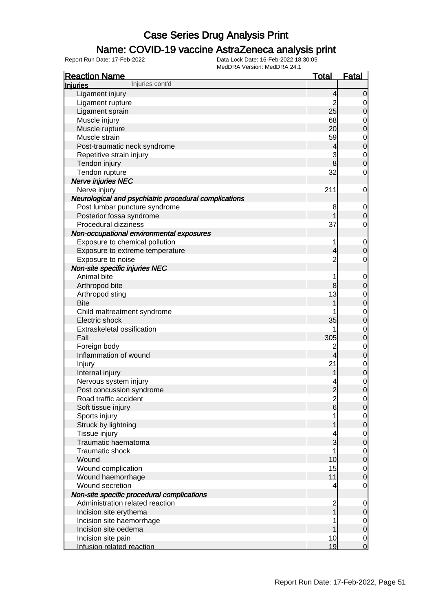### Name: COVID-19 vaccine AstraZeneca analysis print

| <b>Reaction Name</b>                                  | <u>Total</u>             | <b>Fatal</b>                         |
|-------------------------------------------------------|--------------------------|--------------------------------------|
| Injuries cont'd<br>Injuries                           |                          |                                      |
| Ligament injury                                       | $\overline{4}$           | $\overline{0}$                       |
| Ligament rupture                                      | $\overline{2}$           | $\overline{0}$                       |
| Ligament sprain                                       | 25                       | $\pmb{0}$                            |
| Muscle injury                                         | 68                       | $\overline{0}$                       |
| Muscle rupture                                        | 20                       | $\overline{0}$                       |
| Muscle strain                                         | 59                       |                                      |
| Post-traumatic neck syndrome                          | $\overline{\mathcal{L}}$ | $0$ 0                                |
| Repetitive strain injury                              | 3                        |                                      |
| Tendon injury                                         | 8                        | $\begin{matrix}0\\0\end{matrix}$     |
| Tendon rupture                                        | 32                       | $\mathbf 0$                          |
| Nerve injuries NEC                                    |                          |                                      |
| Nerve injury                                          | 211                      | $\mathbf 0$                          |
| Neurological and psychiatric procedural complications |                          |                                      |
| Post lumbar puncture syndrome                         | 8                        | $\mathbf 0$                          |
| Posterior fossa syndrome                              |                          | $\pmb{0}$                            |
| Procedural dizziness                                  | 37                       | $\mathbf 0$                          |
| Non-occupational environmental exposures              |                          |                                      |
| Exposure to chemical pollution                        | 1                        | $\mathbf 0$                          |
| Exposure to extreme temperature                       | 4                        | $\pmb{0}$                            |
| Exposure to noise                                     | $\overline{2}$           | $\mathbf 0$                          |
| Non-site specific injuries NEC                        |                          |                                      |
| Animal bite                                           | 1                        | $\mathbf 0$                          |
| Arthropod bite                                        | 8                        | $\boldsymbol{0}$                     |
| Arthropod sting                                       | 13                       |                                      |
| <b>Bite</b>                                           |                          | $0$ 0                                |
| Child maltreatment syndrome                           |                          | $\begin{matrix}0\\0\end{matrix}$     |
| Electric shock                                        | 35                       |                                      |
| Extraskeletal ossification                            |                          | $\begin{matrix}0\\0\end{matrix}$     |
| Fall                                                  | 305                      |                                      |
| Foreign body                                          | $\overline{c}$           | $0$ 0                                |
| Inflammation of wound                                 | $\overline{4}$           |                                      |
| Injury                                                | 21                       | $\begin{matrix}0\\0\end{matrix}$     |
| Internal injury                                       | 1                        |                                      |
| Nervous system injury                                 |                          | $\begin{matrix} 0 \\ 0 \end{matrix}$ |
| Post concussion syndrome                              | $\overline{2}$           |                                      |
| Road traffic accident                                 | $\frac{2}{6}$            | $\overline{0}$                       |
| Soft tissue injury                                    |                          | $\mathsf{O}$                         |
| Sports injury                                         |                          | $\overline{0}$                       |
| Struck by lightning                                   |                          | $\overline{0}$                       |
| Tissue injury                                         |                          | $\overline{0}$                       |
| Traumatic haematoma                                   | 3                        | $\overline{0}$                       |
| Traumatic shock                                       | 1                        | $\mathbf 0$                          |
| Wound                                                 | 10                       | $\mathbf 0$                          |
| Wound complication                                    | 15                       | $\mathbf 0$                          |
| Wound haemorrhage                                     | 11                       | $\overline{0}$                       |
| Wound secretion                                       | 4                        | $\mathbf 0$                          |
| Non-site specific procedural complications            |                          |                                      |
| Administration related reaction                       | $\overline{c}$           | $\mathbf 0$                          |
| Incision site erythema                                | 1                        | $\pmb{0}$                            |
| Incision site haemorrhage                             |                          | $\overline{0}$                       |
| Incision site oedema                                  |                          | $\mathbf 0$                          |
| Incision site pain                                    | 10                       | $\overline{0}$                       |
| Infusion related reaction                             | 19                       | $\overline{O}$                       |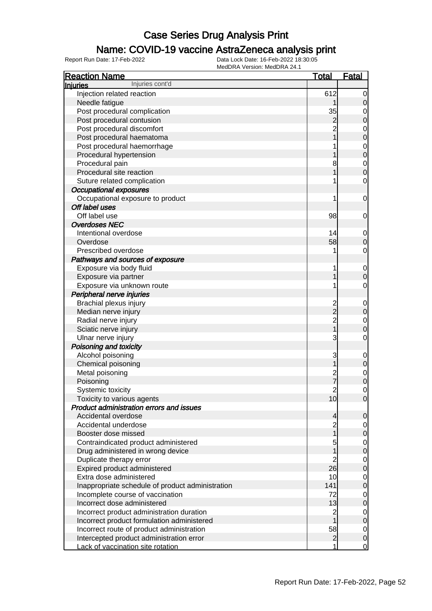### Name: COVID-19 vaccine AstraZeneca analysis print

| <b>Reaction Name</b>                             | <b>Total</b>   | <b>Fatal</b>                     |
|--------------------------------------------------|----------------|----------------------------------|
| Injuries cont'd<br>Injuries                      |                |                                  |
| Injection related reaction                       | 612            | $\overline{0}$                   |
| Needle fatigue                                   |                | 0                                |
| Post procedural complication                     | 35             |                                  |
| Post procedural contusion                        | $\overline{c}$ | $0$<br>0                         |
| Post procedural discomfort                       | $\overline{2}$ |                                  |
| Post procedural haematoma                        |                | $\begin{matrix}0\\0\end{matrix}$ |
| Post procedural haemorrhage                      |                |                                  |
| Procedural hypertension                          |                | $0$<br>0                         |
| Procedural pain                                  | 8              | $\begin{matrix}0\\0\end{matrix}$ |
| Procedural site reaction                         |                |                                  |
| Suture related complication                      | 1              | $\mathbf 0$                      |
| <b>Occupational exposures</b>                    |                |                                  |
| Occupational exposure to product                 | 1              | $\mathbf 0$                      |
| Off label uses                                   |                |                                  |
| Off label use                                    | 98             | 0                                |
| <b>Overdoses NEC</b>                             |                |                                  |
| Intentional overdose                             | 14             | $\mathbf 0$                      |
| Overdose                                         | 58             | 0                                |
| Prescribed overdose                              | 1              | $\mathbf 0$                      |
| Pathways and sources of exposure                 |                |                                  |
| Exposure via body fluid                          | 1              | $\mathbf{0}$                     |
| Exposure via partner                             |                | 0                                |
| Exposure via unknown route                       | 1              | $\mathbf 0$                      |
| Peripheral nerve injuries                        |                |                                  |
| Brachial plexus injury                           | $\overline{c}$ | $\mathbf 0$                      |
| Median nerve injury                              | $\overline{2}$ | $\mathbf 0$                      |
| Radial nerve injury                              | $\overline{2}$ | $\mathbf 0$                      |
| Sciatic nerve injury                             | $\overline{1}$ | 0                                |
| Ulnar nerve injury                               | 3              | $\mathbf 0$                      |
| Poisoning and toxicity                           |                |                                  |
| Alcohol poisoning                                | 3              | $\mathbf 0$                      |
| Chemical poisoning                               | 1              | $\mathbf 0$                      |
| Metal poisoning                                  | $\overline{c}$ | $\begin{matrix}0\\0\end{matrix}$ |
| Poisoning                                        | $\overline{7}$ |                                  |
| Systemic toxicity                                | $\overline{c}$ | 0                                |
| Toxicity to various agents                       | 10             | $\overline{0}$                   |
| <b>Product administration errors and issues</b>  |                |                                  |
| Accidental overdose                              | 4              | $\mathbf 0$                      |
| Accidental underdose                             | $\overline{2}$ | $\overline{0}$                   |
| Booster dose missed                              | 1              | $\mathbf 0$                      |
| Contraindicated product administered             | 5              | $\overline{0}$                   |
| Drug administered in wrong device                |                | $\boldsymbol{0}$                 |
| Duplicate therapy error                          | 2              | $\overline{0}$                   |
| Expired product administered                     | 26             | $\boldsymbol{0}$                 |
| Extra dose administered                          | 10             | $\mathbf 0$                      |
| Inappropriate schedule of product administration | 141            | $\boldsymbol{0}$                 |
| Incomplete course of vaccination                 | 72             | $\mathbf 0$                      |
| Incorrect dose administered                      | 13             | $\boldsymbol{0}$                 |
| Incorrect product administration duration        | $\overline{2}$ | $\overline{0}$                   |
| Incorrect product formulation administered       |                | $\boldsymbol{0}$                 |
| Incorrect route of product administration        | 58             | $\overline{0}$                   |
| Intercepted product administration error         | $\overline{2}$ | $\boldsymbol{0}$                 |
| Lack of vaccination site rotation                | 1              | $\overline{0}$                   |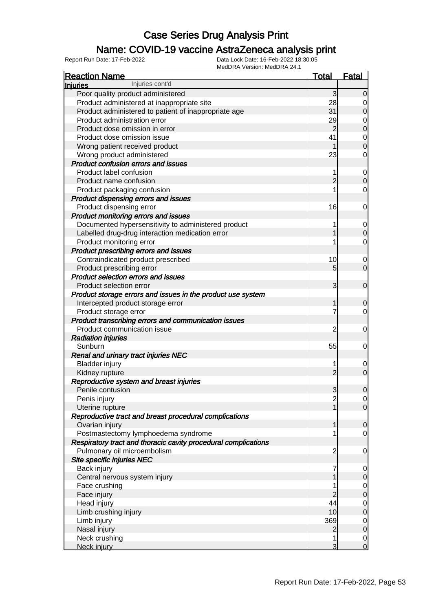### Name: COVID-19 vaccine AstraZeneca analysis print

| <b>Reaction Name</b>                                           | <u>Total</u>   | <u>Fatal</u>                     |
|----------------------------------------------------------------|----------------|----------------------------------|
| Injuries cont'd<br><b>Injuries</b>                             |                |                                  |
| Poor quality product administered                              | 3              | $\overline{0}$                   |
| Product administered at inappropriate site                     | 28             | 0                                |
| Product administered to patient of inappropriate age           | 31             | $\mathbf 0$                      |
| Product administration error                                   | 29             | $\mathbf{0}$                     |
| Product dose omission in error                                 | $\overline{2}$ | $\overline{0}$                   |
| Product dose omission issue                                    | 41             |                                  |
| Wrong patient received product                                 | 1              | $\begin{matrix}0\\0\end{matrix}$ |
| Wrong product administered                                     | 23             | 0                                |
| <b>Product confusion errors and issues</b>                     |                |                                  |
| Product label confusion                                        | 1              | $\mathbf 0$                      |
| Product name confusion                                         | $\overline{2}$ | $\overline{0}$                   |
| Product packaging confusion                                    | 1              | 0                                |
| <b>Product dispensing errors and issues</b>                    |                |                                  |
| Product dispensing error                                       | 16             | 0                                |
| Product monitoring errors and issues                           |                |                                  |
| Documented hypersensitivity to administered product            | 1              | $\mathbf 0$                      |
| Labelled drug-drug interaction medication error                | 1              | $\overline{0}$                   |
| Product monitoring error                                       | 1              | 0                                |
| Product prescribing errors and issues                          |                |                                  |
| Contraindicated product prescribed                             | 10             | $\mathbf 0$                      |
| Product prescribing error                                      | 5              | $\overline{0}$                   |
| <b>Product selection errors and issues</b>                     |                |                                  |
| Product selection error                                        | 3              | $\mathbf 0$                      |
|                                                                |                |                                  |
| Product storage errors and issues in the product use system    |                |                                  |
| Intercepted product storage error                              | 1<br>7         | 0                                |
| Product storage error                                          |                | 0                                |
| Product transcribing errors and communication issues           |                |                                  |
| Product communication issue                                    | $\overline{2}$ | 0                                |
| <b>Radiation injuries</b>                                      |                |                                  |
| Sunburn                                                        | 55             | 0                                |
| Renal and urinary tract injuries NEC                           |                |                                  |
| <b>Bladder injury</b>                                          | 1              | $\mathbf 0$                      |
| Kidney rupture                                                 | $\overline{2}$ | $\mathbf 0$                      |
| Reproductive system and breast injuries                        |                |                                  |
| Penile contusion                                               | $\overline{3}$ | $\mathbf 0$                      |
| Penis injury                                                   | $\overline{c}$ | $\overline{0}$                   |
| Uterine rupture                                                | $\overline{1}$ | $\overline{O}$                   |
| Reproductive tract and breast procedural complications         |                |                                  |
| Ovarian injury                                                 | 1              | $\mathbf 0$                      |
| Postmastectomy lymphoedema syndrome                            | 1              | $\mathbf 0$                      |
| Respiratory tract and thoracic cavity procedural complications |                |                                  |
| Pulmonary oil microembolism                                    | $\overline{2}$ | $\mathbf 0$                      |
| Site specific injuries NEC                                     |                |                                  |
| Back injury                                                    | 7              | $\overline{0}$                   |
| Central nervous system injury                                  | 1              | $\boldsymbol{0}$                 |
| Face crushing                                                  | 1              | $\overline{0}$                   |
| Face injury                                                    | $\overline{2}$ | $\overline{0}$                   |
| Head injury                                                    | 44             | $\overline{0}$                   |
| Limb crushing injury                                           | 10             | $\overline{0}$                   |
| Limb injury                                                    | 369            | $\mathbf{0}$                     |
| Nasal injury                                                   | $\overline{2}$ | $\overline{0}$                   |
| Neck crushing                                                  | 1              | $\mathbf 0$                      |
| Neck injury                                                    | 3              | $\overline{0}$                   |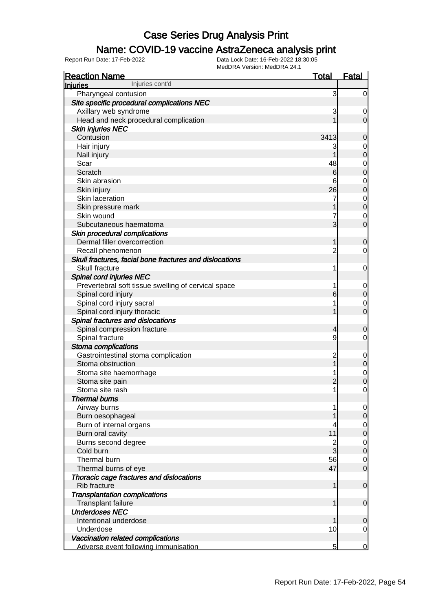### Name: COVID-19 vaccine AstraZeneca analysis print

| <b>Reaction Name</b>                                    | <b>Total</b>   | <b>Fatal</b>                  |
|---------------------------------------------------------|----------------|-------------------------------|
| Injuries cont'd<br><b>Injuries</b>                      |                |                               |
| Pharyngeal contusion                                    | 3              | $\overline{0}$                |
| Site specific procedural complications NEC              |                |                               |
| Axillary web syndrome                                   | 3              | 0                             |
| Head and neck procedural complication                   |                | $\overline{0}$                |
| <b>Skin injuries NEC</b>                                |                |                               |
| Contusion                                               | 3413           | $\mathbf 0$                   |
| Hair injury                                             | 3              | 0                             |
| Nail injury                                             |                | $\mathbf 0$                   |
| Scar                                                    | 48             | 0                             |
| Scratch                                                 | $6 \,$         | $\mathbf 0$                   |
| Skin abrasion                                           | 6              | 0                             |
| Skin injury                                             | 26             | $\mathbf 0$                   |
| Skin laceration                                         |                | $\mathbf 0$                   |
| Skin pressure mark                                      |                | $\mathbf 0$                   |
| Skin wound                                              |                | 0                             |
| Subcutaneous haematoma                                  | 3              | $\overline{0}$                |
| Skin procedural complications                           |                |                               |
| Dermal filler overcorrection                            | 1              | $\mathbf 0$                   |
| Recall phenomenon                                       | 2              | 0                             |
| Skull fractures, facial bone fractures and dislocations |                |                               |
| Skull fracture                                          | 1              | 0                             |
| Spinal cord injuries NEC                                |                |                               |
| Prevertebral soft tissue swelling of cervical space     |                | 0                             |
| Spinal cord injury                                      | 6              | $\mathbf 0$                   |
| Spinal cord injury sacral                               |                | 0                             |
| Spinal cord injury thoracic                             |                | $\overline{0}$                |
| Spinal fractures and dislocations                       |                |                               |
| Spinal compression fracture                             | 4              | $\mathbf 0$                   |
| Spinal fracture                                         | 9              | 0                             |
| Stoma complications                                     |                |                               |
| Gastrointestinal stoma complication                     | 2              | $\mathbf 0$                   |
| Stoma obstruction                                       |                | $\boldsymbol{0}$              |
| Stoma site haemorrhage                                  |                | $\mathbf 0$                   |
| Stoma site pain                                         | $\overline{c}$ | $\mathbf 0$                   |
| Stoma site rash                                         | 1              | 0                             |
| <b>Thermal burns</b>                                    |                |                               |
| Airway burns                                            |                | $\overline{0}$                |
| Burn oesophageal                                        |                | $\mathbf 0$                   |
| Burn of internal organs                                 | 11             | $\overline{0}$<br>$\mathbf 0$ |
| Burn oral cavity                                        | $\overline{c}$ |                               |
| Burns second degree<br>Cold burn                        | 3              | $\mathbf 0$<br>$\mathbf 0$    |
| Thermal burn                                            | 56             | $\overline{0}$                |
| Thermal burns of eye                                    | 47             | $\overline{0}$                |
| Thoracic cage fractures and dislocations                |                |                               |
| Rib fracture                                            | 1              | $\mathbf 0$                   |
| <b>Transplantation complications</b>                    |                |                               |
| Transplant failure                                      | 1              | $\mathbf 0$                   |
| <b>Underdoses NEC</b>                                   |                |                               |
| Intentional underdose                                   |                | $\mathbf 0$                   |
| Underdose                                               | 10             | 0                             |
| Vaccination related complications                       |                |                               |
| Adverse event following immunisation                    | 5              | $\overline{0}$                |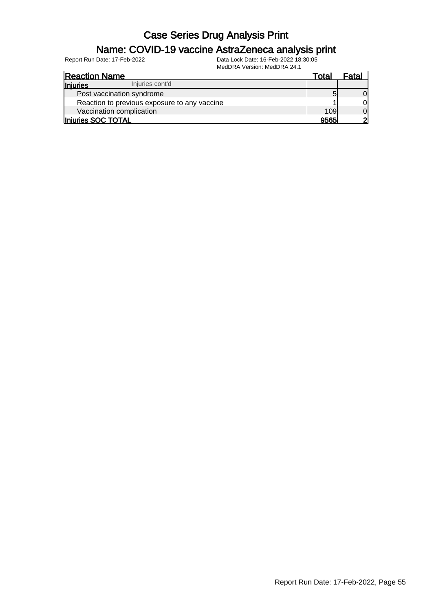#### Name: COVID-19 vaccine AstraZeneca analysis print

| <b>Reaction Name</b>                         | Total | Fatal          |
|----------------------------------------------|-------|----------------|
| Injuries cont'd<br><b>Injuries</b>           |       |                |
| Post vaccination syndrome                    |       | $\overline{0}$ |
| Reaction to previous exposure to any vaccine |       | $\overline{0}$ |
| Vaccination complication                     | 109   | $\overline{0}$ |
| Injuries SOC TOTAL                           | 9565  | 21             |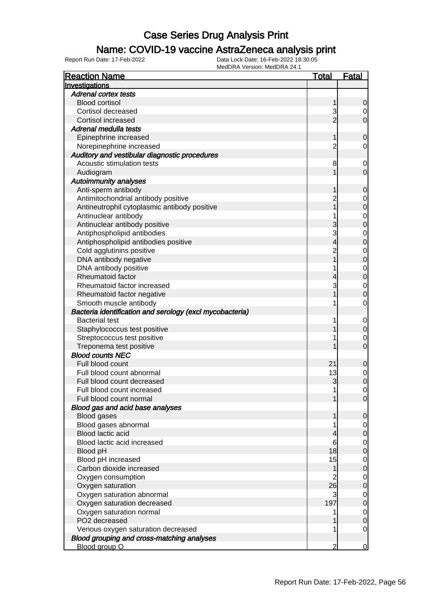### Name: COVID-19 vaccine AstraZeneca analysis print

| <b>Reaction Name</b>                                     | <b>Total</b>   | <u>Fatal</u>                     |
|----------------------------------------------------------|----------------|----------------------------------|
| Investigations                                           |                |                                  |
| <b>Adrenal cortex tests</b>                              |                |                                  |
| <b>Blood cortisol</b>                                    | 1              | 0                                |
| Cortisol decreased                                       | 3              | $\overline{0}$                   |
| Cortisol increased                                       | $\overline{2}$ | $\overline{0}$                   |
| Adrenal medulla tests                                    |                |                                  |
| Epinephrine increased                                    | 1              | 0                                |
| Norepinephrine increased                                 | 2              | 0                                |
| Auditory and vestibular diagnostic procedures            |                |                                  |
| Acoustic stimulation tests                               | 8              | $\mathbf 0$                      |
| Audiogram                                                |                | $\mathbf 0$                      |
| <b>Autoimmunity analyses</b>                             |                |                                  |
| Anti-sperm antibody                                      |                | $\mathbf 0$                      |
| Antimitochondrial antibody positive                      | 2              | $\mathbf{0}$                     |
| Antineutrophil cytoplasmic antibody positive             |                | $\overline{0}$                   |
| Antinuclear antibody                                     |                |                                  |
| Antinuclear antibody positive                            | 3              | $\begin{matrix}0\\0\end{matrix}$ |
| Antiphospholipid antibodies                              | 3              |                                  |
| Antiphospholipid antibodies positive                     | 4              | 0<br>0                           |
| Cold agglutinins positive                                | $\overline{2}$ |                                  |
| DNA antibody negative                                    |                | $\begin{matrix}0\\0\end{matrix}$ |
| DNA antibody positive                                    |                |                                  |
| Rheumatoid factor                                        |                | $\begin{matrix}0\\0\end{matrix}$ |
| Rheumatoid factor increased                              | 3              | $\mathbf 0$                      |
| Rheumatoid factor negative                               |                | 0                                |
| Smooth muscle antibody                                   |                | $\mathbf 0$                      |
| Bacteria identification and serology (excl mycobacteria) |                |                                  |
| <b>Bacterial test</b>                                    | 1              | $\mathbf{0}$                     |
| Staphylococcus test positive                             |                | $\mathbf 0$                      |
| Streptococcus test positive                              |                | $\mathbf 0$                      |
| Treponema test positive                                  |                | $\overline{0}$                   |
| <b>Blood counts NEC</b>                                  |                |                                  |
| Full blood count                                         | 21             | $\mathbf 0$                      |
| Full blood count abnormal                                | 13             | $\mathbf{0}$                     |
| Full blood count decreased                               | 3              | $\overline{0}$                   |
| Full blood count increased                               | 1              | 0                                |
| Full blood count normal                                  |                | 0                                |
| Blood gas and acid base analyses                         |                |                                  |
| <b>Blood gases</b>                                       |                | 0                                |
| Blood gases abnormal                                     |                | $\overline{0}$                   |
| Blood lactic acid                                        |                | 0                                |
| Blood lactic acid increased                              | 6              | $\mathbf 0$                      |
| Blood pH                                                 | 18             | $\mathbf 0$                      |
| Blood pH increased                                       | 15             | $\mathbf 0$                      |
| Carbon dioxide increased                                 |                | $\mathbf 0$                      |
|                                                          |                |                                  |
| Oxygen consumption<br>Oxygen saturation                  | 26             | $\mathbf 0$<br>$\mathbf 0$       |
|                                                          | 3              |                                  |
| Oxygen saturation abnormal                               | 197            | $\mathbf 0$                      |
| Oxygen saturation decreased                              |                | $\mathbf 0$                      |
| Oxygen saturation normal<br>PO2 decreased                |                | $\mathbf 0$                      |
|                                                          | 1              | $\mathbf 0$                      |
| Venous oxygen saturation decreased                       |                | $\mathbf 0$                      |
| Blood grouping and cross-matching analyses               |                |                                  |
| Blood group O                                            | $\overline{2}$ | $\overline{0}$                   |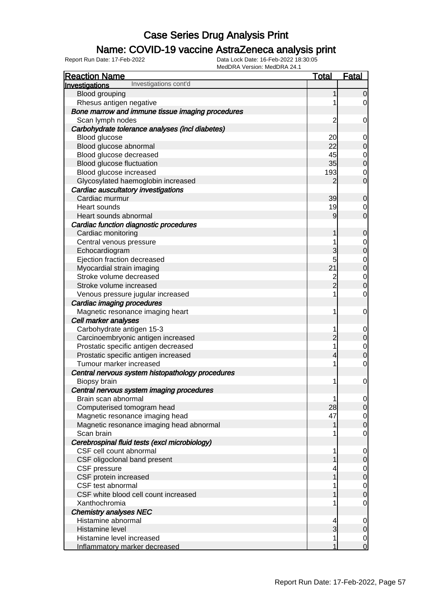### Name: COVID-19 vaccine AstraZeneca analysis print

| <b>Reaction Name</b>                             | <b>Total</b>   | <b>Fatal</b>                         |
|--------------------------------------------------|----------------|--------------------------------------|
| Investigations cont'd<br><b>Investigations</b>   |                |                                      |
| Blood grouping                                   | 1              | $\overline{0}$                       |
| Rhesus antigen negative                          | 1              | 0                                    |
| Bone marrow and immune tissue imaging procedures |                |                                      |
| Scan lymph nodes                                 | $\overline{c}$ | $\mathbf 0$                          |
| Carbohydrate tolerance analyses (incl diabetes)  |                |                                      |
| Blood glucose                                    | 20             | $\mathbf 0$                          |
| Blood glucose abnormal                           | 22             | $\overline{0}$                       |
| Blood glucose decreased                          | 45             |                                      |
| Blood glucose fluctuation                        | 35             | $0$ 0                                |
| Blood glucose increased                          | 193            | $\mathbf 0$                          |
| Glycosylated haemoglobin increased               | $\overline{2}$ | $\overline{0}$                       |
| Cardiac auscultatory investigations              |                |                                      |
| Cardiac murmur                                   | 39             | $\mathbf 0$                          |
| Heart sounds                                     | 19             | $\mathbf 0$                          |
| Heart sounds abnormal                            | 9              | $\overline{O}$                       |
| Cardiac function diagnostic procedures           |                |                                      |
| Cardiac monitoring                               | 1              | $\mathbf 0$                          |
| Central venous pressure                          | 1              |                                      |
| Echocardiogram                                   | 3              | $0$ 0                                |
| Ejection fraction decreased                      | 5              |                                      |
| Myocardial strain imaging                        | 21             | $0$<br>0                             |
| Stroke volume decreased                          |                |                                      |
| Stroke volume increased                          | $\frac{2}{2}$  | $\begin{matrix} 0 \\ 0 \end{matrix}$ |
| Venous pressure jugular increased                | 1              | $\mathbf 0$                          |
| Cardiac imaging procedures                       |                |                                      |
| Magnetic resonance imaging heart                 | 1              | $\mathbf 0$                          |
| Cell marker analyses                             |                |                                      |
| Carbohydrate antigen 15-3                        | 1              | $\mathbf 0$                          |
| Carcinoembryonic antigen increased               | $\overline{c}$ | $\overline{0}$                       |
| Prostatic specific antigen decreased             | 1              |                                      |
| Prostatic specific antigen increased             | $\overline{4}$ | $\begin{matrix}0\\0\end{matrix}$     |
| Tumour marker increased                          | 1              | $\mathbf 0$                          |
| Central nervous system histopathology procedures |                |                                      |
| Biopsy brain                                     | 1              | $\mathbf 0$                          |
| Central nervous system imaging procedures        |                |                                      |
| Brain scan abnormal                              | $\mathbf{1}$   | $\overline{0}$                       |
| Computerised tomogram head                       | 28             | $\overline{0}$                       |
| Magnetic resonance imaging head                  | 47             | $\overline{0}$                       |
| Magnetic resonance imaging head abnormal         | 1              | $\overline{0}$                       |
| Scan brain                                       |                | 0                                    |
| Cerebrospinal fluid tests (excl microbiology)    |                |                                      |
| CSF cell count abnormal                          | 1              | $\mathbf 0$                          |
| CSF oligoclonal band present                     |                | $\mathbf 0$                          |
| <b>CSF</b> pressure                              | 4              | $\mathbf 0$                          |
| CSF protein increased                            |                | $\overline{0}$                       |
| CSF test abnormal                                |                | $\mathbf 0$                          |
| CSF white blood cell count increased             |                | $\overline{0}$                       |
| Xanthochromia                                    |                | 0                                    |
| <b>Chemistry analyses NEC</b>                    |                |                                      |
| Histamine abnormal                               | 4              | $\mathbf 0$                          |
| Histamine level                                  | 3              | $\mathbf 0$                          |
| Histamine level increased                        | 1              | $\overline{0}$                       |
| Inflammatory marker decreased                    | 1              | $\overline{0}$                       |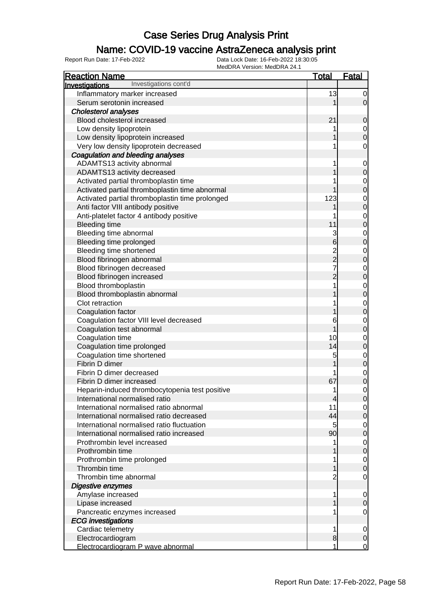### Name: COVID-19 vaccine AstraZeneca analysis print

| <b>Reaction Name</b>                            | <b>Total</b>    | <b>Fatal</b>                   |
|-------------------------------------------------|-----------------|--------------------------------|
| Investigations cont'd<br>Investigations         |                 |                                |
| Inflammatory marker increased                   | 13              | $\overline{0}$                 |
| Serum serotonin increased                       |                 | $\overline{0}$                 |
| <b>Cholesterol analyses</b>                     |                 |                                |
| Blood cholesterol increased                     | 21              | $\mathbf 0$                    |
| Low density lipoprotein                         |                 | $\overline{0}$                 |
| Low density lipoprotein increased               |                 | $\mathbf 0$                    |
| Very low density lipoprotein decreased          |                 | $\mathbf 0$                    |
| Coagulation and bleeding analyses               |                 |                                |
| ADAMTS13 activity abnormal                      |                 | $\overline{0}$                 |
| ADAMTS13 activity decreased                     |                 | $\overline{0}$                 |
| Activated partial thromboplastin time           |                 | $\mathbf 0$                    |
| Activated partial thromboplastin time abnormal  |                 | $\overline{0}$                 |
| Activated partial thromboplastin time prolonged | 123             |                                |
|                                                 |                 | $\mathbf{0}$<br>$\overline{0}$ |
| Anti factor VIII antibody positive              |                 |                                |
| Anti-platelet factor 4 antibody positive        |                 | $\overline{0}$                 |
| <b>Bleeding time</b>                            | 11              | $\overline{0}$                 |
| Bleeding time abnormal                          | 3               | $\overline{0}$                 |
| <b>Bleeding time prolonged</b>                  | $6\overline{6}$ | $\overline{0}$                 |
| Bleeding time shortened                         | $\frac{2}{2}$   | $\mathbf 0$                    |
| Blood fibrinogen abnormal                       |                 | $\overline{0}$                 |
| Blood fibrinogen decreased                      | 7               | $\overline{0}$                 |
| Blood fibrinogen increased                      | $\overline{2}$  | $\overline{0}$                 |
| Blood thromboplastin                            |                 | $\mathbf{0}$                   |
| Blood thromboplastin abnormal                   |                 | $\overline{0}$                 |
| Clot retraction                                 |                 | $\overline{0}$                 |
| Coagulation factor                              |                 | $\overline{0}$                 |
| Coagulation factor VIII level decreased         | 6               | $\overline{0}$                 |
| Coagulation test abnormal                       |                 | $\overline{0}$                 |
| Coagulation time                                | 10              | $\mathbf 0$                    |
| Coagulation time prolonged                      | 14              | $\overline{0}$                 |
| Coagulation time shortened                      | 5               | $\mathbf{0}$                   |
| Fibrin D dimer                                  |                 | $\overline{0}$                 |
| Fibrin D dimer decreased                        |                 | $\mathbf{0}$                   |
| Fibrin D dimer increased                        | 67              | $\overline{0}$                 |
| Heparin-induced thrombocytopenia test positive  | 1               | $\mathsf{O}\xspace$            |
| International normalised ratio                  | 4               | 0                              |
| International normalised ratio abnormal         | 11              | $\overline{0}$                 |
| International normalised ratio decreased        | 44              | $\overline{0}$                 |
| International normalised ratio fluctuation      | 5               | $\overline{0}$                 |
| International normalised ratio increased        | 90              | $\overline{0}$                 |
| Prothrombin level increased                     |                 | $\overline{0}$                 |
| Prothrombin time                                |                 | $\mathbf 0$                    |
| Prothrombin time prolonged                      |                 | $\overline{0}$                 |
| Thrombin time                                   |                 | $\mathbf 0$                    |
| Thrombin time abnormal                          | 2               | 0                              |
| Digestive enzymes                               |                 |                                |
| Amylase increased                               |                 | $\overline{0}$                 |
| Lipase increased                                |                 | $\mathbf 0$                    |
| Pancreatic enzymes increased                    |                 | 0                              |
| <b>ECG</b> investigations                       |                 |                                |
| Cardiac telemetry                               | 1               | $\mathbf 0$                    |
| Electrocardiogram                               | 8               | $\mathbf 0$                    |
| Electrocardiogram P wave abnormal               | 1               | $\mathbf 0$                    |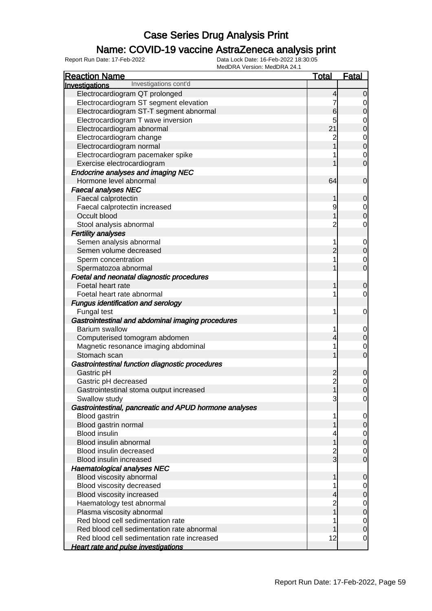### Name: COVID-19 vaccine AstraZeneca analysis print

| MEUDRA VEISIUII. MEUDRA 24.<br><b>Reaction Name</b>    | <u>Total</u> | <b>Fatal</b>   |
|--------------------------------------------------------|--------------|----------------|
| Investigations cont'd<br>Investigations                |              |                |
| Electrocardiogram QT prolonged                         | 4            | 0              |
| Electrocardiogram ST segment elevation                 |              | 0              |
| Electrocardiogram ST-T segment abnormal                | 6            | 0              |
| Electrocardiogram T wave inversion                     | 5            | 0              |
| Electrocardiogram abnormal                             | 21           | 0              |
| Electrocardiogram change                               |              | 0              |
| Electrocardiogram normal                               |              | $\mathbf 0$    |
| Electrocardiogram pacemaker spike                      |              | 0              |
| Exercise electrocardiogram                             |              | 0              |
| <b>Endocrine analyses and imaging NEC</b>              |              |                |
| Hormone level abnormal                                 | 64           | $\overline{0}$ |
| <b>Faecal analyses NEC</b>                             |              |                |
| Faecal calprotectin                                    |              | 0              |
| Faecal calprotectin increased                          | 9            | 0              |
| Occult blood                                           |              | 0              |
| Stool analysis abnormal                                |              | 0              |
| <b>Fertility analyses</b>                              |              |                |
| Semen analysis abnormal                                |              | 0              |
| Semen volume decreased                                 |              | $\Omega$       |
| Sperm concentration                                    |              | 0              |
| Spermatozoa abnormal                                   |              | $\overline{0}$ |
| Foetal and neonatal diagnostic procedures              |              |                |
| Foetal heart rate                                      |              | 0              |
| Foetal heart rate abnormal                             |              | 0              |
| <b>Fungus identification and serology</b>              |              |                |
| Fungal test                                            |              | 0              |
| Gastrointestinal and abdominal imaging procedures      |              |                |
| <b>Barium swallow</b>                                  |              | 0              |
| Computerised tomogram abdomen                          |              | 0              |
| Magnetic resonance imaging abdominal                   |              | 0              |
| Stomach scan                                           |              | $\overline{0}$ |
| Gastrointestinal function diagnostic procedures        |              |                |
| Gastric pH                                             | 2            | 0              |
| Gastric pH decreased                                   | 2<br>1       | 0              |
| Gastrointestinal stoma output increased                |              | 0              |
| Swallow study                                          | 3            | $\mathbf 0$    |
| Gastrointestinal, pancreatic and APUD hormone analyses |              |                |
| Blood gastrin                                          |              | 0              |
| Blood gastrin normal                                   |              | $\mathbf 0$    |
| <b>Blood insulin</b>                                   |              | $\mathbf 0$    |
| Blood insulin abnormal                                 |              | $\mathbf 0$    |
| Blood insulin decreased                                |              | $\mathbf 0$    |
| Blood insulin increased                                | 3            | 0              |
| <b>Haematological analyses NEC</b>                     |              |                |
| Blood viscosity abnormal                               |              | 0              |
| Blood viscosity decreased                              |              | 0              |
| Blood viscosity increased                              |              | 0              |
| Haematology test abnormal                              |              | $\mathbf 0$    |
| Plasma viscosity abnormal                              |              | $\mathbf 0$    |
| Red blood cell sedimentation rate                      |              | $\mathbf{0}$   |
| Red blood cell sedimentation rate abnormal             |              | $\mathbf 0$    |
| Red blood cell sedimentation rate increased            | 12           | 0              |
| <b>Heart rate and pulse investigations</b>             |              |                |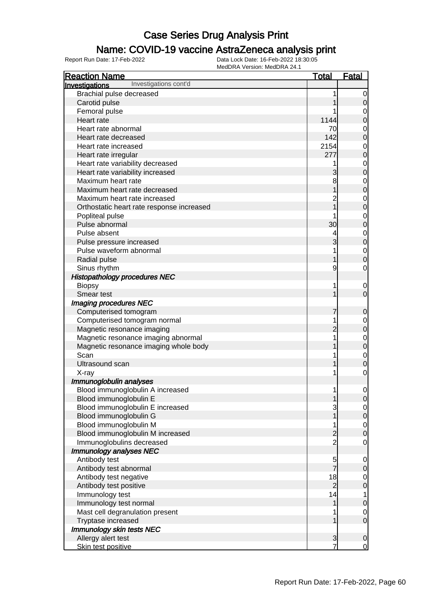### Name: COVID-19 vaccine AstraZeneca analysis print

| <b>Reaction Name</b>                      | <u>Total</u>   | <b>Fatal</b>     |
|-------------------------------------------|----------------|------------------|
| Investigations cont'd<br>Investigations   |                |                  |
| Brachial pulse decreased                  |                | 0                |
| Carotid pulse                             |                | 0                |
| Femoral pulse                             |                | 0                |
| Heart rate                                | 1144           | 0                |
| Heart rate abnormal                       | 70             | $\mathbf 0$      |
| Heart rate decreased                      | 142            | 0                |
| Heart rate increased                      | 2154           | $\mathbf 0$      |
| Heart rate irregular                      | 277            | 0                |
| Heart rate variability decreased          |                | $\mathbf 0$      |
| Heart rate variability increased          | 3              | $\mathbf 0$      |
| Maximum heart rate                        | 8              | $\mathbf 0$      |
| Maximum heart rate decreased              |                | 0                |
| Maximum heart rate increased              |                | $\mathbf 0$      |
| Orthostatic heart rate response increased |                | 0                |
| Popliteal pulse                           |                | $\mathbf 0$      |
| Pulse abnormal                            | 30             | $\mathbf 0$      |
| Pulse absent                              |                | $\mathbf 0$      |
| Pulse pressure increased                  | 3              | $\mathbf 0$      |
| Pulse waveform abnormal                   |                | $\mathbf 0$      |
| Radial pulse                              |                | 0                |
| Sinus rhythm                              | 9              | $\mathbf 0$      |
| <b>Histopathology procedures NEC</b>      |                |                  |
| <b>Biopsy</b>                             | 1              | 0                |
| Smear test                                |                | $\mathbf 0$      |
| Imaging procedures NEC                    |                |                  |
| Computerised tomogram                     |                | 0                |
| Computerised tomogram normal              |                | $\mathbf 0$      |
| Magnetic resonance imaging                |                | $\mathbf 0$      |
| Magnetic resonance imaging abnormal       |                | $\mathbf 0$      |
| Magnetic resonance imaging whole body     |                | $\mathbf 0$      |
| Scan                                      |                | $\mathbf 0$      |
| <b>Ultrasound scan</b>                    |                | 0                |
| X-ray                                     |                | 0                |
| Immunoglobulin analyses                   |                |                  |
| Blood immunoglobulin A increased          | 1              | $\mathbf 0$      |
| Blood immunoglobulin E                    | 1              | $\overline{0}$   |
| Blood immunoglobulin E increased          | 3              | $\mathbf 0$      |
| Blood immunoglobulin G                    |                | $\mathbf 0$      |
| Blood immunoglobulin M                    | 1              | $\overline{0}$   |
| Blood immunoglobulin M increased          | $\overline{c}$ | $\boldsymbol{0}$ |
| Immunoglobulins decreased                 | $\overline{2}$ | $\mathbf 0$      |
| Immunology analyses NEC                   |                |                  |
| Antibody test                             | $\frac{5}{7}$  | $\mathbf 0$      |
| Antibody test abnormal                    |                | $\mathbf 0$      |
| Antibody test negative                    | 18             | $\overline{0}$   |
| Antibody test positive                    | $\overline{2}$ | $\mathbf 0$      |
| Immunology test                           | 14             | 1                |
| Immunology test normal                    | 1              | $\mathbf 0$      |
| Mast cell degranulation present           |                | 0                |
| Tryptase increased                        |                | $\mathbf 0$      |
| Immunology skin tests NEC                 |                |                  |
| Allergy alert test                        | 3              | $\mathbf 0$      |
| Skin test positive                        |                | $\overline{0}$   |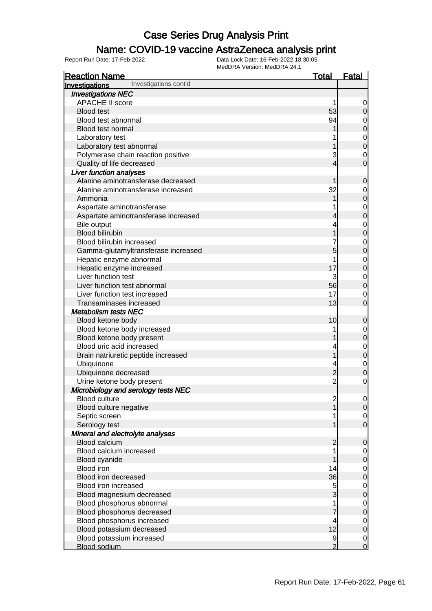### Name: COVID-19 vaccine AstraZeneca analysis print

| <b>Reaction Name</b>                    | <u>Total</u>   | <b>Fatal</b>                         |
|-----------------------------------------|----------------|--------------------------------------|
| Investigations cont'd<br>Investigations |                |                                      |
| <b>Investigations NEC</b>               |                |                                      |
| <b>APACHE II score</b>                  |                | $\overline{0}$                       |
| <b>Blood test</b>                       | 53             | $\overline{O}$                       |
| Blood test abnormal                     | 94             | $\overline{0}$                       |
| Blood test normal                       |                | $\overline{0}$                       |
| Laboratory test                         |                |                                      |
| Laboratory test abnormal                |                | $\begin{matrix}0\\0\end{matrix}$     |
| Polymerase chain reaction positive      | 3              | $\mathbf{0}$                         |
| Quality of life decreased               | 4              | $\overline{0}$                       |
| <b>Liver function analyses</b>          |                |                                      |
| Alanine aminotransferase decreased      |                | $\mathbf 0$                          |
| Alanine aminotransferase increased      | 32             |                                      |
| Ammonia                                 |                | $\begin{matrix} 0 \\ 0 \end{matrix}$ |
| Aspartate aminotransferase              |                |                                      |
| Aspartate aminotransferase increased    | 4              | $\begin{matrix} 0 \\ 0 \end{matrix}$ |
| Bile output                             |                |                                      |
| <b>Blood bilirubin</b>                  |                | $\begin{matrix}0\\0\end{matrix}$     |
| Blood bilirubin increased               |                |                                      |
| Gamma-glutamyltransferase increased     | 5              | $\begin{matrix}0\\0\end{matrix}$     |
| Hepatic enzyme abnormal                 |                |                                      |
| Hepatic enzyme increased                | 17             | $0\atop 0$                           |
| Liver function test                     | 3              |                                      |
| Liver function test abnormal            | 56             | $\begin{matrix} 0 \\ 0 \end{matrix}$ |
| Liver function test increased           | 17             | $\mathbf{0}$                         |
| Transaminases increased                 | 13             | $\overline{0}$                       |
| <b>Metabolism tests NEC</b>             |                |                                      |
| Blood ketone body                       | 10             | $\mathbf 0$                          |
| Blood ketone body increased             |                |                                      |
| Blood ketone body present               |                | $\begin{matrix} 0 \\ 0 \end{matrix}$ |
| Blood uric acid increased               |                |                                      |
| Brain natriuretic peptide increased     |                | $\begin{matrix} 0 \\ 0 \end{matrix}$ |
| Ubiquinone                              |                | $\mathbf{0}$                         |
| Ubiquinone decreased                    | $\overline{c}$ | $\overline{0}$                       |
| Urine ketone body present               | $\overline{2}$ | $\mathbf 0$                          |
| Microbiology and serology tests NEC     |                |                                      |
| <b>Blood culture</b>                    | $\overline{c}$ | $\overline{0}$                       |
| Blood culture negative                  |                | 0                                    |
| Septic screen                           |                | $\overline{0}$                       |
| Serology test                           |                | $\overline{0}$                       |
| Mineral and electrolyte analyses        |                |                                      |
| <b>Blood calcium</b>                    | $\overline{c}$ | $\mathbf 0$                          |
| Blood calcium increased                 |                | $\overline{0}$                       |
| Blood cyanide                           |                | $\boldsymbol{0}$                     |
| <b>Blood iron</b>                       | 14             | $\overline{0}$                       |
| Blood iron decreased                    | 36             | $\mathbf 0$                          |
| Blood iron increased                    | 5              | $\overline{0}$                       |
| Blood magnesium decreased               | 3              | $\mathbf 0$                          |
| Blood phosphorus abnormal               |                | $\overline{0}$                       |
| Blood phosphorus decreased              |                | $\mathbf 0$                          |
| Blood phosphorus increased              | 4              | $\overline{0}$                       |
| Blood potassium decreased               | 12             | $\overline{0}$                       |
| Blood potassium increased               | 9              | $\overline{0}$                       |
| <b>Blood sodium</b>                     | $\overline{2}$ | $\mathbf 0$                          |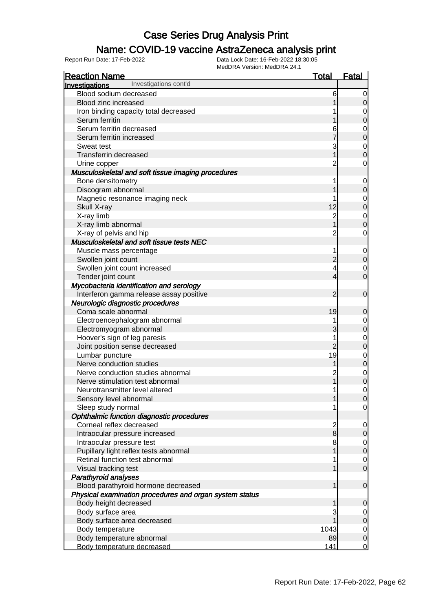### Name: COVID-19 vaccine AstraZeneca analysis print

| MEUDRA VEISIOII. MEUDRA 24. I<br><b>Reaction Name</b>   | <b>Total</b>   | <b>Fatal</b>                         |
|---------------------------------------------------------|----------------|--------------------------------------|
| Investigations cont'd<br>Investigations                 |                |                                      |
| Blood sodium decreased                                  | 6              | $\overline{0}$                       |
| Blood zinc increased                                    |                | $\overline{0}$                       |
| Iron binding capacity total decreased                   |                | 0                                    |
| Serum ferritin                                          |                | $\overline{0}$                       |
| Serum ferritin decreased                                | 6              | $\mathbf 0$                          |
| Serum ferritin increased                                |                | $\overline{0}$                       |
| Sweat test                                              | 3              | $\mathbf 0$                          |
| <b>Transferrin decreased</b>                            |                | $\overline{0}$                       |
| Urine copper                                            |                | 0                                    |
| Musculoskeletal and soft tissue imaging procedures      |                |                                      |
| Bone densitometry                                       |                | $\overline{0}$                       |
| Discogram abnormal                                      |                | $\overline{0}$                       |
| Magnetic resonance imaging neck                         |                | $\mathbf 0$                          |
| Skull X-ray                                             | 12             | $\overline{0}$                       |
| X-ray limb                                              | $\overline{2}$ | $\mathbf 0$                          |
| X-ray limb abnormal                                     |                | $\overline{0}$                       |
| X-ray of pelvis and hip                                 | 2              | 0                                    |
| Musculoskeletal and soft tissue tests NEC               |                |                                      |
| Muscle mass percentage                                  |                | $\overline{0}$                       |
| Swollen joint count                                     | 2              | $\overline{0}$                       |
| Swollen joint count increased                           | 4              | $\mathbf 0$                          |
| Tender joint count                                      | 4              | $\overline{0}$                       |
| Mycobacteria identification and serology                |                |                                      |
| Interferon gamma release assay positive                 | 2              | $\overline{0}$                       |
| Neurologic diagnostic procedures                        |                |                                      |
| Coma scale abnormal                                     | 19             | 0                                    |
| Electroencephalogram abnormal                           |                | $\overline{0}$                       |
| Electromyogram abnormal                                 | 3              | $\overline{O}$                       |
| Hoover's sign of leg paresis                            |                | $\mathbf 0$                          |
| Joint position sense decreased                          | $\overline{c}$ | $\overline{0}$                       |
| Lumbar puncture                                         | 19             | $\mathbf 0$                          |
| Nerve conduction studies                                | 1              | $\overline{0}$                       |
| Nerve conduction studies abnormal                       | 2              | $\mathbf 0$                          |
| Nerve stimulation test abnormal                         | $\overline{1}$ | $\overline{0}$                       |
| Neurotransmitter level altered                          | 1              | $\overline{0}$                       |
| Sensory level abnormal                                  |                | 0                                    |
| Sleep study normal                                      |                | $\overline{0}$                       |
| Ophthalmic function diagnostic procedures               |                |                                      |
| Corneal reflex decreased                                |                | $\overline{0}$                       |
| Intraocular pressure increased                          | $\frac{2}{8}$  | $\overline{0}$                       |
| Intraocular pressure test                               | 8              |                                      |
| Pupillary light reflex tests abnormal                   |                | $\begin{matrix} 0 \\ 0 \end{matrix}$ |
| Retinal function test abnormal                          |                |                                      |
| Visual tracking test                                    |                | $\begin{matrix} 0 \\ 0 \end{matrix}$ |
| <b>Parathyroid analyses</b>                             |                |                                      |
| Blood parathyroid hormone decreased                     |                | $\mathbf 0$                          |
| Physical examination procedures and organ system status |                |                                      |
| Body height decreased                                   |                | 0                                    |
| Body surface area                                       | З              | $\overline{0}$                       |
| Body surface area decreased                             |                | $\overline{O}$                       |
| Body temperature                                        | 1043           |                                      |
| Body temperature abnormal                               | 89             | $\begin{matrix} 0 \\ 0 \end{matrix}$ |
| Body temperature decreased                              | 141            | $\overline{0}$                       |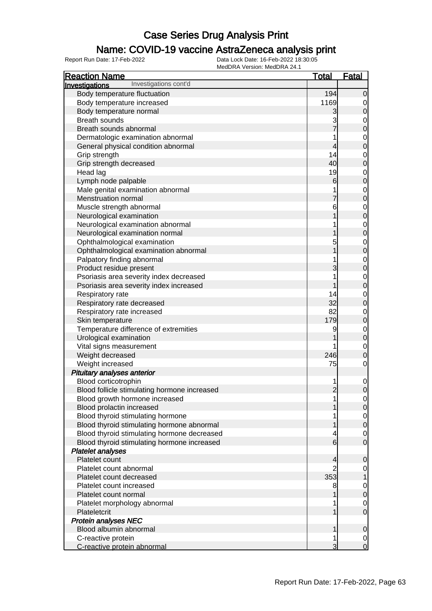### Name: COVID-19 vaccine AstraZeneca analysis print

| MCQDI\A VCISIOII. MCQDI\A 27. I<br><b>Reaction Name</b> | <u>Total</u>    | <u>Fatal</u>                   |
|---------------------------------------------------------|-----------------|--------------------------------|
| Investigations cont'd<br>Investigations                 |                 |                                |
| Body temperature fluctuation                            | 194             | $\overline{0}$                 |
| Body temperature increased                              | 1169            | $\overline{0}$                 |
| Body temperature normal                                 | 3               | $\mathbf 0$                    |
| <b>Breath sounds</b>                                    |                 | $\mathbf 0$                    |
| Breath sounds abnormal                                  | $\overline{7}$  | $\overline{0}$                 |
| Dermatologic examination abnormal                       |                 | $\mathbf 0$                    |
| General physical condition abnormal                     | 4               | $\overline{0}$                 |
| Grip strength                                           | 14              | $\mathbf 0$                    |
| Grip strength decreased                                 | 40              | $\overline{0}$                 |
| Head lag                                                | 19              | $\mathbf 0$                    |
| Lymph node palpable                                     | $6 \overline{}$ | $\overline{0}$                 |
| Male genital examination abnormal                       |                 |                                |
| Menstruation normal                                     | 7               | $\mathbf{0}$<br>$\overline{0}$ |
|                                                         |                 |                                |
| Muscle strength abnormal                                | 6               | $\mathbf 0$                    |
| Neurological examination                                |                 | $\overline{0}$                 |
| Neurological examination abnormal                       |                 | $\mathbf{0}$                   |
| Neurological examination normal                         |                 | $\overline{0}$                 |
| Ophthalmological examination                            | 5               | $\mathbf{0}$                   |
| Ophthalmological examination abnormal                   |                 | $\overline{0}$                 |
| Palpatory finding abnormal                              |                 | $\mathbf{0}$                   |
| Product residue present                                 | 3               | $\overline{0}$                 |
| Psoriasis area severity index decreased                 |                 | $\mathbf{0}$                   |
| Psoriasis area severity index increased                 |                 | $\overline{0}$                 |
| Respiratory rate                                        | 14              | $\mathbf 0$                    |
| Respiratory rate decreased                              | 32              | $\overline{0}$                 |
| Respiratory rate increased                              | 82              | $\mathbf 0$                    |
| Skin temperature                                        | 179             | $\overline{0}$                 |
| Temperature difference of extremities                   | 9               | $\mathbf{0}$                   |
| Urological examination                                  |                 | $\overline{0}$                 |
| Vital signs measurement                                 |                 | $\mathbf 0$                    |
| Weight decreased                                        | 246             | $\overline{0}$                 |
| Weight increased                                        | 75              | $\mathbf 0$                    |
| Pituitary analyses anterior                             |                 |                                |
| Blood corticotrophin                                    |                 | $\mathbf 0$                    |
| Blood follicle stimulating hormone increased            | $\overline{2}$  | $\overline{0}$                 |
| Blood growth hormone increased                          |                 | $\overline{0}$                 |
| Blood prolactin increased                               |                 | $\overline{0}$                 |
| Blood thyroid stimulating hormone                       |                 | $0\atop 0$                     |
| Blood thyroid stimulating hormone abnormal              |                 |                                |
| Blood thyroid stimulating hormone decreased             |                 | $\mathbf 0$                    |
| Blood thyroid stimulating hormone increased             | 6               | $\overline{0}$                 |
| <b>Platelet analyses</b>                                |                 |                                |
| Platelet count                                          | 4               | $\mathbf 0$                    |
| Platelet count abnormal                                 |                 | 0                              |
| Platelet count decreased                                | 353             |                                |
| Platelet count increased                                | 8               | $\overline{0}$                 |
| Platelet count normal                                   |                 | $\overline{0}$                 |
| Platelet morphology abnormal                            |                 | $\mathbf 0$                    |
| Plateletcrit                                            |                 | $\overline{0}$                 |
| <b>Protein analyses NEC</b>                             |                 |                                |
| Blood albumin abnormal                                  |                 | $\mathbf 0$                    |
| C-reactive protein                                      |                 | $\overline{0}$                 |
| C-reactive protein abnormal                             | 3               | $\overline{0}$                 |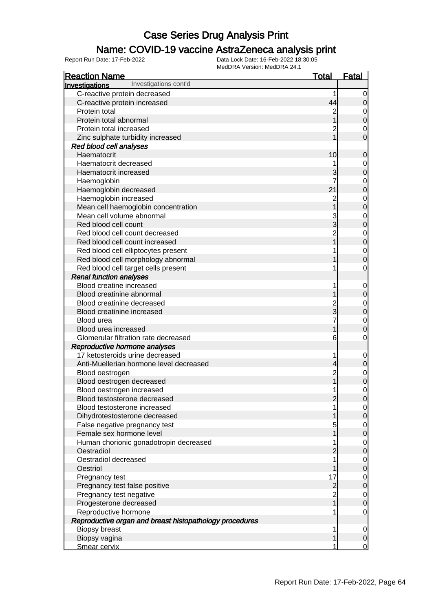### Name: COVID-19 vaccine AstraZeneca analysis print

| <b>Reaction Name</b>                                    | <u>Total</u>                     | <b>Fatal</b>                         |
|---------------------------------------------------------|----------------------------------|--------------------------------------|
| Investigations cont'd<br>Investigations                 |                                  |                                      |
| C-reactive protein decreased                            | 1                                | $\overline{0}$                       |
| C-reactive protein increased                            | 44                               | $\overline{0}$                       |
| Protein total                                           | 2                                |                                      |
| Protein total abnormal                                  |                                  | $0\atop 0$                           |
| Protein total increased                                 | 2                                | $\overline{0}$                       |
| Zinc sulphate turbidity increased                       |                                  | $\overline{0}$                       |
| Red blood cell analyses                                 |                                  |                                      |
| Haematocrit                                             | 10                               | $\mathbf 0$                          |
| Haematocrit decreased                                   |                                  |                                      |
| Haematocrit increased                                   | 3                                | $\begin{matrix}0\\0\end{matrix}$     |
| Haemoglobin                                             |                                  |                                      |
| Haemoglobin decreased                                   | 21                               | $0\atop 0$                           |
| Haemoglobin increased                                   | $\overline{c}$                   | $0\atop 0$                           |
| Mean cell haemoglobin concentration                     |                                  |                                      |
| Mean cell volume abnormal                               | 3<br>3                           | $\begin{matrix}0\\0\end{matrix}$     |
| Red blood cell count                                    |                                  |                                      |
| Red blood cell count decreased                          | $\overline{2}$                   | $0$<br>0                             |
| Red blood cell count increased                          |                                  |                                      |
| Red blood cell elliptocytes present                     |                                  | $\begin{matrix} 0 \\ 0 \end{matrix}$ |
| Red blood cell morphology abnormal                      |                                  |                                      |
| Red blood cell target cells present                     | 1                                | $\mathbf 0$                          |
| <b>Renal function analyses</b>                          |                                  |                                      |
| Blood creatine increased                                | 1                                | $\overline{0}$                       |
| Blood creatinine abnormal                               |                                  | $\overline{0}$                       |
| Blood creatinine decreased                              | $\overline{c}$                   | $\begin{matrix}0\\0\end{matrix}$     |
| Blood creatinine increased                              | 3                                |                                      |
| Blood urea                                              |                                  | $\begin{matrix} 0 \\ 0 \end{matrix}$ |
| Blood urea increased                                    | 1                                |                                      |
| Glomerular filtration rate decreased                    | 6                                | $\mathbf 0$                          |
| Reproductive hormone analyses                           |                                  |                                      |
| 17 ketosteroids urine decreased                         | 1                                | $\overline{0}$                       |
| Anti-Muellerian hormone level decreased                 | 4                                | $\mathbf 0$                          |
| Blood oestrogen                                         | $\overline{c}$                   | $\begin{matrix}0\\0\end{matrix}$     |
| Blood oestrogen decreased                               | $\overline{1}$                   |                                      |
| Blood oestrogen increased                               | 1                                | $\mathbf 0$                          |
| Blood testosterone decreased                            | 2                                | $\Omega$                             |
| Blood testosterone increased                            | 1                                | $\overline{0}$                       |
| Dihydrotestosterone decreased                           |                                  | $\overline{O}$                       |
| False negative pregnancy test                           | 5                                | $\overline{0}$                       |
| Female sex hormone level                                |                                  | $\overline{0}$                       |
| Human chorionic gonadotropin decreased<br>Oestradiol    | 1                                | $\overline{0}$                       |
| Oestradiol decreased                                    | $\overline{c}$<br>1              | $\pmb{0}$                            |
| Oestriol                                                |                                  | $\overline{0}$<br>$\pmb{0}$          |
| Pregnancy test                                          | 17                               |                                      |
| Pregnancy test false positive                           |                                  | $\overline{0}$<br>$\mathbf 0$        |
| Pregnancy test negative                                 | $\overline{c}$<br>$\overline{2}$ |                                      |
| Progesterone decreased                                  | $\overline{1}$                   | $\overline{0}$<br>$\mathbf 0$        |
| Reproductive hormone                                    | 1                                | $\overline{0}$                       |
| Reproductive organ and breast histopathology procedures |                                  |                                      |
| <b>Biopsy breast</b>                                    | 1                                | $\overline{0}$                       |
| Biopsy vagina                                           | 1                                | $\overline{0}$                       |
| Smear cervix                                            | 1                                | $\overline{0}$                       |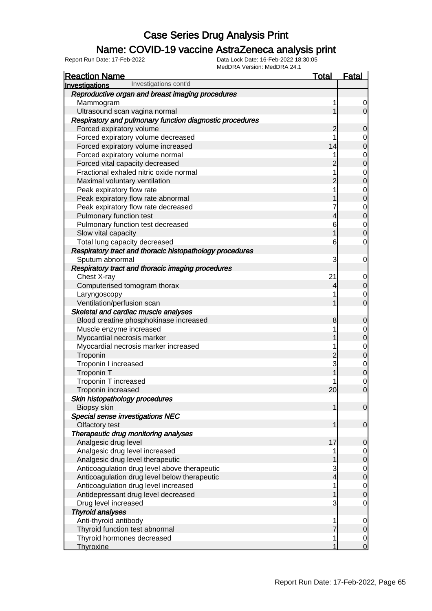### Name: COVID-19 vaccine AstraZeneca analysis print

| <b>Reaction Name</b>                                     | <b>Total</b>   | <b>Fatal</b>                         |
|----------------------------------------------------------|----------------|--------------------------------------|
| Investigations cont'd<br>Investigations                  |                |                                      |
| Reproductive organ and breast imaging procedures         |                |                                      |
| Mammogram                                                | 1              | $\overline{0}$                       |
| Ultrasound scan vagina normal                            | 1              | $\overline{O}$                       |
| Respiratory and pulmonary function diagnostic procedures |                |                                      |
| Forced expiratory volume                                 | 2              | $\mathbf 0$                          |
| Forced expiratory volume decreased                       | 1              |                                      |
| Forced expiratory volume increased                       | 14             | $0\atop 0$                           |
| Forced expiratory volume normal                          | 1              |                                      |
| Forced vital capacity decreased                          | $\overline{c}$ | $\begin{matrix}0\\0\end{matrix}$     |
| Fractional exhaled nitric oxide normal                   | 1              |                                      |
| Maximal voluntary ventilation                            | $\overline{c}$ | $\begin{matrix}0\\0\end{matrix}$     |
| Peak expiratory flow rate                                | 1              |                                      |
| Peak expiratory flow rate abnormal                       | 1              | $\begin{matrix}0\\0\end{matrix}$     |
| Peak expiratory flow rate decreased                      | 7              | $\begin{matrix}0\\0\end{matrix}$     |
| Pulmonary function test                                  | $\overline{4}$ |                                      |
| Pulmonary function test decreased                        | 6              | $\begin{matrix} 0 \\ 0 \end{matrix}$ |
| Slow vital capacity                                      | $\overline{1}$ |                                      |
| Total lung capacity decreased                            | 6              | $\mathbf 0$                          |
| Respiratory tract and thoracic histopathology procedures |                |                                      |
| Sputum abnormal                                          | 3              | $\overline{0}$                       |
| Respiratory tract and thoracic imaging procedures        |                |                                      |
| Chest X-ray                                              | 21             | $\mathbf{0}$                         |
| Computerised tomogram thorax                             | 4              | $\overline{0}$                       |
| Laryngoscopy                                             | 1              | $\begin{matrix} 0 \\ 0 \end{matrix}$ |
| Ventilation/perfusion scan                               | 1              |                                      |
| Skeletal and cardiac muscle analyses                     |                |                                      |
| Blood creatine phosphokinase increased                   | 8              | $\mathbf 0$                          |
| Muscle enzyme increased                                  | 1              |                                      |
| Myocardial necrosis marker                               | 1              | $0$<br>0                             |
| Myocardial necrosis marker increased                     | 1              |                                      |
| Troponin                                                 | $\frac{2}{3}$  | $\begin{matrix}0\\0\end{matrix}$     |
| Troponin I increased                                     |                | $\begin{matrix}0\\0\end{matrix}$     |
| Troponin T                                               | 1              |                                      |
| Troponin T increased                                     |                | $\begin{matrix}0\\0\end{matrix}$     |
| Troponin increased                                       | 20             |                                      |
| Skin histopathology procedures                           |                |                                      |
| Biopsy skin                                              | $\mathbf{1}$   | $\overline{0}$                       |
| Special sense investigations NEC                         |                |                                      |
| Olfactory test                                           | 1              | $\mathbf 0$                          |
| Therapeutic drug monitoring analyses                     |                |                                      |
| Analgesic drug level                                     | 17             | $\mathbf 0$                          |
| Analgesic drug level increased                           | 1              | $\overline{0}$                       |
| Analgesic drug level therapeutic                         | 1              | $\overline{0}$                       |
| Anticoagulation drug level above therapeutic             | $\mathbf{3}$   | $\begin{matrix} 0 \\ 0 \end{matrix}$ |
| Anticoagulation drug level below therapeutic             | $\overline{4}$ |                                      |
| Anticoagulation drug level increased                     | 1              | $\begin{matrix}0\\0\end{matrix}$     |
| Antidepressant drug level decreased                      | 1              |                                      |
| Drug level increased                                     | 3              | $\mathbf 0$                          |
| <b>Thyroid analyses</b>                                  |                |                                      |
| Anti-thyroid antibody                                    | 1              | $\mathbf 0$                          |
| Thyroid function test abnormal                           | $\overline{7}$ | $\pmb{0}$                            |
| Thyroid hormones decreased                               | 1              | $\overline{0}$                       |
| Thyroxine                                                | 1              | $\overline{0}$                       |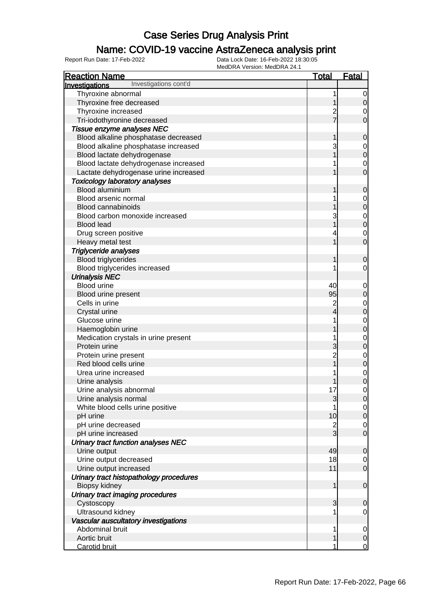### Name: COVID-19 vaccine AstraZeneca analysis print

| <b>Reaction Name</b>                    | <u>Total</u>   | <b>Fatal</b>                         |
|-----------------------------------------|----------------|--------------------------------------|
| Investigations cont'd<br>Investigations |                |                                      |
| Thyroxine abnormal                      | 1              | $\overline{0}$                       |
| Thyroxine free decreased                |                | $\overline{O}$                       |
| Thyroxine increased                     | $\overline{c}$ | $\overline{0}$                       |
| Tri-iodothyronine decreased             |                | $\overline{0}$                       |
| Tissue enzyme analyses NEC              |                |                                      |
| Blood alkaline phosphatase decreased    | 1              | $\mathbf 0$                          |
| Blood alkaline phosphatase increased    | 3              |                                      |
| Blood lactate dehydrogenase             |                | $0\atop 0$                           |
| Blood lactate dehydrogenase increased   |                |                                      |
| Lactate dehydrogenase urine increased   |                | $\begin{matrix} 0 \\ 0 \end{matrix}$ |
| <b>Toxicology laboratory analyses</b>   |                |                                      |
| Blood aluminium                         | 1              | $\mathbf 0$                          |
| Blood arsenic normal                    |                |                                      |
| <b>Blood cannabinoids</b>               |                | $\begin{matrix}0\\0\end{matrix}$     |
| Blood carbon monoxide increased         | 3              | $\begin{matrix}0\\0\end{matrix}$     |
| <b>Blood lead</b>                       |                |                                      |
| Drug screen positive                    |                | $\begin{matrix} 0 \\ 0 \end{matrix}$ |
| Heavy metal test                        |                |                                      |
| <b>Triglyceride analyses</b>            |                |                                      |
| <b>Blood triglycerides</b>              | 1              | $\mathbf 0$                          |
| Blood triglycerides increased           |                | $\mathbf 0$                          |
| <b>Urinalysis NEC</b>                   |                |                                      |
| <b>Blood urine</b>                      | 40             | $\mathbf{0}$                         |
| Blood urine present                     | 95             | $\mathbf 0$                          |
| Cells in urine                          | $\overline{c}$ |                                      |
| Crystal urine                           | 4              | $\begin{matrix}0\\0\end{matrix}$     |
| Glucose urine                           | 1              |                                      |
| Haemoglobin urine                       |                | $0\atop 0$                           |
| Medication crystals in urine present    |                |                                      |
| Protein urine                           | 3              | 0<br>0                               |
| Protein urine present                   | $\overline{2}$ |                                      |
| Red blood cells urine                   | $\overline{1}$ | $\begin{matrix}0\\0\end{matrix}$     |
| Urea urine increased                    |                |                                      |
| Urine analysis                          |                | $\begin{matrix}0\\0\end{matrix}$     |
| Urine analysis abnormal                 | 17             | $\mathsf{O}\xspace$                  |
| Urine analysis normal                   | 3              | 0                                    |
| White blood cells urine positive        |                | $\overline{0}$                       |
| pH urine                                | 10             | $\overline{0}$                       |
| pH urine decreased                      | $\overline{2}$ | $\overline{0}$                       |
| pH urine increased                      | $\overline{3}$ | $\overline{O}$                       |
| Urinary tract function analyses NEC     |                |                                      |
| Urine output                            | 49             | $\mathbf 0$                          |
| Urine output decreased                  | 18             | $\overline{0}$                       |
| Urine output increased                  | 11             | $\overline{O}$                       |
| Urinary tract histopathology procedures |                |                                      |
| Biopsy kidney                           | 1              | $\mathbf 0$                          |
| Urinary tract imaging procedures        |                |                                      |
| Cystoscopy                              | 3              | $\mathbf 0$                          |
| Ultrasound kidney                       |                | $\overline{0}$                       |
| Vascular auscultatory investigations    |                |                                      |
| Abdominal bruit                         | 1              | $\overline{0}$                       |
| Aortic bruit                            | 1              | $\overline{0}$                       |
| Carotid bruit                           | 1              | $\overline{0}$                       |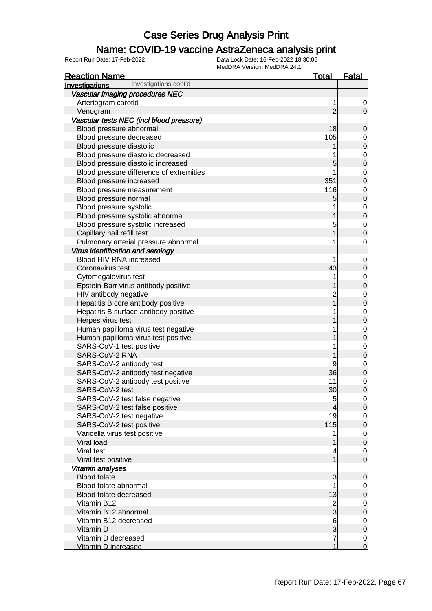#### Name: COVID-19 vaccine AstraZeneca analysis print

| <b>Reaction Name</b>                     | <u>Total</u>             | <u>Fatal</u>                         |
|------------------------------------------|--------------------------|--------------------------------------|
| Investigations cont'd<br>Investigations  |                          |                                      |
| Vascular imaging procedures NEC          |                          |                                      |
| Arteriogram carotid                      | 1                        | $\overline{0}$                       |
| Venogram                                 | $\overline{2}$           | $\overline{0}$                       |
| Vascular tests NEC (incl blood pressure) |                          |                                      |
| Blood pressure abnormal                  | 18                       | $\mathbf 0$                          |
| Blood pressure decreased                 | 105                      |                                      |
| Blood pressure diastolic                 | 1                        | $\begin{matrix} 0 \\ 0 \end{matrix}$ |
| Blood pressure diastolic decreased       | 1                        |                                      |
| Blood pressure diastolic increased       | 5                        | $0\atop 0$                           |
| Blood pressure difference of extremities | 1                        |                                      |
| Blood pressure increased                 | 351                      | $\begin{matrix}0\\0\end{matrix}$     |
| Blood pressure measurement               | 116                      |                                      |
| Blood pressure normal                    | 5                        | $0\atop 0$                           |
| Blood pressure systolic                  | 1                        |                                      |
| Blood pressure systolic abnormal         | 1                        | $0\atop 0$                           |
| Blood pressure systolic increased        | 5                        |                                      |
| Capillary nail refill test               | 1                        | $\begin{matrix}0\\0\end{matrix}$     |
| Pulmonary arterial pressure abnormal     | 1                        | $\mathbf 0$                          |
| Virus identification and serology        |                          |                                      |
| Blood HIV RNA increased                  | 1                        | $\mathbf 0$                          |
| Coronavirus test                         | 43                       | $\mathbf 0$                          |
| Cytomegalovirus test                     | 1                        |                                      |
| Epstein-Barr virus antibody positive     |                          | $0\atop 0$                           |
| HIV antibody negative                    | $\overline{2}$           |                                      |
| Hepatitis B core antibody positive       | $\overline{1}$           | $0\atop 0$                           |
| Hepatitis B surface antibody positive    | 1                        |                                      |
| Herpes virus test                        |                          | $0\atop 0$                           |
| Human papilloma virus test negative      | 1                        |                                      |
| Human papilloma virus test positive      |                          | $0\atop 0$                           |
| SARS-CoV-1 test positive                 | 1                        |                                      |
| SARS-CoV-2 RNA                           |                          | $0\atop 0$                           |
| SARS-CoV-2 antibody test                 | 9                        |                                      |
| SARS-CoV-2 antibody test negative        | 36                       | $\begin{matrix}0\\0\end{matrix}$     |
| SARS-CoV-2 antibody test positive        | 11                       | $\begin{matrix}0\\0\end{matrix}$     |
| SARS-CoV-2 test                          | 30                       |                                      |
| SARS-CoV-2 test false negative           | 5                        | $\overline{0}$                       |
| SARS-CoV-2 test false positive           | $\overline{4}$           | $\overline{0}$                       |
| SARS-CoV-2 test negative                 | 19                       | $\overline{0}$                       |
| SARS-CoV-2 test positive                 | 115                      | $\overline{0}$                       |
| Varicella virus test positive            | 1                        | $\overline{0}$                       |
| Viral load                               | 1                        | $\overline{0}$                       |
| Viral test                               | $\overline{\mathcal{A}}$ | $\overline{0}$                       |
| Viral test positive                      | $\overline{1}$           | $\overline{0}$                       |
| Vitamin analyses                         |                          |                                      |
| <b>Blood folate</b>                      | 3                        | $\mathbf 0$                          |
| Blood folate abnormal                    | 1                        | $\overline{0}$                       |
| Blood folate decreased                   | 13                       | $\pmb{0}$                            |
| Vitamin B12                              | $\frac{2}{3}$            | $\overline{0}$                       |
| Vitamin B12 abnormal                     |                          | $\overline{0}$                       |
| Vitamin B12 decreased                    | $6\overline{6}$          | $\overline{0}$                       |
| Vitamin D                                | 3                        | $\overline{0}$                       |
| Vitamin D decreased                      | 7                        | $\begin{matrix} 0 \\ 0 \end{matrix}$ |
| Vitamin D increased                      | 1                        |                                      |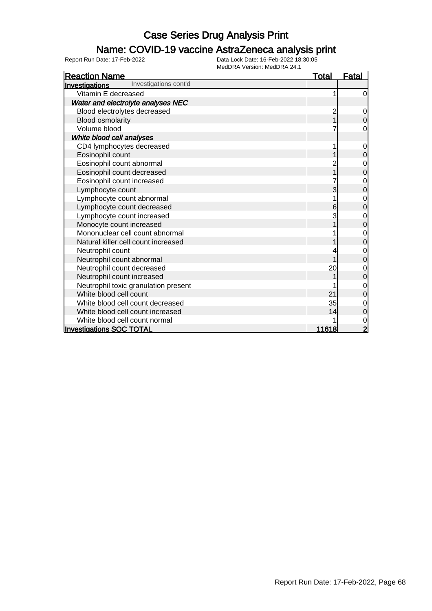### Name: COVID-19 vaccine AstraZeneca analysis print

| <b>Reaction Name</b>                                  | <b>Total</b> | <b>Fatal</b> |
|-------------------------------------------------------|--------------|--------------|
| Investigations cont'd<br><u><b>Investigations</b></u> |              |              |
| Vitamin E decreased                                   |              | $\mathbf 0$  |
| Water and electrolyte analyses NEC                    |              |              |
| Blood electrolytes decreased                          |              | 0            |
| <b>Blood osmolarity</b>                               |              | $\Omega$     |
| Volume blood                                          |              | $\mathbf 0$  |
| White blood cell analyses                             |              |              |
| CD4 lymphocytes decreased                             |              | 0            |
| Eosinophil count                                      |              | 0            |
| Eosinophil count abnormal                             |              | 0            |
| Eosinophil count decreased                            |              | 0            |
| Eosinophil count increased                            |              | 0            |
| Lymphocyte count                                      | 3            | 0            |
| Lymphocyte count abnormal                             |              |              |
| Lymphocyte count decreased                            | 6            | 0            |
| Lymphocyte count increased                            |              | 0            |
| Monocyte count increased                              |              | 0            |
| Mononuclear cell count abnormal                       |              |              |
| Natural killer cell count increased                   |              | 0            |
| Neutrophil count                                      |              | 0            |
| Neutrophil count abnormal                             |              |              |
| Neutrophil count decreased                            | 20           |              |
| Neutrophil count increased                            |              | 0            |
| Neutrophil toxic granulation present                  |              | 0            |
| White blood cell count                                | 21           | 0            |
| White blood cell count decreased                      | 35           | 0            |
| White blood cell count increased                      | 14           | 0            |
| White blood cell count normal                         |              | 0            |
| <b>Investigations SOC TOTAL</b>                       | 11618        |              |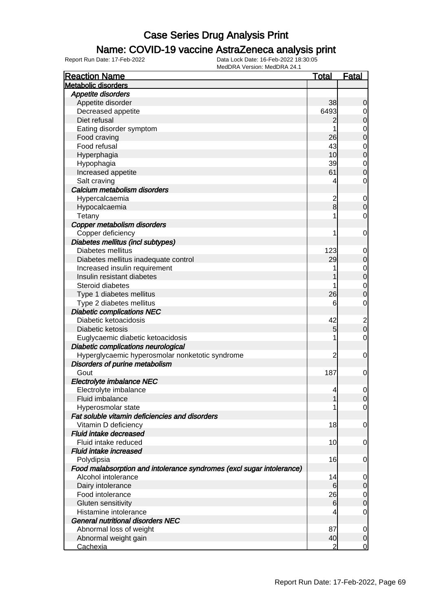### Name: COVID-19 vaccine AstraZeneca analysis print

| <b>Reaction Name</b>                                                  | <u>Total</u>   | <u>Fatal</u>                     |
|-----------------------------------------------------------------------|----------------|----------------------------------|
| <b>Metabolic disorders</b>                                            |                |                                  |
| Appetite disorders                                                    |                |                                  |
| Appetite disorder                                                     | 38             | $\mathbf 0$                      |
| Decreased appetite                                                    | 6493           | $\overline{0}$                   |
| Diet refusal                                                          | 2              | $\mathbf 0$                      |
| Eating disorder symptom                                               | 1              | $\mathbf 0$                      |
| Food craving                                                          | 26             | $\overline{0}$                   |
| Food refusal                                                          | 43             | $\mathbf 0$                      |
| Hyperphagia                                                           | 10             | $\mathbf 0$                      |
| Hypophagia                                                            | 39             | $\mathbf 0$                      |
| Increased appetite                                                    | 61             | $\mathbf 0$                      |
| Salt craving                                                          | 4              | 0                                |
| Calcium metabolism disorders                                          |                |                                  |
| Hypercalcaemia                                                        |                | $\mathbf 0$                      |
| Hypocalcaemia                                                         | $\frac{2}{8}$  | $\boldsymbol{0}$                 |
| Tetany                                                                | 1              | 0                                |
| Copper metabolism disorders                                           |                |                                  |
| Copper deficiency                                                     | 1              | $\mathbf 0$                      |
| Diabetes mellitus (incl subtypes)                                     |                |                                  |
| Diabetes mellitus                                                     | 123            | $\mathbf 0$                      |
| Diabetes mellitus inadequate control                                  | 29             | $\boldsymbol{0}$                 |
| Increased insulin requirement                                         | 1              |                                  |
| Insulin resistant diabetes                                            |                | $\begin{matrix}0\\0\end{matrix}$ |
| Steroid diabetes                                                      | 1              |                                  |
|                                                                       |                | $\mathbf 0$                      |
| Type 1 diabetes mellitus                                              | 26             | $\overline{0}$                   |
| Type 2 diabetes mellitus                                              | 6              | $\mathbf 0$                      |
| <b>Diabetic complications NEC</b>                                     |                |                                  |
| Diabetic ketoacidosis                                                 | 42             | $\overline{\mathbf{c}}$          |
| Diabetic ketosis                                                      | 5              | $\overline{0}$                   |
| Euglycaemic diabetic ketoacidosis                                     | 1              | $\mathbf 0$                      |
| Diabetic complications neurological                                   |                |                                  |
| Hyperglycaemic hyperosmolar nonketotic syndrome                       | $\overline{c}$ | $\mathbf 0$                      |
| Disorders of purine metabolism                                        |                |                                  |
| Gout                                                                  | 187            | $\mathbf 0$                      |
| Electrolyte imbalance NEC                                             |                |                                  |
| Electrolyte imbalance                                                 | 4              | $\mathbf 0$                      |
| Fluid imbalance                                                       | 1              | 0                                |
| Hyperosmolar state                                                    | 1              | $\overline{0}$                   |
| Fat soluble vitamin deficiencies and disorders                        |                |                                  |
| Vitamin D deficiency                                                  | 18             | $\mathbf 0$                      |
| Fluid intake decreased                                                |                |                                  |
| Fluid intake reduced                                                  | 10             | $\mathbf 0$                      |
| <b>Fluid intake increased</b>                                         |                |                                  |
| Polydipsia                                                            | 16             | $\mathbf 0$                      |
| Food malabsorption and intolerance syndromes (excl sugar intolerance) |                |                                  |
| Alcohol intolerance                                                   | 14             | $\mathbf 0$                      |
| Dairy intolerance                                                     | 6              | $\boldsymbol{0}$                 |
| Food intolerance                                                      | 26             | $\mathbf 0$                      |
| Gluten sensitivity                                                    | 6              | $\boldsymbol{0}$                 |
| Histamine intolerance                                                 | 4              | $\mathbf 0$                      |
| <b>General nutritional disorders NEC</b>                              |                |                                  |
| Abnormal loss of weight                                               | 87             | 0                                |
| Abnormal weight gain                                                  | 40             | $\mathbf 0$                      |
| Cachexia                                                              | 2              | $\overline{0}$                   |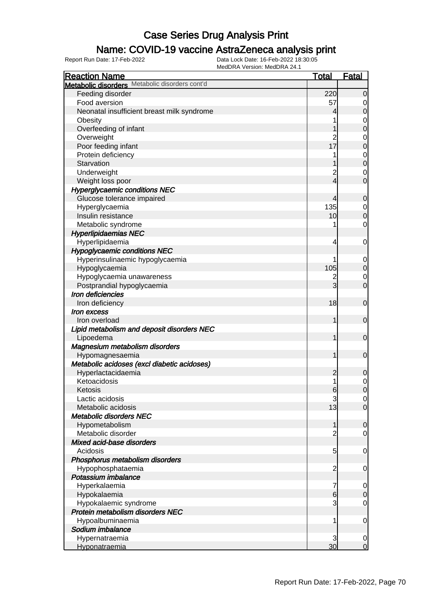### Name: COVID-19 vaccine AstraZeneca analysis print

| IVICULINA VEISIUII. IVICULINA 24. I<br><b>Reaction Name</b> | <b>Total</b> | <b>Fatal</b>        |
|-------------------------------------------------------------|--------------|---------------------|
| Metabolic disorders Metabolic disorders cont'd              |              |                     |
| Feeding disorder                                            | 220          | $\overline{0}$      |
| Food aversion                                               | 57           | 0                   |
| Neonatal insufficient breast milk syndrome                  | 4            | $\Omega$            |
| Obesity                                                     |              | 0                   |
| Overfeeding of infant                                       |              | 0                   |
| Overweight                                                  |              | 0                   |
| Poor feeding infant                                         | 17           | $\overline{0}$      |
| Protein deficiency                                          |              | 0                   |
| Starvation                                                  |              | $\overline{0}$      |
|                                                             |              |                     |
| Underweight                                                 | 4            | 0<br>$\overline{0}$ |
| Weight loss poor                                            |              |                     |
| <b>Hyperglycaemic conditions NEC</b>                        |              |                     |
| Glucose tolerance impaired                                  | 4            | $\overline{0}$      |
| Hyperglycaemia                                              | 135          | 0                   |
| Insulin resistance                                          | 10           | $\mathbf 0$         |
| Metabolic syndrome                                          |              | 0                   |
| <b>Hyperlipidaemias NEC</b>                                 |              |                     |
| Hyperlipidaemia                                             | 4            | 0                   |
| <b>Hypoglycaemic conditions NEC</b>                         |              |                     |
| Hyperinsulinaemic hypoglycaemia                             |              | 0                   |
| Hypoglycaemia                                               | 105          | $\mathbf 0$         |
| Hypoglycaemia unawareness                                   |              | 0                   |
| Postprandial hypoglycaemia                                  | 3            | $\overline{0}$      |
| Iron deficiencies                                           |              |                     |
| Iron deficiency                                             | 18           | $\mathbf 0$         |
| Iron excess                                                 |              |                     |
| Iron overload                                               | 1            | $\overline{0}$      |
| Lipid metabolism and deposit disorders NEC                  |              |                     |
| Lipoedema                                                   | 1            | $\overline{0}$      |
| Magnesium metabolism disorders                              |              |                     |
| Hypomagnesaemia                                             | 1            | $\overline{0}$      |
| Metabolic acidoses (excl diabetic acidoses)                 |              |                     |
| Hyperlactacidaemia                                          | 2            | 0                   |
| Ketoacidosis                                                |              | 0                   |
| Ketosis                                                     | 6            | $\overline{0}$      |
| Lactic acidosis                                             | 3            | 0                   |
| Metabolic acidosis                                          | 13           | $\overline{0}$      |
| <b>Metabolic disorders NEC</b>                              |              |                     |
| Hypometabolism                                              |              | $\mathbf 0$         |
| Metabolic disorder                                          |              | 0                   |
| Mixed acid-base disorders                                   |              |                     |
| Acidosis                                                    | 5            | 0                   |
| Phosphorus metabolism disorders                             |              |                     |
| Hypophosphataemia                                           | 2            | 0                   |
| Potassium imbalance                                         |              |                     |
| Hyperkalaemia                                               |              | 0                   |
| Hypokalaemia                                                | 6            | $\overline{0}$      |
| Hypokalaemic syndrome                                       | 3            | 0                   |
| Protein metabolism disorders NEC                            |              |                     |
| Hypoalbuminaemia                                            |              | 0                   |
| Sodium imbalance                                            |              |                     |
| Hypernatraemia                                              | 3            | 0                   |
| <b>Hyponatraemia</b>                                        | 30           | $\overline{0}$      |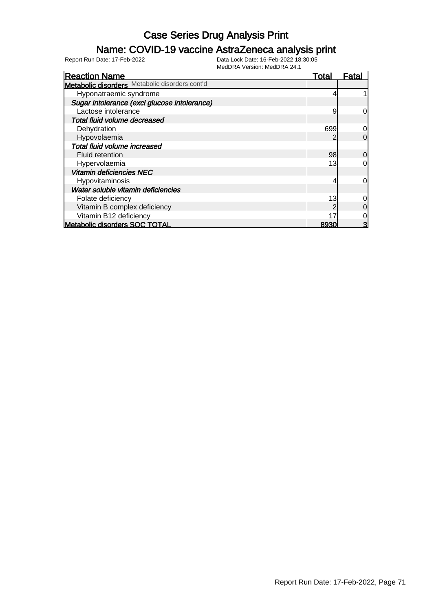### Name: COVID-19 vaccine AstraZeneca analysis print

| <b>Reaction Name</b>                           | Total | Fatal          |
|------------------------------------------------|-------|----------------|
| Metabolic disorders Metabolic disorders cont'd |       |                |
| Hyponatraemic syndrome                         |       |                |
| Sugar intolerance (excl glucose intolerance)   |       |                |
| Lactose intolerance                            | 9     | 0l             |
| Total fluid volume decreased                   |       |                |
| Dehydration                                    | 699   | 0              |
| Hypovolaemia                                   | 2     | $\overline{0}$ |
| Total fluid volume increased                   |       |                |
| <b>Fluid retention</b>                         | 98    | $\overline{0}$ |
| Hypervolaemia                                  | 13    | 0l             |
| <b>Vitamin deficiencies NEC</b>                |       |                |
| Hypovitaminosis                                |       | $\overline{0}$ |
| Water soluble vitamin deficiencies             |       |                |
| Folate deficiency                              | 13    | 0              |
| Vitamin B complex deficiency                   |       | $\overline{0}$ |
| Vitamin B12 deficiency                         | 17    | 0              |
| <b>Metabolic disorders SOC TOTAL</b>           | 8930  | 3              |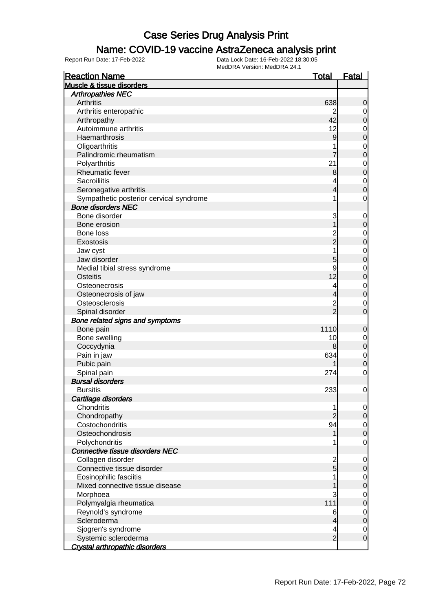#### Name: COVID-19 vaccine AstraZeneca analysis print

| <b>Arthropathies NEC</b><br><b>Arthritis</b><br>638<br>0<br>Arthritis enteropathic<br>2<br>$\overline{0}$<br>42<br>Arthropathy<br>0<br>Autoimmune arthritis<br>12<br>0<br>Haemarthrosis<br>9<br>0<br>Oligoarthritis<br>$\mathbf 0$<br>Palindromic rheumatism<br>7<br>0<br>Polyarthritis<br>21<br>$\mathbf 0$<br><b>Rheumatic fever</b><br>8<br>0<br><b>Sacroiliitis</b><br>4<br>$\mathbf 0$<br>Seronegative arthritis<br>4<br>0<br>Sympathetic posterior cervical syndrome<br>1<br>0<br><b>Bone disorders NEC</b><br>Bone disorder<br>3<br>$\mathbf 0$<br>Bone erosion<br>0<br>Bone loss<br>$\overline{c}$<br>0<br>$\overline{2}$<br>Exostosis<br>0<br>1<br>Jaw cyst<br>$\mathbf 0$<br>Jaw disorder<br>5<br>0<br>9<br>Medial tibial stress syndrome<br>0<br>12<br><b>Osteitis</b><br>0<br>Osteonecrosis<br>4<br>$\mathbf 0$<br>Osteonecrosis of jaw<br>0<br>Osteosclerosis<br>$\overline{c}$<br>0<br>$\overline{2}$<br>Spinal disorder<br>0<br>Bone related signs and symptoms<br>1110<br>Bone pain<br>0<br>Bone swelling<br>10<br>$\boldsymbol{0}$<br>Coccydynia<br>8<br>0<br>Pain in jaw<br>634<br>$\mathbf 0$<br>Pubic pain<br>0<br>Spinal pain<br>274<br>0<br><b>Bursal disorders</b><br>233<br><b>Bursitis</b><br>0<br>Cartilage disorders<br>Chondritis<br>1<br>$\overline{0}$<br>Chondropathy<br>0<br>Costochondritis<br>94<br>$\mathbf 0$<br>Osteochondrosis<br>0<br>Polychondritis<br>0<br>1<br>Connective tissue disorders NEC<br>Collagen disorder<br>$\frac{2}{5}$<br>0<br>Connective tissue disorder<br>0<br>Eosinophilic fasciitis<br>0<br>Mixed connective tissue disease<br>0<br>3<br>Morphoea<br>0<br>111<br>Polymyalgia rheumatica<br>0<br>Reynold's syndrome<br>6<br>0 | <b>Reaction Name</b>      | <u>Total</u> | <b>Fatal</b> |
|-------------------------------------------------------------------------------------------------------------------------------------------------------------------------------------------------------------------------------------------------------------------------------------------------------------------------------------------------------------------------------------------------------------------------------------------------------------------------------------------------------------------------------------------------------------------------------------------------------------------------------------------------------------------------------------------------------------------------------------------------------------------------------------------------------------------------------------------------------------------------------------------------------------------------------------------------------------------------------------------------------------------------------------------------------------------------------------------------------------------------------------------------------------------------------------------------------------------------------------------------------------------------------------------------------------------------------------------------------------------------------------------------------------------------------------------------------------------------------------------------------------------------------------------------------------------------------------------------------------------------------------------------------------------------------------------|---------------------------|--------------|--------------|
|                                                                                                                                                                                                                                                                                                                                                                                                                                                                                                                                                                                                                                                                                                                                                                                                                                                                                                                                                                                                                                                                                                                                                                                                                                                                                                                                                                                                                                                                                                                                                                                                                                                                                           | Muscle & tissue disorders |              |              |
|                                                                                                                                                                                                                                                                                                                                                                                                                                                                                                                                                                                                                                                                                                                                                                                                                                                                                                                                                                                                                                                                                                                                                                                                                                                                                                                                                                                                                                                                                                                                                                                                                                                                                           |                           |              |              |
|                                                                                                                                                                                                                                                                                                                                                                                                                                                                                                                                                                                                                                                                                                                                                                                                                                                                                                                                                                                                                                                                                                                                                                                                                                                                                                                                                                                                                                                                                                                                                                                                                                                                                           |                           |              |              |
|                                                                                                                                                                                                                                                                                                                                                                                                                                                                                                                                                                                                                                                                                                                                                                                                                                                                                                                                                                                                                                                                                                                                                                                                                                                                                                                                                                                                                                                                                                                                                                                                                                                                                           |                           |              |              |
|                                                                                                                                                                                                                                                                                                                                                                                                                                                                                                                                                                                                                                                                                                                                                                                                                                                                                                                                                                                                                                                                                                                                                                                                                                                                                                                                                                                                                                                                                                                                                                                                                                                                                           |                           |              |              |
|                                                                                                                                                                                                                                                                                                                                                                                                                                                                                                                                                                                                                                                                                                                                                                                                                                                                                                                                                                                                                                                                                                                                                                                                                                                                                                                                                                                                                                                                                                                                                                                                                                                                                           |                           |              |              |
|                                                                                                                                                                                                                                                                                                                                                                                                                                                                                                                                                                                                                                                                                                                                                                                                                                                                                                                                                                                                                                                                                                                                                                                                                                                                                                                                                                                                                                                                                                                                                                                                                                                                                           |                           |              |              |
|                                                                                                                                                                                                                                                                                                                                                                                                                                                                                                                                                                                                                                                                                                                                                                                                                                                                                                                                                                                                                                                                                                                                                                                                                                                                                                                                                                                                                                                                                                                                                                                                                                                                                           |                           |              |              |
|                                                                                                                                                                                                                                                                                                                                                                                                                                                                                                                                                                                                                                                                                                                                                                                                                                                                                                                                                                                                                                                                                                                                                                                                                                                                                                                                                                                                                                                                                                                                                                                                                                                                                           |                           |              |              |
|                                                                                                                                                                                                                                                                                                                                                                                                                                                                                                                                                                                                                                                                                                                                                                                                                                                                                                                                                                                                                                                                                                                                                                                                                                                                                                                                                                                                                                                                                                                                                                                                                                                                                           |                           |              |              |
|                                                                                                                                                                                                                                                                                                                                                                                                                                                                                                                                                                                                                                                                                                                                                                                                                                                                                                                                                                                                                                                                                                                                                                                                                                                                                                                                                                                                                                                                                                                                                                                                                                                                                           |                           |              |              |
|                                                                                                                                                                                                                                                                                                                                                                                                                                                                                                                                                                                                                                                                                                                                                                                                                                                                                                                                                                                                                                                                                                                                                                                                                                                                                                                                                                                                                                                                                                                                                                                                                                                                                           |                           |              |              |
|                                                                                                                                                                                                                                                                                                                                                                                                                                                                                                                                                                                                                                                                                                                                                                                                                                                                                                                                                                                                                                                                                                                                                                                                                                                                                                                                                                                                                                                                                                                                                                                                                                                                                           |                           |              |              |
|                                                                                                                                                                                                                                                                                                                                                                                                                                                                                                                                                                                                                                                                                                                                                                                                                                                                                                                                                                                                                                                                                                                                                                                                                                                                                                                                                                                                                                                                                                                                                                                                                                                                                           |                           |              |              |
|                                                                                                                                                                                                                                                                                                                                                                                                                                                                                                                                                                                                                                                                                                                                                                                                                                                                                                                                                                                                                                                                                                                                                                                                                                                                                                                                                                                                                                                                                                                                                                                                                                                                                           |                           |              |              |
|                                                                                                                                                                                                                                                                                                                                                                                                                                                                                                                                                                                                                                                                                                                                                                                                                                                                                                                                                                                                                                                                                                                                                                                                                                                                                                                                                                                                                                                                                                                                                                                                                                                                                           |                           |              |              |
|                                                                                                                                                                                                                                                                                                                                                                                                                                                                                                                                                                                                                                                                                                                                                                                                                                                                                                                                                                                                                                                                                                                                                                                                                                                                                                                                                                                                                                                                                                                                                                                                                                                                                           |                           |              |              |
|                                                                                                                                                                                                                                                                                                                                                                                                                                                                                                                                                                                                                                                                                                                                                                                                                                                                                                                                                                                                                                                                                                                                                                                                                                                                                                                                                                                                                                                                                                                                                                                                                                                                                           |                           |              |              |
|                                                                                                                                                                                                                                                                                                                                                                                                                                                                                                                                                                                                                                                                                                                                                                                                                                                                                                                                                                                                                                                                                                                                                                                                                                                                                                                                                                                                                                                                                                                                                                                                                                                                                           |                           |              |              |
|                                                                                                                                                                                                                                                                                                                                                                                                                                                                                                                                                                                                                                                                                                                                                                                                                                                                                                                                                                                                                                                                                                                                                                                                                                                                                                                                                                                                                                                                                                                                                                                                                                                                                           |                           |              |              |
|                                                                                                                                                                                                                                                                                                                                                                                                                                                                                                                                                                                                                                                                                                                                                                                                                                                                                                                                                                                                                                                                                                                                                                                                                                                                                                                                                                                                                                                                                                                                                                                                                                                                                           |                           |              |              |
|                                                                                                                                                                                                                                                                                                                                                                                                                                                                                                                                                                                                                                                                                                                                                                                                                                                                                                                                                                                                                                                                                                                                                                                                                                                                                                                                                                                                                                                                                                                                                                                                                                                                                           |                           |              |              |
|                                                                                                                                                                                                                                                                                                                                                                                                                                                                                                                                                                                                                                                                                                                                                                                                                                                                                                                                                                                                                                                                                                                                                                                                                                                                                                                                                                                                                                                                                                                                                                                                                                                                                           |                           |              |              |
|                                                                                                                                                                                                                                                                                                                                                                                                                                                                                                                                                                                                                                                                                                                                                                                                                                                                                                                                                                                                                                                                                                                                                                                                                                                                                                                                                                                                                                                                                                                                                                                                                                                                                           |                           |              |              |
|                                                                                                                                                                                                                                                                                                                                                                                                                                                                                                                                                                                                                                                                                                                                                                                                                                                                                                                                                                                                                                                                                                                                                                                                                                                                                                                                                                                                                                                                                                                                                                                                                                                                                           |                           |              |              |
|                                                                                                                                                                                                                                                                                                                                                                                                                                                                                                                                                                                                                                                                                                                                                                                                                                                                                                                                                                                                                                                                                                                                                                                                                                                                                                                                                                                                                                                                                                                                                                                                                                                                                           |                           |              |              |
|                                                                                                                                                                                                                                                                                                                                                                                                                                                                                                                                                                                                                                                                                                                                                                                                                                                                                                                                                                                                                                                                                                                                                                                                                                                                                                                                                                                                                                                                                                                                                                                                                                                                                           |                           |              |              |
|                                                                                                                                                                                                                                                                                                                                                                                                                                                                                                                                                                                                                                                                                                                                                                                                                                                                                                                                                                                                                                                                                                                                                                                                                                                                                                                                                                                                                                                                                                                                                                                                                                                                                           |                           |              |              |
|                                                                                                                                                                                                                                                                                                                                                                                                                                                                                                                                                                                                                                                                                                                                                                                                                                                                                                                                                                                                                                                                                                                                                                                                                                                                                                                                                                                                                                                                                                                                                                                                                                                                                           |                           |              |              |
|                                                                                                                                                                                                                                                                                                                                                                                                                                                                                                                                                                                                                                                                                                                                                                                                                                                                                                                                                                                                                                                                                                                                                                                                                                                                                                                                                                                                                                                                                                                                                                                                                                                                                           |                           |              |              |
|                                                                                                                                                                                                                                                                                                                                                                                                                                                                                                                                                                                                                                                                                                                                                                                                                                                                                                                                                                                                                                                                                                                                                                                                                                                                                                                                                                                                                                                                                                                                                                                                                                                                                           |                           |              |              |
|                                                                                                                                                                                                                                                                                                                                                                                                                                                                                                                                                                                                                                                                                                                                                                                                                                                                                                                                                                                                                                                                                                                                                                                                                                                                                                                                                                                                                                                                                                                                                                                                                                                                                           |                           |              |              |
|                                                                                                                                                                                                                                                                                                                                                                                                                                                                                                                                                                                                                                                                                                                                                                                                                                                                                                                                                                                                                                                                                                                                                                                                                                                                                                                                                                                                                                                                                                                                                                                                                                                                                           |                           |              |              |
|                                                                                                                                                                                                                                                                                                                                                                                                                                                                                                                                                                                                                                                                                                                                                                                                                                                                                                                                                                                                                                                                                                                                                                                                                                                                                                                                                                                                                                                                                                                                                                                                                                                                                           |                           |              |              |
|                                                                                                                                                                                                                                                                                                                                                                                                                                                                                                                                                                                                                                                                                                                                                                                                                                                                                                                                                                                                                                                                                                                                                                                                                                                                                                                                                                                                                                                                                                                                                                                                                                                                                           |                           |              |              |
|                                                                                                                                                                                                                                                                                                                                                                                                                                                                                                                                                                                                                                                                                                                                                                                                                                                                                                                                                                                                                                                                                                                                                                                                                                                                                                                                                                                                                                                                                                                                                                                                                                                                                           |                           |              |              |
|                                                                                                                                                                                                                                                                                                                                                                                                                                                                                                                                                                                                                                                                                                                                                                                                                                                                                                                                                                                                                                                                                                                                                                                                                                                                                                                                                                                                                                                                                                                                                                                                                                                                                           |                           |              |              |
|                                                                                                                                                                                                                                                                                                                                                                                                                                                                                                                                                                                                                                                                                                                                                                                                                                                                                                                                                                                                                                                                                                                                                                                                                                                                                                                                                                                                                                                                                                                                                                                                                                                                                           |                           |              |              |
|                                                                                                                                                                                                                                                                                                                                                                                                                                                                                                                                                                                                                                                                                                                                                                                                                                                                                                                                                                                                                                                                                                                                                                                                                                                                                                                                                                                                                                                                                                                                                                                                                                                                                           |                           |              |              |
|                                                                                                                                                                                                                                                                                                                                                                                                                                                                                                                                                                                                                                                                                                                                                                                                                                                                                                                                                                                                                                                                                                                                                                                                                                                                                                                                                                                                                                                                                                                                                                                                                                                                                           |                           |              |              |
|                                                                                                                                                                                                                                                                                                                                                                                                                                                                                                                                                                                                                                                                                                                                                                                                                                                                                                                                                                                                                                                                                                                                                                                                                                                                                                                                                                                                                                                                                                                                                                                                                                                                                           |                           |              |              |
|                                                                                                                                                                                                                                                                                                                                                                                                                                                                                                                                                                                                                                                                                                                                                                                                                                                                                                                                                                                                                                                                                                                                                                                                                                                                                                                                                                                                                                                                                                                                                                                                                                                                                           |                           |              |              |
|                                                                                                                                                                                                                                                                                                                                                                                                                                                                                                                                                                                                                                                                                                                                                                                                                                                                                                                                                                                                                                                                                                                                                                                                                                                                                                                                                                                                                                                                                                                                                                                                                                                                                           |                           |              |              |
|                                                                                                                                                                                                                                                                                                                                                                                                                                                                                                                                                                                                                                                                                                                                                                                                                                                                                                                                                                                                                                                                                                                                                                                                                                                                                                                                                                                                                                                                                                                                                                                                                                                                                           |                           |              |              |
|                                                                                                                                                                                                                                                                                                                                                                                                                                                                                                                                                                                                                                                                                                                                                                                                                                                                                                                                                                                                                                                                                                                                                                                                                                                                                                                                                                                                                                                                                                                                                                                                                                                                                           |                           |              |              |
|                                                                                                                                                                                                                                                                                                                                                                                                                                                                                                                                                                                                                                                                                                                                                                                                                                                                                                                                                                                                                                                                                                                                                                                                                                                                                                                                                                                                                                                                                                                                                                                                                                                                                           |                           |              |              |
|                                                                                                                                                                                                                                                                                                                                                                                                                                                                                                                                                                                                                                                                                                                                                                                                                                                                                                                                                                                                                                                                                                                                                                                                                                                                                                                                                                                                                                                                                                                                                                                                                                                                                           |                           |              |              |
|                                                                                                                                                                                                                                                                                                                                                                                                                                                                                                                                                                                                                                                                                                                                                                                                                                                                                                                                                                                                                                                                                                                                                                                                                                                                                                                                                                                                                                                                                                                                                                                                                                                                                           |                           |              |              |
|                                                                                                                                                                                                                                                                                                                                                                                                                                                                                                                                                                                                                                                                                                                                                                                                                                                                                                                                                                                                                                                                                                                                                                                                                                                                                                                                                                                                                                                                                                                                                                                                                                                                                           |                           |              |              |
|                                                                                                                                                                                                                                                                                                                                                                                                                                                                                                                                                                                                                                                                                                                                                                                                                                                                                                                                                                                                                                                                                                                                                                                                                                                                                                                                                                                                                                                                                                                                                                                                                                                                                           |                           |              |              |
| 0<br>4                                                                                                                                                                                                                                                                                                                                                                                                                                                                                                                                                                                                                                                                                                                                                                                                                                                                                                                                                                                                                                                                                                                                                                                                                                                                                                                                                                                                                                                                                                                                                                                                                                                                                    | Scleroderma               |              |              |
| Sjogren's syndrome<br>4<br>0                                                                                                                                                                                                                                                                                                                                                                                                                                                                                                                                                                                                                                                                                                                                                                                                                                                                                                                                                                                                                                                                                                                                                                                                                                                                                                                                                                                                                                                                                                                                                                                                                                                              |                           |              |              |
| $\overline{2}$<br>Systemic scleroderma<br>0                                                                                                                                                                                                                                                                                                                                                                                                                                                                                                                                                                                                                                                                                                                                                                                                                                                                                                                                                                                                                                                                                                                                                                                                                                                                                                                                                                                                                                                                                                                                                                                                                                               |                           |              |              |
| Crystal arthropathic disorders                                                                                                                                                                                                                                                                                                                                                                                                                                                                                                                                                                                                                                                                                                                                                                                                                                                                                                                                                                                                                                                                                                                                                                                                                                                                                                                                                                                                                                                                                                                                                                                                                                                            |                           |              |              |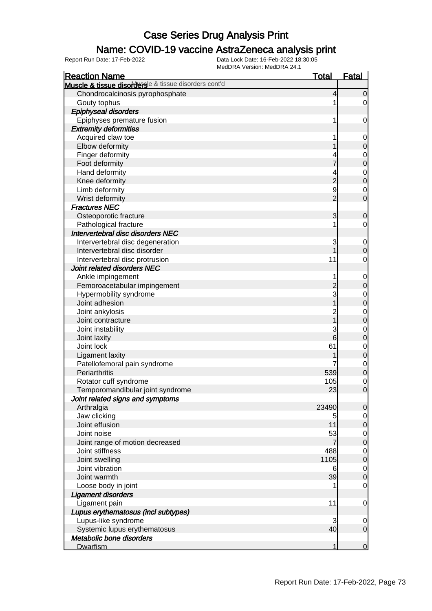### Name: COVID-19 vaccine AstraZeneca analysis print

| <b>Reaction Name</b>                                  | <b>Total</b>                     | <b>Fatal</b>                    |
|-------------------------------------------------------|----------------------------------|---------------------------------|
| Muscle & tissue disordersle & tissue disorders cont'd |                                  |                                 |
| Chondrocalcinosis pyrophosphate                       | 4                                | $\overline{0}$                  |
| Gouty tophus                                          | 1                                | $\overline{0}$                  |
| <b>Epiphyseal disorders</b>                           |                                  |                                 |
| Epiphyses premature fusion                            | 1                                | 0                               |
| <b>Extremity deformities</b>                          |                                  |                                 |
| Acquired claw toe                                     |                                  | 0                               |
| Elbow deformity                                       |                                  | $\mathbf 0$                     |
| Finger deformity                                      |                                  | 0                               |
| Foot deformity                                        | 7                                | $\pmb{0}$                       |
| Hand deformity                                        | 4                                | 0                               |
| Knee deformity                                        | $\overline{c}$                   | $\boldsymbol{0}$                |
| Limb deformity                                        | 9                                | 0                               |
| Wrist deformity                                       | $\overline{2}$                   | $\mathbf 0$                     |
| <b>Fractures NEC</b>                                  |                                  |                                 |
| Osteoporotic fracture                                 | 3                                | $\mathbf 0$                     |
| Pathological fracture                                 | 1                                | 0                               |
| Intervertebral disc disorders NEC                     |                                  |                                 |
| Intervertebral disc degeneration                      | 3                                | $\mathbf 0$                     |
| Intervertebral disc disorder                          | 1                                | $\boldsymbol{0}$                |
| Intervertebral disc protrusion                        | 11                               | 0                               |
| Joint related disorders NEC                           |                                  |                                 |
| Ankle impingement                                     |                                  |                                 |
| Femoroacetabular impingement                          | $\overline{c}$                   | $\mathbf 0$<br>$\boldsymbol{0}$ |
|                                                       | 3                                |                                 |
| Hypermobility syndrome<br>Joint adhesion              |                                  | 0                               |
|                                                       |                                  | $\boldsymbol{0}$                |
| Joint ankylosis                                       | $\overline{c}$<br>$\overline{1}$ | 0                               |
| Joint contracture                                     |                                  | $\boldsymbol{0}$                |
| Joint instability                                     | 3                                | 0                               |
| Joint laxity                                          | 6                                | $\mathbf 0$                     |
| Joint lock                                            | 61                               | 0                               |
| <b>Ligament laxity</b>                                |                                  | $\boldsymbol{0}$                |
| Patellofemoral pain syndrome                          |                                  | 0                               |
| Periarthritis                                         | 539                              | $\pmb{0}$                       |
| Rotator cuff syndrome                                 | 105                              | $\mathbf 0$                     |
| Temporomandibular joint syndrome                      | 23                               | $\mathbf 0$                     |
| Joint related signs and symptoms                      |                                  |                                 |
| Arthralgia                                            | 23490                            | $\overline{0}$                  |
| Jaw clicking                                          | 5                                | $\overline{0}$                  |
| Joint effusion                                        | 11                               | $\mathbf 0$                     |
| Joint noise                                           | 53                               | $\overline{0}$                  |
| Joint range of motion decreased                       | 7                                | $\boldsymbol{0}$                |
| Joint stiffness                                       | 488                              | $\overline{0}$                  |
| Joint swelling                                        | 1105                             | $\boldsymbol{0}$                |
| Joint vibration                                       | 6                                | $\overline{0}$                  |
| Joint warmth                                          | 39                               | $\boldsymbol{0}$                |
| Loose body in joint                                   |                                  | $\mathbf 0$                     |
| <b>Ligament disorders</b>                             |                                  |                                 |
| Ligament pain                                         | 11                               | $\mathbf 0$                     |
| Lupus erythematosus (incl subtypes)                   |                                  |                                 |
| Lupus-like syndrome                                   | 3                                | 0                               |
| Systemic lupus erythematosus                          | 40                               | $\mathbf 0$                     |
| Metabolic bone disorders                              |                                  |                                 |
| Dwarfism                                              | 1                                | $\mathbf 0$                     |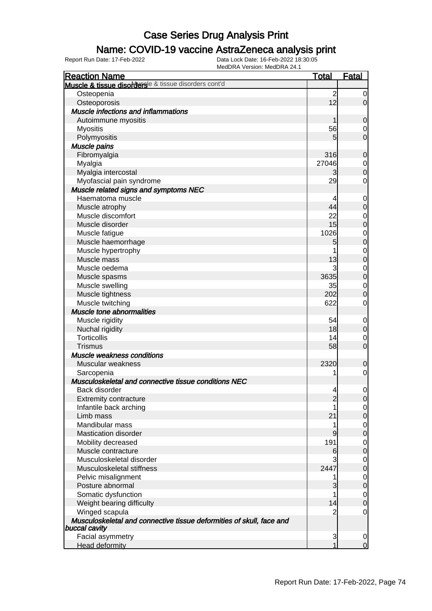### Name: COVID-19 vaccine AstraZeneca analysis print

| <b>Reaction Name</b>                                                                  | <b>Total</b>   | Fatal                           |
|---------------------------------------------------------------------------------------|----------------|---------------------------------|
| Muscle & tissue disordersle & tissue disorders cont'd                                 |                |                                 |
| Osteopenia                                                                            | $\overline{c}$ | $\overline{0}$                  |
| Osteoporosis                                                                          | 12             | $\overline{0}$                  |
| <b>Muscle infections and inflammations</b>                                            |                |                                 |
| Autoimmune myositis                                                                   | 1              | $\mathbf 0$                     |
| <b>Myositis</b>                                                                       | 56             | 0                               |
| Polymyositis                                                                          | 5 <sup>5</sup> | $\mathbf 0$                     |
| Muscle pains                                                                          |                |                                 |
| Fibromyalgia                                                                          | 316            | $\mathbf 0$                     |
| Myalgia                                                                               | 27046          | $\mathbf 0$                     |
| Myalgia intercostal                                                                   | 3              | $\mathbf 0$                     |
| Myofascial pain syndrome                                                              | 29             | $\mathbf 0$                     |
| Muscle related signs and symptoms NEC                                                 |                |                                 |
| Haematoma muscle                                                                      | 4              | $\mathbf 0$                     |
| Muscle atrophy                                                                        | 44             | $\mathbf 0$                     |
| Muscle discomfort                                                                     | 22             | $\mathbf 0$                     |
| Muscle disorder                                                                       | 15             | $\mathbf 0$                     |
| Muscle fatigue                                                                        | 1026           | $\mathbf 0$                     |
| Muscle haemorrhage                                                                    | 5              | $\mathbf 0$                     |
| Muscle hypertrophy                                                                    |                | $\mathbf{0}$                    |
| Muscle mass                                                                           | 13             | $\mathbf 0$                     |
| Muscle oedema                                                                         | 3              | $\mathbf{0}$                    |
| Muscle spasms                                                                         | 3635           | $\mathbf 0$                     |
| Muscle swelling                                                                       | 35             | $\mathbf{0}$                    |
| Muscle tightness                                                                      | 202            | $\mathbf 0$                     |
| Muscle twitching                                                                      | 622            | $\mathbf 0$                     |
| <b>Muscle tone abnormalities</b>                                                      |                |                                 |
| Muscle rigidity                                                                       | 54             | $\mathbf 0$                     |
| Nuchal rigidity                                                                       | 18             | $\pmb{0}$                       |
| <b>Torticollis</b>                                                                    | 14             | $\mathbf 0$                     |
| <b>Trismus</b>                                                                        | 58             | $\mathbf 0$                     |
| Muscle weakness conditions                                                            |                |                                 |
| Muscular weakness                                                                     | 2320           | $\mathbf 0$                     |
| Sarcopenia                                                                            | 1              | $\mathbf 0$                     |
| Musculoskeletal and connective tissue conditions NEC                                  |                |                                 |
| Back disorder                                                                         | $\overline{4}$ | $\mathbf 0$                     |
| <b>Extremity contracture</b>                                                          | $\overline{c}$ | $\overline{0}$                  |
| Infantile back arching                                                                |                | $\overline{0}$                  |
| Limb mass                                                                             | 21             | $\mathbf 0$                     |
| Mandibular mass                                                                       | 1              | $\mathbf 0$                     |
| <b>Mastication disorder</b>                                                           | 9              | $\boldsymbol{0}$                |
| Mobility decreased                                                                    | 191            | $\mathbf 0$                     |
| Muscle contracture                                                                    | 6              | $\boldsymbol{0}$                |
| Musculoskeletal disorder                                                              | 3              |                                 |
| Musculoskeletal stiffness                                                             | 2447           | $\mathbf 0$<br>$\boldsymbol{0}$ |
|                                                                                       |                |                                 |
| Pelvic misalignment<br>Posture abnormal                                               | 1              | $\mathbf 0$                     |
|                                                                                       | 3              | $\pmb{0}$                       |
| Somatic dysfunction                                                                   |                | $\mathbf 0$                     |
| Weight bearing difficulty                                                             | 14             | $\boldsymbol{0}$                |
| Winged scapula                                                                        | 2              | 0                               |
| Musculoskeletal and connective tissue deformities of skull, face and<br>buccal cavity |                |                                 |
| Facial asymmetry                                                                      | 3              | 0                               |
| <b>Head deformity</b>                                                                 |                | $\overline{0}$                  |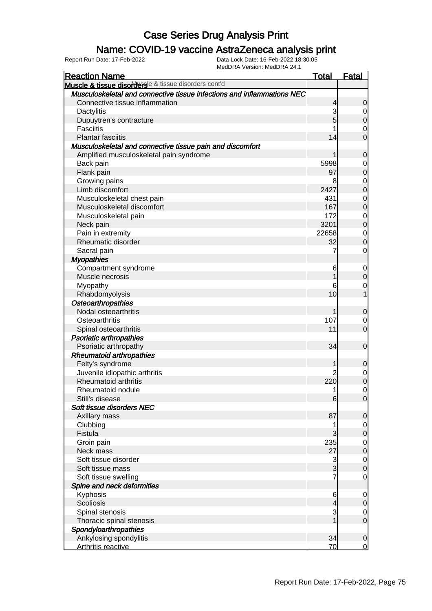### Name: COVID-19 vaccine AstraZeneca analysis print

| <b>Reaction Name</b>                                                   | <b>Total</b>                  | <b>Fatal</b>                         |
|------------------------------------------------------------------------|-------------------------------|--------------------------------------|
| Muscle & tissue disordersle & tissue disorders cont'd                  |                               |                                      |
| Musculoskeletal and connective tissue infections and inflammations NEC |                               |                                      |
| Connective tissue inflammation                                         | $\overline{\mathcal{L}}$      | $\mathbf 0$                          |
| Dactylitis                                                             | 3                             |                                      |
| Dupuytren's contracture                                                | 5                             | $\begin{matrix} 0 \\ 0 \end{matrix}$ |
| <b>Fasciitis</b>                                                       |                               |                                      |
| <b>Plantar fasciitis</b>                                               | 14                            | $\begin{matrix}0\\0\end{matrix}$     |
| Musculoskeletal and connective tissue pain and discomfort              |                               |                                      |
| Amplified musculoskeletal pain syndrome                                | 1                             | $\mathbf 0$                          |
| Back pain                                                              | 5998                          |                                      |
| Flank pain                                                             | 97                            | $\begin{matrix}0\\0\end{matrix}$     |
| Growing pains                                                          | 8                             |                                      |
| Limb discomfort                                                        | 2427                          | $0\atop 0$                           |
| Musculoskeletal chest pain                                             | 431                           |                                      |
| Musculoskeletal discomfort                                             | 167                           | $0\atop 0$                           |
| Musculoskeletal pain                                                   | 172                           |                                      |
| Neck pain                                                              | 3201                          | $0\atop 0$                           |
| Pain in extremity                                                      | 22658                         |                                      |
| Rheumatic disorder                                                     | 32                            | $\begin{matrix}0\\0\end{matrix}$     |
| Sacral pain                                                            | 7                             | $\mathbf 0$                          |
| <b>Myopathies</b>                                                      |                               |                                      |
| Compartment syndrome                                                   | 6                             | $\mathbf 0$                          |
| Muscle necrosis                                                        | 1                             | $\overline{0}$                       |
| Myopathy                                                               | 6                             |                                      |
| Rhabdomyolysis                                                         | 10                            | $\begin{matrix} 0 \\ 1 \end{matrix}$ |
| <b>Osteoarthropathies</b>                                              |                               |                                      |
| Nodal osteoarthritis                                                   | 1                             | $\mathbf 0$                          |
| Osteoarthritis                                                         | 107                           | $\mathbf 0$                          |
| Spinal osteoarthritis                                                  | 11                            | $\overline{0}$                       |
| <b>Psoriatic arthropathies</b>                                         |                               |                                      |
| Psoriatic arthropathy                                                  | 34                            | $\mathbf 0$                          |
| <b>Rheumatoid arthropathies</b>                                        |                               |                                      |
| Felty's syndrome                                                       | 1                             | $\mathbf 0$                          |
| Juvenile idiopathic arthritis                                          | $\overline{2}$                |                                      |
| Rheumatoid arthritis                                                   | 220                           | $\begin{matrix}0\\0\end{matrix}$     |
| Rheumatoid nodule                                                      | 1                             | $\mathbf 0$                          |
| Still's disease                                                        | $6 \,$                        | 0                                    |
| Soft tissue disorders NEC                                              |                               |                                      |
| Axillary mass                                                          | 87                            | 0                                    |
| Clubbing                                                               | 1                             | $\mathbf 0$                          |
| Fistula                                                                | $\mathbf{3}$                  | $\mathbf 0$                          |
| Groin pain                                                             | 235                           |                                      |
| Neck mass                                                              | 27                            | $\overline{0}$<br>$\mathbf 0$        |
| Soft tissue disorder                                                   | 3                             |                                      |
| Soft tissue mass                                                       | 3                             | $\overline{0}$<br>$\overline{0}$     |
| Soft tissue swelling                                                   | 7                             |                                      |
| Spine and neck deformities                                             |                               | $\mathbf 0$                          |
| Kyphosis                                                               | 6                             |                                      |
| Scoliosis                                                              |                               | $\mathbf 0$<br>$\boldsymbol{0}$      |
|                                                                        | $\overline{\mathcal{L}}$<br>3 |                                      |
| Spinal stenosis                                                        | 1                             | $\mathbf 0$<br>$\mathbf 0$           |
| Thoracic spinal stenosis                                               |                               |                                      |
| Spondyloarthropathies                                                  | 34                            |                                      |
| Ankylosing spondylitis                                                 |                               | $\mathbf 0$                          |
| Arthritis reactive                                                     | 70                            | $\overline{0}$                       |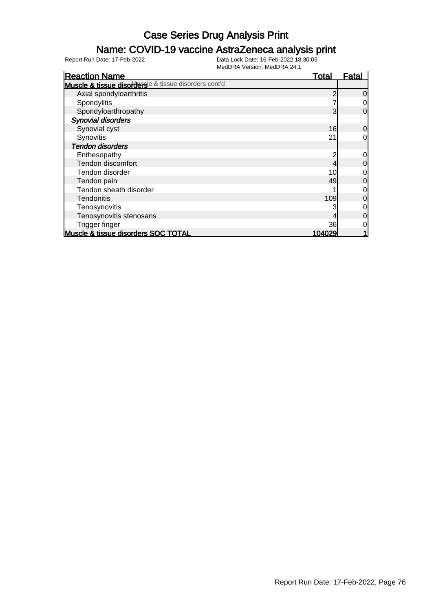### Name: COVID-19 vaccine AstraZeneca analysis print

| <b>Reaction Name</b>                                  | <u>Total</u> | <b>Fatal</b>   |
|-------------------------------------------------------|--------------|----------------|
| Muscle & tissue disordersle & tissue disorders cont'd |              |                |
| Axial spondyloarthritis                               |              | $\overline{0}$ |
| Spondylitis                                           |              | $\overline{0}$ |
| Spondyloarthropathy                                   | 3            | $\overline{0}$ |
| <b>Synovial disorders</b>                             |              |                |
| Synovial cyst                                         | 16           | $\overline{0}$ |
| Synovitis                                             | 21           | $\overline{0}$ |
| <b>Tendon disorders</b>                               |              |                |
| Enthesopathy                                          |              | $\overline{O}$ |
| Tendon discomfort                                     |              | $\overline{0}$ |
| Tendon disorder                                       | 10           | $\overline{0}$ |
| Tendon pain                                           | 49           | $\overline{0}$ |
| Tendon sheath disorder                                |              | $\overline{0}$ |
| <b>Tendonitis</b>                                     | 109          | $\overline{0}$ |
| Tenosynovitis                                         |              | $\overline{O}$ |
| Tenosynovitis stenosans                               |              | $\overline{0}$ |
| <b>Trigger finger</b>                                 | 36           | $\overline{0}$ |
| Muscle & tissue disorders SOC TOTAL                   | 104029       |                |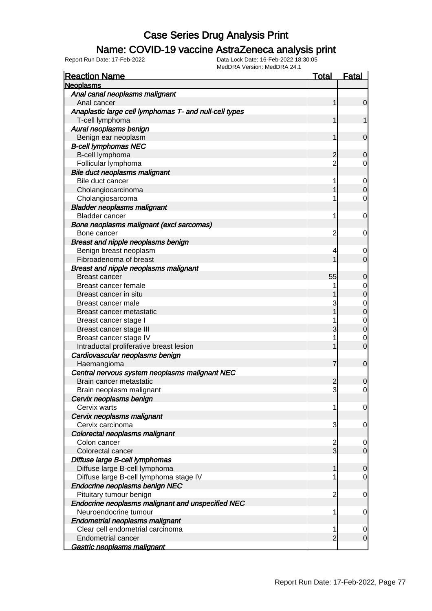### Name: COVID-19 vaccine AstraZeneca analysis print

| <b>Reaction Name</b>                                   | <b>Total</b>   | Fatal                            |
|--------------------------------------------------------|----------------|----------------------------------|
| <b>Neoplasms</b>                                       |                |                                  |
| Anal canal neoplasms malignant                         |                |                                  |
| Anal cancer                                            | 1              | $\overline{0}$                   |
| Anaplastic large cell lymphomas T- and null-cell types |                |                                  |
| T-cell lymphoma                                        | 1              | 1                                |
| Aural neoplasms benign                                 |                |                                  |
| Benign ear neoplasm                                    | 1              | $\mathbf 0$                      |
| <b>B-cell lymphomas NEC</b>                            |                |                                  |
| B-cell lymphoma                                        | $\overline{c}$ | 0                                |
| Follicular lymphoma                                    | $\overline{2}$ | 0                                |
| Bile duct neoplasms malignant                          |                |                                  |
| Bile duct cancer                                       | 1              | $\mathbf 0$                      |
| Cholangiocarcinoma                                     |                | $\mathbf 0$                      |
| Cholangiosarcoma                                       |                | $\mathbf 0$                      |
| <b>Bladder neoplasms malignant</b>                     |                |                                  |
| <b>Bladder cancer</b>                                  | 1              | $\mathbf 0$                      |
| Bone neoplasms malignant (excl sarcomas)               |                |                                  |
| Bone cancer                                            | 2              | $\mathbf 0$                      |
| Breast and nipple neoplasms benign                     |                |                                  |
| Benign breast neoplasm                                 | 4              | 0                                |
| Fibroadenoma of breast                                 |                | $\overline{0}$                   |
| <b>Breast and nipple neoplasms malignant</b>           |                |                                  |
| <b>Breast cancer</b>                                   | 55             | $\mathbf 0$                      |
| Breast cancer female                                   |                | $\mathbf{0}$                     |
| Breast cancer in situ                                  |                | $\overline{0}$                   |
| Breast cancer male                                     | 3              |                                  |
| Breast cancer metastatic                               |                | $\begin{matrix}0\\0\end{matrix}$ |
| Breast cancer stage I                                  |                |                                  |
| Breast cancer stage III                                | 3              | $\begin{matrix}0\\0\end{matrix}$ |
| Breast cancer stage IV                                 |                | $\mathbf 0$                      |
| Intraductal proliferative breast lesion                |                | $\overline{0}$                   |
| Cardiovascular neoplasms benign                        |                |                                  |
| Haemangioma                                            | 7              | $\mathbf 0$                      |
| Central nervous system neoplasms malignant NEC         |                |                                  |
| Brain cancer metastatic                                | $\overline{c}$ | 0                                |
| Brain neoplasm malignant                               | $\overline{3}$ | 0                                |
| Cervix neoplasms benign                                |                |                                  |
| Cervix warts                                           | 1              | $\overline{0}$                   |
| Cervix neoplasms malignant                             |                |                                  |
| Cervix carcinoma                                       | 3              | $\mathbf 0$                      |
| Colorectal neoplasms malignant                         |                |                                  |
| Colon cancer                                           |                | $\overline{0}$                   |
| Colorectal cancer                                      | $\frac{2}{3}$  | $\overline{0}$                   |
| Diffuse large B-cell lymphomas                         |                |                                  |
| Diffuse large B-cell lymphoma                          | 1              | $\mathbf 0$                      |
| Diffuse large B-cell lymphoma stage IV                 |                | $\mathbf 0$                      |
| Endocrine neoplasms benign NEC                         |                |                                  |
| Pituitary tumour benign                                | $\overline{c}$ | $\mathbf 0$                      |
| Endocrine neoplasms malignant and unspecified NEC      |                |                                  |
| Neuroendocrine tumour                                  | 1              | $\mathbf 0$                      |
| <b>Endometrial neoplasms malignant</b>                 |                |                                  |
| Clear cell endometrial carcinoma                       | 1              | 0                                |
| <b>Endometrial cancer</b>                              | $\overline{2}$ | $\mathbf 0$                      |
| Gastric neoplasms malignant                            |                |                                  |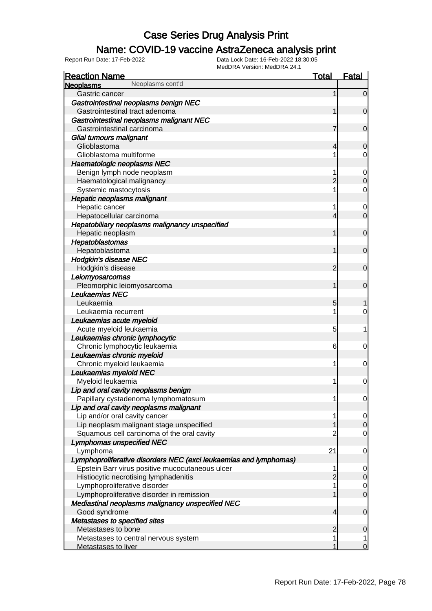### Name: COVID-19 vaccine AstraZeneca analysis print

| <b>Reaction Name</b>                                              | <b>Total</b>   | <b>Fatal</b>   |
|-------------------------------------------------------------------|----------------|----------------|
| Neoplasms cont'd<br><b>Neoplasms</b>                              |                |                |
| Gastric cancer                                                    |                | $\overline{0}$ |
| Gastrointestinal neoplasms benign NEC                             |                |                |
| Gastrointestinal tract adenoma                                    |                | $\mathbf 0$    |
| Gastrointestinal neoplasms malignant NEC                          |                |                |
| Gastrointestinal carcinoma                                        | 7              | $\mathbf 0$    |
| Glial tumours malignant                                           |                |                |
| Glioblastoma                                                      | 4              | $\mathbf 0$    |
| Glioblastoma multiforme                                           |                | 0              |
| <b>Haematologic neoplasms NEC</b>                                 |                |                |
| Benign lymph node neoplasm                                        |                | $\mathbf 0$    |
| Haematological malignancy                                         | $\overline{2}$ | $\mathbf 0$    |
| Systemic mastocytosis                                             |                | 0              |
| <b>Hepatic neoplasms malignant</b>                                |                |                |
| Hepatic cancer                                                    |                | $\mathbf 0$    |
| Hepatocellular carcinoma                                          | 4              | $\overline{0}$ |
| Hepatobiliary neoplasms malignancy unspecified                    |                |                |
| Hepatic neoplasm                                                  |                | $\mathbf 0$    |
| Hepatoblastomas                                                   |                |                |
| Hepatoblastoma                                                    |                | $\mathbf 0$    |
| <b>Hodgkin's disease NEC</b>                                      |                |                |
| Hodgkin's disease                                                 | 2              | $\overline{0}$ |
| Leiomyosarcomas                                                   |                |                |
| Pleomorphic leiomyosarcoma                                        |                | $\overline{0}$ |
| Leukaemias NEC                                                    |                |                |
| Leukaemia                                                         | 5              |                |
| Leukaemia recurrent                                               |                | 0              |
| Leukaemias acute myeloid                                          |                |                |
| Acute myeloid leukaemia                                           | 5              | 1              |
| Leukaemias chronic lymphocytic                                    |                |                |
| Chronic lymphocytic leukaemia                                     | 6              | $\mathbf 0$    |
| Leukaemias chronic myeloid                                        |                |                |
| Chronic myeloid leukaemia                                         | 1              | $\mathbf 0$    |
| Leukaemias myeloid NEC                                            |                |                |
| Myeloid leukaemia                                                 | 1              | $\mathbf 0$    |
| Lip and oral cavity neoplasms benign                              |                |                |
| Papillary cystadenoma lymphomatosum                               |                | $\overline{0}$ |
| Lip and oral cavity neoplasms malignant                           |                |                |
| Lip and/or oral cavity cancer                                     |                | $\overline{0}$ |
| Lip neoplasm malignant stage unspecified                          |                | $\overline{O}$ |
| Squamous cell carcinoma of the oral cavity                        | 2              | $\mathbf 0$    |
| <b>Lymphomas unspecified NEC</b>                                  |                |                |
| Lymphoma                                                          | 21             | $\mathbf 0$    |
| Lymphoproliferative disorders NEC (excl leukaemias and lymphomas) |                |                |
| Epstein Barr virus positive mucocutaneous ulcer                   |                | $\overline{0}$ |
| Histiocytic necrotising lymphadenitis                             | $\overline{2}$ | $\overline{0}$ |
| Lymphoproliferative disorder                                      |                | $\overline{0}$ |
| Lymphoproliferative disorder in remission                         |                | $\overline{0}$ |
| Mediastinal neoplasms malignancy unspecified NEC                  |                |                |
| Good syndrome                                                     | 4              | $\mathbf 0$    |
| Metastases to specified sites                                     |                |                |
| Metastases to bone                                                | 2              | $\mathbf 0$    |
| Metastases to central nervous system                              |                | 1              |
| <b>Metastases to liver</b>                                        |                | $\overline{0}$ |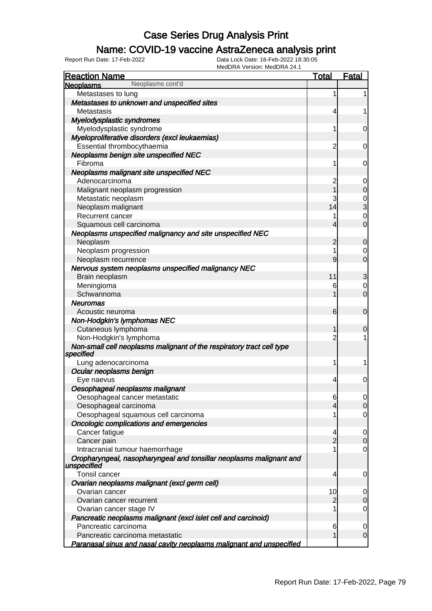### Name: COVID-19 vaccine AstraZeneca analysis print

| <b>Reaction Name</b>                                                               | <b>Total</b>   | Fatal          |
|------------------------------------------------------------------------------------|----------------|----------------|
| Neoplasms cont'd<br><b>Neoplasms</b>                                               |                |                |
| Metastases to lung                                                                 | 1              | 1              |
| Metastases to unknown and unspecified sites                                        |                |                |
| Metastasis                                                                         | 4              |                |
| Myelodysplastic syndromes                                                          |                |                |
| Myelodysplastic syndrome                                                           | 1              | 0              |
| Myeloproliferative disorders (excl leukaemias)                                     |                |                |
| Essential thrombocythaemia                                                         | $\overline{c}$ | 0              |
| Neoplasms benign site unspecified NEC                                              |                |                |
| Fibroma                                                                            | 1              | 0              |
| Neoplasms malignant site unspecified NEC                                           |                |                |
| Adenocarcinoma                                                                     | $\overline{c}$ | 0              |
| Malignant neoplasm progression                                                     | 1              | $\overline{0}$ |
| Metastatic neoplasm                                                                | 3              |                |
| Neoplasm malignant                                                                 | 14             | $\frac{0}{3}$  |
| <b>Recurrent cancer</b>                                                            |                | $\mathbf{0}$   |
| Squamous cell carcinoma                                                            | 4              | $\overline{0}$ |
| Neoplasms unspecified malignancy and site unspecified NEC                          |                |                |
| Neoplasm                                                                           | 2              | $\mathbf 0$    |
| Neoplasm progression                                                               | 1              | 0              |
| Neoplasm recurrence                                                                | 9              | $\overline{0}$ |
| Nervous system neoplasms unspecified malignancy NEC                                |                |                |
| Brain neoplasm                                                                     | 11             | 3              |
| Meningioma                                                                         | 6              | $\mathbf 0$    |
| Schwannoma                                                                         |                | $\overline{0}$ |
| <b>Neuromas</b>                                                                    |                |                |
| Acoustic neuroma                                                                   | 6              | $\overline{0}$ |
| Non-Hodgkin's lymphomas NEC                                                        |                |                |
| Cutaneous lymphoma                                                                 | 1              | 0              |
| Non-Hodgkin's lymphoma                                                             | 2              |                |
| Non-small cell neoplasms malignant of the respiratory tract cell type<br>specified |                |                |
| Lung adenocarcinoma                                                                | 1              | 1              |
| Ocular neoplasms benign                                                            |                |                |
| Eye naevus                                                                         | 4              | 0              |
| Oesophageal neoplasms malignant                                                    |                |                |
| Oesophageal cancer metastatic                                                      | 6              | $\overline{0}$ |
| Oesophageal carcinoma                                                              | 4              | $\overline{0}$ |
| Oesophageal squamous cell carcinoma                                                | 1              | 0              |
| Oncologic complications and emergencies                                            |                |                |
| Cancer fatigue                                                                     | 4              | 0              |
| Cancer pain                                                                        | $\overline{2}$ | $\mathbf 0$    |
| Intracranial tumour haemorrhage                                                    | 1              | 0              |
| Oropharyngeal, nasopharyngeal and tonsillar neoplasms malignant and<br>unspecified |                |                |
| Tonsil cancer                                                                      | 4              | 0              |
| Ovarian neoplasms malignant (excl germ cell)                                       |                |                |
| Ovarian cancer                                                                     | 10             | 0              |
| Ovarian cancer recurrent                                                           | $\overline{2}$ | $\mathbf 0$    |
| Ovarian cancer stage IV                                                            | 1              | $\mathbf 0$    |
| Pancreatic neoplasms malignant (excl islet cell and carcinoid)                     |                |                |
| Pancreatic carcinoma                                                               | 6              | 0              |
| Pancreatic carcinoma metastatic                                                    |                | $\mathbf 0$    |
| Paranasal sinus and nasal cavity neoplasms malignant and unspecified               |                |                |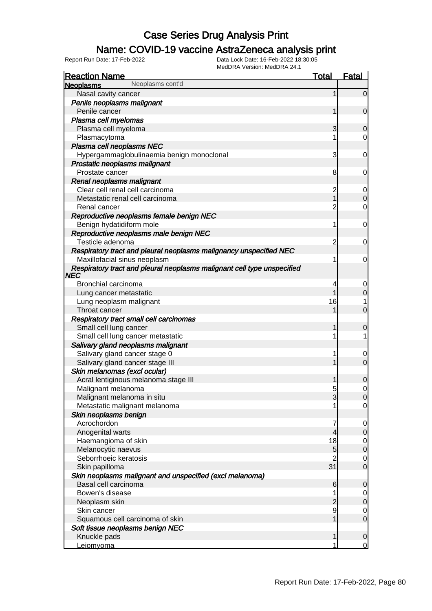### Name: COVID-19 vaccine AstraZeneca analysis print

| <b>Reaction Name</b>                                                            | <b>Total</b>   | <b>Fatal</b>   |
|---------------------------------------------------------------------------------|----------------|----------------|
| Neoplasms cont'd<br><b>Neoplasms</b>                                            |                |                |
| Nasal cavity cancer                                                             |                | $\overline{0}$ |
| Penile neoplasms malignant                                                      |                |                |
| Penile cancer                                                                   |                | $\mathbf 0$    |
| Plasma cell myelomas                                                            |                |                |
| Plasma cell myeloma                                                             | 3              | $\mathbf 0$    |
| Plasmacytoma                                                                    |                | $\overline{0}$ |
| Plasma cell neoplasms NEC                                                       |                |                |
| Hypergammaglobulinaemia benign monoclonal                                       | 3              | $\overline{0}$ |
| Prostatic neoplasms malignant                                                   |                |                |
| Prostate cancer                                                                 | 8              | 0              |
| Renal neoplasms malignant                                                       |                |                |
| Clear cell renal cell carcinoma                                                 | $\overline{c}$ | $\overline{0}$ |
| Metastatic renal cell carcinoma                                                 | 1              | $\mathbf 0$    |
| Renal cancer                                                                    | 2              | $\overline{0}$ |
| Reproductive neoplasms female benign NEC                                        |                |                |
| Benign hydatidiform mole                                                        | 1              | $\overline{0}$ |
| Reproductive neoplasms male benign NEC                                          |                |                |
| Testicle adenoma                                                                | 2              | 0              |
| Respiratory tract and pleural neoplasms malignancy unspecified NEC              |                |                |
| Maxillofacial sinus neoplasm                                                    | 1              | 0              |
| Respiratory tract and pleural neoplasms malignant cell type unspecified<br> NEC |                |                |
| Bronchial carcinoma                                                             | 4              | 0              |
| Lung cancer metastatic                                                          |                | $\mathbf 0$    |
| Lung neoplasm malignant                                                         | 16             | 1              |
| Throat cancer                                                                   |                | $\overline{0}$ |
| Respiratory tract small cell carcinomas                                         |                |                |
| Small cell lung cancer                                                          |                | 0              |
| Small cell lung cancer metastatic                                               | 1              | 1              |
| Salivary gland neoplasms malignant                                              |                |                |
| Salivary gland cancer stage 0                                                   | 1              | $\overline{0}$ |
| Salivary gland cancer stage III                                                 |                | $\mathbf 0$    |
| Skin melanomas (excl ocular)                                                    |                |                |
| Acral lentiginous melanoma stage III                                            |                | $\mathbf 0$    |
| Malignant melanoma                                                              | 5              | $\mathbf 0$    |
| Malignant melanoma in situ                                                      | 3              | 0              |
| Metastatic malignant melanoma                                                   | 1              | $\overline{0}$ |
| Skin neoplasms benign                                                           |                |                |
| Acrochordon                                                                     | 7              | $\overline{0}$ |
| Anogenital warts                                                                | 4              | $\mathbf 0$    |
| Haemangioma of skin                                                             | 18             | $\overline{0}$ |
| Melanocytic naevus                                                              | 5              | $\mathbf 0$    |
| Seborrhoeic keratosis                                                           |                | $\overline{0}$ |
| Skin papilloma                                                                  | 31             | $\mathbf 0$    |
| Skin neoplasms malignant and unspecified (excl melanoma)                        |                |                |
| Basal cell carcinoma                                                            | 6              | $\mathbf 0$    |
| Bowen's disease                                                                 | 1              | $\overline{0}$ |
| Neoplasm skin                                                                   |                | $\mathbf 0$    |
| Skin cancer                                                                     | 9              | $\overline{0}$ |
| Squamous cell carcinoma of skin                                                 |                | $\mathbf 0$    |
| Soft tissue neoplasms benign NEC                                                |                |                |
| Knuckle pads                                                                    | 1              | $\mathbf 0$    |
| Leiomyoma                                                                       | 1              | $\overline{0}$ |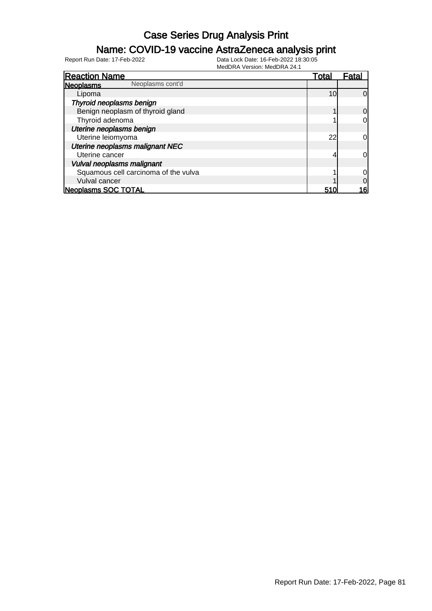### Name: COVID-19 vaccine AstraZeneca analysis print

| <b>Reaction Name</b>                 | Total           | Fata <sup>®</sup> |
|--------------------------------------|-----------------|-------------------|
| Neoplasms cont'd<br><b>Neoplasms</b> |                 |                   |
| Lipoma                               | 10 <sup>1</sup> | 0                 |
| Thyroid neoplasms benign             |                 |                   |
| Benign neoplasm of thyroid gland     |                 | 0                 |
| Thyroid adenoma                      |                 | 0                 |
| Uterine neoplasms benign             |                 |                   |
| Uterine leiomyoma                    | 22              | 0                 |
| Uterine neoplasms malignant NEC      |                 |                   |
| Uterine cancer                       | 4               | 0l                |
| Vulval neoplasms malignant           |                 |                   |
| Squamous cell carcinoma of the vulva |                 | 0                 |
| Vulval cancer                        |                 |                   |
| Neoplasms SOC TOTAL                  | 51C             | 16                |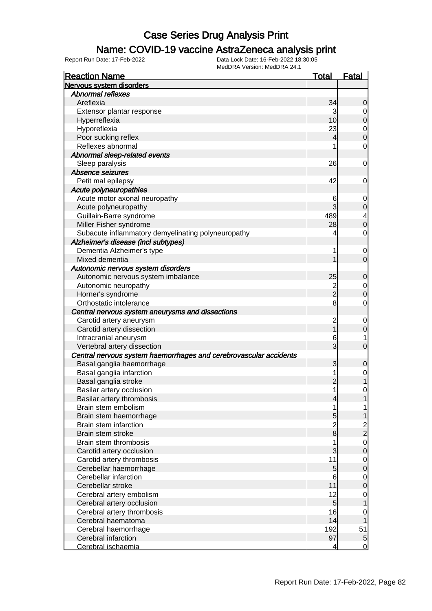### Name: COVID-19 vaccine AstraZeneca analysis print

| Nervous system disorders<br><b>Abnormal reflexes</b><br>Areflexia<br>34<br>0<br>Extensor plantar response<br>3<br>0<br>10 <sup>1</sup><br>Hyperreflexia<br>0<br>23<br>Hyporeflexia<br>$\mathbf 0$<br>Poor sucking reflex<br>4<br>0<br>Reflexes abnormal<br>1<br>0<br>Abnormal sleep-related events<br>Sleep paralysis<br>26<br>0<br>Absence seizures<br>Petit mal epilepsy<br>42<br>0<br>Acute polyneuropathies<br>Acute motor axonal neuropathy<br>6<br>$\mathbf 0$<br>Acute polyneuropathy<br>3<br>0<br>Guillain-Barre syndrome<br>489<br>4<br>Miller Fisher syndrome<br>28<br>0<br>Subacute inflammatory demyelinating polyneuropathy<br>4<br>0<br>Alzheimer's disease (incl subtypes)<br>Dementia Alzheimer's type<br>1<br>0<br>Mixed dementia<br>0<br>Autonomic nervous system disorders<br>Autonomic nervous system imbalance<br>25<br>0<br>Autonomic neuropathy<br>$\overline{\mathbf{c}}$<br>$\mathbf 0$<br>$\overline{2}$<br>Horner's syndrome<br>0<br>8<br>Orthostatic intolerance<br>0<br>Central nervous system aneurysms and dissections<br>Carotid artery aneurysm<br>$\overline{c}$<br>0<br>Carotid artery dissection<br>0<br>Intracranial aneurysm<br>6<br>1<br>3<br>Vertebral artery dissection<br>0<br>Central nervous system haemorrhages and cerebrovascular accidents<br>Basal ganglia haemorrhage<br>3<br>0<br>Basal ganglia infarction<br>1<br>0<br>Basal ganglia stroke<br>2<br>Basilar artery occlusion<br>1<br>0<br>Basilar artery thrombosis<br>$\overline{\mathcal{L}}$<br>Brain stem embolism<br>1<br>1<br>Brain stem haemorrhage<br>5<br>$\frac{2}{8}$<br>Brain stem infarction<br>$\frac{2}{2}$<br>Brain stem stroke<br>Brain stem thrombosis<br>1<br>$\mathbf 0$<br>3<br>Carotid artery occlusion<br>0<br>11<br>Carotid artery thrombosis<br>$\mathbf 0$<br>$5\overline{)}$<br>Cerebellar haemorrhage<br>0<br>Cerebellar infarction<br>6<br>$\mathbf 0$<br>11<br>Cerebellar stroke<br>0<br>12<br>Cerebral artery embolism<br>$\mathbf 0$<br>$5\overline{)}$<br>Cerebral artery occlusion<br>16<br>Cerebral artery thrombosis<br>0<br>14<br>Cerebral haematoma<br>192<br>51<br>Cerebral haemorrhage<br>97<br>Cerebral infarction<br>$\overline{5}$ | <b>Reaction Name</b> | <u>Total</u> | <b>Fatal</b> |
|-----------------------------------------------------------------------------------------------------------------------------------------------------------------------------------------------------------------------------------------------------------------------------------------------------------------------------------------------------------------------------------------------------------------------------------------------------------------------------------------------------------------------------------------------------------------------------------------------------------------------------------------------------------------------------------------------------------------------------------------------------------------------------------------------------------------------------------------------------------------------------------------------------------------------------------------------------------------------------------------------------------------------------------------------------------------------------------------------------------------------------------------------------------------------------------------------------------------------------------------------------------------------------------------------------------------------------------------------------------------------------------------------------------------------------------------------------------------------------------------------------------------------------------------------------------------------------------------------------------------------------------------------------------------------------------------------------------------------------------------------------------------------------------------------------------------------------------------------------------------------------------------------------------------------------------------------------------------------------------------------------------------------------------------------------------------------------------------------------------------------------------------------------------------------------------|----------------------|--------------|--------------|
|                                                                                                                                                                                                                                                                                                                                                                                                                                                                                                                                                                                                                                                                                                                                                                                                                                                                                                                                                                                                                                                                                                                                                                                                                                                                                                                                                                                                                                                                                                                                                                                                                                                                                                                                                                                                                                                                                                                                                                                                                                                                                                                                                                                   |                      |              |              |
|                                                                                                                                                                                                                                                                                                                                                                                                                                                                                                                                                                                                                                                                                                                                                                                                                                                                                                                                                                                                                                                                                                                                                                                                                                                                                                                                                                                                                                                                                                                                                                                                                                                                                                                                                                                                                                                                                                                                                                                                                                                                                                                                                                                   |                      |              |              |
|                                                                                                                                                                                                                                                                                                                                                                                                                                                                                                                                                                                                                                                                                                                                                                                                                                                                                                                                                                                                                                                                                                                                                                                                                                                                                                                                                                                                                                                                                                                                                                                                                                                                                                                                                                                                                                                                                                                                                                                                                                                                                                                                                                                   |                      |              |              |
|                                                                                                                                                                                                                                                                                                                                                                                                                                                                                                                                                                                                                                                                                                                                                                                                                                                                                                                                                                                                                                                                                                                                                                                                                                                                                                                                                                                                                                                                                                                                                                                                                                                                                                                                                                                                                                                                                                                                                                                                                                                                                                                                                                                   |                      |              |              |
|                                                                                                                                                                                                                                                                                                                                                                                                                                                                                                                                                                                                                                                                                                                                                                                                                                                                                                                                                                                                                                                                                                                                                                                                                                                                                                                                                                                                                                                                                                                                                                                                                                                                                                                                                                                                                                                                                                                                                                                                                                                                                                                                                                                   |                      |              |              |
|                                                                                                                                                                                                                                                                                                                                                                                                                                                                                                                                                                                                                                                                                                                                                                                                                                                                                                                                                                                                                                                                                                                                                                                                                                                                                                                                                                                                                                                                                                                                                                                                                                                                                                                                                                                                                                                                                                                                                                                                                                                                                                                                                                                   |                      |              |              |
|                                                                                                                                                                                                                                                                                                                                                                                                                                                                                                                                                                                                                                                                                                                                                                                                                                                                                                                                                                                                                                                                                                                                                                                                                                                                                                                                                                                                                                                                                                                                                                                                                                                                                                                                                                                                                                                                                                                                                                                                                                                                                                                                                                                   |                      |              |              |
|                                                                                                                                                                                                                                                                                                                                                                                                                                                                                                                                                                                                                                                                                                                                                                                                                                                                                                                                                                                                                                                                                                                                                                                                                                                                                                                                                                                                                                                                                                                                                                                                                                                                                                                                                                                                                                                                                                                                                                                                                                                                                                                                                                                   |                      |              |              |
|                                                                                                                                                                                                                                                                                                                                                                                                                                                                                                                                                                                                                                                                                                                                                                                                                                                                                                                                                                                                                                                                                                                                                                                                                                                                                                                                                                                                                                                                                                                                                                                                                                                                                                                                                                                                                                                                                                                                                                                                                                                                                                                                                                                   |                      |              |              |
|                                                                                                                                                                                                                                                                                                                                                                                                                                                                                                                                                                                                                                                                                                                                                                                                                                                                                                                                                                                                                                                                                                                                                                                                                                                                                                                                                                                                                                                                                                                                                                                                                                                                                                                                                                                                                                                                                                                                                                                                                                                                                                                                                                                   |                      |              |              |
|                                                                                                                                                                                                                                                                                                                                                                                                                                                                                                                                                                                                                                                                                                                                                                                                                                                                                                                                                                                                                                                                                                                                                                                                                                                                                                                                                                                                                                                                                                                                                                                                                                                                                                                                                                                                                                                                                                                                                                                                                                                                                                                                                                                   |                      |              |              |
|                                                                                                                                                                                                                                                                                                                                                                                                                                                                                                                                                                                                                                                                                                                                                                                                                                                                                                                                                                                                                                                                                                                                                                                                                                                                                                                                                                                                                                                                                                                                                                                                                                                                                                                                                                                                                                                                                                                                                                                                                                                                                                                                                                                   |                      |              |              |
|                                                                                                                                                                                                                                                                                                                                                                                                                                                                                                                                                                                                                                                                                                                                                                                                                                                                                                                                                                                                                                                                                                                                                                                                                                                                                                                                                                                                                                                                                                                                                                                                                                                                                                                                                                                                                                                                                                                                                                                                                                                                                                                                                                                   |                      |              |              |
|                                                                                                                                                                                                                                                                                                                                                                                                                                                                                                                                                                                                                                                                                                                                                                                                                                                                                                                                                                                                                                                                                                                                                                                                                                                                                                                                                                                                                                                                                                                                                                                                                                                                                                                                                                                                                                                                                                                                                                                                                                                                                                                                                                                   |                      |              |              |
|                                                                                                                                                                                                                                                                                                                                                                                                                                                                                                                                                                                                                                                                                                                                                                                                                                                                                                                                                                                                                                                                                                                                                                                                                                                                                                                                                                                                                                                                                                                                                                                                                                                                                                                                                                                                                                                                                                                                                                                                                                                                                                                                                                                   |                      |              |              |
|                                                                                                                                                                                                                                                                                                                                                                                                                                                                                                                                                                                                                                                                                                                                                                                                                                                                                                                                                                                                                                                                                                                                                                                                                                                                                                                                                                                                                                                                                                                                                                                                                                                                                                                                                                                                                                                                                                                                                                                                                                                                                                                                                                                   |                      |              |              |
|                                                                                                                                                                                                                                                                                                                                                                                                                                                                                                                                                                                                                                                                                                                                                                                                                                                                                                                                                                                                                                                                                                                                                                                                                                                                                                                                                                                                                                                                                                                                                                                                                                                                                                                                                                                                                                                                                                                                                                                                                                                                                                                                                                                   |                      |              |              |
|                                                                                                                                                                                                                                                                                                                                                                                                                                                                                                                                                                                                                                                                                                                                                                                                                                                                                                                                                                                                                                                                                                                                                                                                                                                                                                                                                                                                                                                                                                                                                                                                                                                                                                                                                                                                                                                                                                                                                                                                                                                                                                                                                                                   |                      |              |              |
|                                                                                                                                                                                                                                                                                                                                                                                                                                                                                                                                                                                                                                                                                                                                                                                                                                                                                                                                                                                                                                                                                                                                                                                                                                                                                                                                                                                                                                                                                                                                                                                                                                                                                                                                                                                                                                                                                                                                                                                                                                                                                                                                                                                   |                      |              |              |
|                                                                                                                                                                                                                                                                                                                                                                                                                                                                                                                                                                                                                                                                                                                                                                                                                                                                                                                                                                                                                                                                                                                                                                                                                                                                                                                                                                                                                                                                                                                                                                                                                                                                                                                                                                                                                                                                                                                                                                                                                                                                                                                                                                                   |                      |              |              |
|                                                                                                                                                                                                                                                                                                                                                                                                                                                                                                                                                                                                                                                                                                                                                                                                                                                                                                                                                                                                                                                                                                                                                                                                                                                                                                                                                                                                                                                                                                                                                                                                                                                                                                                                                                                                                                                                                                                                                                                                                                                                                                                                                                                   |                      |              |              |
|                                                                                                                                                                                                                                                                                                                                                                                                                                                                                                                                                                                                                                                                                                                                                                                                                                                                                                                                                                                                                                                                                                                                                                                                                                                                                                                                                                                                                                                                                                                                                                                                                                                                                                                                                                                                                                                                                                                                                                                                                                                                                                                                                                                   |                      |              |              |
|                                                                                                                                                                                                                                                                                                                                                                                                                                                                                                                                                                                                                                                                                                                                                                                                                                                                                                                                                                                                                                                                                                                                                                                                                                                                                                                                                                                                                                                                                                                                                                                                                                                                                                                                                                                                                                                                                                                                                                                                                                                                                                                                                                                   |                      |              |              |
|                                                                                                                                                                                                                                                                                                                                                                                                                                                                                                                                                                                                                                                                                                                                                                                                                                                                                                                                                                                                                                                                                                                                                                                                                                                                                                                                                                                                                                                                                                                                                                                                                                                                                                                                                                                                                                                                                                                                                                                                                                                                                                                                                                                   |                      |              |              |
|                                                                                                                                                                                                                                                                                                                                                                                                                                                                                                                                                                                                                                                                                                                                                                                                                                                                                                                                                                                                                                                                                                                                                                                                                                                                                                                                                                                                                                                                                                                                                                                                                                                                                                                                                                                                                                                                                                                                                                                                                                                                                                                                                                                   |                      |              |              |
|                                                                                                                                                                                                                                                                                                                                                                                                                                                                                                                                                                                                                                                                                                                                                                                                                                                                                                                                                                                                                                                                                                                                                                                                                                                                                                                                                                                                                                                                                                                                                                                                                                                                                                                                                                                                                                                                                                                                                                                                                                                                                                                                                                                   |                      |              |              |
|                                                                                                                                                                                                                                                                                                                                                                                                                                                                                                                                                                                                                                                                                                                                                                                                                                                                                                                                                                                                                                                                                                                                                                                                                                                                                                                                                                                                                                                                                                                                                                                                                                                                                                                                                                                                                                                                                                                                                                                                                                                                                                                                                                                   |                      |              |              |
|                                                                                                                                                                                                                                                                                                                                                                                                                                                                                                                                                                                                                                                                                                                                                                                                                                                                                                                                                                                                                                                                                                                                                                                                                                                                                                                                                                                                                                                                                                                                                                                                                                                                                                                                                                                                                                                                                                                                                                                                                                                                                                                                                                                   |                      |              |              |
|                                                                                                                                                                                                                                                                                                                                                                                                                                                                                                                                                                                                                                                                                                                                                                                                                                                                                                                                                                                                                                                                                                                                                                                                                                                                                                                                                                                                                                                                                                                                                                                                                                                                                                                                                                                                                                                                                                                                                                                                                                                                                                                                                                                   |                      |              |              |
|                                                                                                                                                                                                                                                                                                                                                                                                                                                                                                                                                                                                                                                                                                                                                                                                                                                                                                                                                                                                                                                                                                                                                                                                                                                                                                                                                                                                                                                                                                                                                                                                                                                                                                                                                                                                                                                                                                                                                                                                                                                                                                                                                                                   |                      |              |              |
|                                                                                                                                                                                                                                                                                                                                                                                                                                                                                                                                                                                                                                                                                                                                                                                                                                                                                                                                                                                                                                                                                                                                                                                                                                                                                                                                                                                                                                                                                                                                                                                                                                                                                                                                                                                                                                                                                                                                                                                                                                                                                                                                                                                   |                      |              |              |
|                                                                                                                                                                                                                                                                                                                                                                                                                                                                                                                                                                                                                                                                                                                                                                                                                                                                                                                                                                                                                                                                                                                                                                                                                                                                                                                                                                                                                                                                                                                                                                                                                                                                                                                                                                                                                                                                                                                                                                                                                                                                                                                                                                                   |                      |              |              |
|                                                                                                                                                                                                                                                                                                                                                                                                                                                                                                                                                                                                                                                                                                                                                                                                                                                                                                                                                                                                                                                                                                                                                                                                                                                                                                                                                                                                                                                                                                                                                                                                                                                                                                                                                                                                                                                                                                                                                                                                                                                                                                                                                                                   |                      |              |              |
|                                                                                                                                                                                                                                                                                                                                                                                                                                                                                                                                                                                                                                                                                                                                                                                                                                                                                                                                                                                                                                                                                                                                                                                                                                                                                                                                                                                                                                                                                                                                                                                                                                                                                                                                                                                                                                                                                                                                                                                                                                                                                                                                                                                   |                      |              |              |
|                                                                                                                                                                                                                                                                                                                                                                                                                                                                                                                                                                                                                                                                                                                                                                                                                                                                                                                                                                                                                                                                                                                                                                                                                                                                                                                                                                                                                                                                                                                                                                                                                                                                                                                                                                                                                                                                                                                                                                                                                                                                                                                                                                                   |                      |              |              |
|                                                                                                                                                                                                                                                                                                                                                                                                                                                                                                                                                                                                                                                                                                                                                                                                                                                                                                                                                                                                                                                                                                                                                                                                                                                                                                                                                                                                                                                                                                                                                                                                                                                                                                                                                                                                                                                                                                                                                                                                                                                                                                                                                                                   |                      |              |              |
|                                                                                                                                                                                                                                                                                                                                                                                                                                                                                                                                                                                                                                                                                                                                                                                                                                                                                                                                                                                                                                                                                                                                                                                                                                                                                                                                                                                                                                                                                                                                                                                                                                                                                                                                                                                                                                                                                                                                                                                                                                                                                                                                                                                   |                      |              |              |
|                                                                                                                                                                                                                                                                                                                                                                                                                                                                                                                                                                                                                                                                                                                                                                                                                                                                                                                                                                                                                                                                                                                                                                                                                                                                                                                                                                                                                                                                                                                                                                                                                                                                                                                                                                                                                                                                                                                                                                                                                                                                                                                                                                                   |                      |              |              |
|                                                                                                                                                                                                                                                                                                                                                                                                                                                                                                                                                                                                                                                                                                                                                                                                                                                                                                                                                                                                                                                                                                                                                                                                                                                                                                                                                                                                                                                                                                                                                                                                                                                                                                                                                                                                                                                                                                                                                                                                                                                                                                                                                                                   |                      |              |              |
|                                                                                                                                                                                                                                                                                                                                                                                                                                                                                                                                                                                                                                                                                                                                                                                                                                                                                                                                                                                                                                                                                                                                                                                                                                                                                                                                                                                                                                                                                                                                                                                                                                                                                                                                                                                                                                                                                                                                                                                                                                                                                                                                                                                   |                      |              |              |
|                                                                                                                                                                                                                                                                                                                                                                                                                                                                                                                                                                                                                                                                                                                                                                                                                                                                                                                                                                                                                                                                                                                                                                                                                                                                                                                                                                                                                                                                                                                                                                                                                                                                                                                                                                                                                                                                                                                                                                                                                                                                                                                                                                                   |                      |              |              |
|                                                                                                                                                                                                                                                                                                                                                                                                                                                                                                                                                                                                                                                                                                                                                                                                                                                                                                                                                                                                                                                                                                                                                                                                                                                                                                                                                                                                                                                                                                                                                                                                                                                                                                                                                                                                                                                                                                                                                                                                                                                                                                                                                                                   |                      |              |              |
|                                                                                                                                                                                                                                                                                                                                                                                                                                                                                                                                                                                                                                                                                                                                                                                                                                                                                                                                                                                                                                                                                                                                                                                                                                                                                                                                                                                                                                                                                                                                                                                                                                                                                                                                                                                                                                                                                                                                                                                                                                                                                                                                                                                   |                      |              |              |
|                                                                                                                                                                                                                                                                                                                                                                                                                                                                                                                                                                                                                                                                                                                                                                                                                                                                                                                                                                                                                                                                                                                                                                                                                                                                                                                                                                                                                                                                                                                                                                                                                                                                                                                                                                                                                                                                                                                                                                                                                                                                                                                                                                                   |                      |              |              |
|                                                                                                                                                                                                                                                                                                                                                                                                                                                                                                                                                                                                                                                                                                                                                                                                                                                                                                                                                                                                                                                                                                                                                                                                                                                                                                                                                                                                                                                                                                                                                                                                                                                                                                                                                                                                                                                                                                                                                                                                                                                                                                                                                                                   |                      |              |              |
|                                                                                                                                                                                                                                                                                                                                                                                                                                                                                                                                                                                                                                                                                                                                                                                                                                                                                                                                                                                                                                                                                                                                                                                                                                                                                                                                                                                                                                                                                                                                                                                                                                                                                                                                                                                                                                                                                                                                                                                                                                                                                                                                                                                   |                      |              |              |
|                                                                                                                                                                                                                                                                                                                                                                                                                                                                                                                                                                                                                                                                                                                                                                                                                                                                                                                                                                                                                                                                                                                                                                                                                                                                                                                                                                                                                                                                                                                                                                                                                                                                                                                                                                                                                                                                                                                                                                                                                                                                                                                                                                                   |                      |              |              |
|                                                                                                                                                                                                                                                                                                                                                                                                                                                                                                                                                                                                                                                                                                                                                                                                                                                                                                                                                                                                                                                                                                                                                                                                                                                                                                                                                                                                                                                                                                                                                                                                                                                                                                                                                                                                                                                                                                                                                                                                                                                                                                                                                                                   |                      |              |              |
|                                                                                                                                                                                                                                                                                                                                                                                                                                                                                                                                                                                                                                                                                                                                                                                                                                                                                                                                                                                                                                                                                                                                                                                                                                                                                                                                                                                                                                                                                                                                                                                                                                                                                                                                                                                                                                                                                                                                                                                                                                                                                                                                                                                   |                      |              |              |
|                                                                                                                                                                                                                                                                                                                                                                                                                                                                                                                                                                                                                                                                                                                                                                                                                                                                                                                                                                                                                                                                                                                                                                                                                                                                                                                                                                                                                                                                                                                                                                                                                                                                                                                                                                                                                                                                                                                                                                                                                                                                                                                                                                                   |                      |              |              |
|                                                                                                                                                                                                                                                                                                                                                                                                                                                                                                                                                                                                                                                                                                                                                                                                                                                                                                                                                                                                                                                                                                                                                                                                                                                                                                                                                                                                                                                                                                                                                                                                                                                                                                                                                                                                                                                                                                                                                                                                                                                                                                                                                                                   |                      |              |              |
|                                                                                                                                                                                                                                                                                                                                                                                                                                                                                                                                                                                                                                                                                                                                                                                                                                                                                                                                                                                                                                                                                                                                                                                                                                                                                                                                                                                                                                                                                                                                                                                                                                                                                                                                                                                                                                                                                                                                                                                                                                                                                                                                                                                   |                      |              |              |
|                                                                                                                                                                                                                                                                                                                                                                                                                                                                                                                                                                                                                                                                                                                                                                                                                                                                                                                                                                                                                                                                                                                                                                                                                                                                                                                                                                                                                                                                                                                                                                                                                                                                                                                                                                                                                                                                                                                                                                                                                                                                                                                                                                                   |                      |              |              |
|                                                                                                                                                                                                                                                                                                                                                                                                                                                                                                                                                                                                                                                                                                                                                                                                                                                                                                                                                                                                                                                                                                                                                                                                                                                                                                                                                                                                                                                                                                                                                                                                                                                                                                                                                                                                                                                                                                                                                                                                                                                                                                                                                                                   | Cerebral ischaemia   | 4            | 0            |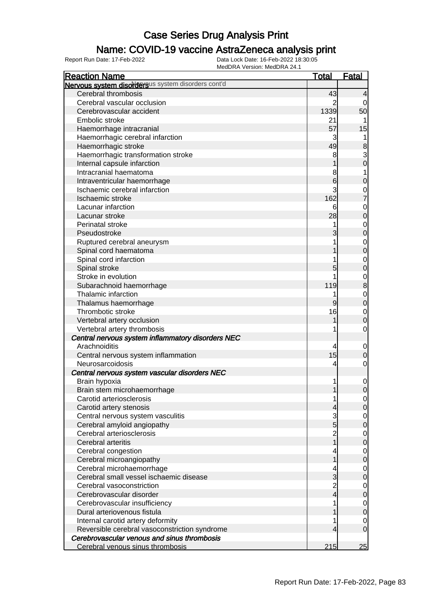### Name: COVID-19 vaccine AstraZeneca analysis print

| <b>Reaction Name</b>                               | <b>Total</b>                 | <b>Fatal</b>     |
|----------------------------------------------------|------------------------------|------------------|
| Nervous system disordersus system disorders cont'd |                              |                  |
| Cerebral thrombosis                                | 43                           | $\overline{4}$   |
| Cerebral vascular occlusion                        | 2                            | 0                |
| Cerebrovascular accident                           | 1339                         | 50               |
| Embolic stroke                                     | 21                           |                  |
| Haemorrhage intracranial                           | 57                           | 15               |
| Haemorrhagic cerebral infarction                   | 3                            |                  |
| Haemorrhagic stroke                                | 49                           | $\bf8$           |
| Haemorrhagic transformation stroke                 | 8                            | $\mathbf{3}$     |
| Internal capsule infarction                        |                              | $\mathbf 0$      |
| Intracranial haematoma                             | 8                            | 1                |
| Intraventricular haemorrhage                       | 6                            | $\boldsymbol{0}$ |
| Ischaemic cerebral infarction                      | 3                            | $\mathbf 0$      |
| Ischaemic stroke                                   | 162                          | $\overline{7}$   |
| Lacunar infarction                                 | 6                            | $\mathbf 0$      |
| Lacunar stroke                                     | 28                           | $\mathbf 0$      |
| Perinatal stroke                                   |                              | $\mathbf 0$      |
| Pseudostroke                                       | 3                            | $\mathbf 0$      |
| Ruptured cerebral aneurysm                         |                              | $\mathbf 0$      |
| Spinal cord haematoma                              |                              | $\mathbf 0$      |
| Spinal cord infarction                             |                              | $\mathbf 0$      |
| Spinal stroke                                      | 5                            | $\mathbf 0$      |
| Stroke in evolution                                |                              | $\mathbf 0$      |
| Subarachnoid haemorrhage                           | 119                          | $\bf 8$          |
| Thalamic infarction                                | 1                            | $\mathbf 0$      |
| Thalamus haemorrhage                               | $\overline{9}$               | $\mathbf 0$      |
| Thrombotic stroke                                  | 16                           | $\mathbf 0$      |
| Vertebral artery occlusion                         | 1                            | $\boldsymbol{0}$ |
| Vertebral artery thrombosis                        |                              | $\mathbf 0$      |
| Central nervous system inflammatory disorders NEC  |                              |                  |
| Arachnoiditis                                      | 4                            | 0                |
| Central nervous system inflammation                | 15                           | $\pmb{0}$        |
| Neurosarcoidosis                                   | 4                            | $\mathbf 0$      |
| Central nervous system vascular disorders NEC      |                              |                  |
| Brain hypoxia                                      |                              | 0                |
| Brain stem microhaemorrhage                        | 1                            | $\mathbf 0$      |
| Carotid arteriosclerosis                           | 1                            | $\overline{0}$   |
| Carotid artery stenosis                            | 4                            | $\mathbf 0$      |
| Central nervous system vasculitis                  | 3                            | $\overline{0}$   |
| Cerebral amyloid angiopathy                        | 5                            | $\pmb{0}$        |
| Cerebral arteriosclerosis                          |                              | $\mathbf 0$      |
| Cerebral arteritis                                 | 2<br>1                       | $\pmb{0}$        |
| Cerebral congestion                                |                              | $\mathbf 0$      |
| Cerebral microangiopathy                           |                              | $\boldsymbol{0}$ |
| Cerebral microhaemorrhage                          |                              | $\overline{0}$   |
| Cerebral small vessel ischaemic disease            | 3                            | $\mathbf 0$      |
| Cerebral vasoconstriction                          |                              | $\overline{0}$   |
| Cerebrovascular disorder                           | $\overline{\mathbf{c}}$<br>4 | $\pmb{0}$        |
| Cerebrovascular insufficiency                      |                              |                  |
| Dural arteriovenous fistula                        |                              | $\mathbf 0$      |
|                                                    |                              | $\mathbf 0$      |
| Internal carotid artery deformity                  |                              | 0                |
| Reversible cerebral vasoconstriction syndrome      | 4                            | $\overline{0}$   |
| Cerebrovascular venous and sinus thrombosis        |                              |                  |
| Cerebral venous sinus thrombosis                   | 215                          | 25               |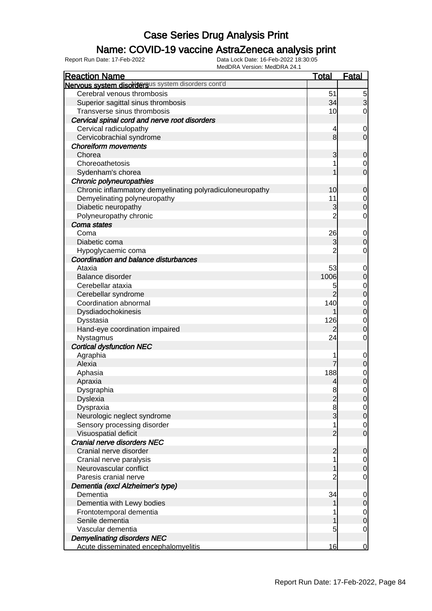### Name: COVID-19 vaccine AstraZeneca analysis print

| IVIEUDRA VEISION. IVIEUDRA 24. I<br><b>Reaction Name</b>  | <b>Total</b>   | <b>Fatal</b>                  |
|-----------------------------------------------------------|----------------|-------------------------------|
| Nervous system disordersus system disorders cont'd        |                |                               |
| Cerebral venous thrombosis                                | 51             | $\overline{5}$                |
| Superior sagittal sinus thrombosis                        | 34             | $\overline{3}$                |
| Transverse sinus thrombosis                               | 10             | $\overline{0}$                |
| Cervical spinal cord and nerve root disorders             |                |                               |
| Cervical radiculopathy                                    | 4              |                               |
| Cervicobrachial syndrome                                  | 8              | $\mathbf 0$<br>$\overline{0}$ |
| <b>Choreiform movements</b>                               |                |                               |
| Chorea                                                    |                | $\mathbf 0$                   |
| Choreoathetosis                                           | 3              |                               |
|                                                           |                | $\mathbf 0$<br>$\overline{0}$ |
| Sydenham's chorea                                         |                |                               |
| Chronic polyneuropathies                                  |                |                               |
| Chronic inflammatory demyelinating polyradiculoneuropathy | 10             | $\mathbf 0$                   |
| Demyelinating polyneuropathy                              | 11             | $\mathbf 0$                   |
| Diabetic neuropathy                                       | 3              | $\overline{0}$                |
| Polyneuropathy chronic                                    | $\overline{2}$ | 0                             |
| Coma states                                               |                |                               |
| Coma                                                      | 26             | $\mathbf 0$                   |
| Diabetic coma                                             | 3              | $\overline{0}$                |
| Hypoglycaemic coma                                        | $\overline{2}$ | 0                             |
| Coordination and balance disturbances                     |                |                               |
| Ataxia                                                    | 53             | $\mathbf 0$                   |
| Balance disorder                                          | 1006           | $\overline{0}$                |
| Cerebellar ataxia                                         | 5              | $\mathbf 0$                   |
| Cerebellar syndrome                                       |                | $\overline{0}$                |
| Coordination abnormal                                     | 140            | $\mathbf 0$                   |
| Dysdiadochokinesis                                        | 1              | $\overline{0}$                |
| Dysstasia                                                 | 126            | $\mathbf 0$                   |
| Hand-eye coordination impaired                            | 2              | $\overline{0}$                |
| Nystagmus                                                 | 24             | 0                             |
| <b>Cortical dysfunction NEC</b>                           |                |                               |
| Agraphia                                                  |                | $\mathbf 0$                   |
| Alexia                                                    |                | 0                             |
| Aphasia                                                   | 188            | $\mathbf 0$                   |
| Apraxia                                                   | 4              | $\overline{0}$                |
| Dysgraphia                                                | 8              | $\mathbf 0$                   |
| <b>Dyslexia</b>                                           | $\overline{c}$ | $\mathbf 0$                   |
| Dyspraxia                                                 | 8              | 0                             |
| Neurologic neglect syndrome                               | 3              | $\mathbf 0$                   |
| Sensory processing disorder                               |                | $\mathbf 0$                   |
| Visuospatial deficit                                      | 2              | $\overline{0}$                |
| Cranial nerve disorders NEC                               |                |                               |
| Cranial nerve disorder                                    | 2              | 0                             |
| Cranial nerve paralysis                                   |                | $\overline{0}$                |
| Neurovascular conflict                                    |                | $\overline{0}$                |
| Paresis cranial nerve                                     | 2              | 0                             |
| Dementia (excl Alzheimer's type)                          |                |                               |
| Dementia                                                  | 34             | $\mathbf 0$                   |
| Dementia with Lewy bodies                                 |                | 0                             |
| Frontotemporal dementia                                   |                | $\mathbf 0$                   |
| Senile dementia                                           |                | $\overline{0}$                |
| Vascular dementia                                         | 5              | 0                             |
| <b>Demyelinating disorders NEC</b>                        |                |                               |
| Acute disseminated encephalomyelitis                      | 16             | $\Omega$                      |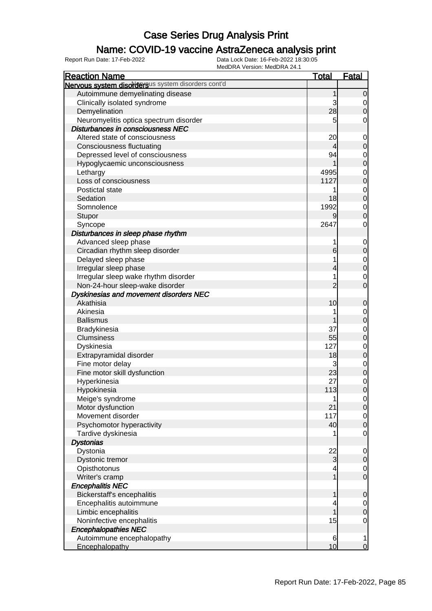### Name: COVID-19 vaccine AstraZeneca analysis print

| <b>Reaction Name</b>                               | <u>Total</u>   | Fatal          |
|----------------------------------------------------|----------------|----------------|
| Nervous system disordersus system disorders cont'd |                |                |
| Autoimmune demyelinating disease                   | 1              | $\mathbf 0$    |
| Clinically isolated syndrome                       | 3              | 0              |
| Demyelination                                      | 28             | $\overline{0}$ |
| Neuromyelitis optica spectrum disorder             | 5              | 0              |
| Disturbances in consciousness NEC                  |                |                |
| Altered state of consciousness                     | 20             | $\mathbf 0$    |
| <b>Consciousness fluctuating</b>                   | 4              | $\mathbf 0$    |
| Depressed level of consciousness                   | 94             | 0              |
| Hypoglycaemic unconsciousness                      |                | $\mathbf 0$    |
| Lethargy                                           | 4995           | 0              |
| Loss of consciousness                              | 1127           | $\mathbf 0$    |
| Postictal state                                    |                | 0              |
| Sedation                                           | 18             | $\mathbf 0$    |
| Somnolence                                         | 1992           | $\mathbf 0$    |
| Stupor                                             | 9              | $\mathbf 0$    |
| Syncope                                            | 2647           | 0              |
| Disturbances in sleep phase rhythm                 |                |                |
| Advanced sleep phase                               |                | $\mathbf 0$    |
| Circadian rhythm sleep disorder                    | 6              | $\mathbf 0$    |
| Delayed sleep phase                                |                | 0              |
| Irregular sleep phase                              |                | $\mathbf 0$    |
| Irregular sleep wake rhythm disorder               |                | 0              |
| Non-24-hour sleep-wake disorder                    | $\overline{2}$ | $\overline{0}$ |
| Dyskinesias and movement disorders NEC             |                |                |
| Akathisia                                          | 10             | 0              |
| Akinesia                                           |                | 0              |
| <b>Ballismus</b>                                   |                | $\mathbf 0$    |
| Bradykinesia                                       | 37             | 0              |
| Clumsiness                                         | 55             | $\mathbf 0$    |
| Dyskinesia                                         | 127            | $\mathbf 0$    |
| Extrapyramidal disorder                            | 18             | $\mathbf 0$    |
| Fine motor delay                                   |                | $\mathbf 0$    |
| Fine motor skill dysfunction                       | 23             | $\mathbf 0$    |
| Hyperkinesia                                       | 27             | $\mathbf 0$    |
| Hypokinesia                                        | 113            | $\mathbf 0$    |
| Meige's syndrome                                   | 1              | $\overline{0}$ |
| Motor dysfunction                                  | 21             | $\overline{O}$ |
| Movement disorder                                  | 117            | $\overline{0}$ |
| Psychomotor hyperactivity                          | 40             | $\mathbf 0$    |
| Tardive dyskinesia                                 |                | $\mathbf 0$    |
| <b>Dystonias</b>                                   |                |                |
| Dystonia                                           | 22             | $\mathbf 0$    |
| Dystonic tremor                                    | 3              | $\mathbf 0$    |
| Opisthotonus                                       | 4              | $\overline{0}$ |
| Writer's cramp                                     |                | $\mathbf 0$    |
| <b>Encephalitis NEC</b>                            |                |                |
| Bickerstaff's encephalitis                         | 1              | $\mathbf 0$    |
| Encephalitis autoimmune                            |                | $\overline{0}$ |
| Limbic encephalitis                                |                | $\mathbf 0$    |
| Noninfective encephalitis                          | 15             | $\mathbf 0$    |
| <b>Encephalopathies NEC</b>                        |                |                |
| Autoimmune encephalopathy                          | 6              | 1              |
| Encephalopathy                                     | 10             | $\mathbf 0$    |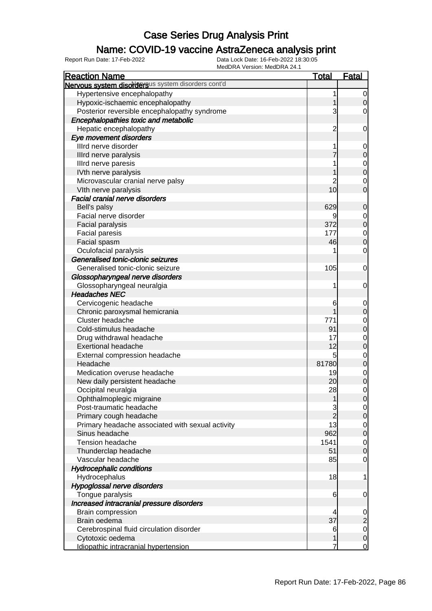### Name: COVID-19 vaccine AstraZeneca analysis print

| <b>Total</b><br><b>Reaction Name</b><br>Nervous system disordersus system disorders cont'd | <b>Fatal</b>                     |
|--------------------------------------------------------------------------------------------|----------------------------------|
|                                                                                            |                                  |
| Hypertensive encephalopathy                                                                | 1<br>$\overline{0}$              |
| Hypoxic-ischaemic encephalopathy                                                           | $\overline{O}$                   |
| Posterior reversible encephalopathy syndrome                                               | 3<br>0                           |
| Encephalopathies toxic and metabolic                                                       |                                  |
| Hepatic encephalopathy                                                                     | $\overline{c}$<br>$\mathbf 0$    |
| Eye movement disorders                                                                     |                                  |
| Illrd nerve disorder                                                                       | $\overline{0}$                   |
| Illrd nerve paralysis                                                                      | 7<br>$\mathbf 0$                 |
| Illrd nerve paresis                                                                        | $\mathbf{0}$                     |
| IVth nerve paralysis                                                                       | $\overline{0}$                   |
| Microvascular cranial nerve palsy                                                          | $\mathbf 0$                      |
| 10 <sup>1</sup><br>VIth nerve paralysis                                                    | $\overline{0}$                   |
| <b>Facial cranial nerve disorders</b>                                                      |                                  |
| 629<br>Bell's palsy                                                                        | $\mathbf 0$                      |
| Facial nerve disorder                                                                      | 9<br>$\overline{0}$              |
| 372<br>Facial paralysis                                                                    | $\mathbf 0$                      |
| 177<br><b>Facial paresis</b>                                                               | $\mathbf 0$                      |
| Facial spasm<br>46                                                                         | $\overline{0}$                   |
| Oculofacial paralysis                                                                      | $\mathbf 0$                      |
| Generalised tonic-clonic seizures                                                          |                                  |
| Generalised tonic-clonic seizure<br>105                                                    | $\mathbf 0$                      |
| Glossopharyngeal nerve disorders                                                           |                                  |
| Glossopharyngeal neuralgia                                                                 | $\mathbf 0$<br>1                 |
| <b>Headaches NEC</b>                                                                       |                                  |
| Cervicogenic headache                                                                      | 6<br>$\mathbf 0$                 |
| Chronic paroxysmal hemicrania                                                              | $\mathbf 0$                      |
| Cluster headache<br>771                                                                    | $\mathbf 0$                      |
| 91<br>Cold-stimulus headache                                                               | $\overline{0}$                   |
| Drug withdrawal headache<br>17                                                             | $\mathbf 0$                      |
| 12<br><b>Exertional headache</b>                                                           | $\mathbf 0$                      |
| External compression headache                                                              | 5<br>$\mathbf 0$                 |
| 81780<br>Headache                                                                          | $\overline{0}$                   |
| Medication overuse headache<br>19                                                          | $\overline{0}$                   |
| New daily persistent headache<br>20                                                        | $\mathbf 0$                      |
| 28<br>Occipital neuralgia                                                                  | $\mathbf 0$                      |
| Ophthalmoplegic migraine                                                                   | 0 <br>1                          |
| Post-traumatic headache                                                                    | $\overline{0}$                   |
| Primary cough headache                                                                     | $\overline{2}$<br>$\overline{O}$ |
| 13<br>Primary headache associated with sexual activity                                     | $\overline{O}$                   |
| Sinus headache<br>962                                                                      | $\overline{0}$                   |
| <b>Tension headache</b><br>1541                                                            | $\overline{0}$                   |
| 51<br>Thunderclap headache                                                                 | $\mathbf 0$                      |
| Vascular headache<br>85                                                                    | $\mathbf 0$                      |
| <b>Hydrocephalic conditions</b>                                                            |                                  |
| Hydrocephalus<br>18                                                                        | 1                                |
| Hypoglossal nerve disorders                                                                |                                  |
| Tongue paralysis                                                                           | 6<br>$\mathbf 0$                 |
| Increased intracranial pressure disorders                                                  |                                  |
| Brain compression                                                                          | $\mathbf 0$<br>4                 |
| 37<br>Brain oedema                                                                         | $\overline{c}$                   |
| Cerebrospinal fluid circulation disorder                                                   | $\overline{0}$<br>6              |
| Cytotoxic oedema                                                                           | $\overline{O}$                   |
| Idiopathic intracranial hypertension                                                       | $\overline{0}$<br>7              |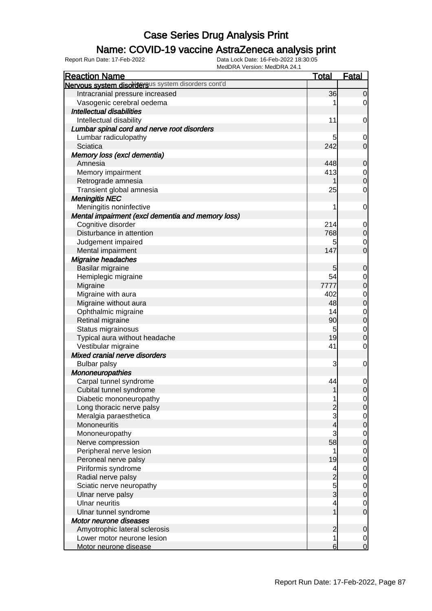### Name: COVID-19 vaccine AstraZeneca analysis print

| <b>Reaction Name</b>                               | <b>Total</b>   | <b>Fatal</b>   |
|----------------------------------------------------|----------------|----------------|
| Nervous system disordersus system disorders cont'd |                |                |
| Intracranial pressure increased                    | 36             | $\overline{0}$ |
| Vasogenic cerebral oedema                          |                | $\overline{0}$ |
| <b>Intellectual disabilities</b>                   |                |                |
| Intellectual disability                            | 11             | $\overline{0}$ |
| Lumbar spinal cord and nerve root disorders        |                |                |
| Lumbar radiculopathy                               | 5              | 0              |
| Sciatica                                           | 242            | $\overline{0}$ |
| Memory loss (excl dementia)                        |                |                |
| Amnesia                                            | 448            | $\overline{0}$ |
| Memory impairment                                  | 413            | $\overline{0}$ |
| Retrograde amnesia                                 |                | $\overline{0}$ |
| Transient global amnesia                           | 25             | 0              |
| <b>Meningitis NEC</b>                              |                |                |
| Meningitis noninfective                            | 1              | $\mathbf 0$    |
| Mental impairment (excl dementia and memory loss)  |                |                |
| Cognitive disorder                                 | 214            | $\overline{0}$ |
| Disturbance in attention                           | 768            | $\mathbf 0$    |
| Judgement impaired                                 | 5              | 0              |
| Mental impairment                                  | 147            | $\overline{0}$ |
| Migraine headaches                                 |                |                |
| Basilar migraine                                   | 5              | $\mathbf 0$    |
| Hemiplegic migraine                                | 54             | 0              |
| Migraine                                           | 7777           | $\overline{0}$ |
| Migraine with aura                                 | 402            | $\mathbf 0$    |
| Migraine without aura                              | 48             | $\mathbf 0$    |
| Ophthalmic migraine                                | 14             | $\mathbf 0$    |
| Retinal migraine                                   | 90             | $\mathbf 0$    |
| Status migrainosus                                 | 5              | $\overline{0}$ |
| Typical aura without headache                      | 19             | $\mathbf 0$    |
| Vestibular migraine                                | 41             | 0              |
| Mixed cranial nerve disorders                      |                |                |
| <b>Bulbar palsy</b>                                | 3              | $\mathbf 0$    |
| <b>Mononeuropathies</b>                            |                |                |
| Carpal tunnel syndrome                             | 44             | $\mathbf 0$    |
| Cubital tunnel syndrome                            | 1              | $\overline{0}$ |
| Diabetic mononeuropathy                            |                | $\overline{0}$ |
| Long thoracic nerve palsy                          |                | $\overline{0}$ |
| Meralgia paraesthetica                             | 3              | $\overline{0}$ |
| Mononeuritis                                       | 4              | $\mathbf 0$    |
| Mononeuropathy                                     | 3              | $\overline{0}$ |
| Nerve compression                                  | 58             | $\mathbf 0$    |
| Peripheral nerve lesion                            | 1              | $\overline{0}$ |
| Peroneal nerve palsy                               | 19             | $\mathbf 0$    |
| Piriformis syndrome                                | 4              | $\overline{0}$ |
| Radial nerve palsy                                 | $\overline{c}$ | $\mathbf 0$    |
| Sciatic nerve neuropathy                           | 5<br>3         | $\overline{0}$ |
| Ulnar nerve palsy                                  |                | $\mathbf 0$    |
| <b>Ulnar neuritis</b>                              | 4              | $\overline{0}$ |
| Ulnar tunnel syndrome                              |                | $\overline{0}$ |
| Motor neurone diseases                             |                |                |
| Amyotrophic lateral sclerosis                      | $\overline{c}$ | $\mathbf 0$    |
| Lower motor neurone lesion                         | 1              | $\overline{0}$ |
| Motor neurone disease                              | 6              | $\overline{0}$ |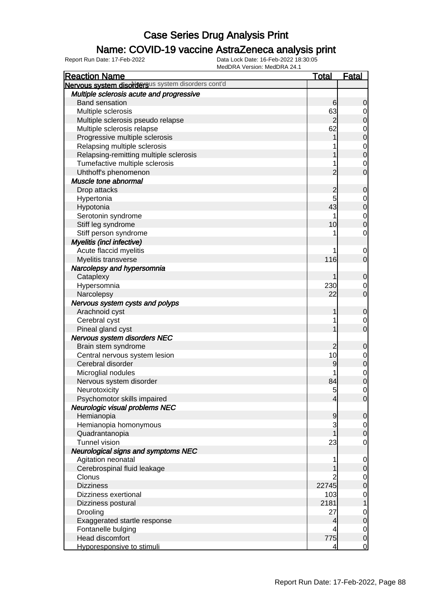#### Name: COVID-19 vaccine AstraZeneca analysis print

| <b>Reaction Name</b>                               | <u>Total</u>             | <u>Fatal</u>   |
|----------------------------------------------------|--------------------------|----------------|
| Nervous system disordersus system disorders cont'd |                          |                |
| Multiple sclerosis acute and progressive           |                          |                |
| <b>Band sensation</b>                              | 6                        | 0              |
| Multiple sclerosis                                 | 63                       | 0              |
| Multiple sclerosis pseudo relapse                  | $\overline{2}$           | 0              |
| Multiple sclerosis relapse                         | 62                       | $\mathbf 0$    |
| Progressive multiple sclerosis                     |                          | $\mathbf 0$    |
| Relapsing multiple sclerosis                       |                          | $\mathbf 0$    |
| Relapsing-remitting multiple sclerosis             |                          | $\mathbf 0$    |
| Tumefactive multiple sclerosis                     | 1                        | 0              |
| Uhthoff's phenomenon                               | 2                        | 0              |
| Muscle tone abnormal                               |                          |                |
| Drop attacks                                       | 2                        | 0              |
| Hypertonia                                         | 5                        | 0              |
| Hypotonia                                          | 43                       | $\mathbf 0$    |
| Serotonin syndrome                                 | 1                        | $\mathbf 0$    |
| Stiff leg syndrome                                 | 10                       | 0              |
| Stiff person syndrome                              | 1                        | 0              |
| Myelitis (incl infective)                          |                          |                |
| Acute flaccid myelitis                             | 1                        | 0              |
| Myelitis transverse                                | 116                      | $\mathbf 0$    |
| Narcolepsy and hypersomnia                         |                          |                |
| Cataplexy                                          |                          | 0              |
| Hypersomnia                                        | 230                      | 0              |
| Narcolepsy                                         | 22                       | $\mathbf 0$    |
| Nervous system cysts and polyps                    |                          |                |
| Arachnoid cyst                                     | 1                        | 0              |
| Cerebral cyst                                      | 1                        | $\mathbf 0$    |
| Pineal gland cyst                                  |                          | $\mathbf 0$    |
| Nervous system disorders NEC                       |                          |                |
| Brain stem syndrome                                | 2                        | 0              |
| Central nervous system lesion                      | 10                       | $\mathbf 0$    |
| Cerebral disorder                                  | 9                        | $\mathbf 0$    |
| Microglial nodules                                 | 1                        | $\mathbf 0$    |
| Nervous system disorder                            | 84                       | $\mathbf 0$    |
| Neurotoxicity                                      | 5                        | 0              |
| Psychomotor skills impaired                        | $\overline{\mathcal{L}}$ | $\overline{0}$ |
| Neurologic visual problems NEC                     |                          |                |
| Hemianopia                                         | 9                        | 0              |
| Hemianopia homonymous                              | 3                        | $\overline{0}$ |
| Quadrantanopia                                     |                          | $\mathbf 0$    |
| <b>Tunnel vision</b>                               | 23                       | $\mathbf 0$    |
| <b>Neurological signs and symptoms NEC</b>         |                          |                |
| Agitation neonatal                                 | 1                        | $\mathbf 0$    |
| Cerebrospinal fluid leakage                        |                          | 0              |
| Clonus                                             |                          | $\overline{0}$ |
| <b>Dizziness</b>                                   | 22745                    | $\mathbf 0$    |
| Dizziness exertional                               | 103                      | 0              |
| Dizziness postural                                 | 2181                     | 1              |
| Drooling                                           | 27                       | 0              |
| Exaggerated startle response                       | 4                        | $\mathbf 0$    |
| Fontanelle bulging                                 |                          | $\overline{0}$ |
| Head discomfort                                    | 775                      | $\mathbf 0$    |
| Hyporesponsive to stimuli                          | 4                        | $\mathbf 0$    |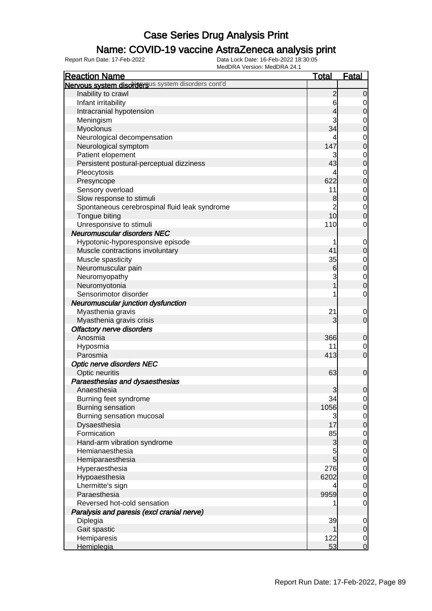### Name: COVID-19 vaccine AstraZeneca analysis print

| <b>Reaction Name</b>                               | <b>Total</b>    | <b>Fatal</b>                         |
|----------------------------------------------------|-----------------|--------------------------------------|
| Nervous system disordersus system disorders cont'd |                 |                                      |
| Inability to crawl                                 | $\overline{2}$  | $\mathbf 0$                          |
| Infant irritability                                | 6               | 0                                    |
| Intracranial hypotension                           | 4               | $\overline{0}$                       |
| Meningism                                          | 3               |                                      |
| Myoclonus                                          | 34              | $\begin{matrix}0\\0\end{matrix}$     |
| Neurological decompensation                        |                 |                                      |
| Neurological symptom                               | 147             | $0\atop 0$                           |
| Patient elopement                                  | 3               |                                      |
| Persistent postural-perceptual dizziness           | 43              | $\begin{matrix}0\\0\end{matrix}$     |
| Pleocytosis                                        | 4               |                                      |
| Presyncope                                         | 622             | $0\atop 0$                           |
| Sensory overload                                   | 11              |                                      |
| Slow response to stimuli                           | 8               | $\begin{matrix}0\\0\end{matrix}$     |
| Spontaneous cerebrospinal fluid leak syndrome      | $\overline{2}$  |                                      |
| Tongue biting                                      | 10              | $\begin{matrix}0\\0\end{matrix}$     |
| Unresponsive to stimuli                            | 110             | $\mathbf 0$                          |
| <b>Neuromuscular disorders NEC</b>                 |                 |                                      |
| Hypotonic-hyporesponsive episode                   |                 | $\mathbf 0$                          |
| Muscle contractions involuntary                    | 41              | $\overline{0}$                       |
| Muscle spasticity                                  | 35              |                                      |
| Neuromuscular pain                                 | 6               | $\begin{matrix}0\\0\end{matrix}$     |
| Neuromyopathy                                      | 3               |                                      |
| Neuromyotonia                                      | 1               | $0\atop 0$                           |
| Sensorimotor disorder                              |                 | $\mathbf 0$                          |
| Neuromuscular junction dysfunction                 |                 |                                      |
| Myasthenia gravis                                  | 21              | $\mathbf 0$                          |
| Myasthenia gravis crisis                           | 3               | $\overline{0}$                       |
| <b>Olfactory nerve disorders</b>                   |                 |                                      |
| Anosmia                                            | 366             | $\mathbf 0$                          |
| Hyposmia                                           | 11              | $\mathbf 0$                          |
| Parosmia                                           | 413             | $\overline{0}$                       |
| <b>Optic nerve disorders NEC</b>                   |                 |                                      |
| Optic neuritis                                     | 63              | $\mathbf 0$                          |
| Paraesthesias and dysaesthesias                    |                 |                                      |
| Anaesthesia                                        | 3               | $\mathbf 0$                          |
| Burning feet syndrome                              | 34              | $\overline{0}$                       |
| Burning sensation                                  | 1056            | $\overline{0}$                       |
| Burning sensation mucosal                          | 3               |                                      |
| Dysaesthesia                                       | 17              | $\begin{matrix} 0 \\ 0 \end{matrix}$ |
| Formication                                        | 85              |                                      |
| Hand-arm vibration syndrome                        | 3               | $\begin{matrix}0\\0\end{matrix}$     |
| Hemianaesthesia                                    | 5               |                                      |
| Hemiparaesthesia                                   | $5\overline{)}$ | $\begin{matrix}0\\0\end{matrix}$     |
| Hyperaesthesia                                     | 276             |                                      |
| Hypoaesthesia                                      | 6202            | $\begin{matrix}0\\0\end{matrix}$     |
| Lhermitte's sign                                   | 4               | $\overline{0}$                       |
| Paraesthesia                                       | 9959            | $\overline{0}$                       |
| Reversed hot-cold sensation                        |                 | $\mathbf 0$                          |
| Paralysis and paresis (excl cranial nerve)         |                 |                                      |
| Diplegia                                           | 39              | $\mathbf 0$                          |
| Gait spastic                                       | 1               | $\pmb{0}$                            |
| Hemiparesis                                        | 122             | $\overline{0}$                       |
| Hemiplegia                                         | 53              | $\mathbf 0$                          |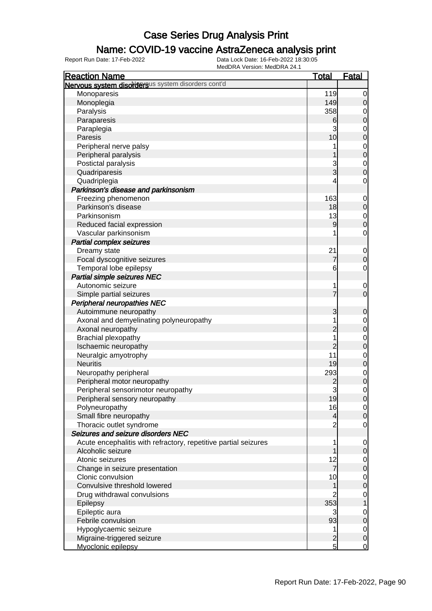### Name: COVID-19 vaccine AstraZeneca analysis print

| <b>Reaction Name</b>                                            | <b>Total</b>   | <b>Fatal</b>     |
|-----------------------------------------------------------------|----------------|------------------|
| Nervous system disordersus system disorders cont'd              |                |                  |
| Monoparesis                                                     | 119            | $\overline{0}$   |
| Monoplegia                                                      | 149            | $\mathbf 0$      |
| Paralysis                                                       | 358            | 0                |
| Paraparesis                                                     | 6              | $\boldsymbol{0}$ |
| Paraplegia                                                      | 3              | $\mathbf 0$      |
| Paresis                                                         | 10             | $\boldsymbol{0}$ |
| Peripheral nerve palsy                                          |                | $\mathbf 0$      |
| Peripheral paralysis                                            |                | $\mathbf 0$      |
| Postictal paralysis                                             | 3              | $\mathbf 0$      |
| Quadriparesis                                                   | 3              | $\mathbf 0$      |
| Quadriplegia                                                    | 4              | $\mathbf 0$      |
| Parkinson's disease and parkinsonism                            |                |                  |
| Freezing phenomenon                                             | 163            | $\mathbf 0$      |
| Parkinson's disease                                             | 18             | $\mathbf 0$      |
| Parkinsonism                                                    | 13             | $\mathbf 0$      |
| Reduced facial expression                                       | 9              | $\boldsymbol{0}$ |
| Vascular parkinsonism                                           |                | $\mathbf 0$      |
| <b>Partial complex seizures</b>                                 |                |                  |
| Dreamy state                                                    | 21             | $\mathbf 0$      |
| Focal dyscognitive seizures                                     | 7              | $\boldsymbol{0}$ |
| Temporal lobe epilepsy                                          | 6              | $\mathbf 0$      |
| <b>Partial simple seizures NEC</b>                              |                |                  |
| Autonomic seizure                                               | 1              | $\mathbf 0$      |
| Simple partial seizures                                         | $\overline{7}$ | $\mathbf 0$      |
| Peripheral neuropathies NEC                                     |                |                  |
| Autoimmune neuropathy                                           | 3              | $\mathbf 0$      |
| Axonal and demyelinating polyneuropathy                         |                | $\mathbf 0$      |
| Axonal neuropathy                                               | $\overline{c}$ | $\mathbf 0$      |
| <b>Brachial plexopathy</b>                                      |                | $\mathbf 0$      |
| Ischaemic neuropathy                                            | $\overline{2}$ | $\mathbf 0$      |
| Neuralgic amyotrophy                                            | 11             | $\mathbf 0$      |
| <b>Neuritis</b>                                                 | 19             | $\mathbf 0$      |
| Neuropathy peripheral                                           | 293            | $\mathbf 0$      |
| Peripheral motor neuropathy                                     | $\overline{c}$ | $\mathbf 0$      |
| Peripheral sensorimotor neuropathy                              | $\overline{3}$ | $\mathbf 0$      |
| Peripheral sensory neuropathy                                   | 19             | 0                |
| Polyneuropathy                                                  | 16             | $\overline{0}$   |
| Small fibre neuropathy                                          | $\overline{4}$ | $\overline{0}$   |
| Thoracic outlet syndrome                                        | $\overline{c}$ | $\mathbf 0$      |
| Seizures and seizure disorders NEC                              |                |                  |
| Acute encephalitis with refractory, repetitive partial seizures | 1              | $\mathbf 0$      |
| Alcoholic seizure                                               |                | $\mathbf 0$      |
| Atonic seizures                                                 | 12             | $\overline{0}$   |
| Change in seizure presentation                                  | 7              | $\mathbf 0$      |
| Clonic convulsion                                               | 10             | $\overline{0}$   |
| Convulsive threshold lowered                                    | 1              | $\mathbf 0$      |
| Drug withdrawal convulsions                                     | $\overline{c}$ | $\mathbf 0$      |
| Epilepsy                                                        | 353            | $\mathbf{1}$     |
| Epileptic aura                                                  | 3              | $\overline{0}$   |
| Febrile convulsion                                              | 93             | $\mathbf 0$      |
| Hypoglycaemic seizure                                           | 1              | $\overline{0}$   |
| Migraine-triggered seizure                                      | $\overline{c}$ | $\mathbf 0$      |
| Myoclonic epilepsy                                              | 5 <sup>1</sup> | $\overline{0}$   |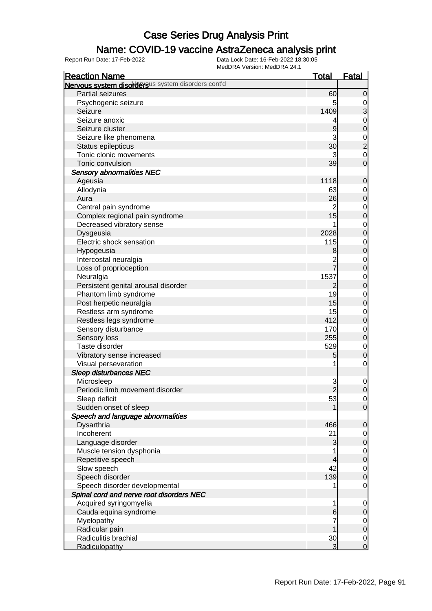### Name: COVID-19 vaccine AstraZeneca analysis print

| Nervous system disordersus system disorders cont'd<br>Partial seizures<br>60<br>$\mathbf 0$<br>Psychogenic seizure<br>5<br>$\mathbf 0$<br>3<br>1409<br>Seizure<br>Seizure anoxic<br>$\mathbf 0$<br>4<br>$\mathbf 0$<br>Seizure cluster<br>9<br>3<br>Seizure like phenomena<br>$\frac{0}{2}$<br>30<br>Status epilepticus<br>Tonic clonic movements<br>$\mathbf 0$<br>3<br>$\overline{0}$<br>Tonic convulsion<br>39<br><b>Sensory abnormalities NEC</b><br>1118<br>Ageusia<br>$\mathbf 0$<br>Allodynia<br>63<br>$\mathbf 0$<br>$\mathbf 0$<br>26<br>Aura<br>Central pain syndrome<br>$\overline{c}$<br>$\mathbf 0$<br>15<br>$\mathbf 0$<br>Complex regional pain syndrome<br>Decreased vibratory sense<br>$\mathbf 0$<br>$\mathbf 0$<br>Dysgeusia<br>2028<br>Electric shock sensation<br>115<br>$\mathbf 0$<br>$\mathbf 0$<br>Hypogeusia<br>8<br>Intercostal neuralgia<br>$\mathbf 0$<br>2<br>$\mathbf 0$<br>Loss of proprioception<br>1537<br>Neuralgia<br>$\mathbf 0$<br>Persistent genital arousal disorder<br>$\mathbf 0$<br>$\overline{c}$<br>19<br>Phantom limb syndrome<br>$\mathbf 0$<br>15<br>$\mathbf 0$<br>Post herpetic neuralgia<br>Restless arm syndrome<br>15<br>$\mathbf 0$<br>Restless legs syndrome<br>412<br>$\mathbf 0$<br>Sensory disturbance<br>170<br>$\mathbf 0$<br>255<br>$\mathbf 0$<br>Sensory loss<br>Taste disorder<br>529<br>$\mathbf 0$<br>$\mathbf 0$<br>Vibratory sense increased<br>5<br>Visual perseveration<br>$\mathbf 0$<br><b>Sleep disturbances NEC</b><br>Microsleep<br>3<br>$\mathbf 0$<br>$\overline{2}$<br>$\mathbf 0$<br>Periodic limb movement disorder<br>Sleep deficit<br>53<br>$\overline{0}$<br>$\overline{0}$<br>Sudden onset of sleep<br>Speech and language abnormalities<br>Dysarthria<br>466<br>$\mathbf 0$<br>Incoherent<br>21<br>$\overline{0}$<br>Language disorder<br>3<br>$\mathbf 0$<br>Muscle tension dysphonia<br>$\mathbf 0$<br>$\mathbf 0$<br>Repetitive speech<br>4<br>42<br>Slow speech<br>$\mathbf 0$<br>Speech disorder<br>139<br>$\mathbf 0$<br>Speech disorder developmental<br>$\mathbf 0$<br>Spinal cord and nerve root disorders NEC<br>Acquired syringomyelia<br>1<br>$\mathbf 0$<br>Cauda equina syndrome<br>6<br>$\mathbf 0$<br>Myelopathy<br>$\overline{0}$<br>Radicular pain<br>$\pmb{0}$<br>Radiculitis brachial<br>30<br>$\mathbf 0$ | <b>Reaction Name</b> | <b>Total</b>   | <b>Fatal</b>   |
|---------------------------------------------------------------------------------------------------------------------------------------------------------------------------------------------------------------------------------------------------------------------------------------------------------------------------------------------------------------------------------------------------------------------------------------------------------------------------------------------------------------------------------------------------------------------------------------------------------------------------------------------------------------------------------------------------------------------------------------------------------------------------------------------------------------------------------------------------------------------------------------------------------------------------------------------------------------------------------------------------------------------------------------------------------------------------------------------------------------------------------------------------------------------------------------------------------------------------------------------------------------------------------------------------------------------------------------------------------------------------------------------------------------------------------------------------------------------------------------------------------------------------------------------------------------------------------------------------------------------------------------------------------------------------------------------------------------------------------------------------------------------------------------------------------------------------------------------------------------------------------------------------------------------------------------------------------------------------------------------------------------------------------------------------------------------------------------------------------------------------------------------------------------------------------------------------------------------------------------------------------------------------------------------------------------------|----------------------|----------------|----------------|
|                                                                                                                                                                                                                                                                                                                                                                                                                                                                                                                                                                                                                                                                                                                                                                                                                                                                                                                                                                                                                                                                                                                                                                                                                                                                                                                                                                                                                                                                                                                                                                                                                                                                                                                                                                                                                                                                                                                                                                                                                                                                                                                                                                                                                                                                                                                     |                      |                |                |
|                                                                                                                                                                                                                                                                                                                                                                                                                                                                                                                                                                                                                                                                                                                                                                                                                                                                                                                                                                                                                                                                                                                                                                                                                                                                                                                                                                                                                                                                                                                                                                                                                                                                                                                                                                                                                                                                                                                                                                                                                                                                                                                                                                                                                                                                                                                     |                      |                |                |
|                                                                                                                                                                                                                                                                                                                                                                                                                                                                                                                                                                                                                                                                                                                                                                                                                                                                                                                                                                                                                                                                                                                                                                                                                                                                                                                                                                                                                                                                                                                                                                                                                                                                                                                                                                                                                                                                                                                                                                                                                                                                                                                                                                                                                                                                                                                     |                      |                |                |
|                                                                                                                                                                                                                                                                                                                                                                                                                                                                                                                                                                                                                                                                                                                                                                                                                                                                                                                                                                                                                                                                                                                                                                                                                                                                                                                                                                                                                                                                                                                                                                                                                                                                                                                                                                                                                                                                                                                                                                                                                                                                                                                                                                                                                                                                                                                     |                      |                |                |
|                                                                                                                                                                                                                                                                                                                                                                                                                                                                                                                                                                                                                                                                                                                                                                                                                                                                                                                                                                                                                                                                                                                                                                                                                                                                                                                                                                                                                                                                                                                                                                                                                                                                                                                                                                                                                                                                                                                                                                                                                                                                                                                                                                                                                                                                                                                     |                      |                |                |
|                                                                                                                                                                                                                                                                                                                                                                                                                                                                                                                                                                                                                                                                                                                                                                                                                                                                                                                                                                                                                                                                                                                                                                                                                                                                                                                                                                                                                                                                                                                                                                                                                                                                                                                                                                                                                                                                                                                                                                                                                                                                                                                                                                                                                                                                                                                     |                      |                |                |
|                                                                                                                                                                                                                                                                                                                                                                                                                                                                                                                                                                                                                                                                                                                                                                                                                                                                                                                                                                                                                                                                                                                                                                                                                                                                                                                                                                                                                                                                                                                                                                                                                                                                                                                                                                                                                                                                                                                                                                                                                                                                                                                                                                                                                                                                                                                     |                      |                |                |
|                                                                                                                                                                                                                                                                                                                                                                                                                                                                                                                                                                                                                                                                                                                                                                                                                                                                                                                                                                                                                                                                                                                                                                                                                                                                                                                                                                                                                                                                                                                                                                                                                                                                                                                                                                                                                                                                                                                                                                                                                                                                                                                                                                                                                                                                                                                     |                      |                |                |
|                                                                                                                                                                                                                                                                                                                                                                                                                                                                                                                                                                                                                                                                                                                                                                                                                                                                                                                                                                                                                                                                                                                                                                                                                                                                                                                                                                                                                                                                                                                                                                                                                                                                                                                                                                                                                                                                                                                                                                                                                                                                                                                                                                                                                                                                                                                     |                      |                |                |
|                                                                                                                                                                                                                                                                                                                                                                                                                                                                                                                                                                                                                                                                                                                                                                                                                                                                                                                                                                                                                                                                                                                                                                                                                                                                                                                                                                                                                                                                                                                                                                                                                                                                                                                                                                                                                                                                                                                                                                                                                                                                                                                                                                                                                                                                                                                     |                      |                |                |
|                                                                                                                                                                                                                                                                                                                                                                                                                                                                                                                                                                                                                                                                                                                                                                                                                                                                                                                                                                                                                                                                                                                                                                                                                                                                                                                                                                                                                                                                                                                                                                                                                                                                                                                                                                                                                                                                                                                                                                                                                                                                                                                                                                                                                                                                                                                     |                      |                |                |
|                                                                                                                                                                                                                                                                                                                                                                                                                                                                                                                                                                                                                                                                                                                                                                                                                                                                                                                                                                                                                                                                                                                                                                                                                                                                                                                                                                                                                                                                                                                                                                                                                                                                                                                                                                                                                                                                                                                                                                                                                                                                                                                                                                                                                                                                                                                     |                      |                |                |
|                                                                                                                                                                                                                                                                                                                                                                                                                                                                                                                                                                                                                                                                                                                                                                                                                                                                                                                                                                                                                                                                                                                                                                                                                                                                                                                                                                                                                                                                                                                                                                                                                                                                                                                                                                                                                                                                                                                                                                                                                                                                                                                                                                                                                                                                                                                     |                      |                |                |
|                                                                                                                                                                                                                                                                                                                                                                                                                                                                                                                                                                                                                                                                                                                                                                                                                                                                                                                                                                                                                                                                                                                                                                                                                                                                                                                                                                                                                                                                                                                                                                                                                                                                                                                                                                                                                                                                                                                                                                                                                                                                                                                                                                                                                                                                                                                     |                      |                |                |
|                                                                                                                                                                                                                                                                                                                                                                                                                                                                                                                                                                                                                                                                                                                                                                                                                                                                                                                                                                                                                                                                                                                                                                                                                                                                                                                                                                                                                                                                                                                                                                                                                                                                                                                                                                                                                                                                                                                                                                                                                                                                                                                                                                                                                                                                                                                     |                      |                |                |
|                                                                                                                                                                                                                                                                                                                                                                                                                                                                                                                                                                                                                                                                                                                                                                                                                                                                                                                                                                                                                                                                                                                                                                                                                                                                                                                                                                                                                                                                                                                                                                                                                                                                                                                                                                                                                                                                                                                                                                                                                                                                                                                                                                                                                                                                                                                     |                      |                |                |
|                                                                                                                                                                                                                                                                                                                                                                                                                                                                                                                                                                                                                                                                                                                                                                                                                                                                                                                                                                                                                                                                                                                                                                                                                                                                                                                                                                                                                                                                                                                                                                                                                                                                                                                                                                                                                                                                                                                                                                                                                                                                                                                                                                                                                                                                                                                     |                      |                |                |
|                                                                                                                                                                                                                                                                                                                                                                                                                                                                                                                                                                                                                                                                                                                                                                                                                                                                                                                                                                                                                                                                                                                                                                                                                                                                                                                                                                                                                                                                                                                                                                                                                                                                                                                                                                                                                                                                                                                                                                                                                                                                                                                                                                                                                                                                                                                     |                      |                |                |
|                                                                                                                                                                                                                                                                                                                                                                                                                                                                                                                                                                                                                                                                                                                                                                                                                                                                                                                                                                                                                                                                                                                                                                                                                                                                                                                                                                                                                                                                                                                                                                                                                                                                                                                                                                                                                                                                                                                                                                                                                                                                                                                                                                                                                                                                                                                     |                      |                |                |
|                                                                                                                                                                                                                                                                                                                                                                                                                                                                                                                                                                                                                                                                                                                                                                                                                                                                                                                                                                                                                                                                                                                                                                                                                                                                                                                                                                                                                                                                                                                                                                                                                                                                                                                                                                                                                                                                                                                                                                                                                                                                                                                                                                                                                                                                                                                     |                      |                |                |
|                                                                                                                                                                                                                                                                                                                                                                                                                                                                                                                                                                                                                                                                                                                                                                                                                                                                                                                                                                                                                                                                                                                                                                                                                                                                                                                                                                                                                                                                                                                                                                                                                                                                                                                                                                                                                                                                                                                                                                                                                                                                                                                                                                                                                                                                                                                     |                      |                |                |
|                                                                                                                                                                                                                                                                                                                                                                                                                                                                                                                                                                                                                                                                                                                                                                                                                                                                                                                                                                                                                                                                                                                                                                                                                                                                                                                                                                                                                                                                                                                                                                                                                                                                                                                                                                                                                                                                                                                                                                                                                                                                                                                                                                                                                                                                                                                     |                      |                |                |
|                                                                                                                                                                                                                                                                                                                                                                                                                                                                                                                                                                                                                                                                                                                                                                                                                                                                                                                                                                                                                                                                                                                                                                                                                                                                                                                                                                                                                                                                                                                                                                                                                                                                                                                                                                                                                                                                                                                                                                                                                                                                                                                                                                                                                                                                                                                     |                      |                |                |
|                                                                                                                                                                                                                                                                                                                                                                                                                                                                                                                                                                                                                                                                                                                                                                                                                                                                                                                                                                                                                                                                                                                                                                                                                                                                                                                                                                                                                                                                                                                                                                                                                                                                                                                                                                                                                                                                                                                                                                                                                                                                                                                                                                                                                                                                                                                     |                      |                |                |
|                                                                                                                                                                                                                                                                                                                                                                                                                                                                                                                                                                                                                                                                                                                                                                                                                                                                                                                                                                                                                                                                                                                                                                                                                                                                                                                                                                                                                                                                                                                                                                                                                                                                                                                                                                                                                                                                                                                                                                                                                                                                                                                                                                                                                                                                                                                     |                      |                |                |
|                                                                                                                                                                                                                                                                                                                                                                                                                                                                                                                                                                                                                                                                                                                                                                                                                                                                                                                                                                                                                                                                                                                                                                                                                                                                                                                                                                                                                                                                                                                                                                                                                                                                                                                                                                                                                                                                                                                                                                                                                                                                                                                                                                                                                                                                                                                     |                      |                |                |
|                                                                                                                                                                                                                                                                                                                                                                                                                                                                                                                                                                                                                                                                                                                                                                                                                                                                                                                                                                                                                                                                                                                                                                                                                                                                                                                                                                                                                                                                                                                                                                                                                                                                                                                                                                                                                                                                                                                                                                                                                                                                                                                                                                                                                                                                                                                     |                      |                |                |
|                                                                                                                                                                                                                                                                                                                                                                                                                                                                                                                                                                                                                                                                                                                                                                                                                                                                                                                                                                                                                                                                                                                                                                                                                                                                                                                                                                                                                                                                                                                                                                                                                                                                                                                                                                                                                                                                                                                                                                                                                                                                                                                                                                                                                                                                                                                     |                      |                |                |
|                                                                                                                                                                                                                                                                                                                                                                                                                                                                                                                                                                                                                                                                                                                                                                                                                                                                                                                                                                                                                                                                                                                                                                                                                                                                                                                                                                                                                                                                                                                                                                                                                                                                                                                                                                                                                                                                                                                                                                                                                                                                                                                                                                                                                                                                                                                     |                      |                |                |
|                                                                                                                                                                                                                                                                                                                                                                                                                                                                                                                                                                                                                                                                                                                                                                                                                                                                                                                                                                                                                                                                                                                                                                                                                                                                                                                                                                                                                                                                                                                                                                                                                                                                                                                                                                                                                                                                                                                                                                                                                                                                                                                                                                                                                                                                                                                     |                      |                |                |
|                                                                                                                                                                                                                                                                                                                                                                                                                                                                                                                                                                                                                                                                                                                                                                                                                                                                                                                                                                                                                                                                                                                                                                                                                                                                                                                                                                                                                                                                                                                                                                                                                                                                                                                                                                                                                                                                                                                                                                                                                                                                                                                                                                                                                                                                                                                     |                      |                |                |
|                                                                                                                                                                                                                                                                                                                                                                                                                                                                                                                                                                                                                                                                                                                                                                                                                                                                                                                                                                                                                                                                                                                                                                                                                                                                                                                                                                                                                                                                                                                                                                                                                                                                                                                                                                                                                                                                                                                                                                                                                                                                                                                                                                                                                                                                                                                     |                      |                |                |
|                                                                                                                                                                                                                                                                                                                                                                                                                                                                                                                                                                                                                                                                                                                                                                                                                                                                                                                                                                                                                                                                                                                                                                                                                                                                                                                                                                                                                                                                                                                                                                                                                                                                                                                                                                                                                                                                                                                                                                                                                                                                                                                                                                                                                                                                                                                     |                      |                |                |
|                                                                                                                                                                                                                                                                                                                                                                                                                                                                                                                                                                                                                                                                                                                                                                                                                                                                                                                                                                                                                                                                                                                                                                                                                                                                                                                                                                                                                                                                                                                                                                                                                                                                                                                                                                                                                                                                                                                                                                                                                                                                                                                                                                                                                                                                                                                     |                      |                |                |
|                                                                                                                                                                                                                                                                                                                                                                                                                                                                                                                                                                                                                                                                                                                                                                                                                                                                                                                                                                                                                                                                                                                                                                                                                                                                                                                                                                                                                                                                                                                                                                                                                                                                                                                                                                                                                                                                                                                                                                                                                                                                                                                                                                                                                                                                                                                     |                      |                |                |
|                                                                                                                                                                                                                                                                                                                                                                                                                                                                                                                                                                                                                                                                                                                                                                                                                                                                                                                                                                                                                                                                                                                                                                                                                                                                                                                                                                                                                                                                                                                                                                                                                                                                                                                                                                                                                                                                                                                                                                                                                                                                                                                                                                                                                                                                                                                     |                      |                |                |
|                                                                                                                                                                                                                                                                                                                                                                                                                                                                                                                                                                                                                                                                                                                                                                                                                                                                                                                                                                                                                                                                                                                                                                                                                                                                                                                                                                                                                                                                                                                                                                                                                                                                                                                                                                                                                                                                                                                                                                                                                                                                                                                                                                                                                                                                                                                     |                      |                |                |
|                                                                                                                                                                                                                                                                                                                                                                                                                                                                                                                                                                                                                                                                                                                                                                                                                                                                                                                                                                                                                                                                                                                                                                                                                                                                                                                                                                                                                                                                                                                                                                                                                                                                                                                                                                                                                                                                                                                                                                                                                                                                                                                                                                                                                                                                                                                     |                      |                |                |
|                                                                                                                                                                                                                                                                                                                                                                                                                                                                                                                                                                                                                                                                                                                                                                                                                                                                                                                                                                                                                                                                                                                                                                                                                                                                                                                                                                                                                                                                                                                                                                                                                                                                                                                                                                                                                                                                                                                                                                                                                                                                                                                                                                                                                                                                                                                     |                      |                |                |
|                                                                                                                                                                                                                                                                                                                                                                                                                                                                                                                                                                                                                                                                                                                                                                                                                                                                                                                                                                                                                                                                                                                                                                                                                                                                                                                                                                                                                                                                                                                                                                                                                                                                                                                                                                                                                                                                                                                                                                                                                                                                                                                                                                                                                                                                                                                     |                      |                |                |
|                                                                                                                                                                                                                                                                                                                                                                                                                                                                                                                                                                                                                                                                                                                                                                                                                                                                                                                                                                                                                                                                                                                                                                                                                                                                                                                                                                                                                                                                                                                                                                                                                                                                                                                                                                                                                                                                                                                                                                                                                                                                                                                                                                                                                                                                                                                     |                      |                |                |
|                                                                                                                                                                                                                                                                                                                                                                                                                                                                                                                                                                                                                                                                                                                                                                                                                                                                                                                                                                                                                                                                                                                                                                                                                                                                                                                                                                                                                                                                                                                                                                                                                                                                                                                                                                                                                                                                                                                                                                                                                                                                                                                                                                                                                                                                                                                     |                      |                |                |
|                                                                                                                                                                                                                                                                                                                                                                                                                                                                                                                                                                                                                                                                                                                                                                                                                                                                                                                                                                                                                                                                                                                                                                                                                                                                                                                                                                                                                                                                                                                                                                                                                                                                                                                                                                                                                                                                                                                                                                                                                                                                                                                                                                                                                                                                                                                     |                      |                |                |
|                                                                                                                                                                                                                                                                                                                                                                                                                                                                                                                                                                                                                                                                                                                                                                                                                                                                                                                                                                                                                                                                                                                                                                                                                                                                                                                                                                                                                                                                                                                                                                                                                                                                                                                                                                                                                                                                                                                                                                                                                                                                                                                                                                                                                                                                                                                     |                      |                |                |
|                                                                                                                                                                                                                                                                                                                                                                                                                                                                                                                                                                                                                                                                                                                                                                                                                                                                                                                                                                                                                                                                                                                                                                                                                                                                                                                                                                                                                                                                                                                                                                                                                                                                                                                                                                                                                                                                                                                                                                                                                                                                                                                                                                                                                                                                                                                     |                      |                |                |
|                                                                                                                                                                                                                                                                                                                                                                                                                                                                                                                                                                                                                                                                                                                                                                                                                                                                                                                                                                                                                                                                                                                                                                                                                                                                                                                                                                                                                                                                                                                                                                                                                                                                                                                                                                                                                                                                                                                                                                                                                                                                                                                                                                                                                                                                                                                     |                      |                |                |
|                                                                                                                                                                                                                                                                                                                                                                                                                                                                                                                                                                                                                                                                                                                                                                                                                                                                                                                                                                                                                                                                                                                                                                                                                                                                                                                                                                                                                                                                                                                                                                                                                                                                                                                                                                                                                                                                                                                                                                                                                                                                                                                                                                                                                                                                                                                     |                      |                |                |
|                                                                                                                                                                                                                                                                                                                                                                                                                                                                                                                                                                                                                                                                                                                                                                                                                                                                                                                                                                                                                                                                                                                                                                                                                                                                                                                                                                                                                                                                                                                                                                                                                                                                                                                                                                                                                                                                                                                                                                                                                                                                                                                                                                                                                                                                                                                     |                      |                |                |
|                                                                                                                                                                                                                                                                                                                                                                                                                                                                                                                                                                                                                                                                                                                                                                                                                                                                                                                                                                                                                                                                                                                                                                                                                                                                                                                                                                                                                                                                                                                                                                                                                                                                                                                                                                                                                                                                                                                                                                                                                                                                                                                                                                                                                                                                                                                     |                      |                |                |
|                                                                                                                                                                                                                                                                                                                                                                                                                                                                                                                                                                                                                                                                                                                                                                                                                                                                                                                                                                                                                                                                                                                                                                                                                                                                                                                                                                                                                                                                                                                                                                                                                                                                                                                                                                                                                                                                                                                                                                                                                                                                                                                                                                                                                                                                                                                     |                      |                |                |
|                                                                                                                                                                                                                                                                                                                                                                                                                                                                                                                                                                                                                                                                                                                                                                                                                                                                                                                                                                                                                                                                                                                                                                                                                                                                                                                                                                                                                                                                                                                                                                                                                                                                                                                                                                                                                                                                                                                                                                                                                                                                                                                                                                                                                                                                                                                     |                      |                |                |
|                                                                                                                                                                                                                                                                                                                                                                                                                                                                                                                                                                                                                                                                                                                                                                                                                                                                                                                                                                                                                                                                                                                                                                                                                                                                                                                                                                                                                                                                                                                                                                                                                                                                                                                                                                                                                                                                                                                                                                                                                                                                                                                                                                                                                                                                                                                     |                      |                |                |
|                                                                                                                                                                                                                                                                                                                                                                                                                                                                                                                                                                                                                                                                                                                                                                                                                                                                                                                                                                                                                                                                                                                                                                                                                                                                                                                                                                                                                                                                                                                                                                                                                                                                                                                                                                                                                                                                                                                                                                                                                                                                                                                                                                                                                                                                                                                     |                      |                |                |
|                                                                                                                                                                                                                                                                                                                                                                                                                                                                                                                                                                                                                                                                                                                                                                                                                                                                                                                                                                                                                                                                                                                                                                                                                                                                                                                                                                                                                                                                                                                                                                                                                                                                                                                                                                                                                                                                                                                                                                                                                                                                                                                                                                                                                                                                                                                     | Radiculopathy        | $\overline{3}$ | $\overline{0}$ |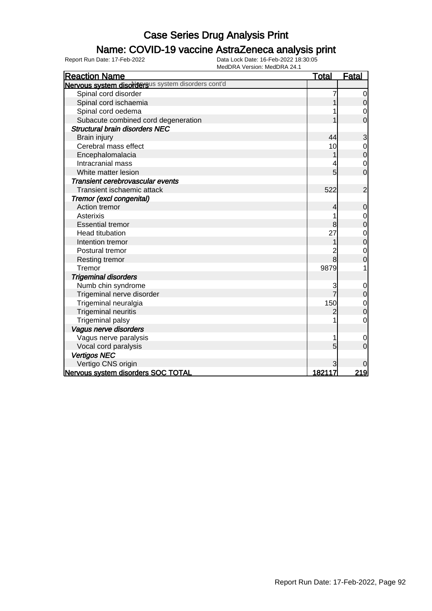### Name: COVID-19 vaccine AstraZeneca analysis print

| MEUDRA VEISIUII. MEUDRA 24. I<br><b>Reaction Name</b> | <u>Total</u> | <b>Fatal</b>   |
|-------------------------------------------------------|--------------|----------------|
| Nervous system disordersus system disorders cont'd    |              |                |
| Spinal cord disorder                                  |              | 0              |
| Spinal cord ischaemia                                 |              | $\mathbf 0$    |
| Spinal cord oedema                                    |              | $\mathbf 0$    |
| Subacute combined cord degeneration                   |              | $\overline{0}$ |
| <b>Structural brain disorders NEC</b>                 |              |                |
| Brain injury                                          | 44           | 3              |
| Cerebral mass effect                                  | 10           | $\mathbf 0$    |
| Encephalomalacia                                      |              | $\mathbf 0$    |
| Intracranial mass                                     | 4            | $\mathbf 0$    |
| White matter lesion                                   | 5            | $\overline{0}$ |
| Transient cerebrovascular events                      |              |                |
| Transient ischaemic attack                            | 522          | $\overline{2}$ |
| Tremor (excl congenital)                              |              |                |
| Action tremor                                         | 4            | $\mathbf 0$    |
| <b>Asterixis</b>                                      |              | 0              |
| <b>Essential tremor</b>                               | 8            | $\mathbf 0$    |
| <b>Head titubation</b>                                | 27           | $\mathbf 0$    |
| Intention tremor                                      |              | $\mathbf 0$    |
| Postural tremor                                       |              | $\mathbf 0$    |
| Resting tremor                                        | 8            | $\overline{0}$ |
| Tremor                                                | 9879         | 1              |
| <b>Trigeminal disorders</b>                           |              |                |
| Numb chin syndrome                                    |              | $\mathbf 0$    |
| Trigeminal nerve disorder                             |              | $\mathbf 0$    |
| Trigeminal neuralgia                                  | 150          | $\mathbf{0}$   |
| <b>Trigeminal neuritis</b>                            |              | $\overline{0}$ |
| <b>Trigeminal palsy</b>                               |              | $\mathbf 0$    |
| Vagus nerve disorders                                 |              |                |
| Vagus nerve paralysis                                 | 1            | 0              |
| Vocal cord paralysis                                  | 5            | 0              |
| <b>Vertigos NEC</b>                                   |              |                |
| Vertigo CNS origin                                    | 3            |                |
| Nervous system disorders SOC TOTAL                    | 182117       | <u> 219</u>    |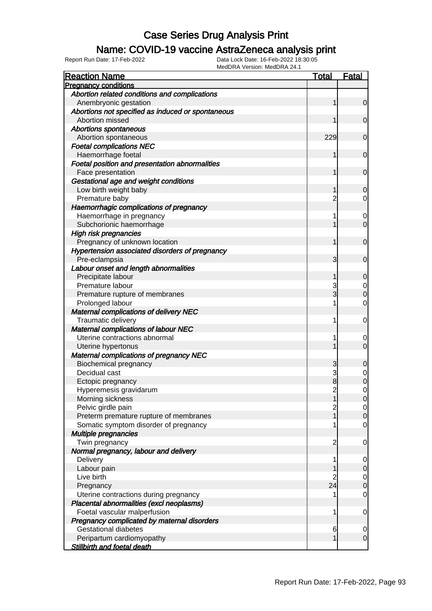### Name: COVID-19 vaccine AstraZeneca analysis print

| <b>Reaction Name</b>                              | <b>Total</b>   | <b>Fatal</b>        |
|---------------------------------------------------|----------------|---------------------|
| <b>Pregnancy conditions</b>                       |                |                     |
| Abortion related conditions and complications     |                |                     |
| Anembryonic gestation                             |                | $\overline{0}$      |
| Abortions not specified as induced or spontaneous |                |                     |
| Abortion missed                                   |                | $\overline{0}$      |
| <b>Abortions spontaneous</b>                      |                |                     |
| Abortion spontaneous                              | 229            | $\mathbf 0$         |
| <b>Foetal complications NEC</b>                   |                |                     |
| Haemorrhage foetal                                | 1              | $\mathbf 0$         |
| Foetal position and presentation abnormalities    |                |                     |
| Face presentation                                 |                | $\mathbf 0$         |
| Gestational age and weight conditions             |                |                     |
| Low birth weight baby                             | 1              | $\mathbf 0$         |
| Premature baby                                    | 2              | $\overline{0}$      |
| Haemorrhagic complications of pregnancy           |                |                     |
| Haemorrhage in pregnancy                          | 1              | $\mathbf 0$         |
| Subchorionic haemorrhage                          |                | $\overline{0}$      |
| <b>High risk pregnancies</b>                      |                |                     |
| Pregnancy of unknown location                     | 1              | $\mathbf 0$         |
| Hypertension associated disorders of pregnancy    |                |                     |
| Pre-eclampsia                                     | 3              | $\mathbf 0$         |
| Labour onset and length abnormalities             |                |                     |
| Precipitate labour                                | 1              | $\mathbf 0$         |
| Premature labour                                  | 3              | $\overline{0}$      |
| Premature rupture of membranes                    | $\overline{3}$ | $\mathbf 0$         |
| Prolonged labour                                  |                | $\overline{0}$      |
| <b>Maternal complications of delivery NEC</b>     |                |                     |
| Traumatic delivery                                | 1              | $\mathbf 0$         |
| <b>Maternal complications of labour NEC</b>       |                |                     |
| Uterine contractions abnormal                     |                | 0                   |
| Uterine hypertonus                                |                | $\overline{0}$      |
| <b>Maternal complications of pregnancy NEC</b>    |                |                     |
| <b>Biochemical pregnancy</b>                      | 3              | $\mathbf 0$         |
| Decidual cast                                     | 3              | $\boldsymbol{0}$    |
| Ectopic pregnancy                                 | 8              | $\overline{0}$      |
| Hyperemesis gravidarum                            | $\overline{2}$ | $\mathsf{O}\xspace$ |
| Morning sickness                                  | 1              | 0                   |
| Pelvic girdle pain                                | 2              | $\overline{0}$      |
| Preterm premature rupture of membranes            |                | $\mathbf 0$         |
| Somatic symptom disorder of pregnancy             |                | $\overline{0}$      |
| Multiple pregnancies                              |                |                     |
| Twin pregnancy                                    | $\overline{c}$ | $\mathbf 0$         |
| Normal pregnancy, labour and delivery             |                |                     |
| Delivery                                          | 1              | $\overline{0}$      |
| Labour pain                                       |                | $\mathsf{O}$        |
| Live birth                                        | 2              | $\overline{0}$      |
| Pregnancy                                         | 24             | $\overline{0}$      |
| Uterine contractions during pregnancy             |                | $\mathbf 0$         |
| Placental abnormalities (excl neoplasms)          |                |                     |
| Foetal vascular malperfusion                      | 1              | $\mathbf 0$         |
| Pregnancy complicated by maternal disorders       |                |                     |
| <b>Gestational diabetes</b>                       | 6              | $\overline{0}$      |
| Peripartum cardiomyopathy                         |                | $\overline{O}$      |
| <b>Stillbirth and foetal death</b>                |                |                     |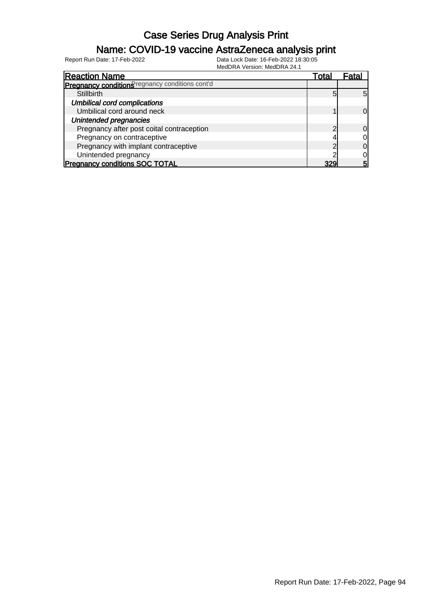### Name: COVID-19 vaccine AstraZeneca analysis print

| <b>Reaction Name</b>                            | Гоtal      | Fatal          |
|-------------------------------------------------|------------|----------------|
| Pregnancy conditions regnancy conditions cont'd |            |                |
| <b>Stillbirth</b>                               | 5          | $5 \mathsf{l}$ |
| <b>Umbilical cord complications</b>             |            |                |
| Umbilical cord around neck                      |            | ΩI             |
| Unintended pregnancies                          |            |                |
| Pregnancy after post coital contraception       | $\sqrt{2}$ | Οl             |
| Pregnancy on contraceptive                      |            | 0l             |
| Pregnancy with implant contraceptive            |            | 0l             |
| Unintended pregnancy                            |            | Ol             |
| <b>Pregnancy conditions SOC TOTAL</b>           | 329        | 5              |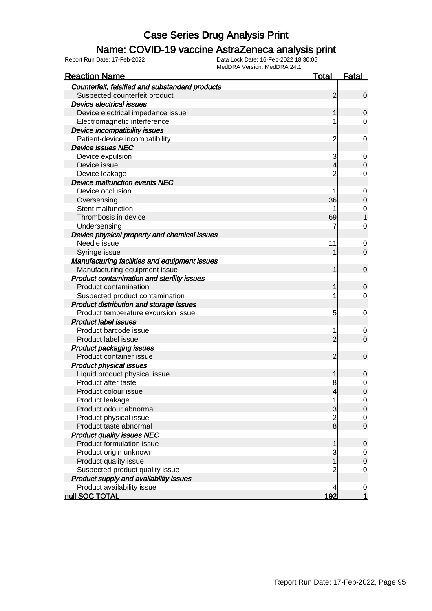### Name: COVID-19 vaccine AstraZeneca analysis print

| MEUDRA VEISIOIT. MEUDRA 24.<br><b>Reaction Name</b> | <u>Total</u>   | <b>Fatal</b>     |
|-----------------------------------------------------|----------------|------------------|
| Counterfeit, falsified and substandard products     |                |                  |
| Suspected counterfeit product                       | 2              | $\mathbf 0$      |
| <b>Device electrical issues</b>                     |                |                  |
| Device electrical impedance issue                   | 1              | 0                |
| Electromagnetic interference                        | 1              | 0                |
| Device incompatibility issues                       |                |                  |
| Patient-device incompatibility                      | $\overline{c}$ | 0                |
| <b>Device issues NEC</b>                            |                |                  |
| Device expulsion                                    | 3              | $\mathbf 0$      |
| Device issue                                        | 4              | 0                |
| Device leakage                                      | $\overline{2}$ | 0                |
| <b>Device malfunction events NEC</b>                |                |                  |
| Device occlusion                                    | 1              | $\mathbf 0$      |
| Oversensing                                         | 36             | 0                |
| Stent malfunction                                   |                | $\mathbf 0$      |
| Thrombosis in device                                | 69             |                  |
| Undersensing                                        |                | $\mathbf 0$      |
| Device physical property and chemical issues        |                |                  |
| Needle issue                                        | 11             | $\mathbf 0$      |
| Syringe issue                                       |                | $\mathbf 0$      |
| Manufacturing facilities and equipment issues       |                |                  |
| Manufacturing equipment issue                       | 1              | $\mathbf 0$      |
| Product contamination and sterility issues          |                |                  |
| Product contamination                               | 1              | 0                |
| Suspected product contamination                     | 1              | 0                |
| Product distribution and storage issues             |                |                  |
| Product temperature excursion issue                 | 5              | 0                |
| <b>Product label issues</b>                         |                |                  |
| Product barcode issue                               | 1              | $\boldsymbol{0}$ |
| Product label issue                                 | $\overline{2}$ | $\mathbf 0$      |
| <b>Product packaging issues</b>                     |                |                  |
| Product container issue                             | $\overline{c}$ | $\mathbf 0$      |
| <b>Product physical issues</b>                      |                |                  |
| Liquid product physical issue                       | 1              | 0                |
| Product after taste                                 | 8              | $\mathbf 0$      |
| Product colour issue                                | $\overline{4}$ | $\overline{0}$   |
| Product leakage                                     |                | $\mathbf 0$      |
| Product odour abnormal                              | 3              | 0                |
| Product physical issue                              | $\overline{2}$ | 0                |
| Product taste abnormal                              | $\bf{8}$       | 0                |
| <b>Product quality issues NEC</b>                   |                |                  |
| Product formulation issue                           | 1              | 0                |
| Product origin unknown                              | 3              | 0                |
| Product quality issue                               |                | 0                |
| Suspected product quality issue                     | 2              | 0                |
| Product supply and availability issues              |                |                  |
| Product availability issue                          | 4              | $\mathbf 0$      |
| null SOC TOTAL                                      | 192            | 1                |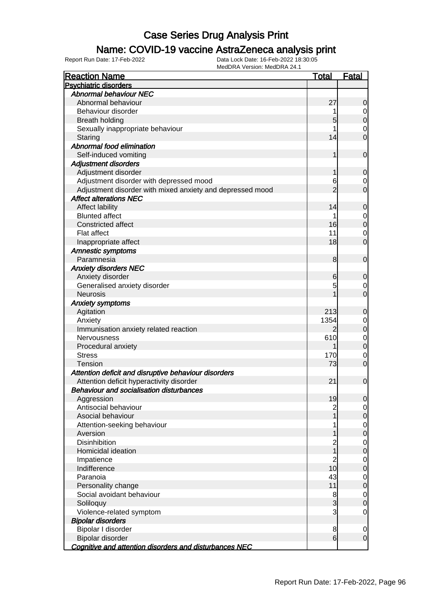### Name: COVID-19 vaccine AstraZeneca analysis print

| <b>Reaction Name</b>                                      | <b>Total</b>   | <b>Fatal</b>                     |
|-----------------------------------------------------------|----------------|----------------------------------|
| <b>Psychiatric disorders</b>                              |                |                                  |
| <b>Abnormal behaviour NEC</b>                             |                |                                  |
| Abnormal behaviour                                        | 27             | $\mathbf 0$                      |
| Behaviour disorder                                        |                | $\overline{0}$                   |
| <b>Breath holding</b>                                     | 5              | $\overline{0}$                   |
| Sexually inappropriate behaviour                          |                | $\boldsymbol{0}$                 |
| Staring                                                   | 14             | $\overline{0}$                   |
| Abnormal food elimination                                 |                |                                  |
| Self-induced vomiting                                     | 1              | $\mathbf 0$                      |
| <b>Adjustment disorders</b>                               |                |                                  |
| Adjustment disorder                                       | 1              | $\mathbf 0$                      |
| Adjustment disorder with depressed mood                   | 6              | $\mathbf 0$                      |
| Adjustment disorder with mixed anxiety and depressed mood | $\overline{2}$ | $\overline{0}$                   |
| <b>Affect alterations NEC</b>                             |                |                                  |
| Affect lability                                           | 14             | $\mathbf 0$                      |
| <b>Blunted affect</b>                                     |                |                                  |
| <b>Constricted affect</b>                                 | 16             | $\overline{0}$<br>$\overline{0}$ |
|                                                           | 11             |                                  |
| Flat affect                                               | 18             | $\mathbf 0$<br>$\mathbf 0$       |
| Inappropriate affect                                      |                |                                  |
| <b>Amnestic symptoms</b>                                  |                |                                  |
| Paramnesia                                                | 8              | $\mathbf 0$                      |
| <b>Anxiety disorders NEC</b>                              |                |                                  |
| Anxiety disorder                                          | 6              | $\mathbf 0$                      |
| Generalised anxiety disorder                              |                | $\mathbf 0$                      |
| <b>Neurosis</b>                                           |                | $\overline{0}$                   |
| <b>Anxiety symptoms</b>                                   |                |                                  |
| Agitation                                                 | 213            | $\mathbf 0$                      |
| Anxiety                                                   | 1354           | $\mathbf 0$                      |
| Immunisation anxiety related reaction                     | $\overline{2}$ | $\mathbf 0$                      |
| Nervousness                                               | 610            | $\mathbf{0}$                     |
| Procedural anxiety                                        |                | $\overline{0}$                   |
| <b>Stress</b>                                             | 170            | $\mathbf 0$                      |
| Tension                                                   | 73             | $\mathbf 0$                      |
| Attention deficit and disruptive behaviour disorders      |                |                                  |
| Attention deficit hyperactivity disorder                  | 21             | $\mathbf 0$                      |
| <b>Behaviour and socialisation disturbances</b>           |                |                                  |
| Aggression                                                | 19             | $\overline{0}$                   |
| Antisocial behaviour                                      | $\overline{c}$ | $\overline{0}$                   |
| Asocial behaviour                                         |                | $\mathsf{O}$                     |
| Attention-seeking behaviour                               |                | $\overline{0}$                   |
| Aversion                                                  |                | $\overline{0}$                   |
| <b>Disinhibition</b>                                      | $\overline{c}$ | $\mathbf 0$                      |
| Homicidal ideation                                        | $\overline{1}$ | $\mathbf 0$                      |
| Impatience                                                | $\overline{c}$ | $\mathbf 0$                      |
| Indifference                                              | 10             | $\pmb{0}$                        |
| Paranoia                                                  | 43             | $\overline{0}$                   |
| Personality change                                        | 11             | $\pmb{0}$                        |
| Social avoidant behaviour                                 | 8              | $\overline{0}$                   |
| Soliloquy                                                 | 3              | $\mathbf 0$                      |
| Violence-related symptom                                  | 3              | $\mathbf 0$                      |
| <b>Bipolar disorders</b>                                  |                |                                  |
| Bipolar I disorder                                        | 8              | $\mathbf 0$                      |
| Bipolar disorder                                          | 6              | $\mathbf 0$                      |
| Cognitive and attention disorders and disturbances NEC    |                |                                  |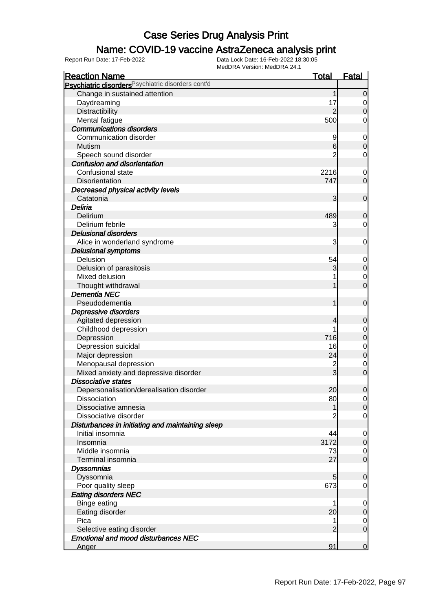### Name: COVID-19 vaccine AstraZeneca analysis print

| <b>Reaction Name</b>                                          | <b>Total</b>    | <b>Fatal</b>   |
|---------------------------------------------------------------|-----------------|----------------|
| Psychiatric disorders <sup>Psychiatric disorders cont'd</sup> |                 |                |
| Change in sustained attention                                 | 1               | $\overline{0}$ |
| Daydreaming                                                   | 17              | $\overline{0}$ |
| Distractibility                                               |                 | $\mathbf 0$    |
| Mental fatigue                                                | 500             | 0              |
| <b>Communications disorders</b>                               |                 |                |
| Communication disorder                                        |                 | $\mathbf 0$    |
| Mutism                                                        | $6 \overline{}$ | $\mathbf 0$    |
| Speech sound disorder                                         |                 | $\mathbf 0$    |
| <b>Confusion and disorientation</b>                           |                 |                |
| Confusional state                                             | 2216            | $\mathbf 0$    |
| Disorientation                                                | 747             | $\mathbf 0$    |
| Decreased physical activity levels                            |                 |                |
| Catatonia                                                     | 3               | $\mathbf 0$    |
| Deliria                                                       |                 |                |
| Delirium                                                      | 489             | $\mathbf 0$    |
| Delirium febrile                                              | 3               | $\mathbf 0$    |
| <b>Delusional disorders</b>                                   |                 |                |
| Alice in wonderland syndrome                                  | 3               | $\mathbf 0$    |
| <b>Delusional symptoms</b>                                    |                 |                |
| Delusion                                                      | 54              | $\mathbf 0$    |
| Delusion of parasitosis                                       | 3               | $\pmb{0}$      |
| Mixed delusion                                                |                 | $\mathbf 0$    |
| Thought withdrawal                                            |                 | $\overline{0}$ |
| <b>Dementia NEC</b>                                           |                 |                |
| Pseudodementia                                                | 1               | $\mathbf 0$    |
| Depressive disorders                                          |                 |                |
| Agitated depression                                           | 4               | $\mathbf 0$    |
| Childhood depression                                          |                 | $\mathbf 0$    |
| Depression                                                    | 716             | $\overline{0}$ |
| Depression suicidal                                           | 16              | $\mathbf 0$    |
| Major depression                                              | 24              | $\overline{0}$ |
| Menopausal depression                                         |                 | $\mathbf 0$    |
| Mixed anxiety and depressive disorder                         | 3               | $\mathbf 0$    |
| <b>Dissociative states</b>                                    |                 |                |
| Depersonalisation/derealisation disorder                      | 20              | $\overline{0}$ |
| <b>Dissociation</b>                                           | 80              | 0              |
| Dissociative amnesia                                          | 1               | 0              |
| Dissociative disorder                                         |                 | $\overline{0}$ |
| Disturbances in initiating and maintaining sleep              |                 |                |
| Initial insomnia                                              | 44              | $\overline{0}$ |
| Insomnia                                                      | 3172            | $\mathbf 0$    |
| Middle insomnia                                               | 73              | $\mathbf 0$    |
| Terminal insomnia                                             | 27              | $\overline{O}$ |
| <b>Dyssomnias</b>                                             |                 |                |
| Dyssomnia                                                     | 5               | $\overline{0}$ |
| Poor quality sleep                                            | 673             | $\overline{0}$ |
| <b>Eating disorders NEC</b>                                   |                 |                |
| <b>Binge eating</b>                                           |                 | $\overline{0}$ |
| Eating disorder                                               | 20              | $\mathbf 0$    |
| Pica                                                          |                 | $\mathbf 0$    |
| Selective eating disorder                                     | 2               | $\overline{0}$ |
| <b>Emotional and mood disturbances NEC</b>                    |                 |                |
| Anger                                                         | 91              | $\overline{0}$ |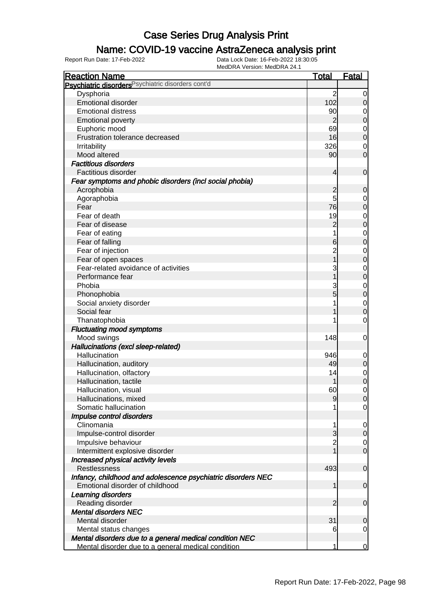### Name: COVID-19 vaccine AstraZeneca analysis print

| <b>Reaction Name</b>                                         | <b>Total</b>   | <b>Fatal</b>   |
|--------------------------------------------------------------|----------------|----------------|
| Psychiatric disorders Psychiatric disorders cont'd           |                |                |
| Dysphoria                                                    | $\overline{2}$ | 0              |
| <b>Emotional disorder</b>                                    | 102            | $\overline{0}$ |
| <b>Emotional distress</b>                                    | 90             | $\overline{0}$ |
| <b>Emotional poverty</b>                                     | $\overline{2}$ | $\mathbf 0$    |
| Euphoric mood                                                | 69             | $\overline{0}$ |
| Frustration tolerance decreased                              | 16             | $\mathbf 0$    |
| Irritability                                                 | 326            | 0              |
| Mood altered                                                 | 90             | $\mathbf 0$    |
| <b>Factitious disorders</b>                                  |                |                |
| Factitious disorder                                          | 4              | $\mathbf 0$    |
| Fear symptoms and phobic disorders (incl social phobia)      |                |                |
| Acrophobia                                                   | $\overline{c}$ | $\mathbf 0$    |
| Agoraphobia                                                  | 5              | $\overline{0}$ |
| Fear                                                         | 76             | $\mathbf 0$    |
| Fear of death                                                | 19             | $\mathbf 0$    |
| Fear of disease                                              | $\overline{2}$ | $\mathbf 0$    |
| Fear of eating                                               |                | $\mathbf 0$    |
| Fear of falling                                              | $6 \,$         | $\mathbf 0$    |
| Fear of injection                                            | $\overline{2}$ | $\mathbf 0$    |
| Fear of open spaces                                          | 1              | $\mathbf 0$    |
| Fear-related avoidance of activities                         | 3              | $\mathbf 0$    |
| Performance fear                                             |                | $\mathbf 0$    |
| Phobia                                                       | 3              | $\mathbf 0$    |
| Phonophobia                                                  | 5              | $\mathbf 0$    |
| Social anxiety disorder                                      |                | $\mathbf 0$    |
| Social fear                                                  |                | $\mathbf 0$    |
| Thanatophobia                                                |                | $\mathbf 0$    |
| <b>Fluctuating mood symptoms</b>                             |                |                |
| Mood swings                                                  | 148            | $\mathbf 0$    |
| Hallucinations (excl sleep-related)                          |                |                |
| Hallucination                                                | 946            | $\mathbf 0$    |
| Hallucination, auditory                                      | 49             | $\overline{0}$ |
| Hallucination, olfactory                                     | 14             | $\overline{0}$ |
| Hallucination, tactile                                       |                | $\overline{0}$ |
| Hallucination, visual                                        | 60             | $\mathbf 0$    |
| Hallucinations, mixed                                        | 9              | $\overline{0}$ |
| Somatic hallucination                                        |                | $\overline{0}$ |
| Impulse control disorders                                    |                |                |
| Clinomania                                                   | 1              | $\overline{0}$ |
| Impulse-control disorder                                     | 3              | $\overline{O}$ |
| Impulsive behaviour                                          | $\overline{2}$ | $\overline{0}$ |
| Intermittent explosive disorder                              |                | $\overline{O}$ |
| Increased physical activity levels                           |                |                |
| Restlessness                                                 | 493            | $\mathbf 0$    |
| Infancy, childhood and adolescence psychiatric disorders NEC |                |                |
| Emotional disorder of childhood                              | 1              | $\mathbf 0$    |
| Learning disorders                                           |                |                |
| Reading disorder                                             | $\overline{2}$ | $\mathbf 0$    |
| <b>Mental disorders NEC</b>                                  |                |                |
| Mental disorder                                              | 31             | $\mathbf 0$    |
| Mental status changes                                        | 6              | $\mathbf 0$    |
| Mental disorders due to a general medical condition NEC      |                |                |
| Mental disorder due to a general medical condition           | 1              | $\overline{0}$ |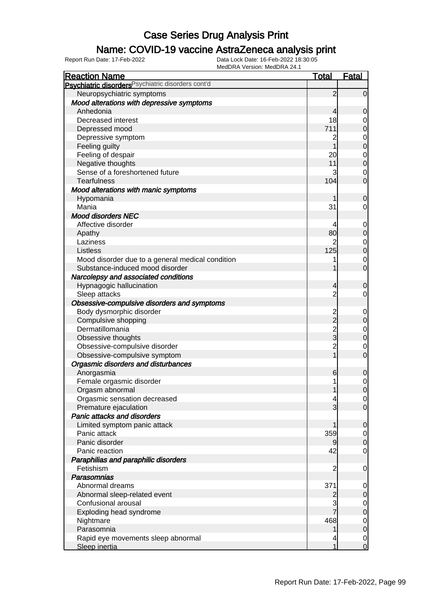### Name: COVID-19 vaccine AstraZeneca analysis print

| <b>Reaction Name</b>                               | <u>Total</u>   | <b>Fatal</b>   |
|----------------------------------------------------|----------------|----------------|
| Psychiatric disorders Psychiatric disorders cont'd |                |                |
| Neuropsychiatric symptoms                          | $\overline{2}$ | $\overline{0}$ |
| Mood alterations with depressive symptoms          |                |                |
| Anhedonia                                          | 4              | $\overline{0}$ |
| Decreased interest                                 | 18             | 0              |
| Depressed mood                                     | 711            | $\overline{0}$ |
| Depressive symptom                                 | 2              | $\mathbf 0$    |
| Feeling guilty                                     |                | $\overline{0}$ |
| Feeling of despair                                 | 20             | $\mathbf 0$    |
| Negative thoughts                                  | 11             | $\overline{0}$ |
| Sense of a foreshortened future                    | 3              | $\mathbf 0$    |
| <b>Tearfulness</b>                                 | 104            | $\overline{0}$ |
| Mood alterations with manic symptoms               |                |                |
| Hypomania                                          |                | 0              |
| Mania                                              | 31             | 0              |
| <b>Mood disorders NEC</b>                          |                |                |
| Affective disorder                                 |                | $\overline{0}$ |
| Apathy                                             | 80             | $\mathbf 0$    |
| Laziness                                           |                | $\mathbf 0$    |
| Listless                                           | 125            | $\overline{0}$ |
| Mood disorder due to a general medical condition   |                | $\mathbf 0$    |
| Substance-induced mood disorder                    |                | $\overline{O}$ |
| Narcolepsy and associated conditions               |                |                |
| Hypnagogic hallucination                           | 4              | 0              |
| Sleep attacks                                      | $\overline{2}$ | $\mathbf 0$    |
| Obsessive-compulsive disorders and symptoms        |                |                |
| Body dysmorphic disorder                           |                | $\mathbf 0$    |
| Compulsive shopping                                | 2<br>2         | $\overline{0}$ |
| Dermatillomania                                    | $\frac{2}{3}$  | $\mathbf 0$    |
| Obsessive thoughts                                 |                | $\overline{0}$ |
| Obsessive-compulsive disorder                      | $\overline{c}$ | $\mathbf 0$    |
| Obsessive-compulsive symptom                       | $\overline{1}$ | $\overline{0}$ |
| Orgasmic disorders and disturbances                |                |                |
| Anorgasmia                                         | 6              | 0              |
| Female orgasmic disorder                           |                | $\mathbf 0$    |
| Orgasm abnormal                                    | 1              | $\overline{0}$ |
| Orgasmic sensation decreased                       |                | $\overline{0}$ |
| Premature ejaculation                              | 3              | $\overline{0}$ |
| Panic attacks and disorders                        |                |                |
| Limited symptom panic attack                       |                | $\overline{0}$ |
| Panic attack                                       | 359            | $\overline{0}$ |
| Panic disorder                                     |                | $\overline{0}$ |
| Panic reaction                                     | 42             | $\overline{0}$ |
| Paraphilias and paraphilic disorders               |                |                |
| Fetishism                                          | 2              | $\mathbf 0$    |
| Parasomnias                                        |                |                |
| Abnormal dreams                                    | 371            | $\overline{0}$ |
| Abnormal sleep-related event                       | 2              | $\overline{0}$ |
| Confusional arousal                                | 3              | $\overline{0}$ |
| Exploding head syndrome                            |                | $\overline{0}$ |
| Nightmare                                          | 468            | $\mathbf 0$    |
| Parasomnia                                         |                | $\overline{0}$ |
| Rapid eye movements sleep abnormal                 |                | $\overline{0}$ |
| Sleep inertia                                      | 1              | $\mathbf 0$    |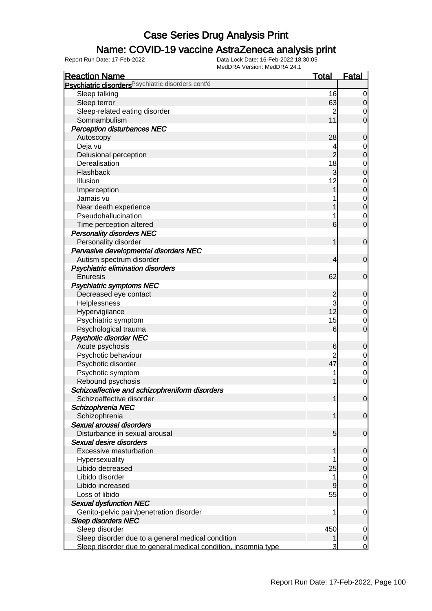### Name: COVID-19 vaccine AstraZeneca analysis print

| <b>Reaction Name</b>                                           | <b>Total</b>    | <u>Fatal</u>               |
|----------------------------------------------------------------|-----------------|----------------------------|
| Psychiatric disorders Psychiatric disorders cont'd             |                 |                            |
| Sleep talking                                                  | 16              | $\mathbf 0$                |
| Sleep terror                                                   | 63              | $\mathbf 0$                |
| Sleep-related eating disorder                                  | $\overline{c}$  | 0                          |
| Somnambulism                                                   | 11              | $\mathbf 0$                |
| <b>Perception disturbances NEC</b>                             |                 |                            |
| Autoscopy                                                      | 28              | $\boldsymbol{0}$           |
| Deja vu                                                        | 4               | 0                          |
| Delusional perception                                          | $\overline{2}$  | $\mathbf 0$                |
| Derealisation                                                  | 18              | $\mathbf 0$                |
| Flashback                                                      | 3               | $\mathbf 0$                |
| Illusion                                                       | 12              | $\mathbf 0$                |
| Imperception                                                   | 1               | $\mathbf 0$                |
| Jamais vu                                                      |                 | $\mathbf 0$                |
| Near death experience                                          |                 | $\mathbf 0$                |
| Pseudohallucination                                            | 1               |                            |
|                                                                | 6               | $\mathbf 0$<br>$\mathbf 0$ |
| Time perception altered                                        |                 |                            |
| <b>Personality disorders NEC</b>                               |                 |                            |
| Personality disorder                                           | 1               | $\mathbf 0$                |
| Pervasive developmental disorders NEC                          |                 |                            |
| Autism spectrum disorder                                       | 4               | $\mathbf 0$                |
| Psychiatric elimination disorders                              |                 |                            |
| Enuresis                                                       | 62              | $\mathbf 0$                |
| <b>Psychiatric symptoms NEC</b>                                |                 |                            |
| Decreased eye contact                                          | $\overline{c}$  | $\mathbf 0$                |
| Helplessness                                                   | 3               | $\overline{0}$             |
| Hypervigilance                                                 | 12              | $\boldsymbol{0}$           |
| Psychiatric symptom                                            | 15              | $\mathbf 0$                |
| Psychological trauma                                           | 6               | $\mathbf 0$                |
| <b>Psychotic disorder NEC</b>                                  |                 |                            |
| Acute psychosis                                                | 6               | $\mathbf 0$                |
| Psychotic behaviour                                            | $\overline{2}$  | $\mathbf 0$                |
| Psychotic disorder                                             | 47              | $\pmb{0}$                  |
| Psychotic symptom                                              | 1               | $\mathbf 0$                |
| Rebound psychosis                                              | 1               | $\mathbf 0$                |
| Schizoaffective and schizophreniform disorders                 |                 |                            |
| Schizoaffective disorder                                       | 1               | $\overline{0}$             |
| Schizophrenia NEC                                              |                 |                            |
| Schizophrenia                                                  | 1               | $\mathbf 0$                |
| Sexual arousal disorders                                       |                 |                            |
| Disturbance in sexual arousal                                  | $5\overline{)}$ | $\mathbf 0$                |
| Sexual desire disorders                                        |                 |                            |
| Excessive masturbation                                         | 1               | $\mathbf 0$                |
| Hypersexuality                                                 |                 | 0                          |
| Libido decreased                                               | 25              | $\pmb{0}$                  |
| Libido disorder                                                | 1               | $\overline{0}$             |
| Libido increased                                               | 9               | $\mathbf 0$                |
| Loss of libido                                                 | 55              | $\mathbf 0$                |
| <b>Sexual dysfunction NEC</b>                                  |                 |                            |
| Genito-pelvic pain/penetration disorder                        | 1               | $\mathbf 0$                |
| <b>Sleep disorders NEC</b>                                     |                 |                            |
| Sleep disorder                                                 | 450             | 0                          |
| Sleep disorder due to a general medical condition              |                 | $\mathbf 0$                |
| Sleep disorder due to general medical condition, insomnia type | 3               | $\mathbf 0$                |
|                                                                |                 |                            |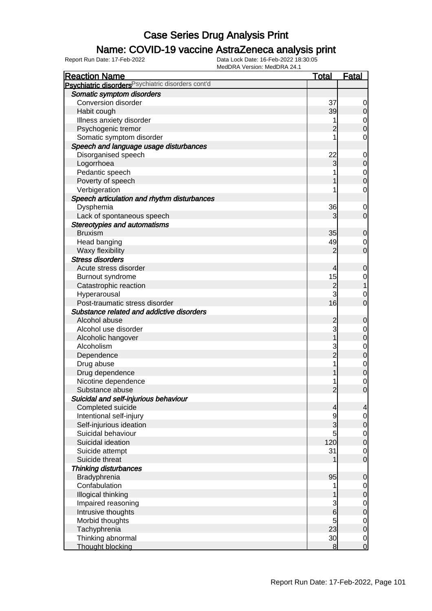### Name: COVID-19 vaccine AstraZeneca analysis print

| <b>Reaction Name</b>                                          | <b>Total</b>    | <u>Fatal</u>                         |
|---------------------------------------------------------------|-----------------|--------------------------------------|
| Psychiatric disorders <sup>Psychiatric disorders cont'd</sup> |                 |                                      |
| Somatic symptom disorders                                     |                 |                                      |
| Conversion disorder                                           | 37              | 0                                    |
| Habit cough                                                   | 39              | $\mathbf 0$                          |
| Illness anxiety disorder                                      | 1               |                                      |
| Psychogenic tremor                                            |                 | $\begin{matrix}0\\0\end{matrix}$     |
| Somatic symptom disorder                                      | 1               | $\mathbf 0$                          |
| Speech and language usage disturbances                        |                 |                                      |
| Disorganised speech                                           | 22              | $\mathbf 0$                          |
| Logorrhoea                                                    | 3               | $\mathbf 0$                          |
| Pedantic speech                                               |                 |                                      |
| Poverty of speech                                             |                 | $\begin{matrix}0\\0\end{matrix}$     |
| Verbigeration                                                 | 1               | $\mathbf 0$                          |
| Speech articulation and rhythm disturbances                   |                 |                                      |
| Dysphemia                                                     | 36              | $\mathbf 0$                          |
| Lack of spontaneous speech                                    | 3               | $\mathbf 0$                          |
| <b>Stereotypies and automatisms</b>                           |                 |                                      |
| <b>Bruxism</b>                                                | 35              | $\mathbf 0$                          |
| Head banging                                                  | 49              | $\mathbf 0$                          |
| Waxy flexibility                                              | $\overline{2}$  | $\overline{0}$                       |
| <b>Stress disorders</b>                                       |                 |                                      |
| Acute stress disorder                                         | 4               | $\mathbf 0$                          |
| Burnout syndrome                                              | 15              |                                      |
| Catastrophic reaction                                         | $\overline{2}$  | $\begin{matrix} 0 \\ 1 \end{matrix}$ |
| Hyperarousal                                                  | 3               | $\mathbf 0$                          |
| Post-traumatic stress disorder                                | 16              | $\overline{0}$                       |
| Substance related and addictive disorders                     |                 |                                      |
| Alcohol abuse                                                 | 2               | $\mathbf 0$                          |
| Alcohol use disorder                                          | 3               | $\mathbf{0}$                         |
| Alcoholic hangover                                            |                 | $\overline{0}$                       |
| Alcoholism                                                    | 3               |                                      |
| Dependence                                                    | $\overline{2}$  | $\begin{matrix}0\\0\end{matrix}$     |
| Drug abuse                                                    | 1               |                                      |
| Drug dependence                                               |                 | $\begin{matrix}0\\0\end{matrix}$     |
| Nicotine dependence                                           | 1               | $\mathbf 0$                          |
| Substance abuse                                               | $\overline{2}$  | $\overline{0}$                       |
| Suicidal and self-injurious behaviour                         |                 |                                      |
| Completed suicide                                             | 4               | $\overline{4}$                       |
| Intentional self-injury                                       | 9               | $\overline{0}$                       |
| Self-injurious ideation                                       | $\overline{3}$  | $\pmb{0}$                            |
| Suicidal behaviour                                            | 5               |                                      |
| Suicidal ideation                                             | 120             | $0\atop 0$                           |
| Suicide attempt                                               | 31              | $\mathbf 0$                          |
| Suicide threat                                                |                 | $\overline{0}$                       |
| <b>Thinking disturbances</b>                                  |                 |                                      |
| Bradyphrenia                                                  | 95              | $\mathbf 0$                          |
| Confabulation                                                 | 1               | $\overline{0}$                       |
| Illogical thinking                                            |                 | $\mathbf 0$                          |
| Impaired reasoning                                            | 3               | $\overline{0}$                       |
| Intrusive thoughts                                            | 6               | $\overline{0}$                       |
| Morbid thoughts                                               | 5               | $\overline{0}$                       |
| Tachyphrenia                                                  | 23              | $\overline{0}$                       |
| Thinking abnormal                                             | 30 <sup>2</sup> |                                      |
| <b>Thought blocking</b>                                       | 8               | $\begin{matrix} 0 \\ 0 \end{matrix}$ |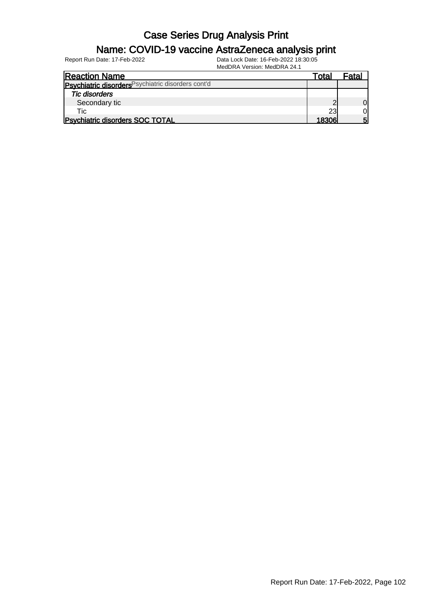#### Name: COVID-19 vaccine AstraZeneca analysis print

Report Run Date: 17-Feb-2022 Data Lock Date: 16-Feb-2022 18:30:05

MedDRA Version: MedDRA 24.1

| <b>Reaction Name</b>                               | Total | Fata. |
|----------------------------------------------------|-------|-------|
| Psychiatric disorders Psychiatric disorders cont'd |       |       |
| <b>Tic disorders</b>                               |       |       |
| Secondary tic                                      |       |       |
| Tic                                                | 23    |       |
| <b>Psychiatric disorders SOC TOTAL</b>             | 18306 | 5     |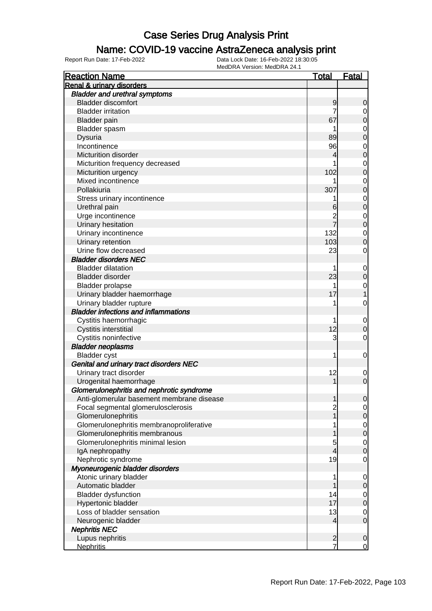#### Name: COVID-19 vaccine AstraZeneca analysis print

| <b>Reaction Name</b>                                                   | <b>Total</b>            | Fatal          |
|------------------------------------------------------------------------|-------------------------|----------------|
| <b>Renal &amp; urinary disorders</b>                                   |                         |                |
| <b>Bladder and urethral symptoms</b>                                   |                         |                |
| <b>Bladder discomfort</b>                                              | 9                       | 0              |
| <b>Bladder irritation</b>                                              | 7                       | 0              |
| <b>Bladder</b> pain                                                    | 67                      | 0              |
| Bladder spasm                                                          |                         | 0              |
| Dysuria                                                                | 89                      | 0              |
| Incontinence                                                           | 96                      | 0              |
| Micturition disorder                                                   | 4                       | 0              |
| Micturition frequency decreased                                        |                         | 0              |
| Micturition urgency                                                    | 102                     | 0              |
| Mixed incontinence                                                     |                         | 0              |
| Pollakiuria                                                            | 307                     | 0              |
| Stress urinary incontinence                                            |                         | $\mathbf 0$    |
| Urethral pain                                                          | 6                       | 0              |
| Urge incontinence                                                      | $\overline{\mathbf{c}}$ | $\mathbf 0$    |
| Urinary hesitation                                                     |                         | 0              |
| Urinary incontinence                                                   | 132                     | $\mathbf 0$    |
| Urinary retention                                                      | 103                     | 0              |
| Urine flow decreased                                                   | 23                      | 0              |
| <b>Bladder disorders NEC</b>                                           |                         |                |
| <b>Bladder dilatation</b>                                              | 1                       | $\mathbf 0$    |
| <b>Bladder disorder</b>                                                | 23                      |                |
|                                                                        | 1                       | 0              |
| <b>Bladder prolapse</b>                                                |                         | $\mathbf 0$    |
| Urinary bladder haemorrhage                                            | 17                      |                |
| Urinary bladder rupture<br><b>Bladder infections and inflammations</b> | 1                       | 0              |
|                                                                        |                         |                |
| Cystitis haemorrhagic                                                  | 1                       | $\mathbf 0$    |
| <b>Cystitis interstitial</b>                                           | 12                      | 0              |
| Cystitis noninfective                                                  | 3                       | 0              |
| <b>Bladder neoplasms</b>                                               |                         |                |
| <b>Bladder</b> cyst                                                    | 1                       | 0              |
| Genital and urinary tract disorders NEC                                |                         |                |
| Urinary tract disorder                                                 | 12                      | $\mathbf 0$    |
| Urogenital haemorrhage                                                 |                         | 0              |
| Glomerulonephritis and nephrotic syndrome                              |                         |                |
| Anti-glomerular basement membrane disease                              |                         | 0              |
| Focal segmental glomerulosclerosis                                     | $\overline{c}$          | 0              |
| Glomerulonephritis                                                     |                         | $\mathbf 0$    |
| Glomerulonephritis membranoproliferative                               | 1                       | $\mathbf 0$    |
| Glomerulonephritis membranous                                          |                         | $\mathbf 0$    |
| Glomerulonephritis minimal lesion                                      | 5                       | 0              |
| IgA nephropathy                                                        | 4                       | 0              |
| Nephrotic syndrome                                                     | 19                      | 0              |
| Myoneurogenic bladder disorders                                        |                         |                |
| Atonic urinary bladder                                                 | 1                       | 0              |
| Automatic bladder                                                      |                         | $\mathbf 0$    |
| <b>Bladder dysfunction</b>                                             | 14                      | 0              |
| Hypertonic bladder                                                     | 17                      | $\mathbf 0$    |
| Loss of bladder sensation                                              | 13                      | $\mathbf 0$    |
| Neurogenic bladder                                                     | 4                       | $\mathbf 0$    |
| <b>Nephritis NEC</b>                                                   |                         |                |
| Lupus nephritis                                                        | $\overline{c}$          | $\mathbf 0$    |
| <b>Nephritis</b>                                                       | 7                       | $\overline{0}$ |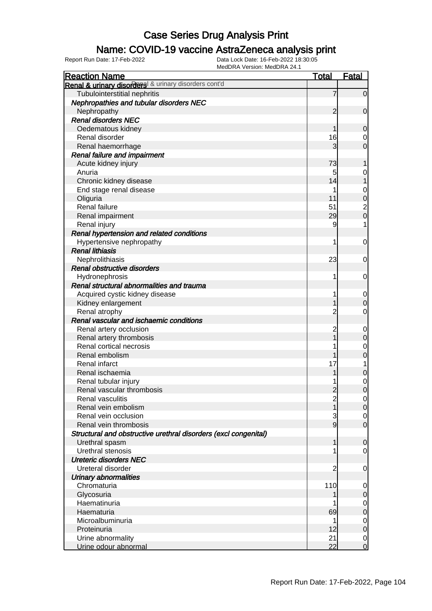### Name: COVID-19 vaccine AstraZeneca analysis print

| <b>Reaction Name</b>                                            | <b>Total</b>   | <b>Fatal</b>               |
|-----------------------------------------------------------------|----------------|----------------------------|
| Renal & urinary disorders & urinary disorders cont'd            |                |                            |
| Tubulointerstitial nephritis                                    | 7              | $\overline{0}$             |
| Nephropathies and tubular disorders NEC                         |                |                            |
| Nephropathy                                                     | $\overline{2}$ | $\mathbf 0$                |
| <b>Renal disorders NEC</b>                                      |                |                            |
| Oedematous kidney                                               |                | 0                          |
| Renal disorder                                                  | 16             | 0                          |
| Renal haemorrhage                                               | 3              | $\overline{0}$             |
| <b>Renal failure and impairment</b>                             |                |                            |
| Acute kidney injury                                             | 73             |                            |
| Anuria                                                          | 5              | 0                          |
| Chronic kidney disease                                          | 14             |                            |
| End stage renal disease                                         |                | 0                          |
| Oliguria                                                        | 11             | $\mathbf 0$                |
| Renal failure                                                   | 51             | $\overline{\mathbf{c}}$    |
| Renal impairment                                                | 29             | $\overline{0}$             |
| Renal injury                                                    | 9              | 1                          |
| Renal hypertension and related conditions                       |                |                            |
| Hypertensive nephropathy                                        | 1              | 0                          |
| <b>Renal lithiasis</b>                                          |                |                            |
| Nephrolithiasis                                                 | 23             | 0                          |
| Renal obstructive disorders                                     |                |                            |
| Hydronephrosis                                                  | 1              | 0                          |
| Renal structural abnormalities and trauma                       |                |                            |
| Acquired cystic kidney disease                                  |                | $\mathbf 0$                |
| Kidney enlargement                                              |                | $\boldsymbol{0}$           |
| Renal atrophy                                                   | $\overline{c}$ | 0                          |
| Renal vascular and ischaemic conditions                         |                |                            |
| Renal artery occlusion                                          | 2              | $\mathbf 0$                |
| Renal artery thrombosis                                         |                | $\boldsymbol{0}$           |
| Renal cortical necrosis                                         |                | $\mathbf 0$                |
| Renal embolism                                                  |                | $\mathbf 0$                |
| Renal infarct                                                   | 17             | 1                          |
| Renal ischaemia                                                 |                | $\mathbf 0$                |
| Renal tubular injury                                            |                | $\mathbf 0$                |
| Renal vascular thrombosis                                       | $\overline{2}$ | $\overline{0}$             |
| Renal vasculitis                                                | $\overline{c}$ | $\overline{0}$             |
| Renal vein embolism                                             |                | $\overline{0}$             |
| Renal vein occlusion                                            | 3              | $\overline{0}$             |
| Renal vein thrombosis                                           | 9              | $\overline{0}$             |
| Structural and obstructive urethral disorders (excl congenital) |                |                            |
| Urethral spasm                                                  | 1              | $\mathbf 0$                |
| Urethral stenosis                                               |                | $\overline{0}$             |
| <b>Ureteric disorders NEC</b>                                   |                |                            |
| Ureteral disorder                                               | $\overline{2}$ | 0                          |
| <b>Urinary abnormalities</b>                                    |                |                            |
| Chromaturia                                                     | 110            | 0                          |
| Glycosuria                                                      |                | $\mathbf 0$                |
| Haematinuria<br>Haematuria                                      | 69             | $\mathbf 0$                |
| Microalbuminuria                                                |                | $\mathbf 0$                |
| Proteinuria                                                     | 12             | $\mathbf 0$<br>$\mathbf 0$ |
| Urine abnormality                                               | 21             | 0                          |
| Urine odour abnormal                                            | 22             | $\overline{0}$             |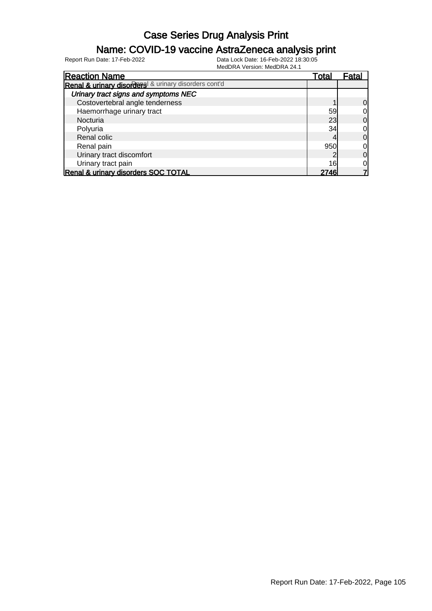#### Name: COVID-19 vaccine AstraZeneca analysis print

| <b>Reaction Name</b>                                 | Total | Fatal |
|------------------------------------------------------|-------|-------|
| Renal & urinary disorders & urinary disorders cont'd |       |       |
| Urinary tract signs and symptoms NEC                 |       |       |
| Costovertebral angle tenderness                      |       | 0     |
| Haemorrhage urinary tract                            | 59    |       |
| Nocturia                                             | 23    | 0     |
| Polyuria                                             | 34    |       |
| Renal colic                                          |       | 0     |
| Renal pain                                           | 950   |       |
| Urinary tract discomfort                             |       | 0     |
| Urinary tract pain                                   | 16    |       |
| Renal & urinary disorders SOC TOTAL                  | 2746  |       |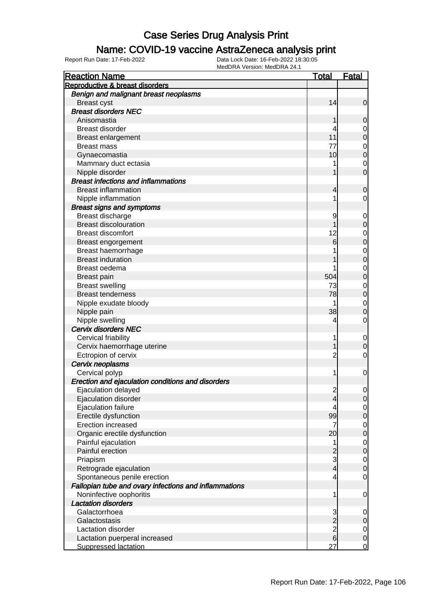#### Name: COVID-19 vaccine AstraZeneca analysis print

| <b>Reaction Name</b>                                  | <b>Total</b>    | <b>Fatal</b>   |
|-------------------------------------------------------|-----------------|----------------|
| Reproductive & breast disorders                       |                 |                |
| Benign and malignant breast neoplasms                 |                 |                |
| <b>Breast cyst</b>                                    | 14              | $\mathbf 0$    |
| <b>Breast disorders NEC</b>                           |                 |                |
| Anisomastia                                           |                 | 0              |
| <b>Breast disorder</b>                                | 4               | 0              |
| <b>Breast enlargement</b>                             | 11              | 0              |
| <b>Breast mass</b>                                    | 77              | 0              |
| Gynaecomastia                                         | 10              | 0              |
| Mammary duct ectasia                                  |                 | 0              |
| Nipple disorder                                       |                 | 0              |
| <b>Breast infections and inflammations</b>            |                 |                |
| <b>Breast inflammation</b>                            | 4               | 0              |
| Nipple inflammation                                   | 1               | 0              |
| <b>Breast signs and symptoms</b>                      |                 |                |
| Breast discharge                                      | 9               | 0              |
| <b>Breast discolouration</b>                          |                 | 0              |
| <b>Breast discomfort</b>                              | 12              | 0              |
| Breast engorgement                                    | 6               | 0              |
| Breast haemorrhage                                    |                 | 0              |
| <b>Breast induration</b>                              |                 | 0              |
| Breast oedema                                         |                 | 0              |
| <b>Breast pain</b>                                    | 504             | 0              |
| <b>Breast swelling</b>                                | 73              | 0              |
| <b>Breast tenderness</b>                              | 78              | 0              |
| Nipple exudate bloody                                 | 1               | 0              |
| Nipple pain                                           | 38              | 0              |
| Nipple swelling                                       | 4               | 0              |
| <b>Cervix disorders NEC</b>                           |                 |                |
| Cervical friability                                   | 1               | 0              |
| Cervix haemorrhage uterine                            |                 | 0              |
| Ectropion of cervix                                   | $\overline{c}$  | 0              |
| Cervix neoplasms                                      |                 |                |
| Cervical polyp                                        | 1               | 0              |
| Erection and ejaculation conditions and disorders     |                 |                |
| Ejaculation delayed                                   | $\overline{c}$  | 0              |
| Ejaculation disorder                                  | 4               | $\overline{0}$ |
| Ejaculation failure                                   | 4               | $\mathbf 0$    |
| Erectile dysfunction                                  | 99              | 0              |
| <b>Erection increased</b>                             | 7               | $\mathbf 0$    |
| Organic erectile dysfunction                          | 20 <sup>°</sup> | 0              |
| Painful ejaculation                                   | 1               | $\mathbf 0$    |
| Painful erection                                      |                 | 0              |
| Priapism                                              | 3               | $\mathbf 0$    |
| Retrograde ejaculation                                | 4               | 0              |
| Spontaneous penile erection                           | 4               | 0              |
| Fallopian tube and ovary infections and inflammations |                 |                |
| Noninfective oophoritis                               | 1               | 0              |
| <b>Lactation disorders</b>                            |                 |                |
| Galactorrhoea                                         | 3               | 0              |
| Galactostasis                                         | $\overline{2}$  | 0              |
| Lactation disorder                                    | $\overline{c}$  | $\mathbf 0$    |
| Lactation puerperal increased                         | $\overline{6}$  | 0              |
| <b>Suppressed lactation</b>                           | 27              | 0              |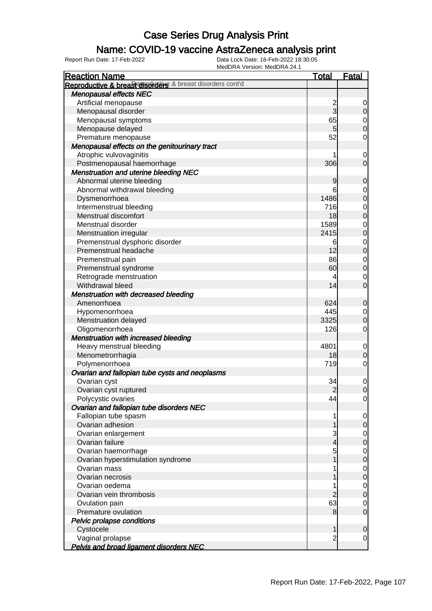### Name: COVID-19 vaccine AstraZeneca analysis print

| <b>Reaction Name</b>                                      | <b>Total</b>   | <b>Fatal</b>     |
|-----------------------------------------------------------|----------------|------------------|
| Reproductive & breasterisorders & breast disorders cont'd |                |                  |
| <b>Menopausal effects NEC</b>                             |                |                  |
| Artificial menopause                                      | $\overline{c}$ | 0                |
| Menopausal disorder                                       | $\overline{3}$ | $\overline{0}$   |
| Menopausal symptoms                                       | 65             | $\overline{0}$   |
| Menopause delayed                                         | 5 <sub>5</sub> | $\boldsymbol{0}$ |
| Premature menopause                                       | 52             | $\mathbf 0$      |
| Menopausal effects on the genitourinary tract             |                |                  |
| Atrophic vulvovaginitis                                   |                | $\mathbf 0$      |
| Postmenopausal haemorrhage                                | 306            | $\mathbf 0$      |
| <b>Menstruation and uterine bleeding NEC</b>              |                |                  |
| Abnormal uterine bleeding                                 | 9              | $\mathbf 0$      |
| Abnormal withdrawal bleeding                              | 6              | $\mathbf 0$      |
| Dysmenorrhoea                                             | 1486           | $\mathbf 0$      |
| Intermenstrual bleeding                                   | 716            | $\mathbf 0$      |
| Menstrual discomfort                                      | 18             | $\mathbf 0$      |
| Menstrual disorder                                        | 1589           | $\mathbf 0$      |
| Menstruation irregular                                    | 2415           | $\mathbf 0$      |
| Premenstrual dysphoric disorder                           | 6              | $\mathbf 0$      |
| Premenstrual headache                                     | 12             | $\mathbf 0$      |
| Premenstrual pain                                         | 86             | $\overline{0}$   |
| Premenstrual syndrome                                     | 60             | $\boldsymbol{0}$ |
| Retrograde menstruation                                   | 4              | $\overline{0}$   |
| Withdrawal bleed                                          | 14             | $\mathbf 0$      |
| <b>Menstruation with decreased bleeding</b>               |                |                  |
| Amenorrhoea                                               | 624            | $\mathbf 0$      |
| Hypomenorrhoea                                            | 445            | $\overline{0}$   |
| Menstruation delayed                                      | 3325           | $\boldsymbol{0}$ |
| Oligomenorrhoea                                           | 126            | $\mathbf 0$      |
| <b>Menstruation with increased bleeding</b>               |                |                  |
| Heavy menstrual bleeding                                  | 4801           | $\mathbf 0$      |
| Menometrorrhagia                                          | 18             | $\mathbf 0$      |
| Polymenorrhoea                                            | 719            | $\mathbf 0$      |
| Ovarian and fallopian tube cysts and neoplasms            |                |                  |
| Ovarian cyst                                              | 34             | $\mathbf 0$      |
| Ovarian cyst ruptured                                     | $\overline{2}$ | $\mathbf 0$      |
| Polycystic ovaries                                        | 44             | $\overline{0}$   |
| Ovarian and fallopian tube disorders NEC                  |                |                  |
| Fallopian tube spasm                                      |                | 0                |
| Ovarian adhesion                                          |                | $\mathbf 0$      |
| Ovarian enlargement                                       | 3              | $\overline{0}$   |
| Ovarian failure                                           | 4              | $\boldsymbol{0}$ |
| Ovarian haemorrhage                                       | 5              | $\mathbf 0$      |
| Ovarian hyperstimulation syndrome                         |                | $\boldsymbol{0}$ |
| Ovarian mass                                              |                | $\mathbf 0$      |
| Ovarian necrosis                                          |                | $\boldsymbol{0}$ |
| Ovarian oedema                                            |                | $\overline{0}$   |
| Ovarian vein thrombosis                                   | $\overline{c}$ | $\boldsymbol{0}$ |
| Ovulation pain                                            | 63             | 0                |
| Premature ovulation                                       | 8              | $\mathbf 0$      |
| Pelvic prolapse conditions                                |                |                  |
| Cystocele                                                 | 1              | $\mathbf 0$      |
| Vaginal prolapse                                          | $\overline{2}$ | $\mathbf 0$      |
| <b>Pelvis and broad ligament disorders NEC</b>            |                |                  |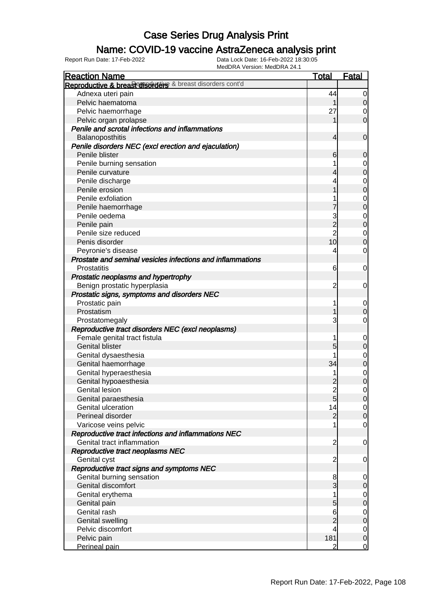### Name: COVID-19 vaccine AstraZeneca analysis print

| <b>Reaction Name</b>                                       | <u>Total</u>   | <b>Fatal</b>                         |
|------------------------------------------------------------|----------------|--------------------------------------|
| Reproductive & breast disorders & breast disorders cont'd  |                |                                      |
| Adnexa uteri pain                                          | 44             | $\overline{0}$                       |
| Pelvic haematoma                                           |                | $\overline{O}$                       |
| Pelvic haemorrhage                                         | 27             | 0                                    |
| Pelvic organ prolapse                                      |                | $\overline{0}$                       |
| Penile and scrotal infections and inflammations            |                |                                      |
| Balanoposthitis                                            | 4              | $\mathbf 0$                          |
| Penile disorders NEC (excl erection and ejaculation)       |                |                                      |
| Penile blister                                             | 6              | $\mathbf 0$                          |
| Penile burning sensation                                   |                | $\overline{0}$                       |
| Penile curvature                                           |                | $\overline{0}$                       |
| Penile discharge                                           |                | $\mathbf 0$                          |
| Penile erosion                                             |                | $\overline{0}$                       |
| Penile exfoliation                                         |                | $\mathbf 0$                          |
| Penile haemorrhage                                         |                | $\overline{0}$                       |
| Penile oedema                                              | 3              | $\mathbf 0$                          |
| Penile pain                                                | $\overline{2}$ | $\overline{0}$                       |
| Penile size reduced                                        | $\overline{2}$ | $\mathbf 0$                          |
| Penis disorder                                             | 10             | $\mathbf 0$                          |
| Peyronie's disease                                         | 4              | $\mathbf 0$                          |
| Prostate and seminal vesicles infections and inflammations |                |                                      |
| Prostatitis                                                | 6              | $\mathbf 0$                          |
| Prostatic neoplasms and hypertrophy                        |                |                                      |
| Benign prostatic hyperplasia                               | 2              | $\mathbf 0$                          |
| Prostatic signs, symptoms and disorders NEC                |                |                                      |
| Prostatic pain                                             | 1              | $\overline{0}$                       |
| Prostatism                                                 |                | $\mathbf 0$                          |
| Prostatomegaly                                             | 3              | $\mathbf 0$                          |
| Reproductive tract disorders NEC (excl neoplasms)          |                |                                      |
| Female genital tract fistula                               |                | $\mathbf 0$                          |
| <b>Genital blister</b>                                     | 5              | $\mathbf 0$                          |
| Genital dysaesthesia                                       |                | $\mathbf 0$                          |
| Genital haemorrhage                                        | 34             | $\overline{0}$                       |
| Genital hyperaesthesia                                     |                |                                      |
| Genital hypoaesthesia                                      |                | $\begin{matrix} 0 \\ 0 \end{matrix}$ |
| <b>Genital lesion</b>                                      | $\overline{2}$ | $\mathbf 0$                          |
| Genital paraesthesia                                       | 5              | $\overline{0}$                       |
| Genital ulceration                                         | 14             | $\overline{0}$                       |
| Perineal disorder                                          | $\overline{2}$ | $\overline{0}$                       |
| Varicose veins pelvic                                      |                | $\overline{0}$                       |
| Reproductive tract infections and inflammations NEC        |                |                                      |
| Genital tract inflammation                                 | $\overline{c}$ | $\mathbf 0$                          |
| Reproductive tract neoplasms NEC                           |                |                                      |
| Genital cyst                                               | $\overline{c}$ | $\mathbf 0$                          |
| Reproductive tract signs and symptoms NEC                  |                |                                      |
| Genital burning sensation                                  | 8              | $\overline{0}$                       |
| Genital discomfort                                         | 3              | $\mathbf 0$                          |
| Genital erythema                                           |                |                                      |
| Genital pain                                               | 5              | $\begin{matrix} 0 \\ 0 \end{matrix}$ |
| Genital rash                                               | 6              | $\overline{0}$                       |
| <b>Genital swelling</b>                                    |                | $\overline{0}$                       |
| Pelvic discomfort                                          | 4              | $\overline{O}$                       |
| Pelvic pain                                                | 181            | $\overline{O}$                       |
| Perineal pain                                              | $\overline{2}$ | $\overline{0}$                       |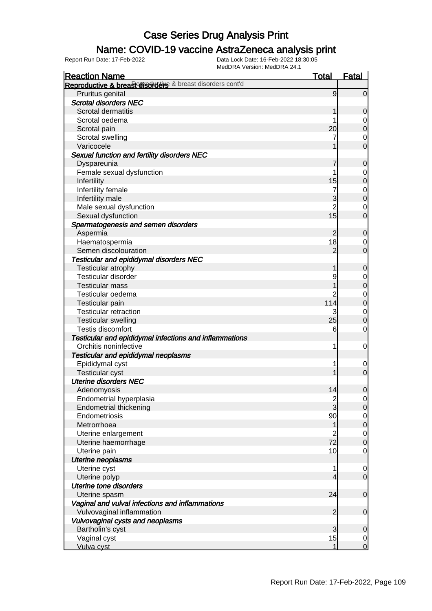### Name: COVID-19 vaccine AstraZeneca analysis print

| <b>Reaction Name</b>                                      | <b>Total</b>             | <b>Fatal</b>     |
|-----------------------------------------------------------|--------------------------|------------------|
| Reproductive & breast disorders & breast disorders cont'd |                          |                  |
| Pruritus genital                                          | 9                        | $\overline{0}$   |
| <b>Scrotal disorders NEC</b>                              |                          |                  |
| Scrotal dermatitis                                        | 1                        | 0                |
| Scrotal oedema                                            |                          | 0                |
| Scrotal pain                                              | 20                       | $\boldsymbol{0}$ |
| Scrotal swelling                                          |                          | $\mathbf 0$      |
| Varicocele                                                |                          | $\mathbf 0$      |
| Sexual function and fertility disorders NEC               |                          |                  |
| Dyspareunia                                               |                          | $\mathbf 0$      |
| Female sexual dysfunction                                 |                          | 0                |
| Infertility                                               | 15                       | $\pmb{0}$        |
| Infertility female                                        |                          | $\mathbf 0$      |
| Infertility male                                          | 3                        | $\mathbf 0$      |
| Male sexual dysfunction                                   | $\overline{2}$           | 0                |
| Sexual dysfunction                                        | 15                       | $\mathbf 0$      |
| Spermatogenesis and semen disorders                       |                          |                  |
| Aspermia                                                  | $\overline{c}$           | $\mathbf 0$      |
| Haematospermia                                            | 18                       | 0                |
| Semen discolouration                                      | $\overline{2}$           | $\mathbf 0$      |
| <b>Testicular and epididymal disorders NEC</b>            |                          |                  |
| Testicular atrophy                                        | 1                        | $\mathbf 0$      |
| <b>Testicular disorder</b>                                | 9                        | 0                |
| <b>Testicular mass</b>                                    |                          | $\boldsymbol{0}$ |
| Testicular oedema                                         | 2                        | $\mathbf 0$      |
| Testicular pain                                           | 114                      | $\mathbf 0$      |
| <b>Testicular retraction</b>                              | 3                        | $\mathbf 0$      |
| <b>Testicular swelling</b>                                | 25                       | $\boldsymbol{0}$ |
| Testis discomfort                                         | 6                        | $\mathbf 0$      |
| Testicular and epididymal infections and inflammations    |                          |                  |
| Orchitis noninfective                                     | 1                        | $\mathbf 0$      |
| Testicular and epididymal neoplasms                       |                          |                  |
| Epididymal cyst                                           |                          | 0                |
| <b>Testicular cyst</b>                                    |                          | $\mathbf 0$      |
| <b>Uterine disorders NEC</b>                              |                          |                  |
| Adenomyosis                                               | 14                       | $\boldsymbol{0}$ |
| Endometrial hyperplasia                                   | $\frac{2}{3}$            | $\overline{0}$   |
| <b>Endometrial thickening</b>                             |                          | $\mathbf 0$      |
| Endometriosis                                             | 90                       | $\overline{0}$   |
| Metrorrhoea                                               | 1                        | $\pmb{0}$        |
| Uterine enlargement                                       | $\overline{2}$           | $\mathbf 0$      |
| Uterine haemorrhage                                       | 72                       | $\boldsymbol{0}$ |
| Uterine pain                                              | 10                       | $\mathbf 0$      |
| <b>Uterine neoplasms</b>                                  |                          |                  |
| Uterine cyst                                              | 1                        | $\mathbf 0$      |
| Uterine polyp                                             | $\overline{\mathcal{L}}$ | $\overline{0}$   |
| <b>Uterine tone disorders</b>                             |                          |                  |
| Uterine spasm                                             | 24                       | $\mathbf 0$      |
| Vaginal and vulval infections and inflammations           |                          |                  |
| Vulvovaginal inflammation                                 | $\overline{2}$           | $\mathbf 0$      |
| Vulvovaginal cysts and neoplasms                          |                          |                  |
| Bartholin's cyst                                          | 3                        | $\mathbf 0$      |
| Vaginal cyst                                              | 15                       | $\overline{0}$   |
| Vulva cyst                                                | 1                        | $\overline{0}$   |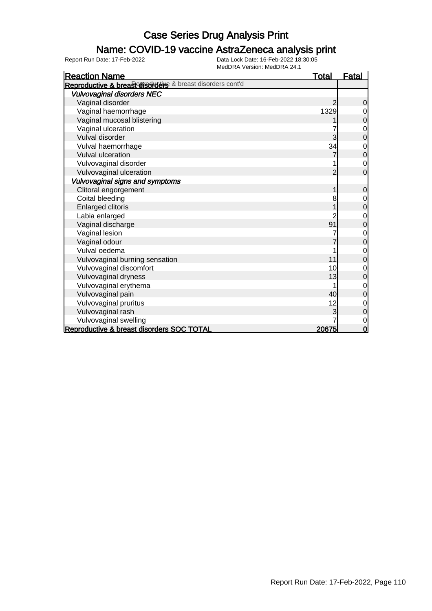### Name: COVID-19 vaccine AstraZeneca analysis print

| <b>Reaction Name</b>                                      | <b>Total</b> | <b>Fatal</b>   |
|-----------------------------------------------------------|--------------|----------------|
| Reproductive & breasterisorders & breast disorders cont'd |              |                |
| <b>Vulvovaginal disorders NEC</b>                         |              |                |
| Vaginal disorder                                          |              | 0              |
| Vaginal haemorrhage                                       | 1329         | 0              |
| Vaginal mucosal blistering                                |              | 0              |
| Vaginal ulceration                                        |              | $\mathbf 0$    |
| Vulval disorder                                           | 3            | $\overline{0}$ |
| Vulval haemorrhage                                        | 34           | $\mathbf 0$    |
| <b>Vulval ulceration</b>                                  |              | $\overline{0}$ |
| Vulvovaginal disorder                                     |              | $\mathbf 0$    |
| Vulvovaginal ulceration                                   | 2            | $\overline{0}$ |
| Vulvovaginal signs and symptoms                           |              |                |
| Clitoral engorgement                                      |              | $\mathbf 0$    |
| Coital bleeding                                           | 8            | $\mathbf 0$    |
| <b>Enlarged clitoris</b>                                  |              | $\mathbf 0$    |
| Labia enlarged                                            |              | 0              |
| Vaginal discharge                                         | 91           | $\overline{0}$ |
| Vaginal lesion                                            |              | 0              |
| Vaginal odour                                             |              | $\mathbf 0$    |
| Vulval oedema                                             |              | 0              |
| Vulvovaginal burning sensation                            | 11           | 0              |
| Vulvovaginal discomfort                                   | 10           | 0              |
| Vulvovaginal dryness                                      | 13           | 0              |
| Vulvovaginal erythema                                     |              | 0              |
| Vulvovaginal pain                                         | 40           | 0              |
| Vulvovaginal pruritus                                     | 12           | 0              |
| Vulvovaginal rash                                         |              | $\mathbf 0$    |
| Vulvovaginal swelling                                     |              | $\mathbf 0$    |
| Reproductive & breast disorders SOC TOTAL                 | 20675        | $\mathbf 0$    |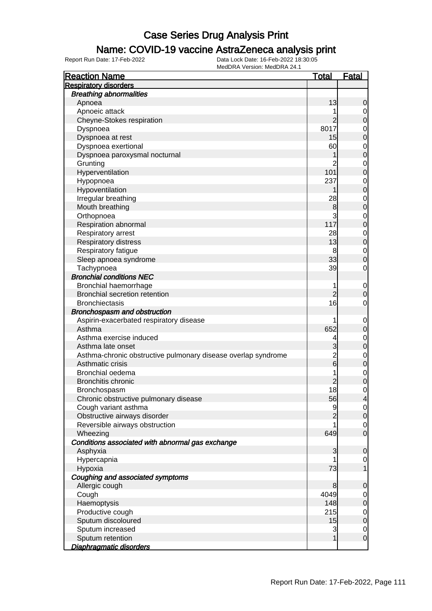### Name: COVID-19 vaccine AstraZeneca analysis print

| <b>Reaction Name</b>                                                              | <u>Total</u>        | <u>Fatal</u>                  |
|-----------------------------------------------------------------------------------|---------------------|-------------------------------|
| <b>Respiratory disorders</b>                                                      |                     |                               |
| <b>Breathing abnormalities</b>                                                    |                     |                               |
| Apnoea                                                                            | 13                  | 0                             |
| Apnoeic attack                                                                    |                     | 0                             |
| Cheyne-Stokes respiration                                                         |                     | $\overline{0}$                |
| Dyspnoea                                                                          | 8017                | $\mathbf 0$                   |
| Dyspnoea at rest                                                                  | 15                  | $\overline{0}$                |
| Dyspnoea exertional                                                               | 60                  | $\mathbf 0$                   |
| Dyspnoea paroxysmal nocturnal                                                     |                     | $\overline{0}$                |
| Grunting                                                                          | 2                   | $\mathbf 0$                   |
| Hyperventilation                                                                  | 101                 | $\overline{0}$                |
| Hypopnoea                                                                         | 237                 | $\mathbf 0$                   |
| Hypoventilation                                                                   |                     | $\overline{0}$                |
| Irregular breathing                                                               | 28                  | $\mathbf 0$                   |
| Mouth breathing                                                                   | 8                   | $\overline{0}$                |
| Orthopnoea                                                                        | 3                   | $\mathbf 0$                   |
| Respiration abnormal                                                              | 117                 | $\overline{0}$                |
| Respiratory arrest                                                                | 28                  | $\mathbf 0$                   |
| Respiratory distress                                                              | 13                  | $\overline{0}$                |
| Respiratory fatigue                                                               | 8                   | $\mathbf 0$                   |
| Sleep apnoea syndrome                                                             | 33                  | $\overline{0}$                |
| Tachypnoea                                                                        | 39                  | 0                             |
| <b>Bronchial conditions NEC</b>                                                   |                     |                               |
|                                                                                   |                     |                               |
| Bronchial haemorrhage<br><b>Bronchial secretion retention</b>                     | 1<br>$\overline{c}$ | $\mathbf 0$<br>0              |
| <b>Bronchiectasis</b>                                                             | 16                  |                               |
|                                                                                   |                     | 0                             |
| Bronchospasm and obstruction                                                      |                     |                               |
| Aspirin-exacerbated respiratory disease<br>Asthma                                 | 652                 | $\mathbf 0$                   |
| Asthma exercise induced                                                           |                     | $\mathbf 0$                   |
|                                                                                   | 4                   | $\mathbf 0$<br>$\overline{0}$ |
| Asthma late onset                                                                 | 3                   |                               |
| Asthma-chronic obstructive pulmonary disease overlap syndrome<br>Asthmatic crisis | $\frac{2}{6}$       | $\mathbf 0$                   |
|                                                                                   |                     | $\overline{0}$                |
| Bronchial oedema<br><b>Bronchitis chronic</b>                                     | 1                   | $\mathbf 0$                   |
|                                                                                   | $\overline{c}$      | $\mathbf 0$                   |
| Bronchospasm                                                                      | 18                  | 0                             |
| Chronic obstructive pulmonary disease                                             | 56                  | 4                             |
| Cough variant asthma                                                              | 9                   | $\overline{0}$                |
| Obstructive airways disorder                                                      |                     | $\mathbf 0$                   |
| Reversible airways obstruction                                                    |                     | 0                             |
| Wheezing                                                                          | 649                 | $\mathbf 0$                   |
| Conditions associated with abnormal gas exchange                                  |                     |                               |
| Asphyxia                                                                          | 3                   | $\mathbf 0$                   |
| Hypercapnia                                                                       |                     | $\overline{0}$                |
| Hypoxia                                                                           | 73                  | 1                             |
| Coughing and associated symptoms                                                  |                     |                               |
| Allergic cough                                                                    | 8                   | $\mathbf 0$                   |
| Cough                                                                             | 4049                | $\overline{0}$                |
| Haemoptysis                                                                       | 148                 | $\boldsymbol{0}$              |
| Productive cough                                                                  | 215                 | $\mathbf 0$                   |
| Sputum discoloured                                                                | 15                  | $\mathbf 0$                   |
| Sputum increased                                                                  | 3                   | $\mathbf 0$                   |
| Sputum retention                                                                  | 1                   | $\mathbf 0$                   |
| Diaphragmatic disorders                                                           |                     |                               |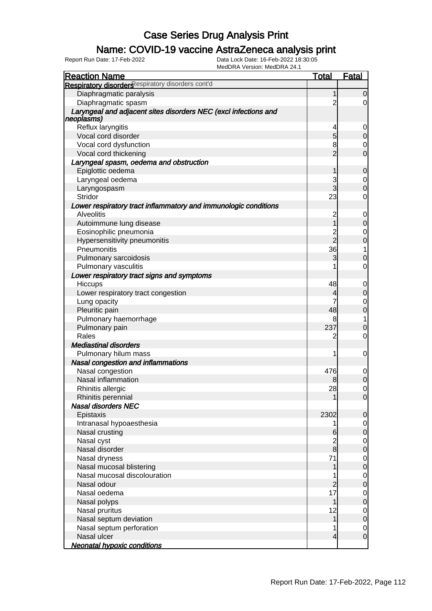### Name: COVID-19 vaccine AstraZeneca analysis print

| <b>Reaction Name</b>                                                          | <b>Total</b>   | Fatal                            |
|-------------------------------------------------------------------------------|----------------|----------------------------------|
| Respiratory disorders espiratory disorders cont'd                             |                |                                  |
| Diaphragmatic paralysis                                                       | 1              | $\overline{0}$                   |
| Diaphragmatic spasm                                                           | $\overline{2}$ | $\overline{0}$                   |
| Laryngeal and adjacent sites disorders NEC (excl infections and<br>neoplasms) |                |                                  |
| Reflux laryngitis                                                             | 4              | $\mathbf 0$                      |
| Vocal cord disorder                                                           | $\overline{5}$ | $\mathbf 0$                      |
| Vocal cord dysfunction                                                        | 8              | $\mathbf 0$                      |
| Vocal cord thickening                                                         | $\overline{2}$ | $\overline{0}$                   |
| Laryngeal spasm, oedema and obstruction                                       |                |                                  |
| Epiglottic oedema                                                             |                | $\mathbf 0$                      |
|                                                                               | 1              |                                  |
| Laryngeal oedema                                                              | $\frac{3}{3}$  | $\begin{matrix}0\\0\end{matrix}$ |
| Laryngospasm<br>Stridor                                                       | 23             |                                  |
|                                                                               |                | 0                                |
| Lower respiratory tract inflammatory and immunologic conditions               |                |                                  |
| <b>Alveolitis</b>                                                             | $\overline{c}$ | $\mathbf{0}$                     |
| Autoimmune lung disease                                                       | $\overline{1}$ | $\overline{0}$                   |
| Eosinophilic pneumonia                                                        | $\frac{2}{2}$  | $\mathbf 0$                      |
| Hypersensitivity pneumonitis                                                  |                | $\overline{0}$                   |
| Pneumonitis                                                                   | 36             | 1                                |
| Pulmonary sarcoidosis                                                         | 3              | $\mathbf 0$                      |
| <b>Pulmonary vasculitis</b>                                                   | 1              | $\mathbf 0$                      |
| Lower respiratory tract signs and symptoms                                    |                |                                  |
| Hiccups                                                                       | 48             | $\mathbf{0}$                     |
| Lower respiratory tract congestion                                            | 4              | $\overline{0}$                   |
| Lung opacity                                                                  | 7              | $\mathbf{0}$                     |
| Pleuritic pain                                                                | 48             | $\overline{0}$                   |
| Pulmonary haemorrhage                                                         | 8              | 1                                |
| Pulmonary pain                                                                | 237            | $\mathbf 0$                      |
| Rales                                                                         | 2              | 0                                |
| <b>Mediastinal disorders</b>                                                  |                |                                  |
| Pulmonary hilum mass                                                          | 1              | 0                                |
| Nasal congestion and inflammations                                            |                |                                  |
| Nasal congestion                                                              | 476            | $\boldsymbol{0}$                 |
| Nasal inflammation                                                            | 8              | $\overline{0}$                   |
| Rhinitis allergic                                                             | 28             | $\mathbf 0$                      |
| Rhinitis perennial                                                            | 1              | 0                                |
| <b>Nasal disorders NEC</b>                                                    |                |                                  |
| Epistaxis                                                                     | 2302           | $\mathbf 0$                      |
| Intranasal hypoaesthesia                                                      | 1              | $\mathbf 0$                      |
| Nasal crusting                                                                | 6              | $\pmb{0}$                        |
| Nasal cyst                                                                    | $\frac{2}{8}$  | $\overline{0}$                   |
| Nasal disorder                                                                |                | $\overline{0}$                   |
| Nasal dryness                                                                 | 71             | $\overline{0}$                   |
| Nasal mucosal blistering                                                      | 1              | $\overline{0}$                   |
| Nasal mucosal discolouration                                                  | 1              | $\overline{0}$                   |
| Nasal odour                                                                   | $\overline{c}$ | $\overline{0}$                   |
| Nasal oedema                                                                  | 17             | $\overline{0}$                   |
| Nasal polyps                                                                  | 1              | $\overline{0}$                   |
| Nasal pruritus                                                                | 12             | $\overline{0}$                   |
| Nasal septum deviation                                                        | $\mathbf{1}$   | $\overline{0}$                   |
| Nasal septum perforation                                                      | 1              | $\mathbf 0$                      |
| Nasal ulcer                                                                   | $\overline{4}$ | $\mathbf 0$                      |
| <b>Neonatal hypoxic conditions</b>                                            |                |                                  |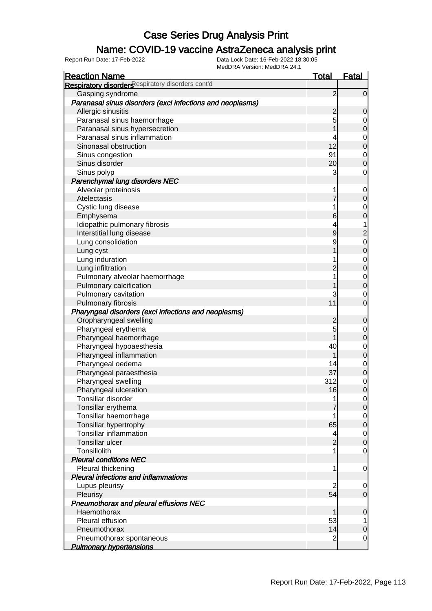### Name: COVID-19 vaccine AstraZeneca analysis print

| <b>Reaction Name</b>                                      | <b>Total</b>   | <b>Fatal</b>                  |
|-----------------------------------------------------------|----------------|-------------------------------|
| Respiratory disorders espiratory disorders cont'd         |                |                               |
| Gasping syndrome                                          | $\overline{2}$ | $\overline{0}$                |
| Paranasal sinus disorders (excl infections and neoplasms) |                |                               |
| Allergic sinusitis                                        | $\overline{2}$ | $\mathbf 0$                   |
| Paranasal sinus haemorrhage                               | 5              | $\overline{0}$                |
| Paranasal sinus hypersecretion                            |                | $\mathbf 0$                   |
| Paranasal sinus inflammation                              |                | $\mathbf 0$                   |
| Sinonasal obstruction                                     | 12             | $\overline{0}$                |
| Sinus congestion                                          | 91             | $\mathbf 0$                   |
| Sinus disorder                                            | 20             | $\overline{0}$                |
| Sinus polyp                                               | 3              | $\mathbf 0$                   |
| Parenchymal lung disorders NEC                            |                |                               |
| Alveolar proteinosis                                      |                | $\mathbf 0$                   |
| Atelectasis                                               | 7              | $\mathbf 0$                   |
| Cystic lung disease                                       |                | $\mathbf 0$                   |
| Emphysema                                                 | 6              | $\mathbf 0$                   |
| Idiopathic pulmonary fibrosis                             | 4              | $\overline{1}$                |
| Interstitial lung disease                                 | 9              | $\overline{c}$                |
| Lung consolidation                                        | 9              |                               |
|                                                           |                | $\mathbf 0$<br>$\overline{0}$ |
| Lung cyst                                                 |                |                               |
| Lung induration                                           |                | $\mathbf 0$                   |
| Lung infiltration                                         | $\overline{2}$ | $\overline{0}$                |
| Pulmonary alveolar haemorrhage                            |                | $\overline{0}$                |
| Pulmonary calcification                                   |                | $\mathbf 0$                   |
| Pulmonary cavitation                                      | 3              | $\mathbf 0$                   |
| Pulmonary fibrosis                                        | 11             | $\mathbf 0$                   |
| Pharyngeal disorders (excl infections and neoplasms)      |                |                               |
| Oropharyngeal swelling                                    | $\overline{c}$ | $\mathbf 0$                   |
| Pharyngeal erythema                                       | 5              | $\mathbf 0$                   |
| Pharyngeal haemorrhage                                    |                | $\mathbf 0$                   |
| Pharyngeal hypoaesthesia                                  | 40             | $\overline{0}$                |
| Pharyngeal inflammation                                   |                | $\overline{0}$                |
| Pharyngeal oedema                                         | 14             | $\overline{0}$                |
| Pharyngeal paraesthesia                                   | 37             | $\overline{0}$                |
| Pharyngeal swelling                                       | 312            | $\mathbf 0$                   |
| Pharyngeal ulceration                                     | 16             | $\mathbf 0$                   |
| <b>Tonsillar disorder</b>                                 | 1              | $\overline{0}$                |
| Tonsillar erythema                                        |                | 0                             |
| Tonsillar haemorrhage                                     |                | $\overline{0}$                |
| Tonsillar hypertrophy                                     | 65             | $\mathbf 0$                   |
| <b>Tonsillar inflammation</b>                             | 4              | $\overline{0}$                |
| Tonsillar ulcer                                           | $\overline{2}$ | $\mathbf 0$                   |
| Tonsillolith                                              |                | $\mathbf 0$                   |
| <b>Pleural conditions NEC</b>                             |                |                               |
| Pleural thickening                                        | 1              | $\mathbf 0$                   |
| <b>Pleural infections and inflammations</b>               |                |                               |
| Lupus pleurisy                                            | 2              | $\overline{0}$                |
| Pleurisy                                                  | 54             | $\overline{0}$                |
| Pneumothorax and pleural effusions NEC                    |                |                               |
| Haemothorax                                               |                | $\mathbf 0$                   |
| Pleural effusion                                          | 53             | 1                             |
| Pneumothorax                                              | 14             | $\mathbf 0$                   |
| Pneumothorax spontaneous                                  | $\overline{2}$ | $\overline{0}$                |
| <b>Pulmonary hypertensions</b>                            |                |                               |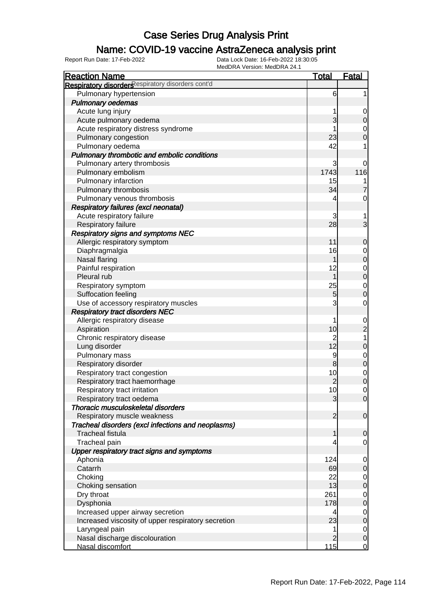### Name: COVID-19 vaccine AstraZeneca analysis print

| <b>Reaction Name</b>                               | <b>Total</b>   | <b>Fatal</b>     |
|----------------------------------------------------|----------------|------------------|
| Respiratory disorders espiratory disorders cont'd  |                |                  |
| Pulmonary hypertension                             | 6              | 1                |
| <b>Pulmonary oedemas</b>                           |                |                  |
| Acute lung injury                                  | 1              | 0                |
| Acute pulmonary oedema                             | 3              | $\mathbf 0$      |
| Acute respiratory distress syndrome                |                | $\mathbf 0$      |
| Pulmonary congestion                               | 23             | $\mathbf 0$      |
| Pulmonary oedema                                   | 42             | 1                |
| Pulmonary thrombotic and embolic conditions        |                |                  |
| Pulmonary artery thrombosis                        | 3              | 0                |
| Pulmonary embolism                                 | 1743           | 116              |
| Pulmonary infarction                               | 15             |                  |
| Pulmonary thrombosis                               | 34             | $\overline{7}$   |
| Pulmonary venous thrombosis                        | 4              | 0                |
| <b>Respiratory failures (excl neonatal)</b>        |                |                  |
| Acute respiratory failure                          | 3              |                  |
| Respiratory failure                                | 28             | 3                |
| Respiratory signs and symptoms NEC                 |                |                  |
| Allergic respiratory symptom                       | 11             | $\mathbf 0$      |
| Diaphragmalgia                                     | 16             | 0                |
| Nasal flaring                                      | 1              | $\boldsymbol{0}$ |
| Painful respiration                                | 12             | $\mathbf 0$      |
| Pleural rub                                        | 1              | $\mathbf 0$      |
| Respiratory symptom                                | 25             | $\mathbf 0$      |
| Suffocation feeling                                | 5              | $\boldsymbol{0}$ |
| Use of accessory respiratory muscles               | 3              | $\mathbf 0$      |
| <b>Respiratory tract disorders NEC</b>             |                |                  |
| Allergic respiratory disease                       | 1              | $\mathbf 0$      |
| Aspiration                                         | 10             | $\overline{c}$   |
| Chronic respiratory disease                        | $\overline{c}$ | 1                |
| Lung disorder                                      | 12             | $\mathbf 0$      |
| Pulmonary mass                                     | 9              | $\mathbf 0$      |
| Respiratory disorder                               | 8              | $\mathbf 0$      |
| Respiratory tract congestion                       | 10             | $\overline{0}$   |
| Respiratory tract haemorrhage                      | $\overline{c}$ | $\mathbf 0$      |
| Respiratory tract irritation                       | 10             | $\mathbf 0$      |
| Respiratory tract oedema                           | $\overline{3}$ | $\overline{0}$   |
| Thoracic musculoskeletal disorders                 |                |                  |
| Respiratory muscle weakness                        | $\overline{2}$ | $\mathbf 0$      |
| Tracheal disorders (excl infections and neoplasms) |                |                  |
| <b>Tracheal fistula</b>                            | 1              | $\mathbf 0$      |
| Tracheal pain                                      |                | $\mathbf 0$      |
| Upper respiratory tract signs and symptoms         |                |                  |
| Aphonia                                            | 124            | 0                |
| Catarrh                                            | 69             | $\mathbf 0$      |
| Choking                                            | 22             | $\overline{0}$   |
| Choking sensation                                  | 13             | $\mathbf 0$      |
| Dry throat                                         | 261            | $\overline{0}$   |
| Dysphonia                                          | 178            | $\boldsymbol{0}$ |
| Increased upper airway secretion                   | 4              | $\overline{0}$   |
| Increased viscosity of upper respiratory secretion | 23             | $\mathbf 0$      |
| Laryngeal pain                                     | 1              | $\overline{0}$   |
| Nasal discharge discolouration                     | $\overline{2}$ | $\mathbf 0$      |
| Nasal discomfort                                   | 115            | $\mathbf 0$      |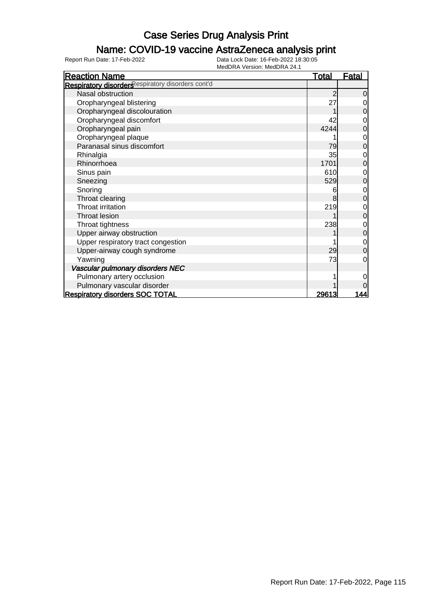### Name: COVID-19 vaccine AstraZeneca analysis print

| <b>Reaction Name</b>                              | <b>Total</b>   | <b>Fatal</b>   |
|---------------------------------------------------|----------------|----------------|
| Respiratory disorders espiratory disorders cont'd |                |                |
| Nasal obstruction                                 | $\overline{c}$ | $\overline{0}$ |
| Oropharyngeal blistering                          | 27             | 0              |
| Oropharyngeal discolouration                      |                | $\mathbf 0$    |
| Oropharyngeal discomfort                          | 42             | 0              |
| Oropharyngeal pain                                | 4244           | $\mathbf 0$    |
| Oropharyngeal plaque                              |                | 0              |
| Paranasal sinus discomfort                        | 79             | $\overline{0}$ |
| Rhinalgia                                         | 35             | $\mathbf 0$    |
| Rhinorrhoea                                       | 1701           | $\mathbf 0$    |
| Sinus pain                                        | 610            | 0              |
| Sneezing                                          | 529            | $\mathbf 0$    |
| Snoring                                           | 6              | $\mathbf{0}$   |
| Throat clearing                                   | 8              | $\overline{0}$ |
| Throat irritation                                 | 219            | $\mathbf 0$    |
| Throat lesion                                     |                | $\mathbf 0$    |
| Throat tightness                                  | 238            | $\mathbf 0$    |
| Upper airway obstruction                          |                | $\mathbf 0$    |
| Upper respiratory tract congestion                |                | $\mathbf 0$    |
| Upper-airway cough syndrome                       | 29             | $\overline{0}$ |
| Yawning                                           | 73             | 0              |
| Vascular pulmonary disorders NEC                  |                |                |
| Pulmonary artery occlusion                        |                | 0              |
| Pulmonary vascular disorder                       |                | 0              |
| <b>Respiratory disorders SOC TOTAL</b>            | 29613          | 144            |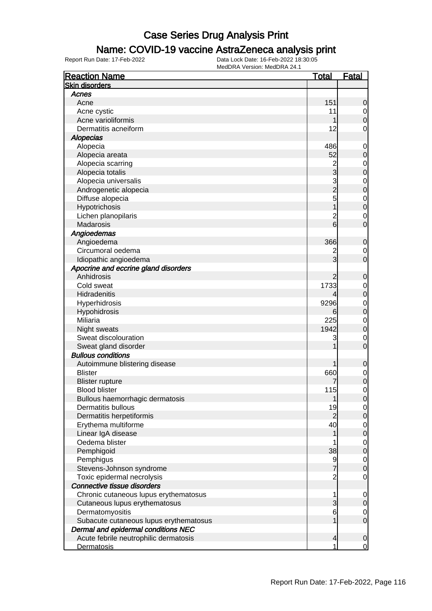### Name: COVID-19 vaccine AstraZeneca analysis print

| <b>Reaction Name</b>                   | <u>Total</u>   | <u>Fatal</u>   |
|----------------------------------------|----------------|----------------|
| <b>Skin disorders</b>                  |                |                |
| Acnes                                  |                |                |
| Acne                                   | 151            | 0              |
| Acne cystic                            | 11             | 0              |
| Acne varioliformis                     |                | 0              |
| Dermatitis acneiform                   | 12             | 0              |
| <b>Alopecias</b>                       |                |                |
| Alopecia                               | 486            | $\mathbf 0$    |
| Alopecia areata                        | 52             | 0              |
| Alopecia scarring                      |                | 0              |
| Alopecia totalis                       | 2<br>3         | 0              |
| Alopecia universalis                   |                | $\mathbf 0$    |
| Androgenetic alopecia                  | 3<br>2         | 0              |
| Diffuse alopecia                       | 5              | $\mathbf 0$    |
| Hypotrichosis                          |                | $\overline{0}$ |
| Lichen planopilaris                    | $\overline{c}$ | 0              |
| Madarosis                              | 6              | 0              |
| Angioedemas                            |                |                |
| Angioedema                             | 366            | 0              |
| Circumoral oedema                      | 2              | 0              |
| Idiopathic angioedema                  | 3              | 0              |
| Apocrine and eccrine gland disorders   |                |                |
| Anhidrosis                             | 2              | 0              |
| Cold sweat                             | 1733           | 0              |
| Hidradenitis                           | 4              | 0              |
| Hyperhidrosis                          | 9296           | $\mathbf 0$    |
| Hypohidrosis                           | 6              | $\overline{0}$ |
| Miliaria                               | 225            | $\mathbf 0$    |
| Night sweats                           | 1942           | 0              |
| Sweat discolouration                   | 3              | 0              |
| Sweat gland disorder                   |                | 0              |
| <b>Bullous conditions</b>              |                |                |
| Autoimmune blistering disease          |                | 0              |
| <b>Blister</b>                         | 660            | $\mathbf 0$    |
| <b>Blister rupture</b>                 |                | $\mathbf 0$    |
| <b>Blood blister</b>                   | 115            | 0              |
| Bullous haemorrhagic dermatosis        |                | U              |
| Dermatitis bullous                     | 19             | 0              |
| Dermatitis herpetiformis               | $\overline{2}$ | 0              |
| Erythema multiforme                    | 40             | 0              |
| Linear IgA disease                     |                | 0              |
| Oedema blister                         |                | $\mathbf 0$    |
| Pemphigoid                             | 38             | 0              |
| Pemphigus                              |                | $\mathbf 0$    |
| Stevens-Johnson syndrome               | $\frac{9}{7}$  | 0              |
| Toxic epidermal necrolysis             | $\overline{2}$ | 0              |
| Connective tissue disorders            |                |                |
| Chronic cutaneous lupus erythematosus  | 1              | 0              |
| Cutaneous lupus erythematosus          | 3              | 0              |
| Dermatomyositis                        | 6              | 0              |
| Subacute cutaneous lupus erythematosus |                | $\mathbf 0$    |
| Dermal and epidermal conditions NEC    |                |                |
| Acute febrile neutrophilic dermatosis  | 4              | $\mathbf 0$    |
| <b>Dermatosis</b>                      | 1              | $\overline{0}$ |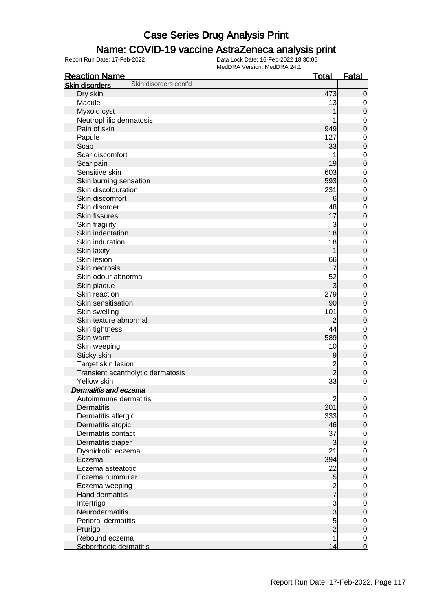### Name: COVID-19 vaccine AstraZeneca analysis print

| <b>Reaction Name</b>                           | <b>Total</b>   | <b>Fatal</b>   |
|------------------------------------------------|----------------|----------------|
| Skin disorders cont'd<br><b>Skin disorders</b> |                |                |
| Dry skin                                       | 473            | $\mathbf 0$    |
| Macule                                         | 13             | 0              |
| Myxoid cyst                                    |                | $\mathbf 0$    |
| Neutrophilic dermatosis                        |                | $\mathbf 0$    |
| Pain of skin                                   | 949            | $\mathbf 0$    |
| Papule                                         | 127            | $\mathbf 0$    |
| Scab                                           | 33             | $\mathbf 0$    |
| Scar discomfort                                |                | $\mathbf 0$    |
| Scar pain                                      | 19             | $\mathbf 0$    |
| Sensitive skin                                 | 603            | $\mathbf 0$    |
| Skin burning sensation                         | 593            | $\mathbf 0$    |
| Skin discolouration                            | 231            | $\mathbf 0$    |
| Skin discomfort                                |                | $\mathbf 0$    |
| Skin disorder                                  | 6<br>48        |                |
| <b>Skin fissures</b>                           | 17             | $\mathbf 0$    |
|                                                |                | $\mathbf 0$    |
| Skin fragility                                 | 3              | $\mathbf 0$    |
| Skin indentation                               | 18             | $\mathbf 0$    |
| Skin induration                                | 18             | $\mathbf 0$    |
| Skin laxity                                    | 1              | $\mathbf 0$    |
| Skin lesion                                    | 66             | $\mathbf 0$    |
| Skin necrosis                                  | 7              | $\mathbf 0$    |
| Skin odour abnormal                            | 52             | $\mathbf 0$    |
| Skin plaque                                    | $\overline{3}$ | $\mathbf 0$    |
| Skin reaction                                  | 279            | $\mathbf 0$    |
| Skin sensitisation                             | 90             | $\mathbf 0$    |
| Skin swelling                                  | 101            | $\mathbf 0$    |
| Skin texture abnormal                          | 2              | $\mathbf 0$    |
| Skin tightness                                 | 44             | $\mathbf 0$    |
| Skin warm                                      | 589            | $\mathbf 0$    |
| Skin weeping                                   | 10             | $\mathbf 0$    |
| Sticky skin                                    | 9              | $\mathbf 0$    |
| Target skin lesion                             | $\overline{c}$ | $\mathbf 0$    |
| Transient acantholytic dermatosis              | $\overline{2}$ | $\mathbf 0$    |
| <b>Yellow skin</b>                             | 33             | $\mathbf 0$    |
| <b>Dermatitis and eczema</b>                   |                |                |
| Autoimmune dermatitis                          | $\overline{c}$ | $\overline{0}$ |
| <b>Dermatitis</b>                              | 201            | $\overline{O}$ |
| Dermatitis allergic                            | 333            | $\overline{0}$ |
| Dermatitis atopic                              | 46             | $\mathbf 0$    |
| Dermatitis contact                             | 37             | $\mathbf 0$    |
| Dermatitis diaper                              | 3              | $\mathbf 0$    |
| Dyshidrotic eczema                             | 21             | $\mathbf 0$    |
| Eczema                                         | 394            | $\mathbf 0$    |
| Eczema asteatotic                              | 22             | $\mathbf 0$    |
| Eczema nummular                                | 5              | $\mathbf 0$    |
| Eczema weeping                                 |                | $\mathbf 0$    |
| <b>Hand dermatitis</b>                         | $\frac{2}{7}$  | $\mathbf 0$    |
| Intertrigo                                     |                | $\mathbf 0$    |
| Neurodermatitis                                | $\frac{3}{3}$  | $\mathbf 0$    |
| Perioral dermatitis                            |                | $\mathbf 0$    |
| Prurigo                                        | $\frac{5}{2}$  | $\mathbf 0$    |
| Rebound eczema                                 | 1              | $\mathbf 0$    |
| Seborrhoeic dermatitis                         | 14             | $\overline{0}$ |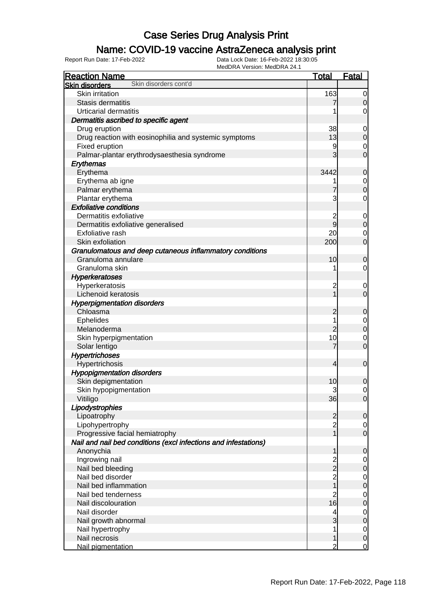### Name: COVID-19 vaccine AstraZeneca analysis print

| MEUDRA VEISIOII. MEUDRA 24. I<br><b>Reaction Name</b>           | <u>Total</u>   | <b>Fatal</b>     |
|-----------------------------------------------------------------|----------------|------------------|
| Skin disorders cont'd<br><b>Skin disorders</b>                  |                |                  |
| Skin irritation                                                 | 163            | 0                |
| Stasis dermatitis                                               |                | $\Omega$         |
| <b>Urticarial dermatitis</b>                                    |                | 0                |
| Dermatitis ascribed to specific agent                           |                |                  |
| Drug eruption                                                   | 38             | 0                |
| Drug reaction with eosinophilia and systemic symptoms           | 13             | $\overline{0}$   |
| Fixed eruption                                                  | 9              | 0                |
| Palmar-plantar erythrodysaesthesia syndrome                     | 3              | $\overline{0}$   |
| Erythemas                                                       |                |                  |
| Erythema                                                        | 3442           | 0                |
| Erythema ab igne                                                |                | 0                |
| Palmar erythema                                                 |                | $\overline{0}$   |
| Plantar erythema                                                | 3              | 0                |
| <b>Exfoliative conditions</b>                                   |                |                  |
| Dermatitis exfoliative                                          | 2              | 0                |
| Dermatitis exfoliative generalised                              | 9              | $\overline{0}$   |
| Exfoliative rash                                                | 20             | 0                |
| Skin exfoliation                                                | 200            | $\mathbf 0$      |
| Granulomatous and deep cutaneous inflammatory conditions        |                |                  |
| Granuloma annulare                                              | 10             | 0                |
| Granuloma skin                                                  |                | 0                |
| Hyperkeratoses                                                  |                |                  |
| Hyperkeratosis                                                  | 2              | 0                |
| Lichenoid keratosis                                             |                | $\overline{0}$   |
| <b>Hyperpigmentation disorders</b>                              |                |                  |
| Chloasma                                                        | 2              | 0                |
| Ephelides                                                       |                | 0                |
| Melanoderma                                                     | $\overline{c}$ | $\overline{0}$   |
| Skin hyperpigmentation                                          | 10             | 0                |
| Solar lentigo                                                   |                | $\overline{0}$   |
| <b>Hypertrichoses</b>                                           |                |                  |
| Hypertrichosis                                                  | 4              | $\mathbf 0$      |
| <b>Hypopigmentation disorders</b>                               |                |                  |
| Skin depigmentation                                             | 10             | 0                |
| Skin hypopigmentation                                           | 3              | 0                |
| Vitiligo                                                        | 36             | $\overline{0}$   |
| Lipodystrophies                                                 |                |                  |
| Lipoatrophy                                                     | 2              | $\overline{0}$   |
| Lipohypertrophy                                                 | $\overline{c}$ | 0                |
| Progressive facial hemiatrophy                                  |                | $\mathbf 0$      |
| Nail and nail bed conditions (excl infections and infestations) |                |                  |
| Anonychia                                                       |                | 0                |
| Ingrowing nail                                                  |                | 0                |
| Nail bed bleeding                                               | 2<br>2         | $\mathbf 0$      |
| Nail bed disorder                                               | $\overline{c}$ | $\mathbf 0$      |
| Nail bed inflammation                                           |                | $\mathbf 0$      |
| Nail bed tenderness                                             | $\overline{c}$ | $\mathbf 0$      |
| Nail discolouration                                             | 16             | $\mathbf 0$      |
| Nail disorder                                                   | 4              | $\mathbf 0$      |
| Nail growth abnormal                                            | 3              | $\boldsymbol{0}$ |
| Nail hypertrophy                                                |                | $\mathbf 0$      |
| Nail necrosis                                                   |                | $\mathbf 0$      |
| Nail pigmentation                                               |                | 0                |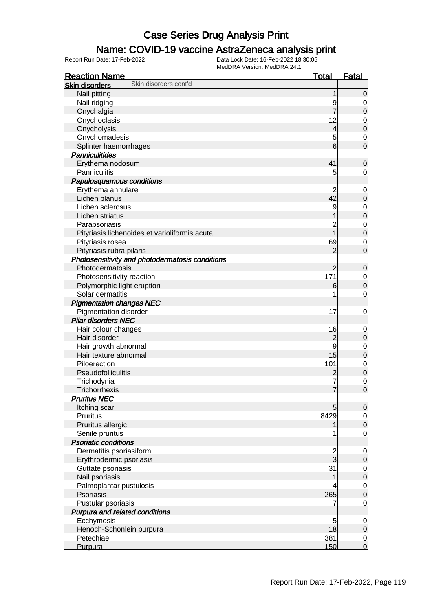### Name: COVID-19 vaccine AstraZeneca analysis print

| <b>Reaction Name</b>                            | <b>Total</b>    | <b>Fatal</b>     |
|-------------------------------------------------|-----------------|------------------|
| Skin disorders cont'd<br><b>Skin disorders</b>  |                 |                  |
| Nail pitting                                    | 1               | $\mathbf 0$      |
| Nail ridging                                    | 9               | 0                |
| Onychalgia                                      | 7               | $\mathbf 0$      |
| Onychoclasis                                    | 12              | 0                |
| Onycholysis                                     | 4               | $\boldsymbol{0}$ |
| Onychomadesis                                   | 5               | 0                |
| Splinter haemorrhages                           | $6\overline{6}$ | $\overline{0}$   |
| <b>Panniculitides</b>                           |                 |                  |
| Erythema nodosum                                | 41              | $\mathbf 0$      |
| Panniculitis                                    | 5               | 0                |
| Papulosquamous conditions                       |                 |                  |
| Erythema annulare                               | 2               | 0                |
| Lichen planus                                   | 42              | $\boldsymbol{0}$ |
| Lichen sclerosus                                | 9               | 0                |
| Lichen striatus                                 |                 | $\boldsymbol{0}$ |
| Parapsoriasis                                   | $\overline{c}$  | $\mathbf 0$      |
| Pityriasis lichenoides et varioliformis acuta   | 1               | $\boldsymbol{0}$ |
| Pityriasis rosea                                | 69              | 0                |
| Pityriasis rubra pilaris                        | $\overline{2}$  | $\mathbf 0$      |
| Photosensitivity and photodermatosis conditions |                 |                  |
| Photodermatosis                                 | $\overline{2}$  | 0                |
| Photosensitivity reaction                       | 171             | $\mathbf 0$      |
| Polymorphic light eruption                      | 6               | $\mathbf 0$      |
| Solar dermatitis                                |                 | $\mathbf 0$      |
| <b>Pigmentation changes NEC</b>                 |                 |                  |
| Pigmentation disorder                           | 17              | 0                |
| <b>Pilar disorders NEC</b>                      |                 |                  |
| Hair colour changes                             | 16              | 0                |
| Hair disorder                                   | $\overline{c}$  | $\boldsymbol{0}$ |
| Hair growth abnormal                            | 9               | 0                |
| Hair texture abnormal                           | 15              | $\boldsymbol{0}$ |
| Piloerection                                    | 101             | $\mathbf 0$      |
| Pseudofolliculitis                              | $\overline{c}$  | $\mathbf 0$      |
| Trichodynia                                     |                 | $\mathbf 0$      |
| Trichorrhexis                                   | 7               | $\overline{0}$   |
| <b>Pruritus NEC</b>                             |                 |                  |
| Itching scar                                    | 5               | $\overline{0}$   |
| Pruritus                                        | 8429            | $\overline{0}$   |
| Pruritus allergic                               |                 | $\mathbf 0$      |
| Senile pruritus                                 |                 | $\overline{0}$   |
| <b>Psoriatic conditions</b>                     |                 |                  |
| Dermatitis psoriasiform                         | $\frac{2}{3}$   | $\mathbf 0$      |
| Erythrodermic psoriasis                         |                 | $\boldsymbol{0}$ |
| Guttate psoriasis                               | 31              | $\overline{0}$   |
| Nail psoriasis                                  |                 | $\pmb{0}$        |
| Palmoplantar pustulosis                         |                 | $\overline{0}$   |
| Psoriasis                                       | 265             | $\mathbf 0$      |
| Pustular psoriasis                              | 7               | $\overline{0}$   |
| Purpura and related conditions                  |                 |                  |
| Ecchymosis                                      | 5               | $\mathbf 0$      |
| Henoch-Schonlein purpura                        | 18              | $\mathbf 0$      |
| Petechiae                                       | 381             | $\overline{0}$   |
| Purpura                                         | 150             | $\mathbf 0$      |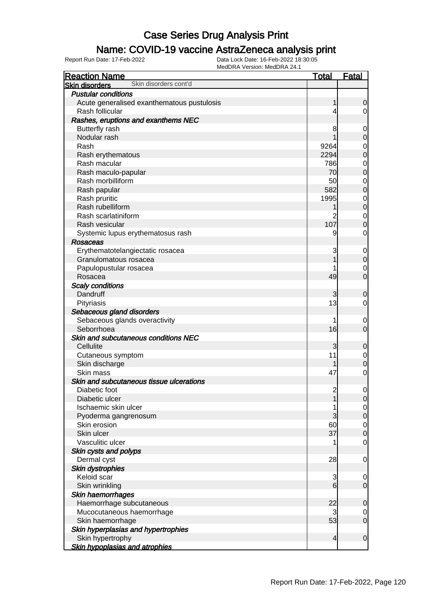### Name: COVID-19 vaccine AstraZeneca analysis print

| <b>Reaction Name</b>                           | <u>Total</u>             | <b>Fatal</b>                         |
|------------------------------------------------|--------------------------|--------------------------------------|
| Skin disorders cont'd<br><b>Skin disorders</b> |                          |                                      |
| <b>Pustular conditions</b>                     |                          |                                      |
| Acute generalised exanthematous pustulosis     | 1                        | $\overline{0}$                       |
| Rash follicular                                | 4                        | $\overline{0}$                       |
| Rashes, eruptions and exanthems NEC            |                          |                                      |
| <b>Butterfly rash</b>                          | 8                        | $\mathbf 0$                          |
| Nodular rash                                   |                          | $\boldsymbol{0}$                     |
| Rash                                           | 9264                     |                                      |
| Rash erythematous                              | 2294                     | $\begin{matrix}0\\0\end{matrix}$     |
| Rash macular                                   | 786                      |                                      |
| Rash maculo-papular                            | 70                       | $\begin{matrix} 0 \\ 0 \end{matrix}$ |
| Rash morbilliform                              | 50                       |                                      |
| Rash papular                                   | 582                      | $\begin{matrix} 0 \\ 0 \end{matrix}$ |
| Rash pruritic                                  | 1995                     |                                      |
| Rash rubelliform                               |                          | $\begin{matrix} 0 \\ 0 \end{matrix}$ |
| Rash scarlatiniform                            | 2                        | $\mathbf{0}$                         |
| Rash vesicular                                 | 107                      | $\overline{0}$                       |
| Systemic lupus erythematosus rash              | 9                        | $\mathbf 0$                          |
| Rosaceas                                       |                          |                                      |
| Erythematotelangiectatic rosacea               | 3                        | $\overline{0}$                       |
| Granulomatous rosacea                          |                          | $\mathbf 0$                          |
| Papulopustular rosacea                         |                          | $\mathbf 0$                          |
| Rosacea                                        | 49                       | $\overline{0}$                       |
| <b>Scaly conditions</b>                        |                          |                                      |
| Dandruff                                       | 3                        | 0                                    |
| Pityriasis                                     | 13                       | $\overline{0}$                       |
| Sebaceous gland disorders                      |                          |                                      |
| Sebaceous glands overactivity                  | 1                        | $\mathbf 0$                          |
| Seborrhoea                                     | 16                       | $\overline{0}$                       |
| Skin and subcutaneous conditions NEC           |                          |                                      |
| Cellulite                                      | 3                        | 0                                    |
| Cutaneous symptom                              | 11                       | $\overline{0}$                       |
| Skin discharge                                 |                          | $\mathbf 0$                          |
| Skin mass                                      | 47                       | $\mathbf 0$                          |
| Skin and subcutaneous tissue ulcerations       |                          |                                      |
| Diabetic foot                                  | $\overline{c}$           | $\mathbf 0$                          |
| Diabetic ulcer                                 | 1                        | 0                                    |
| Ischaemic skin ulcer                           | 1                        | $\overline{0}$                       |
| Pyoderma gangrenosum                           | 3                        | $\overline{0}$                       |
| Skin erosion                                   | 60                       | $\overline{0}$                       |
| Skin ulcer                                     | 37                       | $\mathbf 0$                          |
| Vasculitic ulcer                               | 1                        | $\mathbf 0$                          |
| Skin cysts and polyps                          |                          |                                      |
| Dermal cyst                                    | 28                       | $\mathbf 0$                          |
| Skin dystrophies                               |                          |                                      |
| Keloid scar                                    | 3                        | $\overline{0}$                       |
| Skin wrinkling                                 | 6                        | $\mathbf 0$                          |
| Skin haemorrhages                              |                          |                                      |
| Haemorrhage subcutaneous                       | 22                       | 0                                    |
| Mucocutaneous haemorrhage                      | 3                        | $\overline{0}$                       |
| Skin haemorrhage                               | 53                       | $\mathbf 0$                          |
| Skin hyperplasias and hypertrophies            |                          |                                      |
| Skin hypertrophy                               | $\overline{\mathcal{L}}$ | $\mathbf 0$                          |
| <b>Skin hypoplasias and atrophies</b>          |                          |                                      |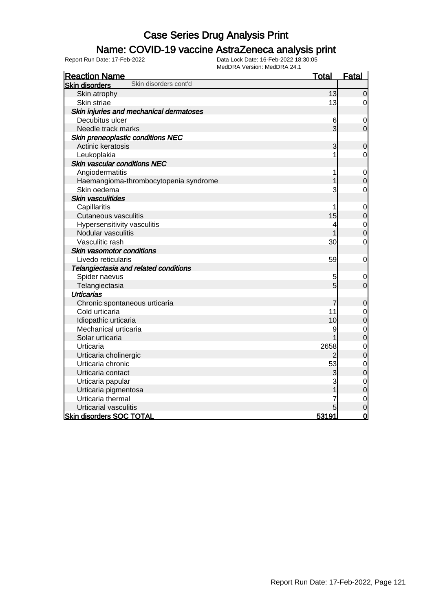### Name: COVID-19 vaccine AstraZeneca analysis print

| <b>Reaction Name</b>                           | <b>Total</b>   | <b>Fatal</b>   |
|------------------------------------------------|----------------|----------------|
| Skin disorders cont'd<br><b>Skin disorders</b> |                |                |
| Skin atrophy                                   | 13             | $\mathbf 0$    |
| Skin striae                                    | 13             | 0              |
| Skin injuries and mechanical dermatoses        |                |                |
| Decubitus ulcer                                | 6              | $\mathbf 0$    |
| Needle track marks                             | $\overline{3}$ | $\overline{0}$ |
| Skin preneoplastic conditions NEC              |                |                |
| Actinic keratosis                              | 3              | $\mathbf 0$    |
| Leukoplakia                                    |                | 0              |
| <b>Skin vascular conditions NEC</b>            |                |                |
| Angiodermatitis                                | 1              | $\mathbf 0$    |
| Haemangioma-thrombocytopenia syndrome          |                | $\overline{0}$ |
| Skin oedema                                    | 3              | $\mathbf 0$    |
| Skin vasculitides                              |                |                |
| Capillaritis                                   | 1              | $\mathbf 0$    |
| <b>Cutaneous vasculitis</b>                    | 15             | $\mathbf 0$    |
| Hypersensitivity vasculitis                    | 4              | $\mathbf{0}$   |
| Nodular vasculitis                             |                | $\overline{0}$ |
| Vasculitic rash                                | 30             | $\mathbf 0$    |
| Skin vasomotor conditions                      |                |                |
| Livedo reticularis                             | 59             | $\mathbf 0$    |
| Telangiectasia and related conditions          |                |                |
| Spider naevus                                  | 5              | 0              |
| Telangiectasia                                 | 5              | $\mathbf 0$    |
| <b>Urticarias</b>                              |                |                |
| Chronic spontaneous urticaria                  | 7              | $\mathbf 0$    |
| Cold urticaria                                 | 11             | $\mathbf{0}$   |
| Idiopathic urticaria                           | 10             | $\overline{0}$ |
| Mechanical urticaria                           | 9              | $\overline{0}$ |
| Solar urticaria                                |                | $\overline{0}$ |
| Urticaria                                      | 2658           | $\mathbf 0$    |
| Urticaria cholinergic                          | 2              | $\overline{0}$ |
| Urticaria chronic                              | 53             | $\mathbf 0$    |
| Urticaria contact                              | 3              | $\overline{0}$ |
| Urticaria papular                              | 3              | $\mathbf 0$    |
| Urticaria pigmentosa                           |                | $\overline{0}$ |
| Urticaria thermal                              |                | $\mathbf 0$    |
| Urticarial vasculitis                          |                | $\overline{0}$ |
| <b>Skin disorders SOC TOTAL</b>                | 53191          | $\overline{0}$ |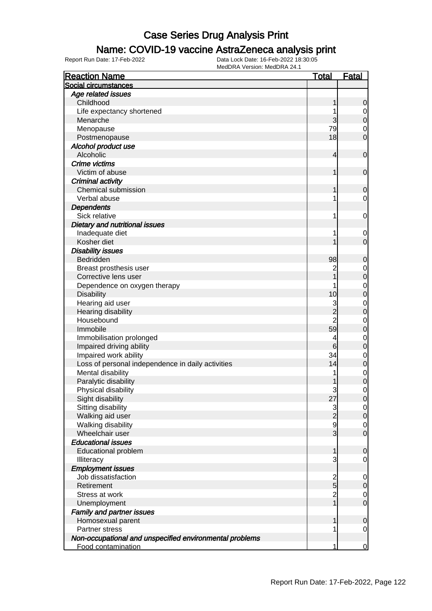### Name: COVID-19 vaccine AstraZeneca analysis print

| <b>Reaction Name</b>                                    | <u>Total</u>                          | <b>Fatal</b>   |
|---------------------------------------------------------|---------------------------------------|----------------|
| Social circumstances                                    |                                       |                |
| Age related issues                                      |                                       |                |
| Childhood                                               | 1                                     | $\mathbf 0$    |
| Life expectancy shortened                               |                                       | $\overline{0}$ |
| Menarche                                                | 3                                     | $\pmb{0}$      |
| Menopause                                               | 79                                    | $\mathbf 0$    |
| Postmenopause                                           | 18                                    | $\overline{0}$ |
| Alcohol product use                                     |                                       |                |
| Alcoholic                                               | 4                                     | $\mathbf 0$    |
| Crime victims                                           |                                       |                |
| Victim of abuse                                         | 1                                     | $\mathbf 0$    |
| Criminal activity                                       |                                       |                |
| Chemical submission                                     | 1                                     | $\mathbf 0$    |
| Verbal abuse                                            | 1                                     | 0              |
| <b>Dependents</b>                                       |                                       |                |
| Sick relative                                           | 1                                     | $\mathbf 0$    |
| Dietary and nutritional issues                          |                                       |                |
| Inadequate diet                                         | 1                                     | 0              |
| Kosher diet                                             |                                       | $\mathbf 0$    |
| <b>Disability issues</b>                                |                                       |                |
| Bedridden                                               | 98                                    | $\mathbf 0$    |
| Breast prosthesis user                                  | $\overline{c}$                        | $\mathbf 0$    |
| Corrective lens user                                    |                                       | $\mathbf 0$    |
| Dependence on oxygen therapy                            |                                       | $\mathbf 0$    |
| <b>Disability</b>                                       | 10                                    | $\mathbf 0$    |
| Hearing aid user                                        | 3                                     | $\mathbf 0$    |
| Hearing disability                                      | $\overline{2}$                        | $\mathbf 0$    |
| Housebound                                              | $\overline{2}$                        | $\mathbf 0$    |
| Immobile                                                | 59                                    | $\mathbf 0$    |
| Immobilisation prolonged                                | 4                                     | $\mathbf 0$    |
| Impaired driving ability                                | 6                                     | $\mathbf 0$    |
| Impaired work ability                                   | 34                                    | $\mathbf 0$    |
| Loss of personal independence in daily activities       | 14                                    | $\mathbf 0$    |
| Mental disability                                       | 1                                     | $\mathbf 0$    |
| Paralytic disability                                    |                                       | $\mathbf 0$    |
| Physical disability                                     | 3                                     | 0              |
| Sight disability                                        | 27                                    | 0              |
| Sitting disability                                      | 3                                     | $\overline{0}$ |
| Walking aid user                                        | $\frac{1}{2}$                         | $\mathbf 0$    |
| Walking disability                                      | $\overline{9}$                        | $\mathbf 0$    |
| Wheelchair user                                         | $\overline{3}$                        | $\mathbf 0$    |
| <b>Educational issues</b>                               |                                       |                |
| <b>Educational problem</b>                              | 1                                     | 0              |
| Illiteracy                                              | 3                                     | $\mathbf 0$    |
| <b>Employment issues</b>                                |                                       |                |
| Job dissatisfaction                                     |                                       | $\mathbf 0$    |
| Retirement                                              | $\frac{2}{5}$                         | $\mathbf 0$    |
| Stress at work                                          | $\begin{array}{c} 2 \\ 1 \end{array}$ | 0              |
| Unemployment                                            |                                       | $\mathbf 0$    |
| <b>Family and partner issues</b>                        |                                       |                |
| Homosexual parent                                       | 1                                     | $\mathbf 0$    |
| Partner stress                                          | 1                                     | $\overline{0}$ |
| Non-occupational and unspecified environmental problems |                                       |                |
| Food contamination                                      | 1                                     | $\mathbf 0$    |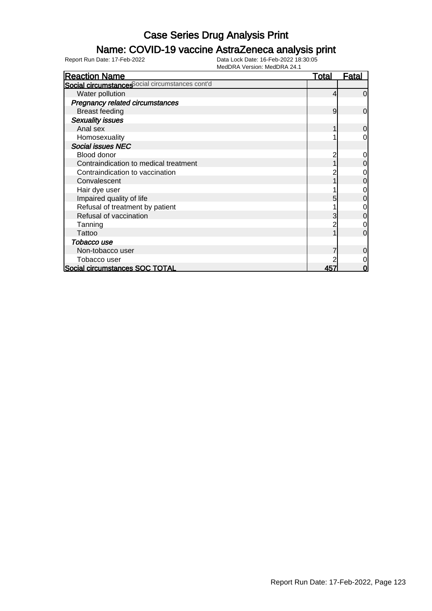### Name: COVID-19 vaccine AstraZeneca analysis print

| <b>Reaction Name</b>                            | <u>Total</u> | Fatal          |
|-------------------------------------------------|--------------|----------------|
| Social circumstances ocial circumstances cont'd |              |                |
| Water pollution                                 | 4            | $\Omega$       |
| <b>Pregnancy related circumstances</b>          |              |                |
| <b>Breast feeding</b>                           | 9            | $\mathbf 0$    |
| <b>Sexuality issues</b>                         |              |                |
| Anal sex                                        |              | $\overline{0}$ |
| Homosexuality                                   |              | 0              |
| <b>Social issues NEC</b>                        |              |                |
| Blood donor                                     |              | 0              |
| Contraindication to medical treatment           |              | 0              |
| Contraindication to vaccination                 |              | 0              |
| Convalescent                                    |              | 0              |
| Hair dye user                                   |              | ი              |
| Impaired quality of life                        |              | 0              |
| Refusal of treatment by patient                 |              |                |
| Refusal of vaccination                          |              | 0              |
| Tanning                                         |              | 0              |
| Tattoo                                          |              | $\Omega$       |
| Tobacco use                                     |              |                |
| Non-tobacco user                                |              | 0              |
| Tobacco user                                    |              | 0              |
| Social circumstances SOC TOTAL                  | 457          | 0              |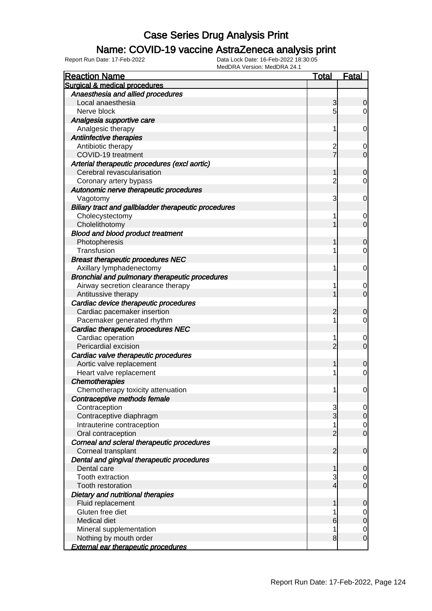#### Name: COVID-19 vaccine AstraZeneca analysis print

| <b>Reaction Name</b>                                 | Total          | Fatal            |
|------------------------------------------------------|----------------|------------------|
| Surgical & medical procedures                        |                |                  |
| Anaesthesia and allied procedures                    |                |                  |
| Local anaesthesia                                    | 3              | 0                |
| Nerve block                                          | 5              | 0                |
| Analgesia supportive care                            |                |                  |
| Analgesic therapy                                    | 1              | 0                |
| Antiinfective therapies                              |                |                  |
| Antibiotic therapy                                   | $\overline{c}$ | 0                |
| COVID-19 treatment                                   | $\overline{7}$ | 0                |
| Arterial therapeutic procedures (excl aortic)        |                |                  |
| Cerebral revascularisation                           |                | 0                |
| Coronary artery bypass                               | $\overline{c}$ | 0                |
| Autonomic nerve therapeutic procedures               |                |                  |
| Vagotomy                                             | 3              | 0                |
| Biliary tract and gallbladder therapeutic procedures |                |                  |
| Cholecystectomy                                      |                | 0                |
| Cholelithotomy                                       |                | 0                |
| <b>Blood and blood product treatment</b>             |                |                  |
| Photopheresis                                        |                | 0                |
| Transfusion                                          |                | 0                |
| <b>Breast therapeutic procedures NEC</b>             |                |                  |
| Axillary lymphadenectomy                             | 1              | 0                |
| Bronchial and pulmonary therapeutic procedures       |                |                  |
| Airway secretion clearance therapy                   |                | 0                |
| Antitussive therapy                                  |                | 0                |
| Cardiac device therapeutic procedures                |                |                  |
| Cardiac pacemaker insertion                          | 2              | 0                |
| Pacemaker generated rhythm                           | 1              | 0                |
| Cardiac therapeutic procedures NEC                   |                |                  |
| Cardiac operation                                    | 1              | $\boldsymbol{0}$ |
| Pericardial excision                                 | 2              | 0                |
| Cardiac valve therapeutic procedures                 |                |                  |
| Aortic valve replacement                             |                | 0                |
| Heart valve replacement                              |                | 0                |
| <b>Chemotherapies</b>                                |                |                  |
| Chemotherapy toxicity attenuation                    | 1              | 0                |
| Contraceptive methods female                         |                |                  |
| Contraception                                        | 3              | $\overline{0}$   |
| Contraceptive diaphragm                              | 3              | $\overline{0}$   |
| Intrauterine contraception                           |                | $\mathbf 0$      |
| Oral contraception                                   | 2              | $\overline{0}$   |
| Corneal and scleral therapeutic procedures           |                |                  |
| Corneal transplant                                   | 2              | $\mathbf 0$      |
| Dental and gingival therapeutic procedures           |                |                  |
| Dental care                                          |                | 0                |
| <b>Tooth extraction</b>                              | 3              | $\mathbf 0$      |
| <b>Tooth restoration</b>                             | 4              | $\mathbf 0$      |
| Dietary and nutritional therapies                    |                |                  |
| Fluid replacement                                    |                | 0                |
| Gluten free diet                                     |                | $\mathbf 0$      |
| Medical diet                                         | 6              | $\mathbf 0$      |
| Mineral supplementation                              |                | $\mathbf 0$      |
| Nothing by mouth order                               | 8              | 0                |
| <b>External ear therapeutic procedures</b>           |                |                  |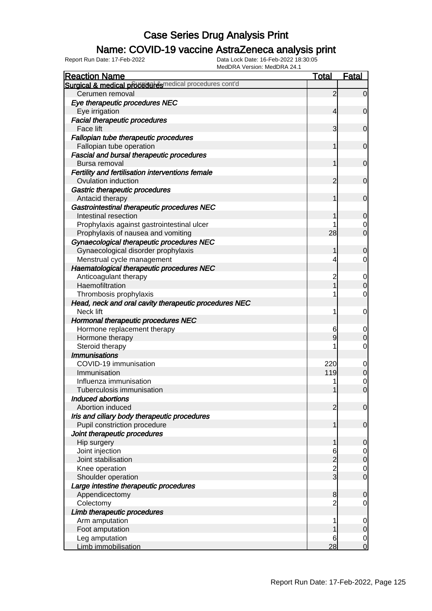### Name: COVID-19 vaccine AstraZeneca analysis print

| <b>Reaction Name</b>                                                         | <u>Total</u>        | <b>Fatal</b>                  |
|------------------------------------------------------------------------------|---------------------|-------------------------------|
| Surgical & medical proceeder esmedical procedures cont'd                     |                     |                               |
| Cerumen removal                                                              | $\overline{2}$      | $\overline{0}$                |
| Eye therapeutic procedures NEC                                               |                     |                               |
| Eye irrigation                                                               | 4                   | $\overline{0}$                |
| <b>Facial therapeutic procedures</b>                                         |                     |                               |
| Face lift                                                                    | 3                   | $\mathbf 0$                   |
| Fallopian tube therapeutic procedures                                        |                     |                               |
| Fallopian tube operation                                                     | 1                   | $\mathbf 0$                   |
| <b>Fascial and bursal therapeutic procedures</b><br>Bursa removal            | 1                   |                               |
| Fertility and fertilisation interventions female                             |                     | $\mathbf 0$                   |
| Ovulation induction                                                          | 2                   | $\mathbf 0$                   |
|                                                                              |                     |                               |
| Gastric therapeutic procedures                                               | 1                   | $\mathbf 0$                   |
| Antacid therapy                                                              |                     |                               |
| Gastrointestinal therapeutic procedures NEC<br>Intestinal resection          |                     |                               |
|                                                                              |                     | $\mathbf 0$                   |
| Prophylaxis against gastrointestinal ulcer                                   | 28                  | 0<br>$\overline{0}$           |
| Prophylaxis of nausea and vomiting                                           |                     |                               |
| Gynaecological therapeutic procedures NEC                                    |                     |                               |
| Gynaecological disorder prophylaxis                                          | 1                   | $\mathbf 0$                   |
| Menstrual cycle management                                                   | 4                   | 0                             |
| Haematological therapeutic procedures NEC                                    |                     |                               |
| Anticoagulant therapy                                                        | $\overline{c}$<br>1 | 0<br>$\overline{0}$           |
| Haemofiltration                                                              |                     |                               |
| Thrombosis prophylaxis                                                       |                     | 0                             |
| Head, neck and oral cavity therapeutic procedures NEC                        |                     |                               |
| Neck lift                                                                    | 1                   | 0                             |
| Hormonal therapeutic procedures NEC                                          |                     |                               |
| Hormone replacement therapy                                                  | 6                   | 0<br>$\overline{0}$           |
| Hormone therapy                                                              | 9                   |                               |
| Steroid therapy                                                              |                     | 0                             |
| <b>Immunisations</b>                                                         |                     |                               |
| COVID-19 immunisation<br>Immunisation                                        | 220<br>119          | $\mathbf 0$<br>$\overline{O}$ |
| Influenza immunisation                                                       |                     |                               |
|                                                                              |                     | $\mathbf 0$<br>$\overline{0}$ |
| Tuberculosis immunisation<br>Induced abortions                               | 1                   |                               |
| Abortion induced                                                             | 2                   |                               |
|                                                                              |                     | $\mathbf 0$                   |
| Iris and ciliary body therapeutic procedures<br>Pupil constriction procedure | 1                   | $\mathbf 0$                   |
| Joint therapeutic procedures                                                 |                     |                               |
|                                                                              |                     |                               |
| Hip surgery<br>Joint injection                                               | 6                   | $\mathbf 0$                   |
| Joint stabilisation                                                          |                     | $\overline{0}$                |
| Knee operation                                                               | $\frac{2}{3}$       | $\mathbf 0$                   |
| Shoulder operation                                                           |                     | $\overline{0}$                |
| Large intestine therapeutic procedures                                       |                     |                               |
| Appendicectomy                                                               | 8                   |                               |
| Colectomy                                                                    |                     | $\mathbf 0$<br>0              |
|                                                                              |                     |                               |
| Limb therapeutic procedures<br>Arm amputation                                |                     |                               |
| Foot amputation                                                              |                     | $\mathbf 0$<br>0              |
| Leg amputation                                                               | 6                   | $\mathbf 0$                   |
| Limb immobilisation                                                          | 28                  | $\overline{0}$                |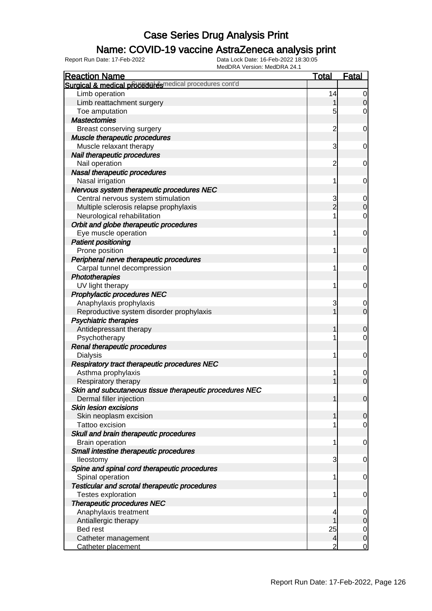### Name: COVID-19 vaccine AstraZeneca analysis print

| MEUDRA VEISIUII. MEUDRA 24. I<br><b>Reaction Name</b>   | <b>Total</b>   | Fatal            |
|---------------------------------------------------------|----------------|------------------|
| Surgical & medical proceed esmedical procedures cont'd  |                |                  |
| Limb operation                                          | 14             | 0                |
| Limb reattachment surgery                               |                | $\Omega$         |
| Toe amputation                                          | 5              | 0                |
| <b>Mastectomies</b>                                     |                |                  |
| Breast conserving surgery                               | 2              | 0                |
| Muscle therapeutic procedures                           |                |                  |
| Muscle relaxant therapy                                 | 3              | 0                |
| Nail therapeutic procedures                             |                |                  |
| Nail operation                                          | 2              | 0                |
| Nasal therapeutic procedures                            |                |                  |
| Nasal irrigation                                        |                | 0                |
| Nervous system therapeutic procedures NEC               |                |                  |
| Central nervous system stimulation                      | 3              | 0                |
| Multiple sclerosis relapse prophylaxis                  | $\overline{c}$ | 0                |
| Neurological rehabilitation                             |                | 0                |
| Orbit and globe therapeutic procedures                  |                |                  |
| Eye muscle operation                                    |                | 0                |
| <b>Patient positioning</b>                              |                |                  |
| Prone position                                          |                | 0                |
| Peripheral nerve therapeutic procedures                 |                |                  |
| Carpal tunnel decompression                             |                | 0                |
| Phototherapies                                          |                |                  |
| UV light therapy                                        |                | 0                |
| <b>Prophylactic procedures NEC</b>                      |                |                  |
| Anaphylaxis prophylaxis                                 | 3              | 0                |
| Reproductive system disorder prophylaxis                |                | $\overline{0}$   |
| Psychiatric therapies                                   |                |                  |
| Antidepressant therapy                                  |                | 0                |
| Psychotherapy                                           |                | 0                |
| Renal therapeutic procedures                            |                |                  |
| <b>Dialysis</b>                                         |                | $\mathbf 0$      |
| Respiratory tract therapeutic procedures NEC            |                |                  |
| Asthma prophylaxis                                      |                | 0                |
| Respiratory therapy                                     |                | $\overline{0}$   |
| Skin and subcutaneous tissue therapeutic procedures NEC |                |                  |
| Dermal filler injection                                 |                | $\mathbf 0$      |
| <b>Skin lesion excisions</b>                            |                |                  |
| Skin neoplasm excision                                  |                | $\overline{0}$   |
| Tattoo excision                                         |                | 0                |
| Skull and brain therapeutic procedures                  |                |                  |
| <b>Brain operation</b>                                  |                | 0                |
| Small intestine therapeutic procedures                  |                |                  |
| lleostomy                                               | 3              | 0                |
| Spine and spinal cord therapeutic procedures            |                |                  |
| Spinal operation                                        |                | 0                |
| <b>Testicular and scrotal therapeutic procedures</b>    |                |                  |
| <b>Testes exploration</b>                               |                | 0                |
| <b>Therapeutic procedures NEC</b>                       |                |                  |
| Anaphylaxis treatment                                   |                | 0                |
| Antiallergic therapy                                    |                | 0                |
| Bed rest                                                | 25             | 0                |
| Catheter management                                     | 4              | $\boldsymbol{0}$ |
| Catheter placement                                      | 2              | 0                |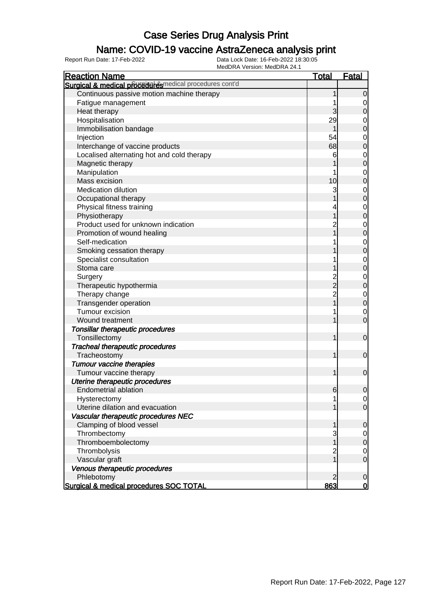#### Name: COVID-19 vaccine AstraZeneca analysis print

| <b>Reaction Name</b>                                   | <u>Total</u>   | <b>Fatal</b>     |
|--------------------------------------------------------|----------------|------------------|
| Surgical & medical proceed esmedical procedures cont'd |                |                  |
| Continuous passive motion machine therapy              |                | $\overline{0}$   |
| Fatigue management                                     |                | $\overline{0}$   |
| Heat therapy                                           | 3              | $\mathbf 0$      |
| Hospitalisation                                        | 29             | $\mathbf 0$      |
| Immobilisation bandage                                 |                | $\mathbf 0$      |
| Injection                                              | 54             | $\mathbf 0$      |
| Interchange of vaccine products                        | 68             | $\mathbf 0$      |
| Localised alternating hot and cold therapy             | 6              | $\mathbf 0$      |
| Magnetic therapy                                       |                | $\mathbf 0$      |
| Manipulation                                           |                | $\mathbf 0$      |
| Mass excision                                          | 10             | $\mathbf 0$      |
| <b>Medication dilution</b>                             | 3              | $\mathbf 0$      |
| Occupational therapy                                   |                | $\mathbf 0$      |
| Physical fitness training                              |                | $\mathbf 0$      |
| Physiotherapy                                          |                | $\mathbf 0$      |
| Product used for unknown indication                    |                | $\mathbf 0$      |
| Promotion of wound healing                             |                | $\mathbf 0$      |
| Self-medication                                        |                | $\mathbf 0$      |
| Smoking cessation therapy                              |                | $\mathbf 0$      |
| Specialist consultation                                |                | $\mathbf 0$      |
| Stoma care                                             |                | $\mathbf 0$      |
| Surgery                                                |                | $\mathbf 0$      |
| Therapeutic hypothermia                                | $\frac{2}{2}$  | $\pmb{0}$        |
| Therapy change                                         | $\overline{c}$ | $\mathbf 0$      |
| Transgender operation                                  |                | $\mathbf 0$      |
| Tumour excision                                        |                | 0                |
| Wound treatment                                        |                | $\mathbf 0$      |
| Tonsillar therapeutic procedures                       |                |                  |
| Tonsillectomy                                          | 1              | $\mathbf 0$      |
| <b>Tracheal therapeutic procedures</b>                 |                |                  |
| Tracheostomy                                           | 1              | $\mathbf 0$      |
| <b>Tumour vaccine therapies</b>                        |                |                  |
| Tumour vaccine therapy                                 | 1              | $\mathbf 0$      |
| Uterine therapeutic procedures                         |                |                  |
| <b>Endometrial ablation</b>                            | $6 \,$         | $\boldsymbol{0}$ |
| Hysterectomy                                           | 1              | $\overline{0}$   |
| Uterine dilation and evacuation                        |                | $\overline{0}$   |
| Vascular therapeutic procedures NEC                    |                |                  |
| Clamping of blood vessel                               | 1              | $\mathbf 0$      |
| Thrombectomy                                           | 3              | $\overline{0}$   |
| Thromboembolectomy                                     | 1              | $\mathbf 0$      |
| Thrombolysis                                           | $\overline{c}$ | 0                |
| Vascular graft                                         |                | $\mathbf 0$      |
| Venous therapeutic procedures                          |                |                  |
| Phlebotomy                                             | 2              | $\mathbf 0$      |
| Surgical & medical procedures SOC TOTAL                | 863            | $\mathbf 0$      |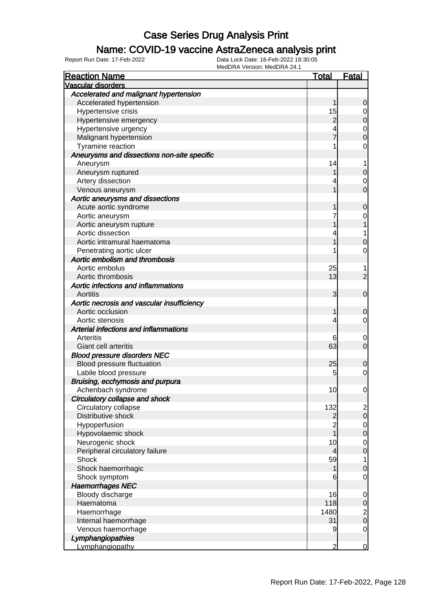#### Name: COVID-19 vaccine AstraZeneca analysis print

| <b>Vascular disorders</b><br>Accelerated and malignant hypertension<br>Accelerated hypertension<br>0<br>Hypertensive crisis<br>15<br>0<br>Hypertensive emergency<br>2<br>0<br>Hypertensive urgency<br>4<br>0<br>Malignant hypertension<br>0<br>Tyramine reaction<br>0<br>Aneurysms and dissections non-site specific<br>14<br>Aneurysm<br>1<br>Aneurysm ruptured<br>0<br>Artery dissection<br>0<br>Venous aneurysm<br>0<br>Aortic aneurysms and dissections<br>Acute aortic syndrome<br>0<br>Aortic aneurysm<br>0<br>Aortic aneurysm rupture<br>Aortic dissection<br>Aortic intramural haematoma<br>0<br>Penetrating aortic ulcer<br>0<br>Aortic embolism and thrombosis<br>Aortic embolus<br>25<br>1<br>13<br>Aortic thrombosis<br>2<br>Aortic infections and inflammations<br>Aortitis<br>3<br>$\mathbf 0$<br>Aortic necrosis and vascular insufficiency<br>Aortic occlusion<br>0<br>Aortic stenosis<br>4<br>0<br>Arterial infections and inflammations<br>Arteritis<br>6<br>0<br>63<br>Giant cell arteritis<br>0<br><b>Blood pressure disorders NEC</b><br>25<br>Blood pressure fluctuation<br>0<br>Labile blood pressure<br>5<br>0<br>Bruising, ecchymosis and purpura<br>Achenbach syndrome<br>10<br>0<br>Circulatory collapse and shock<br>Circulatory collapse<br>132<br>$\overline{c}$<br>Distributive shock<br>$\overline{0}$<br>$\overline{2}$<br>$\overline{2}$<br>Hypoperfusion<br>$\mathbf 0$<br>Hypovolaemic shock<br>0<br>Neurogenic shock<br>10<br>$\mathbf 0$<br>Peripheral circulatory failure<br>4<br>$\mathbf 0$<br>59<br>Shock<br>1<br>Shock haemorrhagic<br>0<br>Shock symptom<br>6<br>0<br><b>Haemorrhages NEC</b><br>Bloody discharge<br>16<br>0<br>Haematoma<br>118<br>$\mathbf 0$<br>Haemorrhage<br>1480<br>$\overline{\mathbf{c}}$<br>$\overline{0}$<br>Internal haemorrhage<br>31<br>Venous haemorrhage<br>9<br>$\mathbf 0$<br>Lymphangiopathies | <b>Reaction Name</b> | <u>Total</u> | <b>Fatal</b> |
|------------------------------------------------------------------------------------------------------------------------------------------------------------------------------------------------------------------------------------------------------------------------------------------------------------------------------------------------------------------------------------------------------------------------------------------------------------------------------------------------------------------------------------------------------------------------------------------------------------------------------------------------------------------------------------------------------------------------------------------------------------------------------------------------------------------------------------------------------------------------------------------------------------------------------------------------------------------------------------------------------------------------------------------------------------------------------------------------------------------------------------------------------------------------------------------------------------------------------------------------------------------------------------------------------------------------------------------------------------------------------------------------------------------------------------------------------------------------------------------------------------------------------------------------------------------------------------------------------------------------------------------------------------------------------------------------------------------------------------------------------------------------------------------------------------------------------------------------------------------------------|----------------------|--------------|--------------|
|                                                                                                                                                                                                                                                                                                                                                                                                                                                                                                                                                                                                                                                                                                                                                                                                                                                                                                                                                                                                                                                                                                                                                                                                                                                                                                                                                                                                                                                                                                                                                                                                                                                                                                                                                                                                                                                                              |                      |              |              |
|                                                                                                                                                                                                                                                                                                                                                                                                                                                                                                                                                                                                                                                                                                                                                                                                                                                                                                                                                                                                                                                                                                                                                                                                                                                                                                                                                                                                                                                                                                                                                                                                                                                                                                                                                                                                                                                                              |                      |              |              |
|                                                                                                                                                                                                                                                                                                                                                                                                                                                                                                                                                                                                                                                                                                                                                                                                                                                                                                                                                                                                                                                                                                                                                                                                                                                                                                                                                                                                                                                                                                                                                                                                                                                                                                                                                                                                                                                                              |                      |              |              |
|                                                                                                                                                                                                                                                                                                                                                                                                                                                                                                                                                                                                                                                                                                                                                                                                                                                                                                                                                                                                                                                                                                                                                                                                                                                                                                                                                                                                                                                                                                                                                                                                                                                                                                                                                                                                                                                                              |                      |              |              |
|                                                                                                                                                                                                                                                                                                                                                                                                                                                                                                                                                                                                                                                                                                                                                                                                                                                                                                                                                                                                                                                                                                                                                                                                                                                                                                                                                                                                                                                                                                                                                                                                                                                                                                                                                                                                                                                                              |                      |              |              |
|                                                                                                                                                                                                                                                                                                                                                                                                                                                                                                                                                                                                                                                                                                                                                                                                                                                                                                                                                                                                                                                                                                                                                                                                                                                                                                                                                                                                                                                                                                                                                                                                                                                                                                                                                                                                                                                                              |                      |              |              |
|                                                                                                                                                                                                                                                                                                                                                                                                                                                                                                                                                                                                                                                                                                                                                                                                                                                                                                                                                                                                                                                                                                                                                                                                                                                                                                                                                                                                                                                                                                                                                                                                                                                                                                                                                                                                                                                                              |                      |              |              |
|                                                                                                                                                                                                                                                                                                                                                                                                                                                                                                                                                                                                                                                                                                                                                                                                                                                                                                                                                                                                                                                                                                                                                                                                                                                                                                                                                                                                                                                                                                                                                                                                                                                                                                                                                                                                                                                                              |                      |              |              |
|                                                                                                                                                                                                                                                                                                                                                                                                                                                                                                                                                                                                                                                                                                                                                                                                                                                                                                                                                                                                                                                                                                                                                                                                                                                                                                                                                                                                                                                                                                                                                                                                                                                                                                                                                                                                                                                                              |                      |              |              |
|                                                                                                                                                                                                                                                                                                                                                                                                                                                                                                                                                                                                                                                                                                                                                                                                                                                                                                                                                                                                                                                                                                                                                                                                                                                                                                                                                                                                                                                                                                                                                                                                                                                                                                                                                                                                                                                                              |                      |              |              |
|                                                                                                                                                                                                                                                                                                                                                                                                                                                                                                                                                                                                                                                                                                                                                                                                                                                                                                                                                                                                                                                                                                                                                                                                                                                                                                                                                                                                                                                                                                                                                                                                                                                                                                                                                                                                                                                                              |                      |              |              |
|                                                                                                                                                                                                                                                                                                                                                                                                                                                                                                                                                                                                                                                                                                                                                                                                                                                                                                                                                                                                                                                                                                                                                                                                                                                                                                                                                                                                                                                                                                                                                                                                                                                                                                                                                                                                                                                                              |                      |              |              |
|                                                                                                                                                                                                                                                                                                                                                                                                                                                                                                                                                                                                                                                                                                                                                                                                                                                                                                                                                                                                                                                                                                                                                                                                                                                                                                                                                                                                                                                                                                                                                                                                                                                                                                                                                                                                                                                                              |                      |              |              |
|                                                                                                                                                                                                                                                                                                                                                                                                                                                                                                                                                                                                                                                                                                                                                                                                                                                                                                                                                                                                                                                                                                                                                                                                                                                                                                                                                                                                                                                                                                                                                                                                                                                                                                                                                                                                                                                                              |                      |              |              |
|                                                                                                                                                                                                                                                                                                                                                                                                                                                                                                                                                                                                                                                                                                                                                                                                                                                                                                                                                                                                                                                                                                                                                                                                                                                                                                                                                                                                                                                                                                                                                                                                                                                                                                                                                                                                                                                                              |                      |              |              |
|                                                                                                                                                                                                                                                                                                                                                                                                                                                                                                                                                                                                                                                                                                                                                                                                                                                                                                                                                                                                                                                                                                                                                                                                                                                                                                                                                                                                                                                                                                                                                                                                                                                                                                                                                                                                                                                                              |                      |              |              |
|                                                                                                                                                                                                                                                                                                                                                                                                                                                                                                                                                                                                                                                                                                                                                                                                                                                                                                                                                                                                                                                                                                                                                                                                                                                                                                                                                                                                                                                                                                                                                                                                                                                                                                                                                                                                                                                                              |                      |              |              |
|                                                                                                                                                                                                                                                                                                                                                                                                                                                                                                                                                                                                                                                                                                                                                                                                                                                                                                                                                                                                                                                                                                                                                                                                                                                                                                                                                                                                                                                                                                                                                                                                                                                                                                                                                                                                                                                                              |                      |              |              |
|                                                                                                                                                                                                                                                                                                                                                                                                                                                                                                                                                                                                                                                                                                                                                                                                                                                                                                                                                                                                                                                                                                                                                                                                                                                                                                                                                                                                                                                                                                                                                                                                                                                                                                                                                                                                                                                                              |                      |              |              |
|                                                                                                                                                                                                                                                                                                                                                                                                                                                                                                                                                                                                                                                                                                                                                                                                                                                                                                                                                                                                                                                                                                                                                                                                                                                                                                                                                                                                                                                                                                                                                                                                                                                                                                                                                                                                                                                                              |                      |              |              |
|                                                                                                                                                                                                                                                                                                                                                                                                                                                                                                                                                                                                                                                                                                                                                                                                                                                                                                                                                                                                                                                                                                                                                                                                                                                                                                                                                                                                                                                                                                                                                                                                                                                                                                                                                                                                                                                                              |                      |              |              |
|                                                                                                                                                                                                                                                                                                                                                                                                                                                                                                                                                                                                                                                                                                                                                                                                                                                                                                                                                                                                                                                                                                                                                                                                                                                                                                                                                                                                                                                                                                                                                                                                                                                                                                                                                                                                                                                                              |                      |              |              |
|                                                                                                                                                                                                                                                                                                                                                                                                                                                                                                                                                                                                                                                                                                                                                                                                                                                                                                                                                                                                                                                                                                                                                                                                                                                                                                                                                                                                                                                                                                                                                                                                                                                                                                                                                                                                                                                                              |                      |              |              |
|                                                                                                                                                                                                                                                                                                                                                                                                                                                                                                                                                                                                                                                                                                                                                                                                                                                                                                                                                                                                                                                                                                                                                                                                                                                                                                                                                                                                                                                                                                                                                                                                                                                                                                                                                                                                                                                                              |                      |              |              |
|                                                                                                                                                                                                                                                                                                                                                                                                                                                                                                                                                                                                                                                                                                                                                                                                                                                                                                                                                                                                                                                                                                                                                                                                                                                                                                                                                                                                                                                                                                                                                                                                                                                                                                                                                                                                                                                                              |                      |              |              |
|                                                                                                                                                                                                                                                                                                                                                                                                                                                                                                                                                                                                                                                                                                                                                                                                                                                                                                                                                                                                                                                                                                                                                                                                                                                                                                                                                                                                                                                                                                                                                                                                                                                                                                                                                                                                                                                                              |                      |              |              |
|                                                                                                                                                                                                                                                                                                                                                                                                                                                                                                                                                                                                                                                                                                                                                                                                                                                                                                                                                                                                                                                                                                                                                                                                                                                                                                                                                                                                                                                                                                                                                                                                                                                                                                                                                                                                                                                                              |                      |              |              |
|                                                                                                                                                                                                                                                                                                                                                                                                                                                                                                                                                                                                                                                                                                                                                                                                                                                                                                                                                                                                                                                                                                                                                                                                                                                                                                                                                                                                                                                                                                                                                                                                                                                                                                                                                                                                                                                                              |                      |              |              |
|                                                                                                                                                                                                                                                                                                                                                                                                                                                                                                                                                                                                                                                                                                                                                                                                                                                                                                                                                                                                                                                                                                                                                                                                                                                                                                                                                                                                                                                                                                                                                                                                                                                                                                                                                                                                                                                                              |                      |              |              |
|                                                                                                                                                                                                                                                                                                                                                                                                                                                                                                                                                                                                                                                                                                                                                                                                                                                                                                                                                                                                                                                                                                                                                                                                                                                                                                                                                                                                                                                                                                                                                                                                                                                                                                                                                                                                                                                                              |                      |              |              |
|                                                                                                                                                                                                                                                                                                                                                                                                                                                                                                                                                                                                                                                                                                                                                                                                                                                                                                                                                                                                                                                                                                                                                                                                                                                                                                                                                                                                                                                                                                                                                                                                                                                                                                                                                                                                                                                                              |                      |              |              |
|                                                                                                                                                                                                                                                                                                                                                                                                                                                                                                                                                                                                                                                                                                                                                                                                                                                                                                                                                                                                                                                                                                                                                                                                                                                                                                                                                                                                                                                                                                                                                                                                                                                                                                                                                                                                                                                                              |                      |              |              |
|                                                                                                                                                                                                                                                                                                                                                                                                                                                                                                                                                                                                                                                                                                                                                                                                                                                                                                                                                                                                                                                                                                                                                                                                                                                                                                                                                                                                                                                                                                                                                                                                                                                                                                                                                                                                                                                                              |                      |              |              |
|                                                                                                                                                                                                                                                                                                                                                                                                                                                                                                                                                                                                                                                                                                                                                                                                                                                                                                                                                                                                                                                                                                                                                                                                                                                                                                                                                                                                                                                                                                                                                                                                                                                                                                                                                                                                                                                                              |                      |              |              |
|                                                                                                                                                                                                                                                                                                                                                                                                                                                                                                                                                                                                                                                                                                                                                                                                                                                                                                                                                                                                                                                                                                                                                                                                                                                                                                                                                                                                                                                                                                                                                                                                                                                                                                                                                                                                                                                                              |                      |              |              |
|                                                                                                                                                                                                                                                                                                                                                                                                                                                                                                                                                                                                                                                                                                                                                                                                                                                                                                                                                                                                                                                                                                                                                                                                                                                                                                                                                                                                                                                                                                                                                                                                                                                                                                                                                                                                                                                                              |                      |              |              |
|                                                                                                                                                                                                                                                                                                                                                                                                                                                                                                                                                                                                                                                                                                                                                                                                                                                                                                                                                                                                                                                                                                                                                                                                                                                                                                                                                                                                                                                                                                                                                                                                                                                                                                                                                                                                                                                                              |                      |              |              |
|                                                                                                                                                                                                                                                                                                                                                                                                                                                                                                                                                                                                                                                                                                                                                                                                                                                                                                                                                                                                                                                                                                                                                                                                                                                                                                                                                                                                                                                                                                                                                                                                                                                                                                                                                                                                                                                                              |                      |              |              |
|                                                                                                                                                                                                                                                                                                                                                                                                                                                                                                                                                                                                                                                                                                                                                                                                                                                                                                                                                                                                                                                                                                                                                                                                                                                                                                                                                                                                                                                                                                                                                                                                                                                                                                                                                                                                                                                                              |                      |              |              |
|                                                                                                                                                                                                                                                                                                                                                                                                                                                                                                                                                                                                                                                                                                                                                                                                                                                                                                                                                                                                                                                                                                                                                                                                                                                                                                                                                                                                                                                                                                                                                                                                                                                                                                                                                                                                                                                                              |                      |              |              |
|                                                                                                                                                                                                                                                                                                                                                                                                                                                                                                                                                                                                                                                                                                                                                                                                                                                                                                                                                                                                                                                                                                                                                                                                                                                                                                                                                                                                                                                                                                                                                                                                                                                                                                                                                                                                                                                                              |                      |              |              |
|                                                                                                                                                                                                                                                                                                                                                                                                                                                                                                                                                                                                                                                                                                                                                                                                                                                                                                                                                                                                                                                                                                                                                                                                                                                                                                                                                                                                                                                                                                                                                                                                                                                                                                                                                                                                                                                                              |                      |              |              |
|                                                                                                                                                                                                                                                                                                                                                                                                                                                                                                                                                                                                                                                                                                                                                                                                                                                                                                                                                                                                                                                                                                                                                                                                                                                                                                                                                                                                                                                                                                                                                                                                                                                                                                                                                                                                                                                                              |                      |              |              |
|                                                                                                                                                                                                                                                                                                                                                                                                                                                                                                                                                                                                                                                                                                                                                                                                                                                                                                                                                                                                                                                                                                                                                                                                                                                                                                                                                                                                                                                                                                                                                                                                                                                                                                                                                                                                                                                                              |                      |              |              |
|                                                                                                                                                                                                                                                                                                                                                                                                                                                                                                                                                                                                                                                                                                                                                                                                                                                                                                                                                                                                                                                                                                                                                                                                                                                                                                                                                                                                                                                                                                                                                                                                                                                                                                                                                                                                                                                                              |                      |              |              |
|                                                                                                                                                                                                                                                                                                                                                                                                                                                                                                                                                                                                                                                                                                                                                                                                                                                                                                                                                                                                                                                                                                                                                                                                                                                                                                                                                                                                                                                                                                                                                                                                                                                                                                                                                                                                                                                                              |                      |              |              |
|                                                                                                                                                                                                                                                                                                                                                                                                                                                                                                                                                                                                                                                                                                                                                                                                                                                                                                                                                                                                                                                                                                                                                                                                                                                                                                                                                                                                                                                                                                                                                                                                                                                                                                                                                                                                                                                                              |                      |              |              |
|                                                                                                                                                                                                                                                                                                                                                                                                                                                                                                                                                                                                                                                                                                                                                                                                                                                                                                                                                                                                                                                                                                                                                                                                                                                                                                                                                                                                                                                                                                                                                                                                                                                                                                                                                                                                                                                                              |                      |              |              |
|                                                                                                                                                                                                                                                                                                                                                                                                                                                                                                                                                                                                                                                                                                                                                                                                                                                                                                                                                                                                                                                                                                                                                                                                                                                                                                                                                                                                                                                                                                                                                                                                                                                                                                                                                                                                                                                                              |                      |              |              |
|                                                                                                                                                                                                                                                                                                                                                                                                                                                                                                                                                                                                                                                                                                                                                                                                                                                                                                                                                                                                                                                                                                                                                                                                                                                                                                                                                                                                                                                                                                                                                                                                                                                                                                                                                                                                                                                                              |                      |              |              |
|                                                                                                                                                                                                                                                                                                                                                                                                                                                                                                                                                                                                                                                                                                                                                                                                                                                                                                                                                                                                                                                                                                                                                                                                                                                                                                                                                                                                                                                                                                                                                                                                                                                                                                                                                                                                                                                                              |                      |              |              |
|                                                                                                                                                                                                                                                                                                                                                                                                                                                                                                                                                                                                                                                                                                                                                                                                                                                                                                                                                                                                                                                                                                                                                                                                                                                                                                                                                                                                                                                                                                                                                                                                                                                                                                                                                                                                                                                                              |                      |              |              |
| Lymphangiopathy<br>2<br>$\overline{0}$                                                                                                                                                                                                                                                                                                                                                                                                                                                                                                                                                                                                                                                                                                                                                                                                                                                                                                                                                                                                                                                                                                                                                                                                                                                                                                                                                                                                                                                                                                                                                                                                                                                                                                                                                                                                                                       |                      |              |              |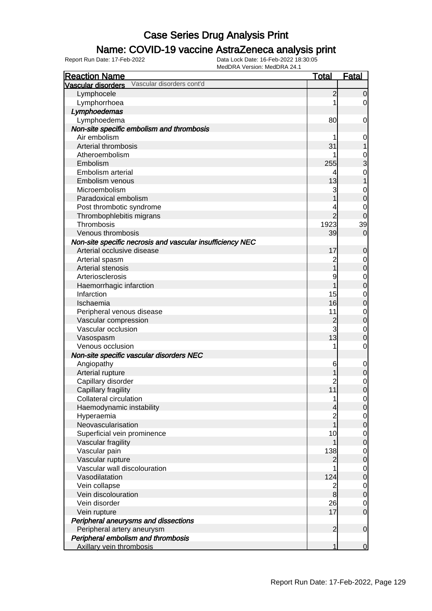### Name: COVID-19 vaccine AstraZeneca analysis print

| <b>Reaction Name</b>                                      | <b>Total</b>            | <b>Fatal</b>     |
|-----------------------------------------------------------|-------------------------|------------------|
| Vascular disorders cont'd<br><b>Vascular disorders</b>    |                         |                  |
| Lymphocele                                                | $\overline{c}$          | $\overline{0}$   |
| Lymphorrhoea                                              |                         | $\overline{0}$   |
| Lymphoedemas                                              |                         |                  |
| Lymphoedema                                               | 80                      | 0                |
| Non-site specific embolism and thrombosis                 |                         |                  |
| Air embolism                                              |                         | 0                |
| Arterial thrombosis                                       | 31                      |                  |
| Atheroembolism                                            |                         | $\mathbf{0}$     |
| Embolism                                                  | 255                     | 3                |
| Embolism arterial                                         |                         | $\overline{0}$   |
| Embolism venous                                           | 13                      | 1                |
| Microembolism                                             | 3                       | $\mathbf{0}$     |
| Paradoxical embolism                                      |                         | $\mathbf 0$      |
| Post thrombotic syndrome                                  |                         | 0                |
| Thrombophlebitis migrans                                  | $\overline{2}$          | 0                |
| Thrombosis                                                | 1923                    | 39               |
| Venous thrombosis                                         | 39                      | $\mathbf 0$      |
| Non-site specific necrosis and vascular insufficiency NEC |                         |                  |
| Arterial occlusive disease                                | 17                      | 0                |
| Arterial spasm                                            | $\overline{c}$          | 0                |
| Arterial stenosis                                         | 1                       | $\pmb{0}$        |
| Arteriosclerosis                                          | 9                       | $\mathbf 0$      |
| Haemorrhagic infarction                                   |                         | $\mathbf 0$      |
| Infarction                                                | 15                      |                  |
| Ischaemia                                                 | 16                      | $\mathbf 0$      |
|                                                           | 11                      | $\mathbf 0$      |
| Peripheral venous disease                                 |                         | $\mathbf 0$      |
| Vascular compression<br>Vascular occlusion                | $\overline{c}$<br>3     | $\boldsymbol{0}$ |
|                                                           | 13                      | $\mathbf 0$      |
| Vasospasm                                                 |                         | $\mathbf 0$      |
| Venous occlusion                                          | 1                       | $\mathbf 0$      |
| Non-site specific vascular disorders NEC                  |                         |                  |
| Angiopathy                                                | 6                       | $\mathbf 0$      |
| Arterial rupture                                          |                         | $\mathbf 0$      |
| Capillary disorder                                        | 2                       | $\mathbf 0$      |
| Capillary fragility                                       | 11                      | $\overline{0}$   |
| Collateral circulation                                    | 1                       | $\overline{0}$   |
| Haemodynamic instability                                  | 4                       | $\mathbf 0$      |
| Hyperaemia                                                |                         | 0                |
| Neovascularisation                                        | 1                       | $\pmb{0}$        |
| Superficial vein prominence                               | 10                      | $\mathbf 0$      |
| Vascular fragility                                        |                         | $\pmb{0}$        |
| Vascular pain                                             | 138                     | $\mathbf 0$      |
| Vascular rupture                                          | 2                       | $\pmb{0}$        |
| Vascular wall discolouration                              |                         | $\mathbf 0$      |
| Vasodilatation                                            | 124                     | $\pmb{0}$        |
| Vein collapse                                             | $\overline{\mathbf{c}}$ | $\mathbf 0$      |
| Vein discolouration                                       | $\bf{8}$                | $\mathbf 0$      |
| Vein disorder                                             | 26                      | 0                |
| Vein rupture                                              | 17                      | $\mathbf 0$      |
| Peripheral aneurysms and dissections                      |                         |                  |
| Peripheral artery aneurysm                                | $\overline{2}$          | $\mathbf 0$      |
| Peripheral embolism and thrombosis                        |                         |                  |
| Axillary vein thrombosis                                  | 1                       | $\overline{0}$   |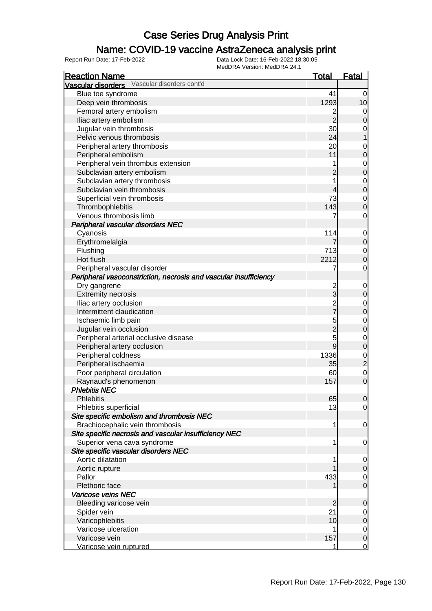### Name: COVID-19 vaccine AstraZeneca analysis print

| <b>Reaction Name</b>                                             | <b>Total</b>   | <b>Fatal</b>   |
|------------------------------------------------------------------|----------------|----------------|
| Vascular disorders Vascular disorders cont'd                     |                |                |
| Blue toe syndrome                                                | 41             | $\overline{0}$ |
| Deep vein thrombosis                                             | 1293           | 10             |
| Femoral artery embolism                                          | 2              | 0              |
| Iliac artery embolism                                            | $\overline{2}$ | $\mathbf 0$    |
| Jugular vein thrombosis                                          | 30             | 0              |
| Pelvic venous thrombosis                                         | 24             |                |
| Peripheral artery thrombosis                                     | 20             | $\mathbf 0$    |
| Peripheral embolism                                              | 11             | $\pmb{0}$      |
| Peripheral vein thrombus extension                               |                | $\mathbf 0$    |
| Subclavian artery embolism                                       | $\overline{c}$ | $\mathbf 0$    |
| Subclavian artery thrombosis                                     |                | $\mathbf 0$    |
| Subclavian vein thrombosis                                       | 4              | $\mathbf 0$    |
| Superficial vein thrombosis                                      | 73             | $\mathbf 0$    |
| Thrombophlebitis                                                 | 143            | $\mathbf 0$    |
| Venous thrombosis limb                                           |                | $\mathbf 0$    |
| Peripheral vascular disorders NEC                                |                |                |
| Cyanosis                                                         | 114            | $\mathbf 0$    |
| Erythromelalgia                                                  |                | $\pmb{0}$      |
| Flushing                                                         | 713            | $\mathbf 0$    |
| Hot flush                                                        | 2212           | $\mathbf 0$    |
| Peripheral vascular disorder                                     | 7              | $\mathbf 0$    |
| Peripheral vasoconstriction, necrosis and vascular insufficiency |                |                |
| Dry gangrene                                                     | $\overline{c}$ | $\mathbf 0$    |
| <b>Extremity necrosis</b>                                        | 3              | $\pmb{0}$      |
| Iliac artery occlusion                                           | $\overline{c}$ | $\mathbf 0$    |
| Intermittent claudication                                        |                | $\pmb{0}$      |
| Ischaemic limb pain                                              | 5              | $\mathbf 0$    |
| Jugular vein occlusion                                           | $\overline{2}$ | $\pmb{0}$      |
| Peripheral arterial occlusive disease                            | 5              | $\mathbf 0$    |
| Peripheral artery occlusion                                      | $\overline{9}$ | $\pmb{0}$      |
| Peripheral coldness                                              | 1336           | $\mathbf 0$    |
| Peripheral ischaemia                                             | 35             | $\overline{c}$ |
| Poor peripheral circulation                                      | 60             | $\mathbf 0$    |
| Raynaud's phenomenon                                             | 157            | $\mathbf 0$    |
| <b>Phlebitis NEC</b>                                             |                |                |
| <b>Phlebitis</b>                                                 | 65             | $\overline{0}$ |
| Phlebitis superficial                                            | 13             | $\overline{0}$ |
| Site specific embolism and thrombosis NEC                        |                |                |
| Brachiocephalic vein thrombosis                                  | 1              | 0              |
| Site specific necrosis and vascular insufficiency NEC            |                |                |
| Superior vena cava syndrome                                      | 1              | $\mathbf 0$    |
| Site specific vascular disorders NEC                             |                |                |
| Aortic dilatation                                                |                | 0              |
| Aortic rupture                                                   |                | $\mathbf 0$    |
| Pallor                                                           | 433            | 0              |
| Plethoric face                                                   |                | $\mathbf 0$    |
| Varicose veins NEC                                               |                |                |
| Bleeding varicose vein                                           | $\overline{2}$ | $\mathbf 0$    |
| Spider vein                                                      | 21             | 0              |
| Varicophlebitis                                                  | 10             | $\mathbf 0$    |
| Varicose ulceration                                              |                | $\overline{0}$ |
| Varicose vein                                                    | 157            | $\mathbf 0$    |
| Varicose vein ruptured                                           |                | $\mathbf 0$    |